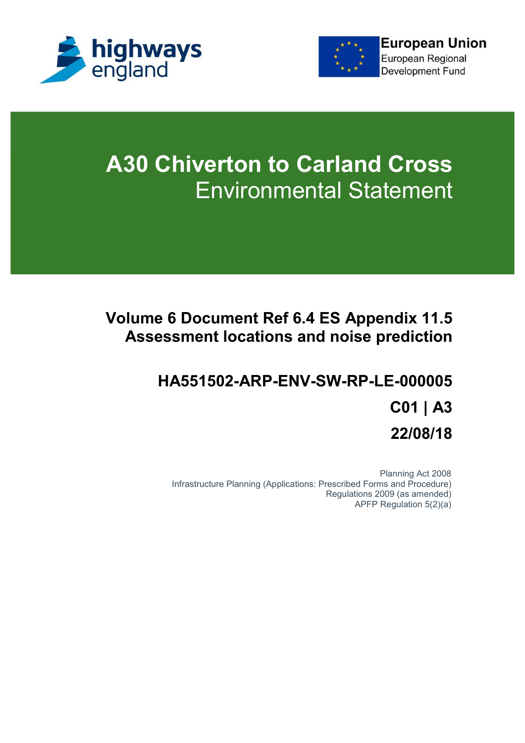



# **A30 Chiverton to Carland Cross** Environmental Statement

# **Volume 6 Document Ref 6.4 ES Appendix 11.5 Assessment locations and noise prediction**

# **HA551502-ARP-ENV-SW-RP-LE-000005 C01 | A3 22/08/18**

Planning Act 2008 Infrastructure Planning (Applications: Prescribed Forms and Procedure) Regulations 2009 (as amended) APFP Regulation 5(2)(a)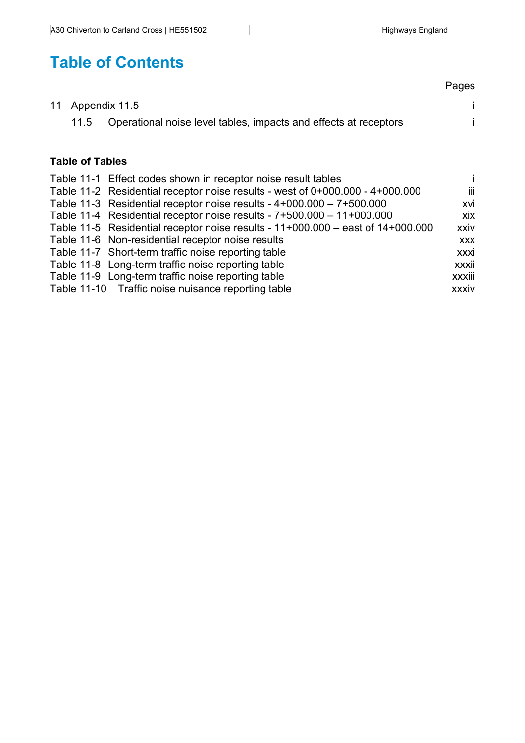# **Table of Contents**

|  |                                                                       | Pages |
|--|-----------------------------------------------------------------------|-------|
|  | 11 Appendix 11.5                                                      |       |
|  | 11.5 Operational noise level tables, impacts and effects at receptors |       |

## **Table of Tables**

| Table 11-1 Effect codes shown in receptor noise result tables                   |            |
|---------------------------------------------------------------------------------|------------|
| Table 11-2 Residential receptor noise results - west of 0+000.000 - 4+000.000   | iii.       |
| Table 11-3 Residential receptor noise results - $4+000.000 - 7+500.000$         | xvi        |
| Table 11-4 Residential receptor noise results - 7+500.000 - 11+000.000          | xix        |
| Table 11-5 Residential receptor noise results - 11+000.000 - east of 14+000.000 | xxiv       |
| Table 11-6 Non-residential receptor noise results                               | <b>XXX</b> |
| Table 11-7 Short-term traffic noise reporting table                             | xxxi       |
| Table 11-8 Long-term traffic noise reporting table                              | xxxii      |
| Table 11-9 Long-term traffic noise reporting table                              | xxxiii     |
| Table 11-10 Traffic noise nuisance reporting table                              | xxxiv      |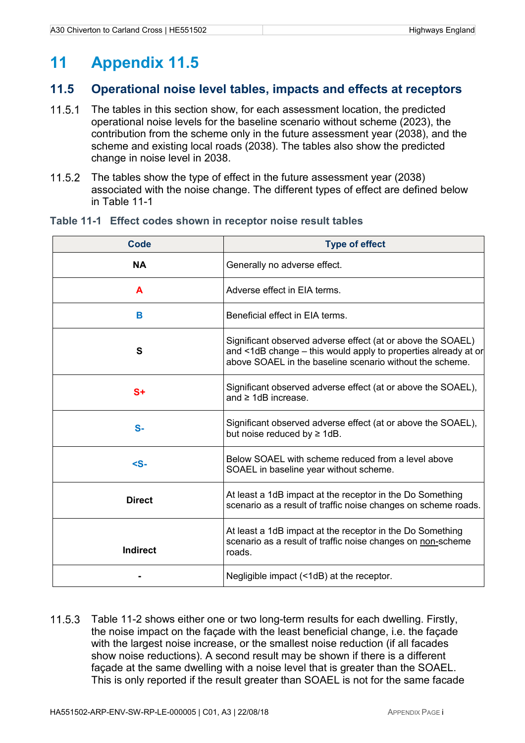# **11 Appendix 11.5**

## **11.5 Operational noise level tables, impacts and effects at receptors**

- 11.5.1 The tables in this section show, for each assessment location, the predicted operational noise levels for the baseline scenario without scheme (2023), the contribution from the scheme only in the future assessment year (2038), and the scheme and existing local roads (2038). The tables also show the predicted change in noise level in 2038.
- 11.5.2 The tables show the type of effect in the future assessment year (2038) associated with the noise change. The different types of effect are defined below in Table 11-1

| Code            | <b>Type of effect</b>                                                                                                                                                                     |
|-----------------|-------------------------------------------------------------------------------------------------------------------------------------------------------------------------------------------|
| <b>NA</b>       | Generally no adverse effect.                                                                                                                                                              |
| A               | Adverse effect in EIA terms.                                                                                                                                                              |
| B               | Beneficial effect in EIA terms.                                                                                                                                                           |
| S               | Significant observed adverse effect (at or above the SOAEL)<br>and <1dB change – this would apply to properties already at or<br>above SOAEL in the baseline scenario without the scheme. |
| $S+$            | Significant observed adverse effect (at or above the SOAEL),<br>and $\geq$ 1dB increase.                                                                                                  |
| $S-$            | Significant observed adverse effect (at or above the SOAEL),<br>but noise reduced by $\geq 1$ dB.                                                                                         |
| $\leq$ S-       | Below SOAEL with scheme reduced from a level above<br>SOAEL in baseline year without scheme.                                                                                              |
| <b>Direct</b>   | At least a 1dB impact at the receptor in the Do Something<br>scenario as a result of traffic noise changes on scheme roads.                                                               |
| <b>Indirect</b> | At least a 1dB impact at the receptor in the Do Something<br>scenario as a result of traffic noise changes on non-scheme<br>roads.                                                        |
|                 | Negligible impact (<1dB) at the receptor.                                                                                                                                                 |

#### **Table 11-1 Effect codes shown in receptor noise result tables**

11.5.3 Table 11-2 shows either one or two long-term results for each dwelling. Firstly, the noise impact on the façade with the least beneficial change, i.e. the façade with the largest noise increase, or the smallest noise reduction (if all facades show noise reductions). A second result may be shown if there is a different façade at the same dwelling with a noise level that is greater than the SOAEL. This is only reported if the result greater than SOAEL is not for the same facade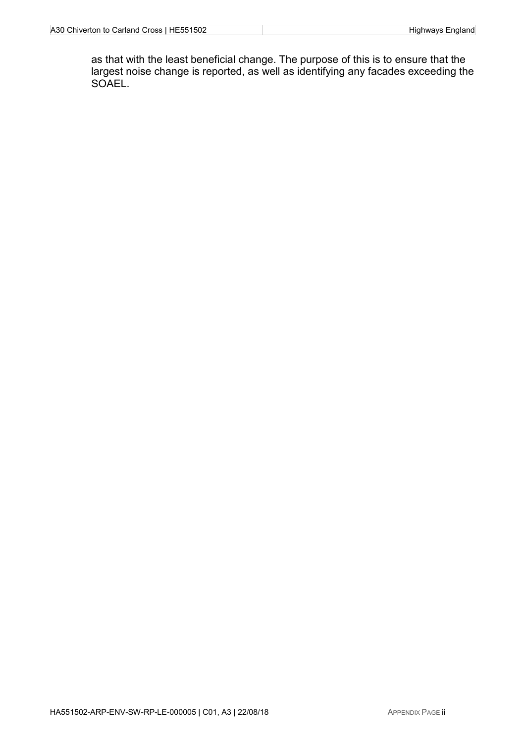as that with the least beneficial change. The purpose of this is to ensure that the largest noise change is reported, as well as identifying any facades exceeding the SOAEL.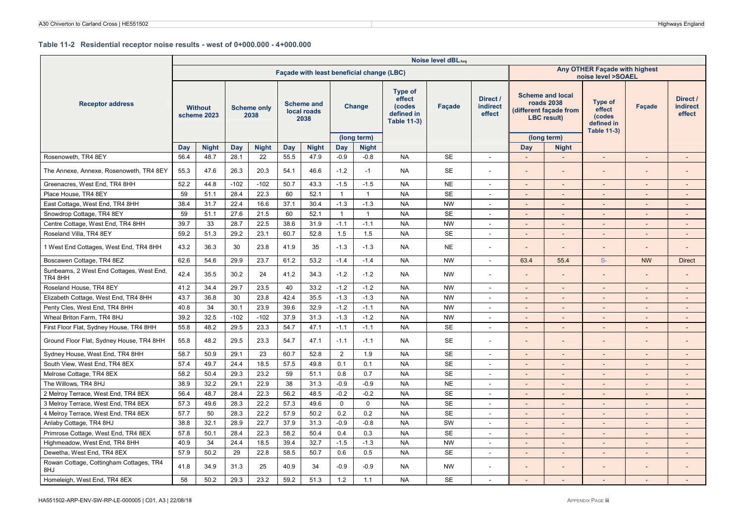#### **Table 11-2 Residential receptor noise results - west of 0+000.000 - 4+000.000**

|                                                     | Noise level dBLAeg<br>Any OTHER Façade with highest<br>Façade with least beneficial change (LBC) |                               |             |                            |             |                                          |                |                        |                                                                        |           |                                       |                          |                                                                                              |                                                                 |                              |                                       |
|-----------------------------------------------------|--------------------------------------------------------------------------------------------------|-------------------------------|-------------|----------------------------|-------------|------------------------------------------|----------------|------------------------|------------------------------------------------------------------------|-----------|---------------------------------------|--------------------------|----------------------------------------------------------------------------------------------|-----------------------------------------------------------------|------------------------------|---------------------------------------|
|                                                     |                                                                                                  |                               |             |                            |             |                                          |                |                        |                                                                        |           |                                       |                          |                                                                                              | noise level >SOAEL                                              |                              |                                       |
| <b>Receptor address</b>                             |                                                                                                  | <b>Without</b><br>scheme 2023 |             | <b>Scheme only</b><br>2038 |             | <b>Scheme and</b><br>local roads<br>2038 |                | <b>Change</b>          | <b>Type of</b><br>effect<br>(codes<br>defined in<br><b>Table 11-3)</b> | Facade    | Direct /<br><b>indirect</b><br>effect |                          | <b>Scheme and local</b><br><b>roads 2038</b><br>(different façade from<br><b>LBC</b> result) | Type of<br>effect<br>(codes<br>defined in<br><b>Table 11-3)</b> | <b>Facade</b>                | Direct /<br><b>indirect</b><br>effect |
|                                                     |                                                                                                  |                               |             |                            |             |                                          | Day            | (long term)            |                                                                        |           |                                       | Day                      | (long term)                                                                                  |                                                                 |                              |                                       |
| Rosenoweth, TR4 8EY                                 | Day<br>56.4                                                                                      | <b>Night</b><br>48.7          | Day<br>28.1 | <b>Night</b><br>22         | Day<br>55.5 | <b>Night</b><br>47.9                     | $-0.9$         | <b>Night</b><br>$-0.8$ | <b>NA</b>                                                              | <b>SE</b> | $\overline{a}$                        | $\overline{\phantom{a}}$ | <b>Night</b><br>$\mathcal{L}$                                                                | $\sim$                                                          | $\mathbb{Z}^{\mathbb{Z}}$    | $\sim$                                |
|                                                     |                                                                                                  |                               |             |                            |             |                                          |                |                        |                                                                        |           |                                       |                          |                                                                                              |                                                                 |                              |                                       |
| The Annexe, Annexe, Rosenoweth, TR4 8EY             | 55.3                                                                                             | 47.6                          | 26.3        | 20.3                       | 54.1        | 46.6                                     | $-1.2$         | $-1$                   | <b>NA</b>                                                              | <b>SE</b> |                                       |                          |                                                                                              |                                                                 |                              |                                       |
| Greenacres, West End, TR4 8HH                       | 52.2                                                                                             | 44.8                          | $-102$      | $-102$                     | 50.7        | 43.3                                     | $-1.5$         | $-1.5$                 | <b>NA</b>                                                              | <b>NE</b> | $\overline{\phantom{a}}$              | $\overline{\phantom{a}}$ | $\sim$                                                                                       | $\sim$                                                          | $\sim$                       | $\overline{\phantom{a}}$              |
| Place House, TR4 8EY                                | 59                                                                                               | 51.1                          | 28.4        | 22.3                       | 60          | 52.1                                     | $\overline{1}$ | $\mathbf{1}$           | <b>NA</b>                                                              | <b>SE</b> |                                       |                          |                                                                                              |                                                                 | $\overline{a}$               | $\overline{a}$                        |
| East Cottage, West End, TR4 8HH                     | 38.4                                                                                             | 31.7                          | 22.4        | 16.6                       | 37.1        | 30.4                                     | $-1.3$         | $-1.3$                 | <b>NA</b>                                                              | <b>NW</b> |                                       |                          |                                                                                              |                                                                 |                              |                                       |
| Snowdrop Cottage, TR4 8EY                           | 59                                                                                               | 51.1                          | 27.6        | 21.5                       | 60          | 52.1                                     | $\overline{1}$ | $\mathbf{1}$           | <b>NA</b>                                                              | <b>SE</b> | $\sim$                                | $\overline{\phantom{a}}$ | $\sim$                                                                                       | $\sim$                                                          | $\overline{\phantom{a}}$     | $\overline{\phantom{a}}$              |
| Centre Cottage, West End, TR4 8HH                   | 39.7                                                                                             | 33                            | 28.7        | 22.5                       | 38.6        | 31.9                                     | $-1.1$         | $-1.1$                 | <b>NA</b>                                                              | <b>NW</b> |                                       | $\overline{a}$           |                                                                                              |                                                                 | $\overline{\phantom{m}}$     | $\overline{\phantom{a}}$              |
| Roseland Villa, TR4 8EY                             | 59.2                                                                                             | 51.3                          | 29.2        | 23.1                       | 60.7        | 52.8                                     | 1.5            | 1.5                    | <b>NA</b>                                                              | <b>SE</b> | $\sim$                                | $\overline{\phantom{a}}$ |                                                                                              |                                                                 | $\overline{a}$               | $\overline{a}$                        |
| 1 West End Cottages, West End, TR4 8HH              | 43.2                                                                                             | 36.3                          | 30          | 23.8                       | 41.9        | 35                                       | $-1.3$         | $-1.3$                 | <b>NA</b>                                                              | <b>NE</b> | $\overline{\phantom{a}}$              | $\overline{\phantom{a}}$ |                                                                                              | $\overline{\phantom{a}}$                                        | $\qquad \qquad \blacksquare$ | $\overline{\phantom{a}}$              |
| Boscawen Cottage, TR4 8EZ                           | 62.6                                                                                             | 54.6                          | 29.9        | 23.7                       | 61.2        | 53.2                                     | $-1.4$         | $-1.4$                 | <b>NA</b>                                                              | <b>NW</b> | $\sim$                                | 63.4                     | 55.4                                                                                         | $S-$                                                            | <b>NW</b>                    | <b>Direct</b>                         |
| Sunbeams, 2 West End Cottages, West End,<br>TR4 8HH | 42.4                                                                                             | 35.5                          | 30.2        | 24                         | 41.2        | 34.3                                     | $-1.2$         | $-1.2$                 | <b>NA</b>                                                              | <b>NW</b> |                                       |                          |                                                                                              |                                                                 |                              |                                       |
| Roseland House, TR4 8EY                             | 41.2                                                                                             | 34.4                          | 29.7        | 23.5                       | 40          | 33.2                                     | $-1.2$         | $-1.2$                 | <b>NA</b>                                                              | <b>NW</b> | $\sim$                                | $\overline{\phantom{a}}$ | $\sim$                                                                                       | $\overline{\phantom{a}}$                                        | $\overline{\phantom{a}}$     | $\overline{\phantom{a}}$              |
| Elizabeth Cottage, West End, TR4 8HH                | 43.7                                                                                             | 36.8                          | 30          | 23.8                       | 42.4        | 35.5                                     | $-1.3$         | $-1.3$                 | <b>NA</b>                                                              | <b>NW</b> | $\overline{\phantom{a}}$              | $\overline{\phantom{a}}$ | $\sim$                                                                                       | $\sim$                                                          | $\overline{\phantom{a}}$     | $\overline{\phantom{a}}$              |
| Penty Cles, West End, TR4 8HH                       | 40.8                                                                                             | 34                            | 30.1        | 23.9                       | 39.6        | 32.9                                     | $-1.2$         | $-1.1$                 | <b>NA</b>                                                              | <b>NW</b> | $\overline{\phantom{a}}$              | $\overline{\phantom{a}}$ | $\overline{\phantom{0}}$                                                                     | $\overline{\phantom{a}}$                                        | $\sim$                       | $\overline{\phantom{a}}$              |
| Wheal Briton Farm, TR4 8HJ                          | 39.2                                                                                             | 32.5                          | $-102$      | $-102$                     | 37.9        | 31.3                                     | $-1.3$         | $-1.2$                 | <b>NA</b>                                                              | <b>NW</b> | $\overline{\phantom{a}}$              | $\overline{\phantom{0}}$ | $\sim$                                                                                       | $\sim$                                                          | $\overline{\phantom{a}}$     | $\overline{\phantom{a}}$              |
| First Floor Flat, Sydney House, TR4 8HH             | 55.8                                                                                             | 48.2                          | 29.5        | 23.3                       | 54.7        | 47.1                                     | $-1.1$         | $-1.1$                 | <b>NA</b>                                                              | <b>SE</b> | $\overline{\phantom{a}}$              | $\overline{\phantom{a}}$ | $\sim$                                                                                       | $\sim$                                                          | $\sim$                       | $\sim$                                |
| Ground Floor Flat, Sydney House, TR4 8HH            | 55.8                                                                                             | 48.2                          | 29.5        | 23.3                       | 54.7        | 47.1                                     | $-1.1$         | $-1.1$                 | <b>NA</b>                                                              | <b>SE</b> |                                       |                          |                                                                                              |                                                                 |                              |                                       |
| Sydney House, West End, TR4 8HH                     | 58.7                                                                                             | 50.9                          | 29.1        | 23                         | 60.7        | 52.8                                     | $\overline{2}$ | 1.9                    | <b>NA</b>                                                              | <b>SE</b> | $\overline{\phantom{a}}$              |                          |                                                                                              |                                                                 | $\overline{a}$               |                                       |
| South View, West End, TR4 8EX                       | 57.4                                                                                             | 49.7                          | 24.4        | 18.5                       | 57.5        | 49.8                                     | 0.1            | 0.1                    | <b>NA</b>                                                              | <b>SE</b> |                                       | $\overline{\phantom{0}}$ |                                                                                              |                                                                 | $\overline{\phantom{a}}$     |                                       |
| Melrose Cottage, TR4 8EX                            | 58.2                                                                                             | 50.4                          | 29.3        | 23.2                       | 59          | 51.1                                     | 0.8            | 0.7                    | <b>NA</b>                                                              | <b>SE</b> | $\sim$                                | $\overline{\phantom{a}}$ | $\sim$                                                                                       | $\sim$                                                          | $\overline{\phantom{a}}$     | $\overline{a}$                        |
| The Willows, TR4 8HJ                                | 38.9                                                                                             | 32.2                          | 29.1        | 22.9                       | 38          | 31.3                                     | $-0.9$         | $-0.9$                 | <b>NA</b>                                                              | <b>NE</b> | $\sim$                                | $\overline{\phantom{a}}$ | $\sim$                                                                                       | $\blacksquare$                                                  | $\overline{\phantom{a}}$     | $\overline{\phantom{a}}$              |
| 2 Melroy Terrace, West End, TR4 8EX                 | 56.4                                                                                             | 48.7                          | 28.4        | 22.3                       | 56.2        | 48.5                                     | $-0.2$         | $-0.2$                 | <b>NA</b>                                                              | <b>SE</b> | $\sim$                                | $\overline{a}$           |                                                                                              |                                                                 | ÷,                           | $\overline{a}$                        |
| 3 Melroy Terrace, West End, TR4 8EX                 | 57.3                                                                                             | 49.6                          | 28.3        | 22.2                       | 57.3        | 49.6                                     | $\mathsf{O}$   | $\Omega$               | <b>NA</b>                                                              | <b>SE</b> |                                       |                          |                                                                                              |                                                                 | $\overline{\phantom{m}}$     |                                       |
| 4 Melroy Terrace, West End, TR4 8EX                 | 57.7                                                                                             | 50                            | 28.3        | 22.2                       | 57.9        | 50.2                                     | 0.2            | 0.2                    | <b>NA</b>                                                              | <b>SE</b> | $\sim$                                | $\blacksquare$           |                                                                                              | $\blacksquare$                                                  | $\overline{\phantom{a}}$     | $\overline{a}$                        |
| Anlaby Cottage, TR4 8HJ                             | 38.8                                                                                             | 32.1                          | 28.9        | 22.7                       | 37.9        | 31.3                                     | $-0.9$         | $-0.8$                 | <b>NA</b>                                                              | SW        | $\overline{\phantom{a}}$              | $\overline{\phantom{0}}$ |                                                                                              | $\sim$                                                          | $\overline{\phantom{a}}$     | $\overline{\phantom{a}}$              |
| Primrose Cottage, West End, TR4 8EX                 | 57.8                                                                                             | 50.1                          | 28.4        | 22.3                       | 58.2        | 50.4                                     | 0.4            | 0.3                    | <b>NA</b>                                                              | <b>SE</b> | $\overline{\phantom{a}}$              | $\overline{\phantom{a}}$ | $\sim$                                                                                       | $\sim$                                                          | $\overline{\phantom{a}}$     | $\overline{\phantom{a}}$              |
| Highmeadow, West End, TR4 8HH                       | 40.9                                                                                             | 34                            | 24.4        | 18.5                       | 39.4        | 32.7                                     | $-1.5$         | $-1.3$                 | <b>NA</b>                                                              | <b>NW</b> | $\sim$                                | $\overline{a}$           |                                                                                              |                                                                 | $\overline{a}$               |                                       |
| Dewetha, West End, TR4 8EX                          | 57.9                                                                                             | 50.2                          | 29          | 22.8                       | 58.5        | 50.7                                     | 0.6            | 0.5                    | <b>NA</b>                                                              | <b>SE</b> | $\sim$                                | $\blacksquare$           | $\sim$                                                                                       | $\sim$                                                          | $\sim$                       | $\overline{a}$                        |
| Rowan Cottage, Cottingham Cottages, TR4<br>8HJ      | 41.8                                                                                             | 34.9                          | 31.3        | 25                         | 40.9        | 34                                       | $-0.9$         | $-0.9$                 | <b>NA</b>                                                              | <b>NW</b> |                                       |                          |                                                                                              |                                                                 |                              |                                       |
| Homeleigh, West End, TR4 8EX                        | 58                                                                                               | 50.2                          | 29.3        | 23.2                       | 59.2        | 51.3                                     | 1.2            | 1.1                    | <b>NA</b>                                                              | <b>SE</b> |                                       |                          |                                                                                              |                                                                 | $\overline{\phantom{a}}$     |                                       |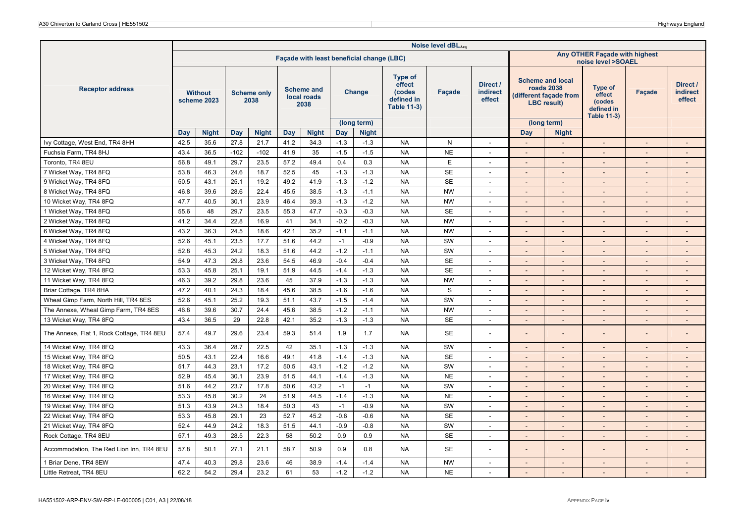| Noise level dBLAeq<br>Any OTHER Façade with highest<br>Façade with least beneficial change (LBC) |             |                               |        |                            |      |                                          |        |                             |                                                                        |             |                                |                          |                                                                                              |                                                                        |                          |                                       |
|--------------------------------------------------------------------------------------------------|-------------|-------------------------------|--------|----------------------------|------|------------------------------------------|--------|-----------------------------|------------------------------------------------------------------------|-------------|--------------------------------|--------------------------|----------------------------------------------------------------------------------------------|------------------------------------------------------------------------|--------------------------|---------------------------------------|
|                                                                                                  |             |                               |        |                            |      |                                          |        |                             |                                                                        |             |                                |                          |                                                                                              | noise level >SOAEL                                                     |                          |                                       |
| <b>Receptor address</b>                                                                          |             | <b>Without</b><br>scheme 2023 |        | <b>Scheme only</b><br>2038 |      | <b>Scheme and</b><br>local roads<br>2038 |        | Change                      | <b>Type of</b><br>effect<br>(codes<br>defined in<br><b>Table 11-3)</b> | Façade      | Direct /<br>indirect<br>effect |                          | <b>Scheme and local</b><br><b>roads 2038</b><br>(different façade from<br><b>LBC</b> result) | <b>Type of</b><br>effect<br>(codes<br>defined in<br><b>Table 11-3)</b> | Façade                   | Direct /<br><b>indirect</b><br>effect |
|                                                                                                  |             | <b>Night</b>                  | Day    | <b>Night</b>               | Day  | <b>Night</b>                             | Day    | (long term)<br><b>Night</b> |                                                                        |             |                                | Day                      | (long term)                                                                                  |                                                                        |                          |                                       |
| Ivy Cottage, West End, TR4 8HH                                                                   | Day<br>42.5 | 35.6                          | 27.8   | 21.7                       | 41.2 | 34.3                                     | $-1.3$ |                             | <b>NA</b>                                                              | N           |                                | $\sim$                   | <b>Night</b><br>$\sim$                                                                       |                                                                        | $\sim$                   | $\sim$                                |
| Fuchsia Farm, TR4 8HJ                                                                            | 43.4        | 36.5                          | $-102$ | $-102$                     | 41.9 | 35                                       | $-1.5$ | $-1.3$<br>$-1.5$            | <b>NA</b>                                                              | <b>NE</b>   | $\sim$<br>$\blacksquare$       | $\overline{a}$           |                                                                                              | $\mathcal{L}_{\mathcal{A}}$<br>$\overline{\phantom{a}}$                |                          |                                       |
| Toronto, TR4 8EU                                                                                 | 56.8        | 49.1                          | 29.7   | 23.5                       | 57.2 | 49.4                                     | 0.4    | 0.3                         | <b>NA</b>                                                              | E           | $\blacksquare$                 | $\overline{\phantom{a}}$ | $\sim$                                                                                       | $\overline{\phantom{a}}$                                               |                          |                                       |
|                                                                                                  |             | 46.3                          |        | 18.7                       | 52.5 | 45                                       |        |                             | <b>NA</b>                                                              | <b>SE</b>   |                                |                          |                                                                                              |                                                                        |                          |                                       |
| 7 Wicket Way, TR4 8FQ                                                                            | 53.8        |                               | 24.6   |                            |      |                                          | $-1.3$ | $-1.3$                      |                                                                        | <b>SE</b>   | $\sim$                         | $\overline{\phantom{a}}$ | $\sim$                                                                                       | $\sim$                                                                 | $\overline{\phantom{a}}$ | $\overline{\phantom{a}}$              |
| 9 Wicket Way, TR4 8FQ                                                                            | 50.5        | 43.1                          | 25.1   | 19.2<br>22.4               | 49.2 | 41.9<br>38.5                             | $-1.3$ | $-1.2$                      | <b>NA</b>                                                              |             | $\overline{\phantom{a}}$       | $\overline{a}$           | $\sim$                                                                                       | $\blacksquare$                                                         | $\overline{\phantom{a}}$ | $\overline{\phantom{a}}$              |
| 8 Wicket Way, TR4 8FQ                                                                            | 46.8        | 39.6                          | 28.6   |                            | 45.5 |                                          | $-1.3$ | $-1.1$                      | <b>NA</b><br><b>NA</b>                                                 | <b>NW</b>   | $\overline{\phantom{a}}$       | $\overline{a}$           | $\overline{\phantom{a}}$                                                                     | $\overline{\phantom{a}}$                                               |                          | $\overline{a}$                        |
| 10 Wicket Way, TR4 8FQ                                                                           | 47.7        | 40.5                          | 30.1   | 23.9                       | 46.4 | 39.3                                     | $-1.3$ | $-1.2$                      |                                                                        | <b>NW</b>   | $\sim$                         | $\Box$                   | $\sim$                                                                                       | $\blacksquare$                                                         | $\blacksquare$           | $\overline{\phantom{a}}$              |
| 1 Wicket Way, TR4 8FQ                                                                            | 55.6        | 48                            | 29.7   | 23.5                       | 55.3 | 47.7                                     | $-0.3$ | $-0.3$                      | <b>NA</b>                                                              | <b>SE</b>   | $\overline{\phantom{a}}$       | $\overline{\phantom{a}}$ |                                                                                              | $\overline{\phantom{a}}$                                               | $\overline{\phantom{a}}$ | $\overline{a}$                        |
| 2 Wicket Way, TR4 8FQ                                                                            | 41.2        | 34.4                          | 22.8   | 16.9                       | 41   | 34.1                                     | $-0.2$ | $-0.3$                      | <b>NA</b>                                                              | <b>NW</b>   | $\sim$                         | $\overline{a}$           | $\sim$                                                                                       | $\overline{\phantom{a}}$                                               | $\overline{\phantom{a}}$ | $\overline{\phantom{a}}$              |
| 6 Wicket Way, TR4 8FQ                                                                            | 43.2        | 36.3                          | 24.5   | 18.6                       | 42.1 | 35.2                                     | $-1.1$ | $-1.1$                      | <b>NA</b>                                                              | <b>NW</b>   | $\sim$                         | $\blacksquare$           | $\sim$                                                                                       | $\overline{\phantom{a}}$                                               | $\overline{\phantom{a}}$ | $\overline{\phantom{a}}$              |
| 4 Wicket Way, TR4 8FQ                                                                            | 52.6        | 45.1                          | 23.5   | 17.7                       | 51.6 | 44.2                                     | $-1$   | $-0.9$                      | <b>NA</b>                                                              | SW          | $\overline{\phantom{a}}$       | $\overline{\phantom{a}}$ | $\sim$                                                                                       | $\sim$                                                                 | $\sim$                   | $\sim$                                |
| 5 Wicket Way, TR4 8FQ                                                                            | 52.8        | 45.3                          | 24.2   | 18.3                       | 51.6 | 44.2                                     | $-1.2$ | $-1.1$                      | <b>NA</b>                                                              | SW          | $\overline{\phantom{a}}$       |                          |                                                                                              | $\overline{\phantom{a}}$                                               |                          |                                       |
| 3 Wicket Way, TR4 8FQ                                                                            | 54.9        | 47.3                          | 29.8   | 23.6                       | 54.5 | 46.9                                     | $-0.4$ | $-0.4$                      | <b>NA</b>                                                              | <b>SE</b>   | $\overline{a}$                 |                          |                                                                                              | $\overline{\phantom{a}}$                                               |                          |                                       |
| 12 Wicket Way, TR4 8FQ                                                                           | 53.3        | 45.8                          | 25.1   | 19.1                       | 51.9 | 44.5                                     | $-1.4$ | $-1.3$                      | <b>NA</b>                                                              | <b>SE</b>   | $\sim$                         | $\sim$                   | $\sim$                                                                                       | $\sim$                                                                 | $\sim$                   | $\blacksquare$                        |
| 11 Wicket Way, TR4 8FQ                                                                           | 46.3        | 39.2                          | 29.8   | 23.6                       | 45   | 37.9                                     | $-1.3$ | $-1.3$                      | <b>NA</b>                                                              | <b>NW</b>   | $\sim$                         | $\overline{\phantom{a}}$ |                                                                                              | $\blacksquare$                                                         | $\overline{\phantom{a}}$ | $\overline{a}$                        |
| Briar Cottage, TR4 8HA                                                                           | 47.2        | 40.1                          | 24.3   | 18.4                       | 45.6 | 38.5                                     | $-1.6$ | $-1.6$                      | <b>NA</b>                                                              | $\mathbf S$ | $\overline{\phantom{a}}$       | $\overline{\phantom{a}}$ |                                                                                              | $\overline{\phantom{a}}$                                               |                          |                                       |
| Wheal Gimp Farm, North Hill, TR4 8ES                                                             | 52.6        | 45.1                          | 25.2   | 19.3                       | 51.1 | 43.7                                     | $-1.5$ | $-1.4$                      | <b>NA</b>                                                              | SW          | $\sim$                         | $\overline{\phantom{a}}$ | $\sim$                                                                                       | $\blacksquare$                                                         | $\overline{\phantom{a}}$ | $\overline{\phantom{a}}$              |
| The Annexe, Wheal Gimp Farm, TR4 8ES                                                             | 46.8        | 39.6                          | 30.7   | 24.4                       | 45.6 | 38.5                                     | $-1.2$ | $-1.1$                      | <b>NA</b>                                                              | <b>NW</b>   | $\overline{\phantom{a}}$       | $\overline{\phantom{a}}$ | $\sim$                                                                                       | $\overline{\phantom{a}}$                                               | $\overline{\phantom{a}}$ | $\overline{\phantom{a}}$              |
| 13 Wicket Way, TR4 8FQ                                                                           | 43.4        | 36.5                          | 29     | 22.8                       | 42.1 | 35.2                                     | $-1.3$ | $-1.3$                      | <b>NA</b>                                                              | <b>SE</b>   | $\overline{\phantom{a}}$       | $\blacksquare$           | $\sim$                                                                                       | $\overline{\phantom{a}}$                                               | $\overline{\phantom{a}}$ | $\overline{\phantom{a}}$              |
| The Annexe, Flat 1, Rock Cottage, TR4 8EU                                                        | 57.4        | 49.7                          | 29.6   | 23.4                       | 59.3 | 51.4                                     | 1.9    | 1.7                         | <b>NA</b>                                                              | <b>SE</b>   | $\blacksquare$                 |                          |                                                                                              | $\overline{\phantom{a}}$                                               |                          |                                       |
| 14 Wicket Way, TR4 8FQ                                                                           | 43.3        | 36.4                          | 28.7   | 22.5                       | 42   | 35.1                                     | $-1.3$ | $-1.3$                      | <b>NA</b>                                                              | SW          | $\sim$                         | $\overline{a}$           | $\overline{a}$                                                                               | $\overline{a}$                                                         | $\overline{\phantom{a}}$ | $\sim$                                |
| 15 Wicket Way, TR4 8FQ                                                                           | 50.5        | 43.1                          | 22.4   | 16.6                       | 49.1 | 41.8                                     | $-1.4$ | $-1.3$                      | <b>NA</b>                                                              | <b>SE</b>   | $\sim$                         | $\overline{\phantom{a}}$ | $\sim$                                                                                       | $\sim$                                                                 | $\sim$                   | $\overline{\phantom{a}}$              |
| 18 Wicket Way, TR4 8FQ                                                                           | 51.7        | 44.3                          | 23.1   | 17.2                       | 50.5 | 43.1                                     | $-1.2$ | $-1.2$                      | <b>NA</b>                                                              | SW          | $\sim$                         | $\overline{a}$           | $\sim$                                                                                       | $\overline{a}$                                                         |                          | $\overline{\phantom{a}}$              |
| 17 Wicket Way, TR4 8FQ                                                                           | 52.9        | 45.4                          | 30.1   | 23.9                       | 51.5 | 44.1                                     | $-1.4$ | $-1.3$                      | <b>NA</b>                                                              | <b>NE</b>   | $\sim$                         | $\overline{\phantom{a}}$ | $\sim$                                                                                       | $\overline{a}$                                                         |                          | $\sim$                                |
| 20 Wicket Way, TR4 8FQ                                                                           | 51.6        | 44.2                          | 23.7   | 17.8                       | 50.6 | 43.2                                     | $-1$   | $-1$                        | <b>NA</b>                                                              | SW          | $\sim$                         | $\sim$                   | $\sim$                                                                                       | $\sim$                                                                 | $\sim$                   | $\overline{\phantom{a}}$              |
| 16 Wicket Way, TR4 8FQ                                                                           | 53.3        | 45.8                          | 30.2   | 24                         | 51.9 | 44.5                                     | $-1.4$ | $-1.3$                      | <b>NA</b>                                                              | <b>NE</b>   | $\sim$                         | $\blacksquare$           | $\sim$                                                                                       | $\overline{\phantom{a}}$                                               | $\overline{\phantom{a}}$ | $\overline{\phantom{a}}$              |
| 19 Wicket Way, TR4 8FQ                                                                           | 51.3        | 43.9                          | 24.3   | 18.4                       | 50.3 | 43                                       | $-1$   | $-0.9$                      | <b>NA</b>                                                              | SW          | $\overline{\phantom{a}}$       | $\overline{\phantom{a}}$ | $\overline{\phantom{a}}$                                                                     | $\overline{\phantom{a}}$                                               |                          | $\overline{\phantom{a}}$              |
| 22 Wicket Way, TR4 8FQ                                                                           | 53.3        | 45.8                          | 29.1   | 23                         | 52.7 | 45.2                                     | $-0.6$ | $-0.6$                      | <b>NA</b>                                                              | <b>SE</b>   | $\sim$                         | $\blacksquare$           | $\sim$                                                                                       | $\mathcal{L}$                                                          | $\overline{a}$           | $\blacksquare$                        |
| 21 Wicket Way, TR4 8FQ                                                                           | 52.4        | 44.9                          | 24.2   | 18.3                       | 51.5 | 44.1                                     | $-0.9$ | $-0.8$                      | <b>NA</b>                                                              | SW          | $\overline{\phantom{a}}$       | $\overline{\phantom{a}}$ |                                                                                              | $\blacksquare$                                                         |                          | $\overline{\phantom{a}}$              |
| Rock Cottage, TR4 8EU                                                                            | 57.1        | 49.3                          | 28.5   | 22.3                       | 58   | 50.2                                     | 0.9    | 0.9                         | <b>NA</b>                                                              | <b>SE</b>   | $\sim$                         | $\overline{\phantom{a}}$ | $\sim$                                                                                       | $\sim$                                                                 | $\overline{\phantom{a}}$ | $\overline{\phantom{a}}$              |
| Accommodation, The Red Lion Inn, TR4 8EU                                                         | 57.8        | 50.1                          | 27.1   | 21.1                       | 58.7 | 50.9                                     | 0.9    | 0.8                         | <b>NA</b>                                                              | <b>SE</b>   | $\blacksquare$                 |                          |                                                                                              | $\overline{\phantom{a}}$                                               |                          |                                       |
| 1 Briar Dene, TR4 8EW                                                                            | 47.4        | 40.3                          | 29.8   | 23.6                       | 46   | 38.9                                     | $-1.4$ | $-1.4$                      | <b>NA</b>                                                              | <b>NW</b>   | $\sim$                         | $\blacksquare$           | $\overline{a}$                                                                               | $\Box$                                                                 | $\overline{\phantom{a}}$ | ٠                                     |
| Little Retreat, TR4 8EU                                                                          | 62.2        | 54.2                          | 29.4   | 23.2                       | 61   | 53                                       | $-1.2$ | $-1.2$                      | <b>NA</b>                                                              | <b>NE</b>   |                                |                          |                                                                                              |                                                                        |                          |                                       |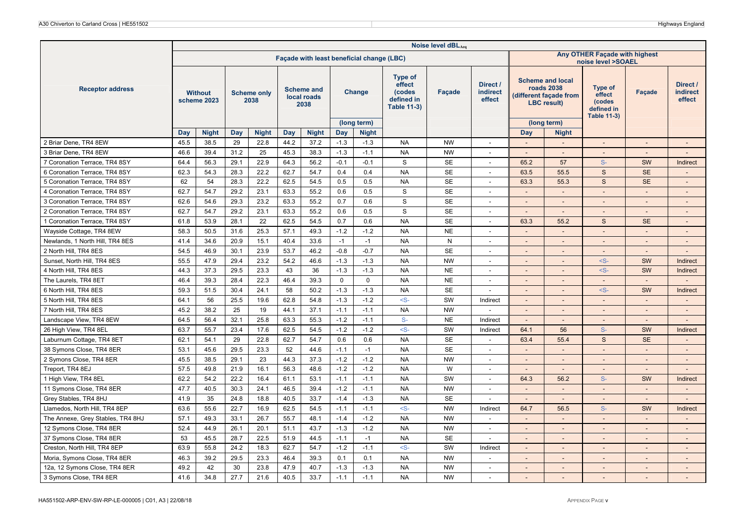|                                   |      |                               |            |                            |      |                                          |             |                                           |                                                                        | Noise level dBLAeq |                                       |                              |                                                                                       |                                                                        |                          |                                       |
|-----------------------------------|------|-------------------------------|------------|----------------------------|------|------------------------------------------|-------------|-------------------------------------------|------------------------------------------------------------------------|--------------------|---------------------------------------|------------------------------|---------------------------------------------------------------------------------------|------------------------------------------------------------------------|--------------------------|---------------------------------------|
|                                   |      |                               |            |                            |      |                                          |             | Façade with least beneficial change (LBC) |                                                                        |                    |                                       |                              |                                                                                       | Any OTHER Façade with highest<br>noise level >SOAEL                    |                          |                                       |
| <b>Receptor address</b>           |      | <b>Without</b><br>scheme 2023 |            | <b>Scheme only</b><br>2038 |      | <b>Scheme and</b><br>local roads<br>2038 |             | Change                                    | <b>Type of</b><br>effect<br>(codes<br>defined in<br><b>Table 11-3)</b> | Façade             | Direct /<br><b>indirect</b><br>effect |                              | <b>Scheme and local</b><br>roads 2038<br>(different façade from<br><b>LBC</b> result) | <b>Type of</b><br>effect<br>(codes<br>defined in<br><b>Table 11-3)</b> | <b>Facade</b>            | Direct /<br><b>indirect</b><br>effect |
|                                   |      |                               |            |                            |      |                                          |             | (long term)                               |                                                                        |                    |                                       |                              | (long term)                                                                           |                                                                        |                          |                                       |
|                                   | Day  | <b>Night</b>                  | Day        | <b>Night</b>               | Day  | <b>Night</b>                             | Day         | <b>Night</b>                              |                                                                        |                    |                                       | Day                          | <b>Night</b>                                                                          |                                                                        |                          |                                       |
| 2 Briar Dene, TR4 8EW             | 45.5 | 38.5                          | 29<br>31.2 | 22.8<br>25                 | 44.2 | 37.2<br>38.3                             | $-1.3$      | $-1.3$                                    | <b>NA</b><br><b>NA</b>                                                 | <b>NW</b>          | $\sim$                                | $\overline{\phantom{a}}$     | $\sim$                                                                                | $\sim$                                                                 | $\overline{\phantom{a}}$ | $\overline{\phantom{a}}$              |
| 3 Briar Dene, TR4 8EW             | 46.6 | 39.4                          |            |                            | 45.3 |                                          | $-1.3$      | $-1.1$                                    |                                                                        | <b>NW</b>          | $\overline{\phantom{a}}$              | $\overline{\phantom{a}}$     |                                                                                       |                                                                        |                          |                                       |
| 7 Coronation Terrace, TR4 8SY     | 64.4 | 56.3                          | 29.1       | 22.9                       | 64.3 | 56.2                                     | $-0.1$      | $-0.1$                                    | S                                                                      | <b>SE</b>          | $\sim$                                | 65.2                         | 57                                                                                    | $S-$                                                                   | SW                       | Indirect                              |
| 6 Coronation Terrace, TR4 8SY     | 62.3 | 54.3                          | 28.3       | 22.2                       | 62.7 | 54.7                                     | 0.4         | 0.4                                       | <b>NA</b>                                                              | <b>SE</b>          | $\overline{\phantom{a}}$              | 63.5                         | 55.5                                                                                  | S                                                                      | <b>SE</b>                | $\overline{\phantom{a}}$              |
| 5 Coronation Terrace, TR4 8SY     | 62   | 54                            | 28.3       | 22.2                       | 62.5 | 54.5                                     | 0.5         | 0.5                                       | <b>NA</b>                                                              | <b>SE</b>          | $\overline{\phantom{a}}$              | 63.3                         | 55.3                                                                                  | $\mathbf S$                                                            | <b>SE</b>                |                                       |
| 4 Coronation Terrace, TR4 8SY     | 62.7 | 54.7                          | 29.2       | 23.1                       | 63.3 | 55.2                                     | 0.6         | 0.5                                       | S                                                                      | <b>SE</b>          | $\overline{a}$                        | $\overline{a}$               |                                                                                       | $\overline{a}$                                                         | $\overline{a}$           | $\overline{\phantom{a}}$              |
| 3 Coronation Terrace, TR4 8SY     | 62.6 | 54.6                          | 29.3       | 23.2                       | 63.3 | 55.2                                     | 0.7         | 0.6                                       | S                                                                      | <b>SE</b>          | $\overline{\phantom{a}}$              | $\qquad \qquad \blacksquare$ |                                                                                       |                                                                        |                          | $\overline{\phantom{a}}$              |
| 2 Coronation Terrace, TR4 8SY     | 62.7 | 54.7                          | 29.2       | 23.1                       | 63.3 | 55.2                                     | 0.6         | 0.5                                       | $\mathbf S$                                                            | <b>SE</b>          | $\sim$                                | $\overline{\phantom{a}}$     | $\sim$                                                                                | $\overline{\phantom{a}}$                                               |                          | $\overline{\phantom{a}}$              |
| 1 Coronation Terrace, TR4 8SY     | 61.8 | 53.9                          | 28.1       | 22                         | 62.5 | 54.5                                     | 0.7         | 0.6                                       | <b>NA</b>                                                              | <b>SE</b>          | $\sim$                                | 63.3                         | 55.2                                                                                  | $\mathsf{s}$                                                           | <b>SE</b>                | $\sim$                                |
| Wayside Cottage, TR4 8EW          | 58.3 | 50.5                          | 31.6       | 25.3                       | 57.1 | 49.3                                     | $-1.2$      | $-1.2$                                    | <b>NA</b>                                                              | <b>NE</b>          | $\tilde{\phantom{a}}$                 | $\overline{a}$               |                                                                                       |                                                                        |                          | $\overline{\phantom{a}}$              |
| Newlands, 1 North Hill, TR4 8ES   | 41.4 | 34.6                          | 20.9       | 15.1                       | 40.4 | 33.6                                     | $-1$        | $-1$                                      | <b>NA</b>                                                              | N                  | $\overline{\phantom{a}}$              |                              |                                                                                       |                                                                        |                          | $\overline{a}$                        |
| 2 North Hill, TR4 8ES             | 54.5 | 46.9                          | 30.1       | 23.9                       | 53.7 | 46.2                                     | $-0.8$      | $-0.7$                                    | <b>NA</b>                                                              | <b>SE</b>          | $\overline{\phantom{a}}$              | $\overline{a}$               |                                                                                       | $\overline{a}$                                                         |                          |                                       |
| Sunset, North Hill, TR4 8ES       | 55.5 | 47.9                          | 29.4       | 23.2                       | 54.2 | 46.6                                     | $-1.3$      | $-1.3$                                    | <b>NA</b>                                                              | <b>NW</b>          | $\sim$                                | $\overline{\phantom{a}}$     | $\overline{\phantom{a}}$                                                              | $-S-$                                                                  | SW                       | Indirect                              |
| 4 North Hill, TR4 8ES             | 44.3 | 37.3                          | 29.5       | 23.3                       | 43   | 36                                       | $-1.3$      | $-1.3$                                    | <b>NA</b>                                                              | <b>NE</b>          | $\overline{\phantom{a}}$              | $\overline{a}$               | $\sim$                                                                                | $-S-$                                                                  | SW                       | Indirect                              |
| The Laurels, TR4 8ET              | 46.4 | 39.3                          | 28.4       | 22.3                       | 46.4 | 39.3                                     | $\mathbf 0$ | $\mathbf 0$                               | <b>NA</b>                                                              | <b>NE</b>          | $\overline{\phantom{a}}$              | $\overline{a}$               |                                                                                       | $\sim$                                                                 |                          |                                       |
| 6 North Hill, TR4 8ES             | 59.3 | 51.5                          | 30.4       | 24.1                       | 58   | 50.2                                     | $-1.3$      | $-1.3$                                    | <b>NA</b>                                                              | <b>SE</b>          | $\overline{\phantom{a}}$              | $\qquad \qquad \blacksquare$ |                                                                                       | $-S-$                                                                  | SW                       | Indirect                              |
| 5 North Hill, TR4 8ES             | 64.1 | 56                            | 25.5       | 19.6                       | 62.8 | 54.8                                     | $-1.3$      | $-1.2$                                    | $\leq$ S-                                                              | SW                 | Indirect                              |                              |                                                                                       |                                                                        |                          |                                       |
| 7 North Hill, TR4 8ES             | 45.2 | 38.2                          | 25         | 19                         | 44.1 | 37.1                                     | $-1.1$      | $-1.1$                                    | <b>NA</b>                                                              | <b>NW</b>          |                                       | $\sim$                       |                                                                                       | $\sim$                                                                 |                          | $\overline{a}$                        |
| Landscape View, TR4 8EW           | 64.5 | 56.4                          | 32.1       | 25.8                       | 63.3 | 55.3                                     | $-1.2$      | $-1.1$                                    | $S-$                                                                   | <b>NE</b>          | Indirect                              | $\overline{a}$               | $\sim$                                                                                | $\sim$                                                                 | $\overline{\phantom{a}}$ | $\overline{\phantom{a}}$              |
| 26 High View, TR4 8EL             | 63.7 | 55.7                          | 23.4       | 17.6                       | 62.5 | 54.5                                     | $-1.2$      | $-1.2$                                    | $-S-$                                                                  | SW                 | Indirect                              | 64.1                         | 56                                                                                    | $S-$                                                                   | SW                       | Indirect                              |
| Laburnum Cottage, TR4 8ET         | 62.1 | 54.1                          | 29         | 22.8                       | 62.7 | 54.7                                     | 0.6         | 0.6                                       | <b>NA</b>                                                              | <b>SE</b>          | $\overline{\phantom{a}}$              | 63.4                         | 55.4                                                                                  | S                                                                      | <b>SE</b>                |                                       |
| 38 Symons Close, TR4 8ER          | 53.1 | 45.6                          | 29.5       | 23.3                       | 52   | 44.6                                     | $-1.1$      | $-1$                                      | <b>NA</b>                                                              | <b>SE</b>          | $\sim$                                | $\overline{\phantom{a}}$     | $\sim$                                                                                | $\sim$                                                                 | $\sim$                   | $\overline{\phantom{a}}$              |
| 2 Symons Close, TR4 8ER           | 45.5 | 38.5                          | 29.1       | 23                         | 44.3 | 37.3                                     | $-1.2$      | $-1.2$                                    | <b>NA</b>                                                              | <b>NW</b>          | $\overline{\phantom{a}}$              | $\overline{\phantom{a}}$     | $\overline{\phantom{a}}$                                                              | $\overline{\phantom{a}}$                                               | $\overline{\phantom{a}}$ | $\overline{\phantom{a}}$              |
| Treport, TR4 8EJ                  | 57.5 | 49.8                          | 21.9       | 16.1                       | 56.3 | 48.6                                     | $-1.2$      | $-1.2$                                    | <b>NA</b>                                                              | W                  |                                       |                              |                                                                                       |                                                                        |                          |                                       |
| 1 High View, TR4 8EL              | 62.2 | 54.2                          | 22.2       | 16.4                       | 61.1 | 53.1                                     | $-1.1$      | $-1.1$                                    | <b>NA</b>                                                              | SW                 | $\sim$                                | 64.3                         | 56.2                                                                                  | $S-$                                                                   | SW                       | Indirect                              |
| 11 Symons Close, TR4 8ER          | 47.7 | 40.5                          | 30.3       | 24.1                       | 46.5 | 39.4                                     | $-1.2$      | $-1.1$                                    | <b>NA</b>                                                              | <b>NW</b>          |                                       | $\blacksquare$               | $\sim$                                                                                | $\overline{\phantom{a}}$                                               |                          | $\overline{\phantom{a}}$              |
| Grey Stables, TR4 8HJ             | 41.9 | 35                            | 24.8       | 18.8                       | 40.5 | 33.7                                     | $-1.4$      | $-1.3$                                    | <b>NA</b>                                                              | <b>SE</b>          |                                       |                              |                                                                                       |                                                                        |                          |                                       |
| Llamedos, North Hill, TR4 8EP     | 63.6 | 55.6                          | 22.7       | 16.9                       | 62.5 | 54.5                                     | $-1.1$      | $-1.1$                                    | $-S-$                                                                  | <b>NW</b>          | Indirect                              | 64.7                         | 56.5                                                                                  | $S-$                                                                   | SW                       | Indirect                              |
| The Annexe, Grey Stables, TR4 8HJ | 57.1 | 49.3                          | 33.1       | 26.7                       | 55.7 | 48.1                                     | $-1.4$      | $-1.2$                                    | <b>NA</b>                                                              | <b>NW</b>          | $\overline{\phantom{a}}$              | $\sim$                       | $\overline{\phantom{a}}$                                                              | $\sim$                                                                 | $\overline{a}$           | $\overline{a}$                        |
| 12 Symons Close, TR4 8ER          | 52.4 | 44.9                          | 26.1       | 20.1                       | 51.1 | 43.7                                     | $-1.3$      | $-1.2$                                    | <b>NA</b>                                                              | <b>NW</b>          |                                       | $\overline{\phantom{a}}$     |                                                                                       | $\overline{\phantom{a}}$                                               |                          | $\overline{\phantom{a}}$              |
| 37 Symons Close, TR4 8ER          | 53   | 45.5                          | 28.7       | 22.5                       | 51.9 | 44.5                                     | $-1.1$      | $-1$                                      | <b>NA</b>                                                              | <b>SE</b>          | $\overline{a}$                        | ÷,                           | $\sim$                                                                                | $\blacksquare$                                                         | $\overline{a}$           | $\blacksquare$                        |
| Creston, North Hill, TR4 8EP      | 63.9 | 55.8                          | 24.2       | 18.3                       | 62.7 | 54.7                                     | $-1.2$      | $-1.1$                                    | $-S-$                                                                  | SW                 | Indirect                              | $\overline{a}$               | $\sim$                                                                                | $\overline{\phantom{a}}$                                               | $\overline{a}$           | $\overline{\phantom{a}}$              |
| Moria, Symons Close, TR4 8ER      | 46.3 | 39.2                          | 29.5       | 23.3                       | 46.4 | 39.3                                     | 0.1         | 0.1                                       | <b>NA</b>                                                              | <b>NW</b>          | $\overline{\phantom{a}}$              |                              |                                                                                       | $\overline{\phantom{a}}$                                               |                          | $\overline{\phantom{a}}$              |
| 12a, 12 Symons Close, TR4 8ER     | 49.2 | 42                            | 30         | 23.8                       | 47.9 | 40.7                                     | $-1.3$      | $-1.3$                                    | <b>NA</b>                                                              | <b>NW</b>          | $\overline{a}$                        | $\overline{a}$               |                                                                                       | $\overline{a}$                                                         |                          | $\overline{a}$                        |
| 3 Symons Close, TR4 8ER           | 41.6 | 34.8                          | 27.7       | 21.6                       | 40.5 | 33.7                                     | $-1.1$      | $-1.1$                                    | <b>NA</b>                                                              | <b>NW</b>          |                                       |                              |                                                                                       |                                                                        |                          |                                       |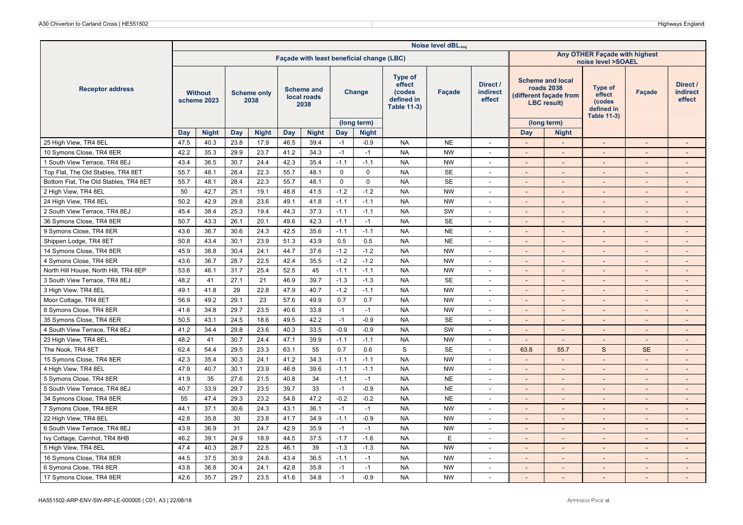|                                       |      |                               |      |                            |      |                                          |             |                                           |                                                                        | Noise level dBLAeq |                                       |                              |                                                                                              |                                                                 |                              |                                       |
|---------------------------------------|------|-------------------------------|------|----------------------------|------|------------------------------------------|-------------|-------------------------------------------|------------------------------------------------------------------------|--------------------|---------------------------------------|------------------------------|----------------------------------------------------------------------------------------------|-----------------------------------------------------------------|------------------------------|---------------------------------------|
|                                       |      |                               |      |                            |      |                                          |             | Facade with least beneficial change (LBC) |                                                                        |                    |                                       |                              |                                                                                              | Any OTHER Façade with highest<br>noise level >SOAEL             |                              |                                       |
| <b>Receptor address</b>               |      | <b>Without</b><br>scheme 2023 |      | <b>Scheme only</b><br>2038 |      | <b>Scheme and</b><br>local roads<br>2038 |             | Change                                    | <b>Type of</b><br>effect<br>(codes<br>defined in<br><b>Table 11-3)</b> | <b>Facade</b>      | Direct /<br><b>indirect</b><br>effect |                              | <b>Scheme and local</b><br><b>roads 2038</b><br>(different façade from<br><b>LBC</b> result) | Type of<br>effect<br>(codes<br>defined in<br><b>Table 11-3)</b> | <b>Facade</b>                | Direct /<br><b>indirect</b><br>effect |
|                                       | Day  | <b>Night</b>                  | Day  | <b>Night</b>               | Day  | <b>Night</b>                             | Day         | (long term)<br><b>Night</b>               |                                                                        |                    |                                       | Day                          | (long term)<br><b>Night</b>                                                                  |                                                                 |                              |                                       |
| 25 High View, TR4 8EL                 | 47.5 | 40.3                          | 23.8 | 17.9                       | 46.5 | 39.4                                     | $-1$        | $-0.9$                                    | <b>NA</b>                                                              | <b>NE</b>          | $\sim$                                | $\overline{a}$               |                                                                                              | $\blacksquare$                                                  | $\overline{a}$               | $\overline{a}$                        |
| 10 Symons Close, TR4 8ER              | 42.2 | 35.3                          | 29.9 | 23.7                       | 41.2 | 34.3                                     | $-1$        | $-1$                                      | <b>NA</b>                                                              | <b>NW</b>          | $\overline{\phantom{a}}$              |                              |                                                                                              |                                                                 |                              |                                       |
| 1 South View Terrace, TR4 8EJ         | 43.4 | 36.5                          | 30.7 | 24.4                       | 42.3 | 35.4                                     | $-1.1$      | $-1.1$                                    | <b>NA</b>                                                              | <b>NW</b>          | $\sim$                                | $\overline{\phantom{a}}$     | $\sim$                                                                                       | $\sim$                                                          | $\blacksquare$               | $\overline{\phantom{a}}$              |
| Top Flat, The Old Stables, TR4 8ET    | 55.7 | 48.1                          | 28.4 | 22.3                       | 55.7 | 48.1                                     | $\mathbf 0$ | $\mathbf 0$                               | <b>NA</b>                                                              | <b>SE</b>          | $\sim$                                | $\overline{a}$               | $\overline{\phantom{a}}$                                                                     | $\sim$                                                          | $\overline{\phantom{a}}$     | $\overline{\phantom{a}}$              |
| Bottom Flat, The Old Stables, TR4 8ET | 55.7 | 48.1                          | 28.4 | 22.3                       | 55.7 | 48.1                                     | $\mathbf 0$ | $\mathbf 0$                               | <b>NA</b>                                                              | <b>SE</b>          | $\overline{\phantom{a}}$              | $\overline{\phantom{a}}$     |                                                                                              | $\overline{\phantom{0}}$                                        |                              | $\overline{\phantom{a}}$              |
| 2 High View, TR4 8EL                  | 50   | 42.7                          | 25.1 | 19.1                       | 48.8 | 41.5                                     | $-1.2$      | $-1.2$                                    | <b>NA</b>                                                              | <b>NW</b>          | $\sim$                                | $\overline{a}$               | $\sim$                                                                                       | $\Box$                                                          |                              | $\overline{\phantom{a}}$              |
| 24 High View, TR4 8EL                 | 50.2 | 42.9                          | 29.8 | 23.6                       | 49.1 | 41.8                                     | $-1.1$      | $-1.1$                                    | <b>NA</b>                                                              | <b>NW</b>          | $\sim$                                | $\overline{\phantom{a}}$     | $\sim$                                                                                       | $\sim$                                                          | $\overline{\phantom{a}}$     | $\overline{\phantom{a}}$              |
| 2 South View Terrace, TR4 8EJ         | 45.4 | 38.4                          | 25.3 | 19.4                       | 44.3 | 37.3                                     | $-1.1$      | $-1.1$                                    | <b>NA</b>                                                              | SW                 | $\overline{\phantom{a}}$              | $\overline{\phantom{a}}$     | $\overline{\phantom{a}}$                                                                     | $\overline{\phantom{a}}$                                        |                              | $\overline{\phantom{a}}$              |
| 36 Symons Close, TR4 8ER              | 50.7 | 43.3                          | 26.1 | 20.1                       | 49.6 | 42.3                                     | $-1.1$      | $-1$                                      | <b>NA</b>                                                              | <b>SE</b>          | $\overline{a}$                        | $\overline{a}$               | $\sim$                                                                                       | $\overline{a}$                                                  | $\overline{a}$               | $\overline{\phantom{a}}$              |
| 9 Symons Close, TR4 8ER               | 43.6 | 36.7                          | 30.6 | 24.3                       | 42.5 | 35.6                                     | $-1.1$      | $-1.1$                                    | <b>NA</b>                                                              | <b>NE</b>          | $\sim$                                |                              |                                                                                              |                                                                 |                              |                                       |
| Shippen Lodge, TR4 8ET                | 50.8 | 43.4                          | 30.1 | 23.9                       | 51.3 | 43.9                                     | 0.5         | 0.5                                       | <b>NA</b>                                                              | <b>NE</b>          | $\overline{\phantom{a}}$              | $\overline{a}$               |                                                                                              | $\sim$                                                          |                              | $\overline{a}$                        |
| 14 Symons Close, TR4 8ER              | 45.9 | 38.8                          | 30.4 | 24.1                       | 44.7 | 37.6                                     | $-1.2$      | $-1.2$                                    | <b>NA</b>                                                              | <b>NW</b>          | $\sim$                                | $\sim$                       | $\sim$                                                                                       | $\sim$                                                          | $\overline{a}$               | $\sim$                                |
| 4 Symons Close, TR4 8ER               | 43.6 | 36.7                          | 28.7 | 22.5                       | 42.4 | 35.5                                     | $-1.2$      | $-1.2$                                    | <b>NA</b>                                                              | <b>NW</b>          | $\sim$                                | $\qquad \qquad \blacksquare$ | $\sim$                                                                                       | $\overline{\phantom{a}}$                                        | $\qquad \qquad \blacksquare$ | $\overline{\phantom{a}}$              |
| North Hill House, North Hill, TR4 8EP | 53.6 | 46.1                          | 31.7 | 25.4                       | 52.5 | 45                                       | $-1.1$      | $-1.1$                                    | <b>NA</b>                                                              | <b>NW</b>          | $\sim$                                | $\overline{a}$               | $\sim$                                                                                       | $\blacksquare$                                                  |                              | $\overline{\phantom{a}}$              |
| 3 South View Terrace, TR4 8EJ         | 48.2 | 41                            | 27.1 | 21                         | 46.9 | 39.7                                     | $-1.3$      | $-1.3$                                    | <b>NA</b>                                                              | <b>SE</b>          | $\sim$                                | $\overline{\phantom{a}}$     |                                                                                              | $\sim$                                                          |                              | $\overline{\phantom{a}}$              |
| 3 High View, TR4 8EL                  | 49.1 | 41.8                          | 29   | 22.8                       | 47.9 | 40.7                                     | $-1.2$      | $-1.1$                                    | <b>NA</b>                                                              | <b>NW</b>          | $\sim$                                | $\qquad \qquad \blacksquare$ | $\sim$                                                                                       | $\overline{\phantom{a}}$                                        | $\qquad \qquad \blacksquare$ | $\overline{\phantom{a}}$              |
| Moor Cottage, TR4 8ET                 | 56.9 | 49.2                          | 29.1 | 23                         | 57.6 | 49.9                                     | 0.7         | 0.7                                       | <b>NA</b>                                                              | <b>NW</b>          |                                       | $\overline{a}$               |                                                                                              |                                                                 |                              | $\overline{\phantom{a}}$              |
| 8 Symons Close, TR4 8ER               | 41.6 | 34.8                          | 29.7 | 23.5                       | 40.6 | 33.8                                     | $-1$        | $-1$                                      | <b>NA</b>                                                              | <b>NW</b>          | $\sim$                                | $\overline{a}$               |                                                                                              | $\overline{a}$                                                  |                              | $\overline{\phantom{a}}$              |
| 35 Symons Close, TR4 8ER              | 50.5 | 43.1                          | 24.5 | 18.6                       | 49.5 | 42.2                                     | $-1$        | $-0.9$                                    | <b>NA</b>                                                              | <b>SE</b>          | $\overline{\phantom{a}}$              | $\sim$                       | $\overline{\phantom{a}}$                                                                     | $\sim$                                                          | $\overline{\phantom{a}}$     | $\sim$                                |
| 4 South View Terrace, TR4 8EJ         | 41.2 | 34.4                          | 29.8 | 23.6                       | 40.3 | 33.5                                     | $-0.9$      | $-0.9$                                    | <b>NA</b>                                                              | SW                 | $\sim$                                |                              |                                                                                              |                                                                 |                              |                                       |
| 23 High View, TR4 8EL                 | 48.2 | 41                            | 30.7 | 24.4                       | 47.1 | 39.9                                     | $-1.1$      | $-1.1$                                    | <b>NA</b>                                                              | <b>NW</b>          | $\sim$                                | $\sim$                       | $\sim$                                                                                       | ۰                                                               |                              | $\overline{\phantom{a}}$              |
| The Nook, TR4 8ET                     | 62.4 | 54.4                          | 29.5 | 23.3                       | 63.1 | 55                                       | 0.7         | 0.6                                       | S                                                                      | <b>SE</b>          | $\sim$                                | 63.8                         | 55.7                                                                                         | $\mathsf{s}$                                                    | <b>SE</b>                    | $\overline{\phantom{a}}$              |
| 15 Symons Close, TR4 8ER              | 42.3 | 35.4                          | 30.3 | 24.1                       | 41.2 | 34.3                                     | $-1.1$      | $-1.1$                                    | <b>NA</b>                                                              | <b>NW</b>          | $\overline{\phantom{a}}$              | $\overline{a}$               | $\overline{\phantom{a}}$                                                                     | $\blacksquare$                                                  | $\overline{\phantom{a}}$     | $\overline{a}$                        |
| 4 High View, TR4 8EL                  | 47.9 | 40.7                          | 30.1 | 23.9                       | 46.8 | 39.6                                     | $-1.1$      | $-1.1$                                    | <b>NA</b>                                                              | <b>NW</b>          | $\blacksquare$                        |                              |                                                                                              |                                                                 |                              |                                       |
| 5 Symons Close, TR4 8ER               | 41.9 | 35                            | 27.6 | 21.5                       | 40.8 | 34                                       | $-1.1$      | $-1$                                      | <b>NA</b>                                                              | <b>NE</b>          | $\sim$                                | $\overline{\phantom{a}}$     | $\sim$                                                                                       | $\sim$                                                          | $\blacksquare$               | $\sim$                                |
| 5 South View Terrace, TR4 8EJ         | 40.7 | 33.9                          | 29.7 | 23.5                       | 39.7 | 33                                       | $-1$        | $-0.9$                                    | <b>NA</b>                                                              | <b>NE</b>          | $\overline{\phantom{a}}$              | $\overline{\phantom{a}}$     | $\overline{\phantom{a}}$                                                                     | $\overline{\phantom{a}}$                                        | $\qquad \qquad \blacksquare$ | $\overline{\phantom{a}}$              |
| 34 Symons Close, TR4 8ER              | 55   | 47.4                          | 29.3 | 23.2                       | 54.8 | 47.2                                     | $-0.2$      | $-0.2$                                    | <b>NA</b>                                                              | <b>NE</b>          |                                       |                              |                                                                                              |                                                                 |                              |                                       |
| 7 Symons Close, TR4 8ER               | 44.1 | 37.1                          | 30.6 | 24.3                       | 43.1 | 36.1                                     | $-1$        | $-1$                                      | <b>NA</b>                                                              | <b>NW</b>          | $\sim$                                | $\overline{a}$               |                                                                                              | $\blacksquare$                                                  | $\overline{a}$               | $\overline{\phantom{a}}$              |
| 22 High View, TR4 8EL                 | 42.8 | 35.8                          | 30   | 23.8                       | 41.7 | 34.9                                     | $-1.1$      | $-0.9$                                    | <b>NA</b>                                                              | <b>NW</b>          | $\overline{\phantom{a}}$              | $\overline{a}$               |                                                                                              | $\overline{a}$                                                  | $\overline{a}$               | $\overline{\phantom{a}}$              |
| 6 South View Terrace, TR4 8EJ         | 43.9 | 36.9                          | 31   | 24.7                       | 42.9 | 35.9                                     | $-1$        | $-1$                                      | <b>NA</b>                                                              | <b>NW</b>          | $\overline{\phantom{a}}$              | $\overline{a}$               |                                                                                              | $\sim$                                                          |                              | $\overline{\phantom{a}}$              |
| Ivy Cottage, Carnhot, TR4 8HB         | 46.2 | 39.1                          | 24.9 | 18.9                       | 44.5 | 37.5                                     | $-1.7$      | $-1.6$                                    | <b>NA</b>                                                              | Ε                  | $\sim$                                | $\Box$                       | $\sim$                                                                                       | $\overline{a}$                                                  | $\overline{a}$               | $\blacksquare$                        |
| 5 High View, TR4 8EL                  | 47.4 | 40.3                          | 28.7 | 22.5                       | 46.1 | 39                                       | $-1.3$      | $-1.3$                                    | <b>NA</b>                                                              | <b>NW</b>          | $\sim$                                | $\qquad \qquad \blacksquare$ | $\sim$                                                                                       | $\blacksquare$                                                  | $\overline{a}$               | $\overline{\phantom{a}}$              |
| 16 Symons Close, TR4 8ER              | 44.5 | 37.5                          | 30.9 | 24.6                       | 43.4 | 36.5                                     | $-1.1$      | $-1$                                      | <b>NA</b>                                                              | <b>NW</b>          | $\overline{\phantom{a}}$              | $\overline{a}$               |                                                                                              | $\overline{\phantom{a}}$                                        |                              | $\overline{\phantom{a}}$              |
| 6 Symons Close, TR4 8ER               | 43.8 | 36.8                          | 30.4 | 24.1                       | 42.8 | 35.8                                     | $-1$        | $-1$                                      | <b>NA</b>                                                              | <b>NW</b>          | $\overline{a}$                        | $\overline{a}$               |                                                                                              | $\mathbf{r}$                                                    | $\overline{a}$               | $\overline{a}$                        |
| 17 Symons Close, TR4 8ER              | 42.6 | 35.7                          | 29.7 | 23.5                       | 41.6 | 34.8                                     | $-1$        | $-0.9$                                    | <b>NA</b>                                                              | <b>NW</b>          |                                       |                              |                                                                                              |                                                                 |                              |                                       |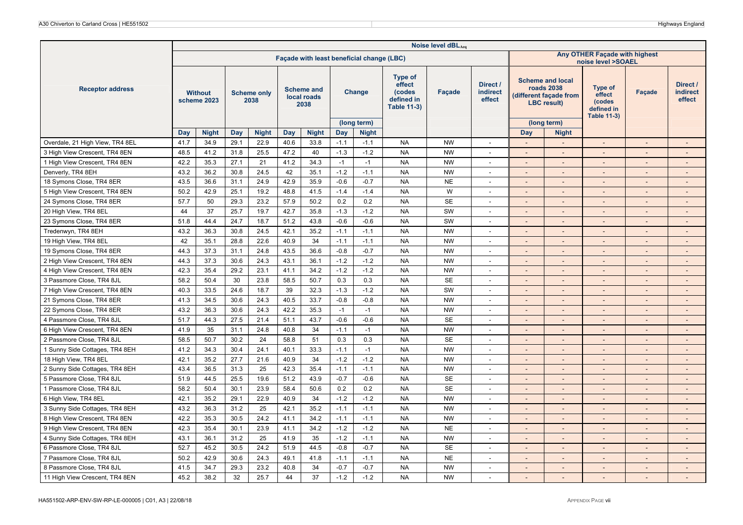|                                 | Noise level dBLAeq<br>Any OTHER Façade with highest<br>Facade with least beneficial change (LBC)<br>noise level >SOAEL |                               |      |                            |      |                                          |        |                             |                                                                        |               |                                       |                              |                                                                                              |                                                                 |                              |                                       |
|---------------------------------|------------------------------------------------------------------------------------------------------------------------|-------------------------------|------|----------------------------|------|------------------------------------------|--------|-----------------------------|------------------------------------------------------------------------|---------------|---------------------------------------|------------------------------|----------------------------------------------------------------------------------------------|-----------------------------------------------------------------|------------------------------|---------------------------------------|
|                                 |                                                                                                                        |                               |      |                            |      |                                          |        |                             |                                                                        |               |                                       |                              |                                                                                              |                                                                 |                              |                                       |
| <b>Receptor address</b>         |                                                                                                                        | <b>Without</b><br>scheme 2023 |      | <b>Scheme only</b><br>2038 |      | <b>Scheme and</b><br>local roads<br>2038 |        | Change                      | <b>Type of</b><br>effect<br>(codes<br>defined in<br><b>Table 11-3)</b> | <b>Facade</b> | Direct /<br><b>indirect</b><br>effect |                              | <b>Scheme and local</b><br><b>roads 2038</b><br>(different façade from<br><b>LBC</b> result) | Type of<br>effect<br>(codes<br>defined in<br><b>Table 11-3)</b> | <b>Facade</b>                | Direct /<br><b>indirect</b><br>effect |
|                                 | Day                                                                                                                    | <b>Night</b>                  | Day  | <b>Night</b>               | Day  | <b>Night</b>                             | Day    | (long term)<br><b>Night</b> |                                                                        |               |                                       | Day                          | (long term)<br><b>Night</b>                                                                  |                                                                 |                              |                                       |
| Overdale, 21 High View, TR4 8EL | 41.7                                                                                                                   | 34.9                          | 29.1 | 22.9                       | 40.6 | 33.8                                     | $-1.1$ | $-1.1$                      | <b>NA</b>                                                              | <b>NW</b>     | $\sim$                                | $\overline{a}$               |                                                                                              | $\blacksquare$                                                  | $\overline{a}$               | $\overline{a}$                        |
| 3 High View Crescent, TR4 8EN   | 48.5                                                                                                                   | 41.2                          | 31.8 | 25.5                       | 47.2 | 40                                       | $-1.3$ | $-1.2$                      | <b>NA</b>                                                              | <b>NW</b>     | $\overline{\phantom{a}}$              |                              |                                                                                              |                                                                 |                              |                                       |
| 1 High View Crescent, TR4 8EN   | 42.2                                                                                                                   | 35.3                          | 27.1 | 21                         | 41.2 | 34.3                                     | $-1$   | $-1$                        | <b>NA</b>                                                              | <b>NW</b>     | $\sim$                                | $\overline{\phantom{a}}$     | $\sim$                                                                                       | $\sim$                                                          | $\blacksquare$               | $\overline{\phantom{a}}$              |
| Denverly, TR4 8EH               | 43.2                                                                                                                   | 36.2                          | 30.8 | 24.5                       | 42   | 35.1                                     | $-1.2$ | $-1.1$                      | <b>NA</b>                                                              | <b>NW</b>     | $\sim$                                | $\overline{a}$               | $\overline{\phantom{a}}$                                                                     | $\sim$                                                          | $\overline{\phantom{a}}$     | $\overline{\phantom{a}}$              |
| 18 Symons Close, TR4 8ER        | 43.5                                                                                                                   | 36.6                          | 31.1 | 24.9                       | 42.9 | 35.9                                     | $-0.6$ | $-0.7$                      | <b>NA</b>                                                              | <b>NE</b>     | $\overline{\phantom{a}}$              | $\overline{\phantom{a}}$     |                                                                                              | $\overline{\phantom{0}}$                                        |                              | $\overline{\phantom{a}}$              |
| 5 High View Crescent, TR4 8EN   | 50.2                                                                                                                   | 42.9                          | 25.1 | 19.2                       | 48.8 | 41.5                                     | $-1.4$ | $-1.4$                      | <b>NA</b>                                                              | W             | $\sim$                                | $\overline{a}$               | $\sim$                                                                                       | $\Box$                                                          |                              | $\overline{\phantom{a}}$              |
| 24 Symons Close, TR4 8ER        | 57.7                                                                                                                   | 50                            | 29.3 | 23.2                       | 57.9 | 50.2                                     | 0.2    | 0.2                         | <b>NA</b>                                                              | <b>SE</b>     | $\sim$                                | $\overline{\phantom{a}}$     | $\sim$                                                                                       | $\sim$                                                          | $\overline{\phantom{a}}$     | $\overline{\phantom{a}}$              |
| 20 High View, TR4 8EL           | 44                                                                                                                     | 37                            | 25.7 | 19.7                       | 42.7 | 35.8                                     | $-1.3$ | $-1.2$                      | <b>NA</b>                                                              | SW            | $\overline{\phantom{a}}$              | $\overline{\phantom{a}}$     | $\overline{\phantom{a}}$                                                                     | $\overline{\phantom{a}}$                                        |                              | $\overline{\phantom{a}}$              |
| 23 Symons Close, TR4 8ER        | 51.8                                                                                                                   | 44.4                          | 24.7 | 18.7                       | 51.2 | 43.8                                     | $-0.6$ | $-0.6$                      | <b>NA</b>                                                              | SW            | $\overline{a}$                        | $\overline{a}$               | $\sim$                                                                                       | $\overline{a}$                                                  | $\overline{a}$               | $\overline{\phantom{a}}$              |
| Tredenwyn, TR4 8EH              | 43.2                                                                                                                   | 36.3                          | 30.8 | 24.5                       | 42.1 | 35.2                                     | $-1.1$ | $-1.1$                      | <b>NA</b>                                                              | <b>NW</b>     | $\sim$                                |                              |                                                                                              |                                                                 |                              |                                       |
| 19 High View, TR4 8EL           | 42                                                                                                                     | 35.1                          | 28.8 | 22.6                       | 40.9 | 34                                       | $-1.1$ | $-1.1$                      | <b>NA</b>                                                              | <b>NW</b>     | $\overline{\phantom{a}}$              | $\overline{a}$               |                                                                                              | $\sim$                                                          |                              | $\overline{a}$                        |
| 19 Symons Close, TR4 8ER        | 44.3                                                                                                                   | 37.3                          | 31.1 | 24.8                       | 43.5 | 36.6                                     | $-0.8$ | $-0.7$                      | <b>NA</b>                                                              | <b>NW</b>     | $\sim$                                | $\sim$                       | $\sim$                                                                                       | $\sim$                                                          | $\overline{a}$               | $\sim$                                |
| 2 High View Crescent, TR4 8EN   | 44.3                                                                                                                   | 37.3                          | 30.6 | 24.3                       | 43.1 | 36.1                                     | $-1.2$ | $-1.2$                      | <b>NA</b>                                                              | <b>NW</b>     | $\sim$                                | $\qquad \qquad \blacksquare$ | $\sim$                                                                                       | $\overline{\phantom{a}}$                                        | $\qquad \qquad \blacksquare$ | $\overline{\phantom{a}}$              |
| 4 High View Crescent, TR4 8EN   | 42.3                                                                                                                   | 35.4                          | 29.2 | 23.1                       | 41.1 | 34.2                                     | $-1.2$ | $-1.2$                      | <b>NA</b>                                                              | <b>NW</b>     | $\sim$                                | $\overline{a}$               | $\sim$                                                                                       | $\blacksquare$                                                  |                              | $\overline{\phantom{a}}$              |
| 3 Passmore Close, TR4 8JL       | 58.2                                                                                                                   | 50.4                          | 30   | 23.8                       | 58.5 | 50.7                                     | 0.3    | 0.3                         | <b>NA</b>                                                              | <b>SE</b>     | $\sim$                                | $\overline{\phantom{a}}$     |                                                                                              | $\sim$                                                          |                              | $\overline{\phantom{a}}$              |
| 7 High View Crescent, TR4 8EN   | 40.3                                                                                                                   | 33.5                          | 24.6 | 18.7                       | 39   | 32.3                                     | $-1.3$ | $-1.2$                      | <b>NA</b>                                                              | SW            | $\overline{\phantom{a}}$              | $\qquad \qquad \blacksquare$ | $\sim$                                                                                       | $\overline{\phantom{a}}$                                        | $\qquad \qquad \blacksquare$ | $\overline{\phantom{a}}$              |
| 21 Symons Close, TR4 8ER        | 41.3                                                                                                                   | 34.5                          | 30.6 | 24.3                       | 40.5 | 33.7                                     | $-0.8$ | $-0.8$                      | <b>NA</b>                                                              | <b>NW</b>     |                                       | $\overline{a}$               |                                                                                              |                                                                 |                              | $\overline{\phantom{a}}$              |
| 22 Symons Close, TR4 8ER        | 43.2                                                                                                                   | 36.3                          | 30.6 | 24.3                       | 42.2 | 35.3                                     | $-1$   | $-1$                        | <b>NA</b>                                                              | <b>NW</b>     | $\sim$                                | $\overline{a}$               |                                                                                              | $\overline{a}$                                                  |                              | $\overline{\phantom{a}}$              |
| 4 Passmore Close, TR4 8JL       | 51.7                                                                                                                   | 44.3                          | 27.5 | 21.4                       | 51.1 | 43.7                                     | $-0.6$ | $-0.6$                      | <b>NA</b>                                                              | <b>SE</b>     | $\overline{\phantom{a}}$              | $\sim$                       | $\overline{\phantom{a}}$                                                                     | $\sim$                                                          | $\overline{\phantom{a}}$     | $\overline{a}$                        |
| 6 High View Crescent, TR4 8EN   | 41.9                                                                                                                   | 35                            | 31.1 | 24.8                       | 40.8 | 34                                       | $-1.1$ | $-1$                        | <b>NA</b>                                                              | <b>NW</b>     | $\sim$                                |                              |                                                                                              |                                                                 |                              |                                       |
| 2 Passmore Close, TR4 8JL       | 58.5                                                                                                                   | 50.7                          | 30.2 | 24                         | 58.8 | 51                                       | 0.3    | 0.3                         | <b>NA</b>                                                              | <b>SE</b>     | $\sim$                                | $\overline{a}$               |                                                                                              | $\overline{a}$                                                  |                              | $\overline{\phantom{a}}$              |
| 1 Sunny Side Cottages, TR4 8EH  | 41.2                                                                                                                   | 34.3                          | 30.4 | 24.1                       | 40.1 | 33.3                                     | $-1.1$ | $-1$                        | <b>NA</b>                                                              | <b>NW</b>     | $\sim$                                | $\overline{\phantom{a}}$     | $\sim$                                                                                       | $\sim$                                                          | $\overline{\phantom{a}}$     | $\overline{\phantom{a}}$              |
| 18 High View, TR4 8EL           | 42.1                                                                                                                   | 35.2                          | 27.7 | 21.6                       | 40.9 | 34                                       | $-1.2$ | $-1.2$                      | <b>NA</b>                                                              | <b>NW</b>     | $\overline{\phantom{a}}$              | $\overline{\phantom{a}}$     |                                                                                              | $\blacksquare$                                                  | $\overline{\phantom{a}}$     | $\overline{a}$                        |
| 2 Sunny Side Cottages, TR4 8EH  | 43.4                                                                                                                   | 36.5                          | 31.3 | 25                         | 42.3 | 35.4                                     | $-1.1$ | $-1.1$                      | <b>NA</b>                                                              | <b>NW</b>     |                                       |                              |                                                                                              |                                                                 |                              |                                       |
| 5 Passmore Close, TR4 8JL       | 51.9                                                                                                                   | 44.5                          | 25.5 | 19.6                       | 51.2 | 43.9                                     | $-0.7$ | $-0.6$                      | <b>NA</b>                                                              | <b>SE</b>     | $\sim$                                | $\overline{\phantom{a}}$     | $\sim$                                                                                       | $\sim$                                                          | $\overline{\phantom{a}}$     | $\sim$                                |
| 1 Passmore Close, TR4 8JL       | 58.2                                                                                                                   | 50.4                          | 30.1 | 23.9                       | 58.4 | 50.6                                     | 0.2    | 0.2                         | <b>NA</b>                                                              | <b>SE</b>     | $\overline{\phantom{a}}$              | $\overline{\phantom{a}}$     |                                                                                              | $\overline{\phantom{a}}$                                        | $\qquad \qquad \blacksquare$ | $\overline{\phantom{a}}$              |
| 6 High View, TR4 8EL            | 42.1                                                                                                                   | 35.2                          | 29.1 | 22.9                       | 40.9 | 34                                       | $-1.2$ | $-1.2$                      | <b>NA</b>                                                              | <b>NW</b>     |                                       |                              |                                                                                              |                                                                 |                              |                                       |
| 3 Sunny Side Cottages, TR4 8EH  | 43.2                                                                                                                   | 36.3                          | 31.2 | 25                         | 42.1 | 35.2                                     | $-1.1$ | $-1.1$                      | <b>NA</b>                                                              | <b>NW</b>     | $\sim$                                | $\overline{a}$               |                                                                                              | $\blacksquare$                                                  | $\overline{a}$               | $\overline{\phantom{a}}$              |
| 8 High View Crescent, TR4 8EN   | 42.2                                                                                                                   | 35.3                          | 30.5 | 24.2                       | 41.1 | 34.2                                     | $-1.1$ | $-1.1$                      | <b>NA</b>                                                              | <b>NW</b>     | $\overline{\phantom{a}}$              | $\overline{a}$               |                                                                                              | $\overline{a}$                                                  | $\overline{a}$               | $\overline{\phantom{a}}$              |
| 9 High View Crescent, TR4 8EN   | 42.3                                                                                                                   | 35.4                          | 30.1 | 23.9                       | 41.1 | 34.2                                     | $-1.2$ | $-1.2$                      | <b>NA</b>                                                              | <b>NE</b>     | $\overline{\phantom{a}}$              | $\overline{\phantom{a}}$     | $\sim$                                                                                       | $\overline{\phantom{a}}$                                        |                              | $\overline{\phantom{a}}$              |
| 4 Sunny Side Cottages, TR4 8EH  | 43.1                                                                                                                   | 36.1                          | 31.2 | 25                         | 41.9 | 35                                       | $-1.2$ | $-1.1$                      | <b>NA</b>                                                              | <b>NW</b>     | $\sim$                                | $\Box$                       | $\sim$                                                                                       | $\overline{a}$                                                  | $\overline{a}$               | $\blacksquare$                        |
| 6 Passmore Close, TR4 8JL       | 52.7                                                                                                                   | 45.2                          | 30.5 | 24.2                       | 51.9 | 44.5                                     | $-0.8$ | $-0.7$                      | <b>NA</b>                                                              | <b>SE</b>     | $\sim$                                | $\qquad \qquad \blacksquare$ | $\sim$                                                                                       | $\blacksquare$                                                  | $\overline{a}$               | $\overline{\phantom{a}}$              |
| 7 Passmore Close, TR4 8JL       | 50.2                                                                                                                   | 42.9                          | 30.6 | 24.3                       | 49.1 | 41.8                                     | $-1.1$ | $-1.1$                      | <b>NA</b>                                                              | <b>NE</b>     | $\overline{\phantom{a}}$              | $\overline{a}$               |                                                                                              | $\overline{\phantom{a}}$                                        |                              | $\overline{\phantom{a}}$              |
| 8 Passmore Close, TR4 8JL       | 41.5                                                                                                                   | 34.7                          | 29.3 | 23.2                       | 40.8 | 34                                       | $-0.7$ | $-0.7$                      | <b>NA</b>                                                              | <b>NW</b>     | $\overline{a}$                        | $\overline{a}$               |                                                                                              | $\overline{\phantom{a}}$                                        | $\overline{a}$               | $\overline{a}$                        |
| 11 High View Crescent, TR4 8EN  | 45.2                                                                                                                   | 38.2                          | 32   | 25.7                       | 44   | 37                                       | $-1.2$ | $-1.2$                      | <b>NA</b>                                                              | <b>NW</b>     |                                       |                              |                                                                                              |                                                                 |                              |                                       |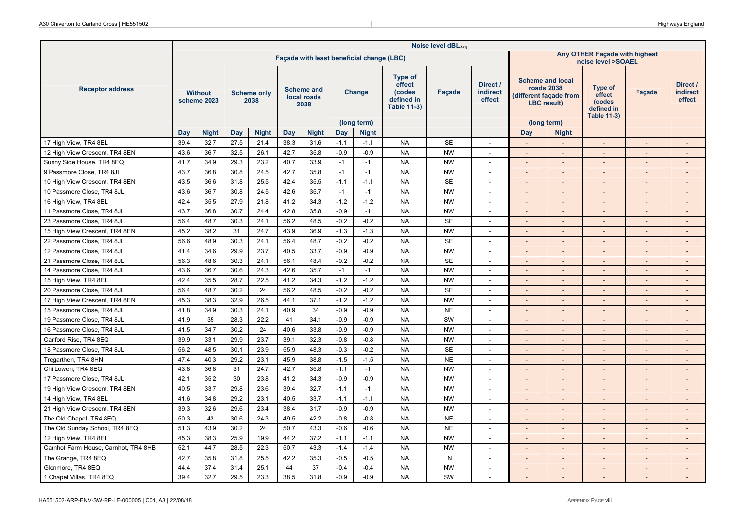|                                      |      |                               |      |                            |      |                                          |        |                                           |                                                                        | Noise level dBLAeq |                                       |                              |                                                                                       |                                                                 |                          |                                       |
|--------------------------------------|------|-------------------------------|------|----------------------------|------|------------------------------------------|--------|-------------------------------------------|------------------------------------------------------------------------|--------------------|---------------------------------------|------------------------------|---------------------------------------------------------------------------------------|-----------------------------------------------------------------|--------------------------|---------------------------------------|
|                                      |      |                               |      |                            |      |                                          |        | Façade with least beneficial change (LBC) |                                                                        |                    |                                       |                              |                                                                                       | Any OTHER Façade with highest<br>noise level >SOAEL             |                          |                                       |
| <b>Receptor address</b>              |      | <b>Without</b><br>scheme 2023 |      | <b>Scheme only</b><br>2038 |      | <b>Scheme and</b><br>local roads<br>2038 |        | Change                                    | <b>Type of</b><br>effect<br>(codes<br>defined in<br><b>Table 11-3)</b> | <b>Facade</b>      | Direct /<br><b>indirect</b><br>effect |                              | <b>Scheme and local</b><br>roads 2038<br>(different façade from<br><b>LBC</b> result) | Type of<br>effect<br>(codes<br>defined in<br><b>Table 11-3)</b> | <b>Facade</b>            | Direct /<br><b>indirect</b><br>effect |
|                                      | Day  | <b>Night</b>                  | Day  | <b>Night</b>               | Day  | <b>Night</b>                             | Day    | (long term)<br><b>Night</b>               |                                                                        |                    |                                       | Day                          | (long term)<br><b>Night</b>                                                           |                                                                 |                          |                                       |
| 17 High View, TR4 8EL                | 39.4 | 32.7                          | 27.5 | 21.4                       | 38.3 | 31.6                                     | $-1.1$ | $-1.1$                                    | <b>NA</b>                                                              | <b>SE</b>          | $\sim$                                | $\overline{a}$               |                                                                                       | $\sim$                                                          | $\overline{\phantom{a}}$ | $\sim$                                |
| 12 High View Crescent, TR4 8EN       | 43.6 | 36.7                          | 32.5 | 26.1                       | 42.7 | 35.8                                     | $-0.9$ | $-0.9$                                    | <b>NA</b>                                                              | <b>NW</b>          | $\overline{\phantom{a}}$              |                              |                                                                                       | $\overline{a}$                                                  |                          |                                       |
| Sunny Side House, TR4 8EQ            | 41.7 | 34.9                          | 29.3 | 23.2                       | 40.7 | 33.9                                     | $-1$   | $-1$                                      | <b>NA</b>                                                              | <b>NW</b>          | $\sim$                                | ÷,                           | $\blacksquare$                                                                        | $\mathcal{L}$                                                   |                          | $\overline{\phantom{a}}$              |
| 9 Passmore Close, TR4 8JL            | 43.7 | 36.8                          | 30.8 | 24.5                       | 42.7 | 35.8                                     | $-1$   | $-1$                                      | <b>NA</b>                                                              | <b>NW</b>          | $\sim$                                | $\overline{a}$               |                                                                                       | $\blacksquare$                                                  | $\overline{\phantom{a}}$ | $\overline{\phantom{a}}$              |
| 10 High View Crescent, TR4 8EN       | 43.5 | 36.6                          | 31.8 | 25.5                       | 42.4 | 35.5                                     | $-1.1$ | $-1.1$                                    | <b>NA</b>                                                              | <b>SE</b>          | $\overline{\phantom{a}}$              | ٠                            |                                                                                       | $\overline{a}$                                                  |                          | $\overline{\phantom{a}}$              |
| 10 Passmore Close, TR4 8JL           | 43.6 | 36.7                          | 30.8 | 24.5                       | 42.6 | 35.7                                     | $-1$   | $-1$                                      | <b>NA</b>                                                              | <b>NW</b>          | $\sim$                                | $\overline{\phantom{a}}$     | $\sim$                                                                                | $\overline{\phantom{a}}$                                        | $\overline{\phantom{a}}$ | $\sim$                                |
| 16 High View, TR4 8EL                | 42.4 | 35.5                          | 27.9 | 21.8                       | 41.2 | 34.3                                     | $-1.2$ | $-1.2$                                    | <b>NA</b>                                                              | <b>NW</b>          | $\overline{\phantom{a}}$              | $\qquad \qquad \blacksquare$ |                                                                                       | $\blacksquare$                                                  |                          | $\overline{\phantom{a}}$              |
| 11 Passmore Close, TR4 8JL           | 43.7 | 36.8                          | 30.7 | 24.4                       | 42.8 | 35.8                                     | $-0.9$ | $-1$                                      | <b>NA</b>                                                              | <b>NW</b>          | $\overline{\phantom{a}}$              | $\overline{\phantom{a}}$     | $\sim$                                                                                | $\sim$                                                          |                          | $\overline{\phantom{a}}$              |
| 23 Passmore Close, TR4 8JL           | 56.4 | 48.7                          | 30.3 | 24.1                       | 56.2 | 48.5                                     | $-0.2$ | $-0.2$                                    | <b>NA</b>                                                              | <b>SE</b>          | $\sim$                                | $\overline{\phantom{a}}$     | $\sim$                                                                                | $\mathcal{L}$                                                   | $\overline{\phantom{a}}$ | $\overline{\phantom{a}}$              |
| 15 High View Crescent, TR4 8EN       | 45.2 | 38.2                          | 31   | 24.7                       | 43.9 | 36.9                                     | $-1.3$ | $-1.3$                                    | <b>NA</b>                                                              | <b>NW</b>          | $\overline{\phantom{a}}$              |                              |                                                                                       | $\overline{\phantom{a}}$                                        |                          |                                       |
| 22 Passmore Close, TR4 8JL           | 56.6 | 48.9                          | 30.3 | 24.1                       | 56.4 | 48.7                                     | $-0.2$ | $-0.2$                                    | <b>NA</b>                                                              | <b>SE</b>          | $\overline{\phantom{a}}$              |                              |                                                                                       | $\overline{a}$                                                  |                          | $\overline{a}$                        |
| 12 Passmore Close, TR4 8JL           | 41.4 | 34.6                          | 29.9 | 23.7                       | 40.5 | 33.7                                     | $-0.9$ | $-0.9$                                    | <b>NA</b>                                                              | <b>NW</b>          | $\overline{\phantom{a}}$              | $\overline{\phantom{a}}$     |                                                                                       | $\overline{a}$                                                  | $\overline{\phantom{a}}$ | $\overline{\phantom{a}}$              |
| 21 Passmore Close, TR4 8JL           | 56.3 | 48.6                          | 30.3 | 24.1                       | 56.1 | 48.4                                     | $-0.2$ | $-0.2$                                    | <b>NA</b>                                                              | <b>SE</b>          | $\blacksquare$                        | $\overline{a}$               | $\sim$                                                                                | $\blacksquare$                                                  | $\overline{\phantom{a}}$ | $\sim$                                |
| 14 Passmore Close, TR4 8JL           | 43.6 | 36.7                          | 30.6 | 24.3                       | 42.6 | 35.7                                     | $-1$   | $-1$                                      | <b>NA</b>                                                              | <b>NW</b>          | $\overline{\phantom{a}}$              | $\overline{a}$               |                                                                                       | $\overline{a}$                                                  |                          | $\overline{a}$                        |
| 15 High View, TR4 8EL                | 42.4 | 35.5                          | 28.7 | 22.5                       | 41.2 | 34.3                                     | $-1.2$ | $-1.2$                                    | <b>NA</b>                                                              | <b>NW</b>          | $\sim$                                | $\overline{a}$               |                                                                                       | $\overline{\phantom{a}}$                                        |                          | $\overline{\phantom{a}}$              |
| 20 Passmore Close, TR4 8JL           | 56.4 | 48.7                          | 30.2 | 24                         | 56.2 | 48.5                                     | $-0.2$ | $-0.2$                                    | <b>NA</b>                                                              | <b>SE</b>          | $\sim$                                | $\overline{a}$               |                                                                                       | $\blacksquare$                                                  | $\overline{\phantom{a}}$ | $\sim$                                |
| 17 High View Crescent, TR4 8EN       | 45.3 | 38.3                          | 32.9 | 26.5                       | 44.1 | 37.1                                     | $-1.2$ | $-1.2$                                    | <b>NA</b>                                                              | <b>NW</b>          | $\overline{a}$                        |                              |                                                                                       | $\overline{\phantom{a}}$                                        |                          |                                       |
| 15 Passmore Close, TR4 8JL           | 41.8 | 34.9                          | 30.3 | 24.1                       | 40.9 | 34                                       | $-0.9$ | $-0.9$                                    | <b>NA</b>                                                              | <b>NE</b>          | $\sim$                                | $\overline{a}$               |                                                                                       | $\overline{a}$                                                  |                          | $\overline{a}$                        |
| 19 Passmore Close, TR4 8JL           | 41.9 | 35                            | 28.3 | 22.2                       | 41   | 34.1                                     | $-0.9$ | $-0.9$                                    | <b>NA</b>                                                              | SW                 | $\sim$                                | $\overline{\phantom{a}}$     | $\sim$                                                                                | $\sim$                                                          | $\overline{\phantom{a}}$ | $\sim$                                |
| 16 Passmore Close, TR4 8JL           | 41.5 | 34.7                          | 30.2 | 24                         | 40.6 | 33.8                                     | $-0.9$ | $-0.9$                                    | <b>NA</b>                                                              | <b>NW</b>          |                                       |                              |                                                                                       | $\overline{a}$                                                  |                          |                                       |
| Canford Rise, TR4 8EQ                | 39.9 | 33.1                          | 29.9 | 23.7                       | 39.1 | 32.3                                     | $-0.8$ | $-0.8$                                    | <b>NA</b>                                                              | <b>NW</b>          | $\tilde{\phantom{a}}$                 | $\overline{a}$               |                                                                                       | $\overline{a}$                                                  |                          | $\overline{a}$                        |
| 18 Passmore Close, TR4 8JL           | 56.2 | 48.5                          | 30.1 | 23.9                       | 55.9 | 48.3                                     | $-0.3$ | $-0.2$                                    | <b>NA</b>                                                              | <b>SE</b>          | $\sim$                                | $\qquad \qquad \blacksquare$ | $\sim$                                                                                | $\sim$                                                          | $\overline{\phantom{a}}$ | $\overline{\phantom{a}}$              |
| Tregarthen, TR4 8HN                  | 47.4 | 40.3                          | 29.2 | 23.1                       | 45.9 | 38.8                                     | $-1.5$ | $-1.5$                                    | <b>NA</b>                                                              | <b>NE</b>          | $\sim$                                | $\overline{a}$               | $\sim$                                                                                | $\overline{\phantom{a}}$                                        | $\overline{\phantom{a}}$ | $\overline{\phantom{a}}$              |
| Chi Lowen, TR4 8EQ                   | 43.8 | 36.8                          | 31   | 24.7                       | 42.7 | 35.8                                     | $-1.1$ | $-1$                                      | <b>NA</b>                                                              | <b>NW</b>          |                                       |                              |                                                                                       |                                                                 |                          |                                       |
| 17 Passmore Close, TR4 8JL           | 42.1 | 35.2                          | 30   | 23.8                       | 41.2 | 34.3                                     | $-0.9$ | $-0.9$                                    | <b>NA</b>                                                              | <b>NW</b>          | $\sim$                                | $\overline{a}$               | $\sim$                                                                                | $\overline{\phantom{a}}$                                        | $\overline{\phantom{a}}$ | $\overline{\phantom{a}}$              |
| 19 High View Crescent, TR4 8EN       | 40.5 | 33.7                          | 29.8 | 23.6                       | 39.4 | 32.7                                     | $-1.1$ | $-1$                                      | <b>NA</b>                                                              | <b>NW</b>          | $\overline{\phantom{a}}$              | $\overline{a}$               |                                                                                       | $\overline{\phantom{a}}$                                        | $\overline{a}$           | $\overline{\phantom{a}}$              |
| 14 High View, TR4 8EL                | 41.6 | 34.8                          | 29.2 | 23.1                       | 40.5 | 33.7                                     | $-1.1$ | $-1.1$                                    | <b>NA</b>                                                              | <b>NW</b>          |                                       |                              |                                                                                       |                                                                 |                          |                                       |
| 21 High View Crescent, TR4 8EN       | 39.3 | 32.6                          | 29.6 | 23.4                       | 38.4 | 31.7                                     | $-0.9$ | $-0.9$                                    | <b>NA</b>                                                              | <b>NW</b>          | $\overline{a}$                        | $\overline{a}$               |                                                                                       | L.                                                              |                          | $\overline{a}$                        |
| The Old Chapel, TR4 8EQ              | 50.3 | 43                            | 30.6 | 24.3                       | 49.5 | 42.2                                     | $-0.8$ | $-0.8$                                    | <b>NA</b>                                                              | <b>NE</b>          | $\sim$                                | $\overline{\phantom{a}}$     |                                                                                       | $\overline{\phantom{a}}$                                        |                          | $\overline{\phantom{a}}$              |
| The Old Sunday School, TR4 8EQ       | 51.3 | 43.9                          | 30.2 | 24                         | 50.7 | 43.3                                     | $-0.6$ | $-0.6$                                    | <b>NA</b>                                                              | <b>NE</b>          | $\overline{\phantom{a}}$              | $\overline{\phantom{a}}$     |                                                                                       | $\overline{\phantom{a}}$                                        |                          | $\overline{a}$                        |
| 12 High View, TR4 8EL                | 45.3 | 38.3                          | 25.9 | 19.9                       | 44.2 | 37.2                                     | $-1.1$ | $-1.1$                                    | <b>NA</b>                                                              | <b>NW</b>          | $\sim$                                | ÷,                           | $\sim$                                                                                | $\omega$                                                        | $\overline{\phantom{a}}$ | $\blacksquare$                        |
| Carnhot Farm House, Carnhot, TR4 8HB | 52.1 | 44.7                          | 28.5 | 22.3                       | 50.7 | 43.3                                     | $-1.4$ | $-1.4$                                    | <b>NA</b>                                                              | <b>NW</b>          | $\sim$                                | $\qquad \qquad \blacksquare$ |                                                                                       | $\blacksquare$                                                  | $\overline{\phantom{a}}$ | $\overline{\phantom{a}}$              |
| The Grange, TR4 8EQ                  | 42.7 | 35.8                          | 31.8 | 25.5                       | 42.2 | 35.3                                     | $-0.5$ | $-0.5$                                    | <b>NA</b>                                                              | N                  | $\overline{\phantom{a}}$              |                              |                                                                                       | $\overline{a}$                                                  |                          | $\overline{\phantom{a}}$              |
| Glenmore, TR4 8EQ                    | 44.4 | 37.4                          | 31.4 | 25.1                       | 44   | 37                                       | $-0.4$ | $-0.4$                                    | <b>NA</b>                                                              | <b>NW</b>          | $\overline{a}$                        | $\overline{a}$               |                                                                                       | L.                                                              |                          | $\overline{a}$                        |
| 1 Chapel Villas, TR4 8EQ             | 39.4 | 32.7                          | 29.5 | 23.3                       | 38.5 | 31.8                                     | $-0.9$ | $-0.9$                                    | <b>NA</b>                                                              | SW                 |                                       |                              |                                                                                       | $\overline{a}$                                                  |                          |                                       |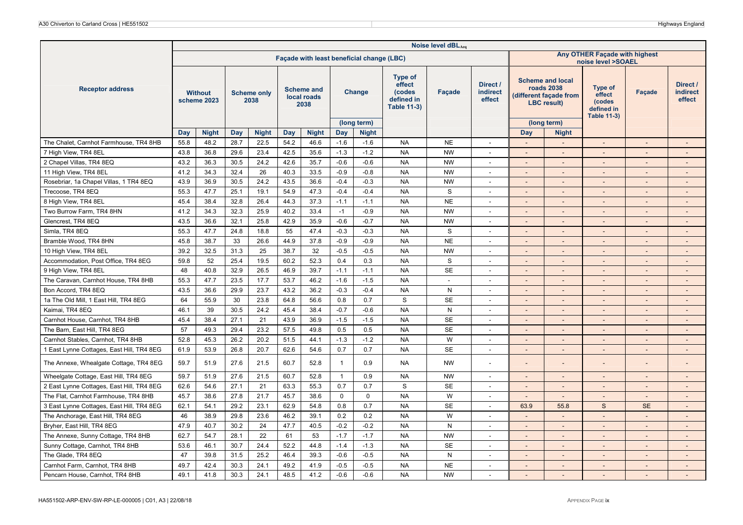|                                           |      |                               |      |                            |      |                                          |                         |                                           |                                                                        | Noise level dBLAeq |                                       |                          |                                                                                       |                                                                        |                          |                                       |
|-------------------------------------------|------|-------------------------------|------|----------------------------|------|------------------------------------------|-------------------------|-------------------------------------------|------------------------------------------------------------------------|--------------------|---------------------------------------|--------------------------|---------------------------------------------------------------------------------------|------------------------------------------------------------------------|--------------------------|---------------------------------------|
|                                           |      |                               |      |                            |      |                                          |                         | Façade with least beneficial change (LBC) |                                                                        |                    |                                       |                          |                                                                                       | Any OTHER Façade with highest<br>noise level >SOAEL                    |                          |                                       |
| <b>Receptor address</b>                   |      | <b>Without</b><br>scheme 2023 |      | <b>Scheme only</b><br>2038 |      | <b>Scheme and</b><br>local roads<br>2038 |                         | Change                                    | <b>Type of</b><br>effect<br>(codes<br>defined in<br><b>Table 11-3)</b> | Façade             | Direct /<br><b>indirect</b><br>effect |                          | <b>Scheme and local</b><br>roads 2038<br>(different façade from<br><b>LBC</b> result) | <b>Type of</b><br>effect<br>(codes<br>defined in<br><b>Table 11-3)</b> | Façade                   | Direct /<br><b>indirect</b><br>effect |
|                                           |      |                               |      |                            |      |                                          |                         | (long term)                               |                                                                        |                    |                                       |                          | (long term)                                                                           |                                                                        |                          |                                       |
|                                           | Day  | <b>Night</b>                  | Day  | <b>Night</b>               | Day  | <b>Night</b>                             | Day                     | <b>Night</b>                              |                                                                        |                    |                                       | Day                      | <b>Night</b>                                                                          |                                                                        |                          |                                       |
| The Chalet, Carnhot Farmhouse, TR4 8HB    | 55.8 | 48.2                          | 28.7 | 22.5                       | 54.2 | 46.6                                     | $-1.6$                  | $-1.6$                                    | <b>NA</b>                                                              | <b>NE</b>          | $\sim$                                | $\overline{a}$           |                                                                                       | $\sim$                                                                 | $\overline{\phantom{a}}$ | $\overline{\phantom{a}}$              |
| 7 High View, TR4 8EL                      | 43.8 | 36.8                          | 29.6 | 23.4                       | 42.5 | 35.6                                     | $-1.3$                  | $-1.2$                                    | <b>NA</b>                                                              | <b>NW</b>          | $\overline{\phantom{a}}$              | $\overline{\phantom{a}}$ | $\sim$                                                                                | $\sim$                                                                 |                          |                                       |
| 2 Chapel Villas, TR4 8EQ                  | 43.2 | 36.3                          | 30.5 | 24.2                       | 42.6 | 35.7                                     | $-0.6$                  | $-0.6$                                    | <b>NA</b>                                                              | <b>NW</b>          | $\sim$                                | $\overline{a}$           | $\sim$                                                                                | $\overline{\phantom{a}}$                                               | $\overline{\phantom{a}}$ | $\overline{\phantom{a}}$              |
| 11 High View, TR4 8EL                     | 41.2 | 34.3                          | 32.4 | 26                         | 40.3 | 33.5                                     | $-0.9$                  | $-0.8$                                    | <b>NA</b>                                                              | <b>NW</b>          | $\overline{\phantom{a}}$              |                          |                                                                                       | $\overline{\phantom{a}}$                                               |                          |                                       |
| Rosebriar, 1a Chapel Villas, 1 TR4 8EQ    | 43.9 | 36.9                          | 30.5 | 24.2                       | 43.5 | 36.6                                     | $-0.4$                  | $-0.3$                                    | <b>NA</b>                                                              | <b>NW</b>          | $\sim$                                |                          |                                                                                       |                                                                        |                          |                                       |
| Trecoose, TR4 8EQ                         | 55.3 | 47.7                          | 25.1 | 19.1                       | 54.9 | 47.3                                     | $-0.4$                  | $-0.4$                                    | <b>NA</b>                                                              | S                  | $\sim$                                | $\overline{a}$           |                                                                                       | $\blacksquare$                                                         |                          |                                       |
| 8 High View, TR4 8EL                      | 45.4 | 38.4                          | 32.8 | 26.4                       | 44.3 | 37.3                                     | $-1.1$                  | $-1.1$                                    | <b>NA</b>                                                              | <b>NE</b>          | $\overline{\phantom{a}}$              | $\overline{\phantom{a}}$ | $\sim$                                                                                | $\sim$                                                                 | $\overline{\phantom{a}}$ | $\overline{\phantom{a}}$              |
| Two Burrow Farm, TR4 8HN                  | 41.2 | 34.3                          | 32.3 | 25.9                       | 40.2 | 33.4                                     | $-1$                    | $-0.9$                                    | <b>NA</b>                                                              | <b>NW</b>          |                                       |                          |                                                                                       |                                                                        |                          |                                       |
| Glencrest, TR4 8EQ                        | 43.5 | 36.6                          | 32.1 | 25.8                       | 42.9 | 35.9                                     | $-0.6$                  | $-0.7$                                    | <b>NA</b>                                                              | <b>NW</b>          |                                       |                          |                                                                                       | $\blacksquare$                                                         |                          |                                       |
| Simla, TR4 8EQ                            | 55.3 | 47.7                          | 24.8 | 18.8                       | 55   | 47.4                                     | $-0.3$                  | $-0.3$                                    | <b>NA</b>                                                              | S                  | $\sim$                                | $\overline{\phantom{a}}$ | $\sim$                                                                                | $\sim$                                                                 | $\overline{\phantom{a}}$ | $\overline{\phantom{a}}$              |
| Bramble Wood, TR4 8HN                     | 45.8 | 38.7                          | 33   | 26.6                       | 44.9 | 37.8                                     | $-0.9$                  | $-0.9$                                    | <b>NA</b>                                                              | <b>NE</b>          | $\overline{\phantom{a}}$              |                          |                                                                                       | $\overline{a}$                                                         |                          |                                       |
| 10 High View, TR4 8EL                     | 39.2 | 32.5                          | 31.3 | 25                         | 38.7 | 32                                       | $-0.5$                  | $-0.5$                                    | <b>NA</b>                                                              | <b>NW</b>          | $\overline{\phantom{a}}$              |                          |                                                                                       | $\overline{a}$                                                         |                          |                                       |
| Accommodation, Post Office, TR4 8EG       | 59.8 | 52                            | 25.4 | 19.5                       | 60.2 | 52.3                                     | 0.4                     | 0.3                                       | <b>NA</b>                                                              | S                  | $\sim$                                | ÷,                       | $\sim$                                                                                | $\mathcal{L}$                                                          | $\overline{\phantom{a}}$ | $\overline{\phantom{a}}$              |
| 9 High View, TR4 8EL                      | 48   | 40.8                          | 32.9 | 26.5                       | 46.9 | 39.7                                     | $-1.1$                  | $-1.1$                                    | <b>NA</b>                                                              | <b>SE</b>          | $\sim$                                | $\overline{a}$           |                                                                                       | $\overline{\phantom{a}}$                                               | $\overline{\phantom{a}}$ | $\overline{\phantom{a}}$              |
| The Caravan, Carnhot House, TR4 8HB       | 55.3 | 47.7                          | 23.5 | 17.7                       | 53.7 | 46.2                                     | $-1.6$                  | $-1.5$                                    | <b>NA</b>                                                              | $\blacksquare$     | $\overline{\phantom{a}}$              |                          |                                                                                       | $\overline{\phantom{a}}$                                               |                          |                                       |
| Bon Accord, TR4 8EQ                       | 43.5 | 36.6                          | 29.9 | 23.7                       | 43.2 | 36.2                                     | $-0.3$                  | $-0.4$                                    | <b>NA</b>                                                              | ${\sf N}$          | $\sim$                                | $\overline{a}$           |                                                                                       | $\overline{\phantom{a}}$                                               |                          | $\sim$                                |
| 1a The Old Mill, 1 East Hill, TR4 8EG     | 64   | 55.9                          | 30   | 23.8                       | 64.8 | 56.6                                     | 0.8                     | 0.7                                       | S                                                                      | <b>SE</b>          | $\tilde{\phantom{a}}$                 | $\overline{a}$           |                                                                                       | $\blacksquare$                                                         |                          | $\overline{\phantom{a}}$              |
| Kaimai, TR4 8EQ                           | 46.1 | 39                            | 30.5 | 24.2                       | 45.4 | 38.4                                     | $-0.7$                  | $-0.6$                                    | <b>NA</b>                                                              | N                  | $\overline{\phantom{a}}$              | L,                       |                                                                                       | $\sim$                                                                 |                          | $\overline{a}$                        |
| Carnhot House, Carnhot, TR4 8HB           | 45.4 | 38.4                          | 27.1 | 21                         | 43.9 | 36.9                                     | $-1.5$                  | $-1.5$                                    | <b>NA</b>                                                              | <b>SE</b>          | $\sim$                                | $\overline{\phantom{a}}$ |                                                                                       | $\overline{a}$                                                         |                          |                                       |
| The Barn, East Hill, TR4 8EG              | 57   | 49.3                          | 29.4 | 23.2                       | 57.5 | 49.8                                     | 0.5                     | 0.5                                       | <b>NA</b>                                                              | <b>SE</b>          | $\sim$                                | $\overline{\phantom{a}}$ | $\sim$                                                                                | $\overline{\phantom{a}}$                                               | $\overline{\phantom{a}}$ | $\sim$                                |
| Carnhot Stables, Carnhot, TR4 8HB         | 52.8 | 45.3                          | 26.2 | 20.2                       | 51.5 | 44.1                                     | $-1.3$                  | $-1.2$                                    | <b>NA</b>                                                              | W                  |                                       |                          |                                                                                       | $\overline{a}$                                                         |                          |                                       |
| 1 East Lynne Cottages, East Hill, TR4 8EG | 61.9 | 53.9                          | 26.8 | 20.7                       | 62.6 | 54.6                                     | 0.7                     | 0.7                                       | <b>NA</b>                                                              | <b>SE</b>          | $\sim$                                | $\overline{a}$           |                                                                                       | ÷,                                                                     |                          | $\overline{\phantom{a}}$              |
| The Annexe, Whealgate Cottage, TR4 8EG    | 59.7 | 51.9                          | 27.6 | 21.5                       | 60.7 | 52.8                                     | $\overline{\mathbf{1}}$ | 0.9                                       | <b>NA</b>                                                              | <b>NW</b>          |                                       |                          |                                                                                       |                                                                        |                          |                                       |
| Wheelgate Cottage, East Hill, TR4 8EG     | 59.7 | 51.9                          | 27.6 | 21.5                       | 60.7 | 52.8                                     | $\overline{1}$          | 0.9                                       | <b>NA</b>                                                              | <b>NW</b>          | $\sim$                                | $\overline{\phantom{a}}$ | $\sim$                                                                                | $\overline{\phantom{a}}$                                               | $\overline{\phantom{a}}$ | $\overline{\phantom{a}}$              |
| 2 East Lynne Cottages, East Hill, TR4 8EG | 62.6 | 54.6                          | 27.1 | 21                         | 63.3 | 55.3                                     | 0.7                     | 0.7                                       | $\mathbf S$                                                            | <b>SE</b>          | $\sim$                                | $\overline{\phantom{a}}$ |                                                                                       | $\overline{a}$                                                         |                          | $\sim$                                |
| The Flat, Carnhot Farmhouse, TR4 8HB      | 45.7 | 38.6                          | 27.8 | 21.7                       | 45.7 | 38.6                                     | $\mathbf{0}$            | $\mathbf 0$                               | <b>NA</b>                                                              | W                  | $\tilde{\phantom{a}}$                 | $\overline{a}$           |                                                                                       |                                                                        |                          |                                       |
| 3 East Lynne Cottages, East Hill, TR4 8EG | 62.1 | 54.1                          | 29.2 | 23.1                       | 62.9 | 54.8                                     | 0.8                     | 0.7                                       | <b>NA</b>                                                              | <b>SE</b>          | $\sim$                                | 63.9                     | 55.8                                                                                  | $\mathbf S$                                                            | <b>SE</b>                | $\overline{\phantom{a}}$              |
| The Anchorage, East Hill, TR4 8EG         | 46   | 38.9                          | 29.8 | 23.6                       | 46.2 | 39.1                                     | 0.2                     | 0.2                                       | <b>NA</b>                                                              | W                  | $\overline{\phantom{a}}$              | $\overline{a}$           |                                                                                       | $\overline{a}$                                                         | $\overline{\phantom{a}}$ | $\overline{a}$                        |
| Bryher, East Hill, TR4 8EG                | 47.9 | 40.7                          | 30.2 | 24                         | 47.7 | 40.5                                     | $-0.2$                  | $-0.2$                                    | <b>NA</b>                                                              | N                  | $\overline{\phantom{a}}$              |                          |                                                                                       | $\overline{\phantom{a}}$                                               |                          |                                       |
| The Annexe, Sunny Cottage, TR4 8HB        | 62.7 | 54.7                          | 28.1 | 22                         | 61   | 53                                       | $-1.7$                  | $-1.7$                                    | <b>NA</b>                                                              | <b>NW</b>          | $\sim$                                | $\overline{a}$           | $\sim$                                                                                | $\mathcal{L}$                                                          |                          | $\overline{\phantom{a}}$              |
| Sunny Cottage, Carnhot, TR4 8HB           | 53.6 | 46.1                          | 30.7 | 24.4                       | 52.2 | 44.8                                     | $-1.4$                  | $-1.3$                                    | <b>NA</b>                                                              | <b>SE</b>          | $\overline{\phantom{a}}$              |                          |                                                                                       | $\overline{\phantom{a}}$                                               |                          | $\overline{\phantom{a}}$              |
| The Glade, TR4 8EQ                        | 47   | 39.8                          | 31.5 | 25.2                       | 46.4 | 39.3                                     | $-0.6$                  | $-0.5$                                    | <b>NA</b>                                                              | ${\sf N}$          | $\overline{\phantom{a}}$              |                          |                                                                                       | $\overline{\phantom{a}}$                                               |                          |                                       |
| Carnhot Farm, Carnhot, TR4 8HB            | 49.7 | 42.4                          | 30.3 | 24.1                       | 49.2 | 41.9                                     | $-0.5$                  | $-0.5$                                    | <b>NA</b>                                                              | <b>NE</b>          | $\overline{a}$                        | $\overline{a}$           |                                                                                       | $\overline{a}$                                                         | $\overline{\phantom{a}}$ | $\overline{a}$                        |
| Pencarn House, Carnhot, TR4 8HB           | 49.1 | 41.8                          | 30.3 | 24.1                       | 48.5 | 41.2                                     | $-0.6$                  | $-0.6$                                    | <b>NA</b>                                                              | <b>NW</b>          |                                       |                          |                                                                                       |                                                                        |                          |                                       |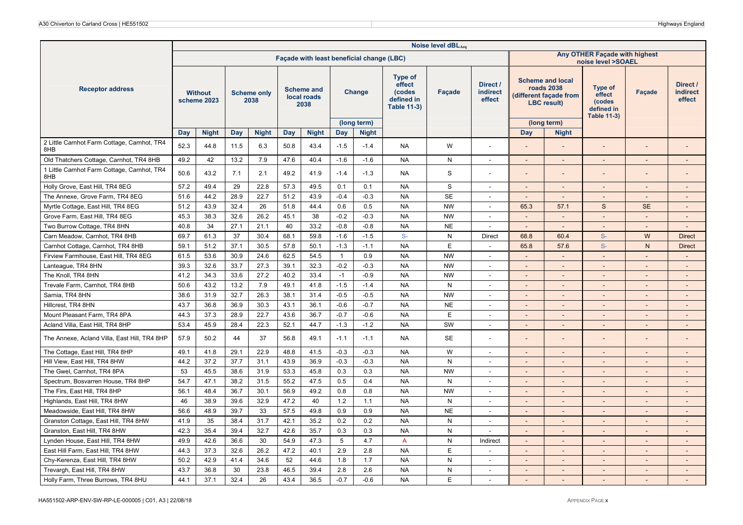|                                                    |      |                               |            |                            |      |                                          |              |                                           |                                                                        | Noise level dBLAeq |                                |                          |                                                                                              |                                                                        |                          |                                       |
|----------------------------------------------------|------|-------------------------------|------------|----------------------------|------|------------------------------------------|--------------|-------------------------------------------|------------------------------------------------------------------------|--------------------|--------------------------------|--------------------------|----------------------------------------------------------------------------------------------|------------------------------------------------------------------------|--------------------------|---------------------------------------|
|                                                    |      |                               |            |                            |      |                                          |              | Façade with least beneficial change (LBC) |                                                                        |                    |                                |                          |                                                                                              | Any OTHER Façade with highest<br>noise level >SOAEL                    |                          |                                       |
| <b>Receptor address</b>                            |      | <b>Without</b><br>scheme 2023 |            | <b>Scheme only</b><br>2038 |      | <b>Scheme and</b><br>local roads<br>2038 |              | Change                                    | <b>Type of</b><br>effect<br>(codes<br>defined in<br><b>Table 11-3)</b> | Façade             | Direct /<br>indirect<br>effect |                          | <b>Scheme and local</b><br><b>roads 2038</b><br>(different façade from<br><b>LBC</b> result) | <b>Type of</b><br>effect<br>(codes<br>defined in<br><b>Table 11-3)</b> | Façade                   | Direct /<br><b>indirect</b><br>effect |
|                                                    |      |                               |            |                            |      |                                          |              | (long term)                               |                                                                        |                    |                                |                          | (long term)                                                                                  |                                                                        |                          |                                       |
|                                                    | Day  | <b>Night</b>                  | <b>Day</b> | <b>Night</b>               | Day  | <b>Night</b>                             | Day          | <b>Night</b>                              |                                                                        |                    |                                | <b>Day</b>               | <b>Night</b>                                                                                 |                                                                        |                          |                                       |
| 2 Little Carnhot Farm Cottage, Carnhot, TR4<br>8HB | 52.3 | 44.8                          | 11.5       | 6.3                        | 50.8 | 43.4                                     | $-1.5$       | $-1.4$                                    | NA                                                                     | W                  | $\sim$                         |                          |                                                                                              |                                                                        |                          |                                       |
| Old Thatchers Cottage, Carnhot, TR4 8HB            | 49.2 | 42                            | 13.2       | 7.9                        | 47.6 | 40.4                                     | $-1.6$       | $-1.6$                                    | <b>NA</b>                                                              | N                  | $\sim$                         | $\sim$                   | $\overline{\phantom{a}}$                                                                     | $\sim$                                                                 |                          | $\sim$                                |
| 1 Little Carnhot Farm Cottage, Carnhot, TR4<br>8HB | 50.6 | 43.2                          | 7.1        | 2.1                        | 49.2 | 41.9                                     | $-1.4$       | $-1.3$                                    | <b>NA</b>                                                              | S                  | $\overline{\phantom{a}}$       |                          | $\overline{\phantom{a}}$                                                                     |                                                                        |                          |                                       |
| Holly Grove, East Hill, TR4 8EG                    | 57.2 | 49.4                          | 29         | 22.8                       | 57.3 | 49.5                                     | 0.1          | 0.1                                       | <b>NA</b>                                                              | S                  | $\sim$                         | $\sim$                   | $\sim$                                                                                       | $\sim$                                                                 | $\sim$                   | $\sim$                                |
| The Annexe, Grove Farm, TR4 8EG                    | 51.6 | 44.2                          | 28.9       | 22.7                       | 51.2 | 43.9                                     | $-0.4$       | $-0.3$                                    | <b>NA</b>                                                              | <b>SE</b>          | $\overline{\phantom{a}}$       | $\sim$                   | $\sim$                                                                                       |                                                                        |                          | $\overline{\phantom{a}}$              |
| Myrtle Cottage, East Hill, TR4 8EG                 | 51.2 | 43.9                          | 32.4       | 26                         | 51.8 | 44.4                                     | 0.6          | 0.5                                       | <b>NA</b>                                                              | <b>NW</b>          | $\blacksquare$                 | 65.3                     | 57.1                                                                                         | S                                                                      | <b>SE</b>                |                                       |
| Grove Farm, East Hill, TR4 8EG                     | 45.3 | 38.3                          | 32.6       | 26.2                       | 45.1 | 38                                       | $-0.2$       | $-0.3$                                    | <b>NA</b>                                                              | <b>NW</b>          | $\sim$                         | $\sim$                   | $\sim$                                                                                       | $\sim$                                                                 | $\sim$                   | $\sim$                                |
| Two Burrow Cottage, TR4 8HN                        | 40.8 | 34                            | 27.1       | 21.1                       | 40   | 33.2                                     | $-0.8$       | $-0.8$                                    | <b>NA</b>                                                              | <b>NE</b>          | $\sim$                         | $\overline{\phantom{a}}$ | $\sim$                                                                                       | $\sim$                                                                 | $\overline{a}$           | $\sim$                                |
| Carn Meadow, Carnhot, TR4 8HB                      | 69.7 | 61.3                          | 37         | 30.4                       | 68.1 | 59.8                                     | $-1.6$       | $-1.5$                                    | $S-$                                                                   | $\mathsf{N}$       | Direct                         | 68.8                     | 60.4                                                                                         | $S-$                                                                   | W                        | <b>Direct</b>                         |
| Carnhot Cottage, Carnhot, TR4 8HB                  | 59.1 | 51.2                          | 37.1       | 30.5                       | 57.8 | 50.1                                     | $-1.3$       | $-1.1$                                    | <b>NA</b>                                                              | E                  | $\sim$                         | 65.8                     | 57.6                                                                                         | $S-$                                                                   | $\mathsf{N}$             | <b>Direct</b>                         |
| Firview Farmhouse, East Hill, TR4 8EG              | 61.5 | 53.6                          | 30.9       | 24.6                       | 62.5 | 54.5                                     | $\mathbf{1}$ | 0.9                                       | <b>NA</b>                                                              | <b>NW</b>          | $\sim$                         | $\overline{\phantom{a}}$ | $\sim$                                                                                       | $\sim$                                                                 | $\overline{\phantom{a}}$ | $\sim$                                |
| Lanteague, TR4 8HN                                 | 39.3 | 32.6                          | 33.7       | 27.3                       | 39.1 | 32.3                                     | $-0.2$       | $-0.3$                                    | <b>NA</b>                                                              | <b>NW</b>          | $\sim$                         |                          |                                                                                              |                                                                        |                          |                                       |
| The Knoll, TR4 8HN                                 | 41.2 | 34.3                          | 33.6       | 27.2                       | 40.2 | 33.4                                     | $-1$         | $-0.9$                                    | <b>NA</b>                                                              | <b>NW</b>          | $\sim$                         | $\sim$                   | $\overline{a}$                                                                               | $\sim$                                                                 |                          | $\sim$                                |
| Trevale Farm, Carnhot, TR4 8HB                     | 50.6 | 43.2                          | 13.2       | 7.9                        | 49.1 | 41.8                                     | $-1.5$       | $-1.4$                                    | <b>NA</b>                                                              | N                  | $\sim$                         | $\overline{a}$           | $\overline{\phantom{a}}$                                                                     | $\overline{a}$                                                         |                          | $\overline{\phantom{a}}$              |
| Sarnia, TR4 8HN                                    | 38.6 | 31.9                          | 32.7       | 26.3                       | 38.1 | 31.4                                     | $-0.5$       | $-0.5$                                    | <b>NA</b>                                                              | <b>NW</b>          | $\sim$                         | $\overline{\phantom{a}}$ | $\overline{\phantom{a}}$                                                                     |                                                                        |                          |                                       |
| Hillcrest, TR4 8HN                                 | 43.7 | 36.8                          | 36.9       | 30.3                       | 43.1 | 36.1                                     | $-0.6$       | $-0.7$                                    | <b>NA</b>                                                              | <b>NE</b>          | $\sim$                         | $\sim$                   | $\overline{\phantom{a}}$                                                                     | $\sim$                                                                 | $\overline{\phantom{a}}$ | $\blacksquare$                        |
| Mount Pleasant Farm, TR4 8PA                       | 44.3 | 37.3                          | 28.9       | 22.7                       | 43.6 | 36.7                                     | $-0.7$       | $-0.6$                                    | <b>NA</b>                                                              | E                  | $\sim$                         | $\sim$                   | $\overline{\phantom{a}}$                                                                     | $\sim$                                                                 |                          | $\sim$                                |
| Acland Villa, East Hill, TR4 8HP                   | 53.4 | 45.9                          | 28.4       | 22.3                       | 52.1 | 44.7                                     | $-1.3$       | $-1.2$                                    | <b>NA</b>                                                              | SW                 | $\sim$                         | $\overline{\phantom{a}}$ | $\sim$                                                                                       |                                                                        |                          | $\sim$                                |
| The Annexe, Acland Villa, East Hill, TR4 8HP       | 57.9 | 50.2                          | 44         | 37                         | 56.8 | 49.1                                     | $-1.1$       | $-1.1$                                    | <b>NA</b>                                                              | <b>SE</b>          | $\overline{\phantom{a}}$       |                          | $\overline{\phantom{a}}$                                                                     |                                                                        |                          |                                       |
| The Cottage, East Hill, TR4 8HP                    | 49.1 | 41.8                          | 29.1       | 22.9                       | 48.8 | 41.5                                     | $-0.3$       | $-0.3$                                    | <b>NA</b>                                                              | W                  | $\sim$                         | $\sim$                   | $\sim$                                                                                       | $\sim$                                                                 |                          | $\sim$                                |
| Hill View, East Hill, TR4 8HW                      | 44.2 | 37.2                          | 37.7       | 31.1                       | 43.9 | 36.9                                     | $-0.3$       | $-0.3$                                    | <b>NA</b>                                                              | N                  | $\sim$                         | $\overline{\phantom{a}}$ | $\overline{\phantom{a}}$                                                                     |                                                                        |                          | $\overline{\phantom{a}}$              |
| The Gwel, Carnhot, TR4 8PA                         | 53   | 45.5                          | 38.6       | 31.9                       | 53.3 | 45.8                                     | 0.3          | 0.3                                       | <b>NA</b>                                                              | <b>NW</b>          | $\blacksquare$                 |                          |                                                                                              |                                                                        |                          |                                       |
| Spectrum, Bosvarren House, TR4 8HP                 | 54.7 | 47.1                          | 38.2       | 31.5                       | 55.2 | 47.5                                     | 0.5          | 0.4                                       | <b>NA</b>                                                              | N                  | $\sim$                         | $\sim$                   | $\sim$                                                                                       | $\sim$                                                                 | $\sim$                   | $\sim$                                |
| The Firs, East Hill, TR4 8HP                       | 56.1 | 48.4                          | 36.7       | 30.1                       | 56.9 | 49.2                                     | 0.8          | 0.8                                       | <b>NA</b>                                                              | <b>NW</b>          | $\overline{\phantom{a}}$       | $\sim$                   | $\overline{\phantom{a}}$                                                                     | $\overline{\phantom{a}}$                                               | $\overline{\phantom{a}}$ | $\overline{a}$                        |
| Highlands, East Hill, TR4 8HW                      | 46   | 38.9                          | 39.6       | 32.9                       | 47.2 | 40                                       | 1.2          | 1.1                                       | <b>NA</b>                                                              | $\mathsf{N}$       | $\blacksquare$                 |                          |                                                                                              |                                                                        |                          |                                       |
| Meadowside, East Hill, TR4 8HW                     | 56.6 | 48.9                          | 39.7       | 33                         | 57.5 | 49.8                                     | 0.9          | 0.9                                       | <b>NA</b>                                                              | <b>NE</b>          | $\sim$                         | $\sim$                   | $\sim$                                                                                       | $\sim$                                                                 |                          | $\sim$                                |
| Granston Cottage, East Hill, TR4 8HW               | 41.9 | 35                            | 38.4       | 31.7                       | 42.1 | 35.2                                     | 0.2          | 0.2                                       | <b>NA</b>                                                              | N                  | $\overline{\phantom{a}}$       | $\overline{\phantom{a}}$ | $\sim$                                                                                       | $\overline{\phantom{a}}$                                               | $\sim$                   | $\sim$                                |
| Granston, East Hill, TR4 8HW                       | 42.3 | 35.4                          | 39.4       | 32.7                       | 42.6 | 35.7                                     | 0.3          | 0.3                                       | <b>NA</b>                                                              | N                  | $\overline{\phantom{a}}$       |                          |                                                                                              |                                                                        |                          |                                       |
| Lynden House, East Hill, TR4 8HW                   | 49.9 | 42.6                          | 36.6       | 30                         | 54.9 | 47.3                                     | 5            | 4.7                                       | $\overline{A}$                                                         | ${\sf N}$          | Indirect                       | $\sim$                   | $\overline{\phantom{a}}$                                                                     | $\sim$                                                                 |                          | $\sim$                                |
| East Hill Farm, East Hill, TR4 8HW                 | 44.3 | 37.3                          | 32.6       | 26.2                       | 47.2 | 40.1                                     | 2.9          | 2.8                                       | <b>NA</b>                                                              | E                  | $\overline{\phantom{a}}$       | $\overline{\phantom{a}}$ | $\overline{\phantom{a}}$                                                                     | $\overline{\phantom{a}}$                                               |                          | $\overline{\phantom{a}}$              |
| Chy-Kerenza, East Hill, TR4 8HW                    | 50.2 | 42.9                          | 41.4       | 34.6                       | 52   | 44.6                                     | 1.8          | 1.7                                       | <b>NA</b>                                                              | $\mathsf{N}$       | $\sim$                         | $\overline{\phantom{a}}$ | $\overline{\phantom{a}}$                                                                     |                                                                        |                          |                                       |
| Trevargh, East Hill, TR4 8HW                       | 43.7 | 36.8                          | 30         | 23.8                       | 46.5 | 39.4                                     | 2.8          | 2.6                                       | <b>NA</b>                                                              | N                  | $\sim$                         | $\sim$                   | $\sim$                                                                                       | $\sim$                                                                 | $\sim$                   | $\sim$                                |
| Holly Farm, Three Burrows, TR4 8HU                 | 44.1 | 37.1                          | 32.4       | 26                         | 43.4 | 36.5                                     | $-0.7$       | $-0.6$                                    | <b>NA</b>                                                              | E                  | $\sim$                         | $\overline{a}$           | $\overline{\phantom{a}}$                                                                     |                                                                        |                          |                                       |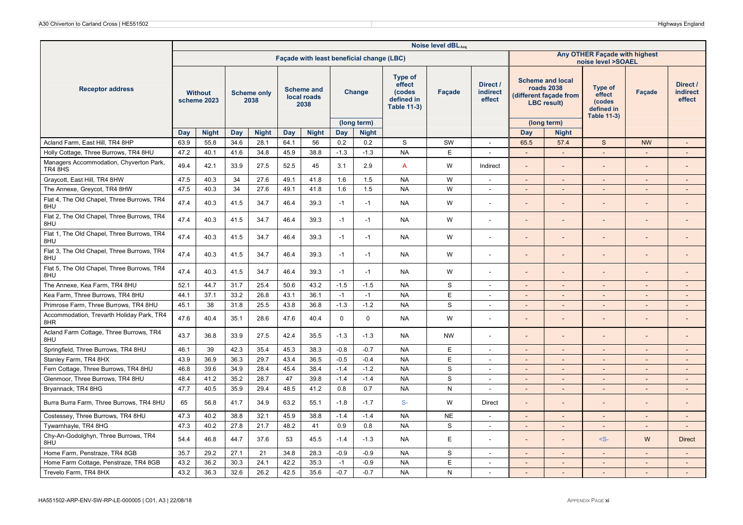|                                                    |      |                               |      |                            |      |                                          |             |                                           |                                                                        | Noise level dBLAeq |                                       |                          |                                                                                       |                                                                        |                          |                                       |
|----------------------------------------------------|------|-------------------------------|------|----------------------------|------|------------------------------------------|-------------|-------------------------------------------|------------------------------------------------------------------------|--------------------|---------------------------------------|--------------------------|---------------------------------------------------------------------------------------|------------------------------------------------------------------------|--------------------------|---------------------------------------|
|                                                    |      |                               |      |                            |      |                                          |             | Façade with least beneficial change (LBC) |                                                                        |                    |                                       |                          |                                                                                       | Any OTHER Façade with highest<br>noise level >SOAEL                    |                          |                                       |
| <b>Receptor address</b>                            |      | <b>Without</b><br>scheme 2023 |      | <b>Scheme only</b><br>2038 |      | <b>Scheme and</b><br>local roads<br>2038 |             | <b>Change</b>                             | <b>Type of</b><br>effect<br>(codes<br>defined in<br><b>Table 11-3)</b> | Facade             | Direct /<br><b>indirect</b><br>effect |                          | <b>Scheme and local</b><br>roads 2038<br>(different facade from<br><b>LBC</b> result) | <b>Type of</b><br>effect<br>(codes<br>defined in<br><b>Table 11-3)</b> | <b>Facade</b>            | Direct /<br><b>indirect</b><br>effect |
|                                                    |      |                               |      |                            |      |                                          |             | (long term)                               |                                                                        |                    |                                       |                          | (long term)                                                                           |                                                                        |                          |                                       |
|                                                    | Day  | <b>Night</b>                  | Day  | <b>Night</b>               | Day  | <b>Night</b>                             | <b>Day</b>  | <b>Night</b>                              |                                                                        |                    |                                       | <b>Day</b>               | <b>Night</b>                                                                          |                                                                        |                          |                                       |
| Acland Farm, East Hill, TR4 8HP                    | 63.9 | 55.8                          | 34.6 | 28.1                       | 64.1 | 56                                       | 0.2         | 0.2                                       | S                                                                      | SW                 | $\sim$                                | 65.5                     | 57.4                                                                                  | $\mathbf S$                                                            | <b>NW</b>                | $\overline{\phantom{a}}$              |
| Holly Cottage, Three Burrows, TR4 8HU              | 47.2 | 40.1                          | 41.6 | 34.8                       | 45.9 | 38.8                                     | $-1.3$      | $-1.3$                                    | <b>NA</b>                                                              | E                  | $\sim$                                | $\sim$                   | $\sim$                                                                                | $\sim$                                                                 | $\overline{a}$           | $\overline{a}$                        |
| Managers Accommodation, Chyverton Park,<br>TR4 8HS | 49.4 | 42.1                          | 33.9 | 27.5                       | 52.5 | 45                                       | 3.1         | 2.9                                       | $\mathsf{A}$                                                           | W                  | Indirect                              | $\overline{\phantom{a}}$ |                                                                                       |                                                                        | $\overline{a}$           | $\overline{\phantom{a}}$              |
| Graycott, East Hill, TR4 8HW                       | 47.5 | 40.3                          | 34   | 27.6                       | 49.1 | 41.8                                     | 1.6         | 1.5                                       | <b>NA</b>                                                              | W                  | $\sim$                                | $\blacksquare$           |                                                                                       | $\sim$                                                                 |                          |                                       |
| The Annexe, Greycot, TR4 8HW                       | 47.5 | 40.3                          | 34   | 27.6                       | 49.1 | 41.8                                     | 1.6         | 1.5                                       | <b>NA</b>                                                              | W                  | $\sim$                                | $\overline{\phantom{a}}$ | $\sim$                                                                                | $\sim$                                                                 | $\overline{\phantom{a}}$ | $\overline{\phantom{a}}$              |
| Flat 4, The Old Chapel, Three Burrows, TR4<br>8HU  | 47.4 | 40.3                          | 41.5 | 34.7                       | 46.4 | 39.3                                     | $-1$        | $-1$                                      | <b>NA</b>                                                              | W                  | $\sim$                                | $\overline{a}$           |                                                                                       |                                                                        |                          | $\overline{\phantom{0}}$              |
| Flat 2, The Old Chapel, Three Burrows, TR4<br>8HU  | 47.4 | 40.3                          | 41.5 | 34.7                       | 46.4 | 39.3                                     | $-1$        | $-1$                                      | <b>NA</b>                                                              | W                  | $\sim$                                | $\blacksquare$           | $\sim$                                                                                |                                                                        | $\overline{a}$           | $\overline{\phantom{a}}$              |
| Flat 1, The Old Chapel, Three Burrows, TR4<br>8HU  | 47.4 | 40.3                          | 41.5 | 34.7                       | 46.4 | 39.3                                     | $-1$        | $-1$                                      | <b>NA</b>                                                              | W                  | $\sim$                                | $\overline{a}$           |                                                                                       |                                                                        |                          | $\overline{\phantom{0}}$              |
| Flat 3, The Old Chapel, Three Burrows, TR4<br>8HU  | 47.4 | 40.3                          | 41.5 | 34.7                       | 46.4 | 39.3                                     | $-1$        | $-1$                                      | <b>NA</b>                                                              | W                  | $\overline{\phantom{a}}$              | $\overline{\phantom{0}}$ |                                                                                       |                                                                        | $\overline{a}$           | $\overline{\phantom{a}}$              |
| Flat 5, The Old Chapel, Three Burrows, TR4<br>8HU  | 47.4 | 40.3                          | 41.5 | 34.7                       | 46.4 | 39.3                                     | $-1$        | $-1$                                      | <b>NA</b>                                                              | W                  | $\sim$                                | $\overline{a}$           |                                                                                       |                                                                        |                          | $\overline{a}$                        |
| The Annexe, Kea Farm, TR4 8HU                      | 52.1 | 44.7                          | 31.7 | 25.4                       | 50.6 | 43.2                                     | $-1.5$      | $-1.5$                                    | <b>NA</b>                                                              | S                  | $\sim$                                | $\blacksquare$           | $\sim$                                                                                | $\overline{a}$                                                         |                          | $\overline{a}$                        |
| Kea Farm, Three Burrows, TR4 8HU                   | 44.1 | 37.1                          | 33.2 | 26.8                       | 43.1 | 36.1                                     | $-1$        | $-1$                                      | <b>NA</b>                                                              | E                  | $\sim$                                | $\overline{\phantom{a}}$ | $\sim$                                                                                | $\sim$                                                                 | $\overline{\phantom{a}}$ | $\overline{\phantom{a}}$              |
| Primrose Farm, Three Burrows, TR4 8HU              | 45.1 | 38                            | 31.8 | 25.5                       | 43.8 | 36.8                                     | $-1.3$      | $-1.2$                                    | <b>NA</b>                                                              | $\mathbf S$        | $\sim$                                | $\overline{\phantom{a}}$ | $\overline{\phantom{a}}$                                                              | $\sim$                                                                 | $\overline{\phantom{a}}$ | $\overline{\phantom{a}}$              |
| Accommodation, Trevarth Holiday Park, TR4<br>8HR   | 47.6 | 40.4                          | 35.1 | 28.6                       | 47.6 | 40.4                                     | $\mathbf 0$ | $\mathbf 0$                               | <b>NA</b>                                                              | W                  |                                       | $\overline{a}$           |                                                                                       |                                                                        |                          | $\overline{\phantom{0}}$              |
| Acland Farm Cottage, Three Burrows, TR4<br>8HU     | 43.7 | 36.8                          | 33.9 | 27.5                       | 42.4 | 35.5                                     | $-1.3$      | $-1.3$                                    | <b>NA</b>                                                              | <b>NW</b>          | $\sim$                                | $\overline{\phantom{0}}$ |                                                                                       |                                                                        |                          | $\overline{\phantom{m}}$              |
| Springfield, Three Burrows, TR4 8HU                | 46.1 | 39                            | 42.3 | 35.4                       | 45.3 | 38.3                                     | $-0.8$      | $-0.7$                                    | <b>NA</b>                                                              | E                  | $\sim$                                | $\overline{a}$           | $\overline{\phantom{a}}$                                                              |                                                                        |                          |                                       |
| Stanley Farm, TR4 8HX                              | 43.9 | 36.9                          | 36.3 | 29.7                       | 43.4 | 36.5                                     | $-0.5$      | $-0.4$                                    | <b>NA</b>                                                              | E                  | $\sim$                                | $\blacksquare$           | $\sim$                                                                                | $\sim$                                                                 | $\overline{a}$           | $\overline{\phantom{a}}$              |
| Fern Cottage, Three Burrows, TR4 8HU               | 46.8 | 39.6                          | 34.9 | 28.4                       | 45.4 | 38.4                                     | $-1.4$      | $-1.2$                                    | <b>NA</b>                                                              | S                  | $\sim$                                | $\blacksquare$           | $\sim$                                                                                | $\sim$                                                                 | $\overline{\phantom{a}}$ | $\overline{\phantom{a}}$              |
| Glenmoor, Three Burrows, TR4 8HU                   | 48.4 | 41.2                          | 35.2 | 28.7                       | 47   | 39.8                                     | $-1.4$      | $-1.4$                                    | <b>NA</b>                                                              | S                  | $\overline{\phantom{a}}$              | $\overline{a}$           |                                                                                       |                                                                        | $\overline{\phantom{a}}$ | $\overline{\phantom{a}}$              |
| Bryannack, TR4 8HG                                 | 47.7 | 40.5                          | 35.9 | 29.4                       | 48.5 | 41.2                                     | 0.8         | 0.7                                       | <b>NA</b>                                                              | N                  | $\overline{\phantom{a}}$              | $\overline{\phantom{a}}$ | $\sim$                                                                                | $\sim$                                                                 | $\overline{\phantom{a}}$ | $\overline{\phantom{a}}$              |
| Burra Burra Farm, Three Burrows, TR4 8HU           | 65   | 56.8                          | 41.7 | 34.9                       | 63.2 | 55.1                                     | $-1.8$      | $-1.7$                                    | $S-$                                                                   | W                  | Direct                                | $\overline{a}$           |                                                                                       |                                                                        |                          | $\overline{a}$                        |
| Costessey, Three Burrows, TR4 8HU                  | 47.3 | 40.2                          | 38.8 | 32.1                       | 45.9 | 38.8                                     | $-1.4$      | $-1.4$                                    | <b>NA</b>                                                              | <b>NE</b>          | $\overline{\phantom{a}}$              | $\overline{\phantom{a}}$ | $\mathcal{L}$                                                                         | $\mathbf{r}$                                                           | $\overline{a}$           | $\overline{\phantom{a}}$              |
| Tywarnhayle, TR4 8HG                               | 47.3 | 40.2                          | 27.8 | 21.7                       | 48.2 | 41                                       | 0.9         | 0.8                                       | <b>NA</b>                                                              | S                  | $\sim$                                | $\blacksquare$           |                                                                                       | $\sim$                                                                 |                          | $\overline{\phantom{a}}$              |
| Chy-An-Godolghyn, Three Burrows, TR4<br>8HU        | 54.4 | 46.8                          | 44.7 | 37.6                       | 53   | 45.5                                     | $-1.4$      | $-1.3$                                    | <b>NA</b>                                                              | Ε                  | $\sim$                                | $\overline{\phantom{a}}$ | $\sim$                                                                                | $-S-$                                                                  | W                        | <b>Direct</b>                         |
| Home Farm, Penstraze, TR4 8GB                      | 35.7 | 29.2                          | 27.1 | 21                         | 34.8 | 28.3                                     | $-0.9$      | $-0.9$                                    | <b>NA</b>                                                              | S                  | $\sim$                                | $\overline{\phantom{a}}$ | $\sim$                                                                                | $\sim$                                                                 | $\overline{a}$           | $\overline{\phantom{a}}$              |
| Home Farm Cottage, Penstraze, TR4 8GB              | 43.2 | 36.2                          | 30.3 | 24.1                       | 42.2 | 35.3                                     | $-1$        | $-0.9$                                    | <b>NA</b>                                                              | E                  | $\sim$                                | $\blacksquare$           | $\sim$                                                                                | $\sim$                                                                 | $\overline{\phantom{a}}$ | $\overline{\phantom{a}}$              |
| Trevelo Farm, TR4 8HX                              | 43.2 | 36.3                          | 32.6 | 26.2                       | 42.5 | 35.6                                     | $-0.7$      | $-0.7$                                    | <b>NA</b>                                                              | N                  |                                       |                          |                                                                                       |                                                                        |                          |                                       |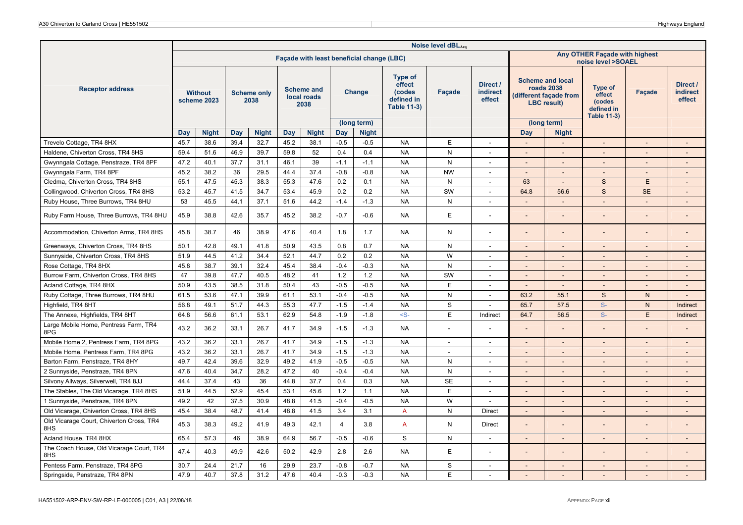|                                                 |      |                               |      |                            |      |                                          |                |                                           |                                                                        | Noise level dBLAeq       |                                |                          |                                                                                       |                                                                 |                          |                                       |
|-------------------------------------------------|------|-------------------------------|------|----------------------------|------|------------------------------------------|----------------|-------------------------------------------|------------------------------------------------------------------------|--------------------------|--------------------------------|--------------------------|---------------------------------------------------------------------------------------|-----------------------------------------------------------------|--------------------------|---------------------------------------|
|                                                 |      |                               |      |                            |      |                                          |                | Façade with least beneficial change (LBC) |                                                                        |                          |                                |                          |                                                                                       | Any OTHER Façade with highest<br>noise level >SOAEL             |                          |                                       |
| <b>Receptor address</b>                         |      | <b>Without</b><br>scheme 2023 |      | <b>Scheme only</b><br>2038 |      | <b>Scheme and</b><br>local roads<br>2038 |                | <b>Change</b>                             | <b>Type of</b><br>effect<br>(codes<br>defined in<br><b>Table 11-3)</b> | Façade                   | Direct /<br>indirect<br>effect |                          | <b>Scheme and local</b><br>roads 2038<br>(different façade from<br><b>LBC</b> result) | Type of<br>effect<br>(codes<br>defined in<br><b>Table 11-3)</b> | <b>Facade</b>            | Direct /<br><b>indirect</b><br>effect |
|                                                 | Day  | <b>Night</b>                  | Day  | <b>Night</b>               | Day  | <b>Night</b>                             | <b>Day</b>     | (long term)<br><b>Night</b>               |                                                                        |                          |                                | Day                      | (long term)<br><b>Night</b>                                                           |                                                                 |                          |                                       |
| Trevelo Cottage, TR4 8HX                        | 45.7 | 38.6                          | 39.4 | 32.7                       | 45.2 | 38.1                                     | $-0.5$         | $-0.5$                                    | <b>NA</b>                                                              | E                        | $\sim$                         | $\blacksquare$           | $\sim$                                                                                | $\sim$                                                          | $\overline{\phantom{a}}$ | $\overline{\phantom{a}}$              |
| Haldene, Chiverton Cross, TR4 8HS               | 59.4 | 51.6                          | 46.9 | 39.7                       | 59.8 | 52                                       | 0.4            | 0.4                                       | <b>NA</b>                                                              | $\mathsf{N}$             | $\overline{\phantom{a}}$       |                          | $\sim$                                                                                |                                                                 |                          |                                       |
| Gwynngala Cottage, Penstraze, TR4 8PF           | 47.2 | 40.1                          | 37.7 | 31.1                       | 46.1 | 39                                       | $-1.1$         | $-1.1$                                    | <b>NA</b>                                                              | $\mathsf{N}$             | $\sim$                         | $\overline{\phantom{a}}$ | $\sim$                                                                                |                                                                 |                          |                                       |
| Gwynngala Farm, TR4 8PF                         | 45.2 | 38.2                          | 36   | 29.5                       | 44.4 | 37.4                                     | $-0.8$         | $-0.8$                                    | <b>NA</b>                                                              | <b>NW</b>                | $\sim$                         | $\overline{\phantom{a}}$ | $\overline{\phantom{a}}$                                                              | $\sim$                                                          | $\overline{\phantom{a}}$ | $\overline{\phantom{a}}$              |
| Cledma, Chiverton Cross, TR4 8HS                | 55.1 | 47.5                          | 45.3 | 38.3                       | 55.3 | 47.6                                     | 0.2            | 0.1                                       | <b>NA</b>                                                              | $\mathsf{N}$             |                                | 63                       |                                                                                       | S                                                               | F                        |                                       |
| Collingwood, Chiverton Cross, TR4 8HS           | 53.2 | 45.7                          | 41.5 | 34.7                       | 53.4 | 45.9                                     | 0.2            | 0.2                                       | <b>NA</b>                                                              | SW                       | $\sim$                         | 64.8                     | 56.6                                                                                  | S                                                               | <b>SE</b>                |                                       |
| Ruby House, Three Burrows, TR4 8HU              | 53   | 45.5                          | 44.1 | 37.1                       | 51.6 | 44.2                                     | $-1.4$         | $-1.3$                                    | <b>NA</b>                                                              | N                        | $\sim$                         | $\blacksquare$           | $\sim$                                                                                | $\sim$                                                          | $\overline{\phantom{a}}$ | $\overline{\phantom{a}}$              |
| Ruby Farm House, Three Burrows, TR4 8HU         | 45.9 | 38.8                          | 42.6 | 35.7                       | 45.2 | 38.2                                     | $-0.7$         | $-0.6$                                    | <b>NA</b>                                                              | E                        |                                |                          |                                                                                       |                                                                 |                          |                                       |
| Accommodation, Chiverton Arms, TR4 8HS          | 45.8 | 38.7                          | 46   | 38.9                       | 47.6 | 40.4                                     | 1.8            | 1.7                                       | <b>NA</b>                                                              | N                        |                                | $\overline{a}$           |                                                                                       |                                                                 |                          |                                       |
| Greenways, Chiverton Cross, TR4 8HS             | 50.1 | 42.8                          | 49.1 | 41.8                       | 50.9 | 43.5                                     | 0.8            | 0.7                                       | <b>NA</b>                                                              | ${\sf N}$                |                                |                          |                                                                                       |                                                                 |                          |                                       |
| Sunnyside, Chiverton Cross, TR4 8HS             | 51.9 | 44.5                          | 41.2 | 34.4                       | 52.1 | 44.7                                     | 0.2            | 0.2                                       | <b>NA</b>                                                              | W                        | $\overline{\phantom{a}}$       | $\overline{\phantom{0}}$ |                                                                                       | $\overline{\phantom{a}}$                                        |                          | $\overline{\phantom{a}}$              |
| Rose Cottage, TR4 8HX                           | 45.8 | 38.7                          | 39.1 | 32.4                       | 45.4 | 38.4                                     | $-0.4$         | $-0.3$                                    | <b>NA</b>                                                              | ${\sf N}$                | $\sim$                         | $\overline{\phantom{a}}$ | $\sim$                                                                                | $\sim$                                                          | $\overline{\phantom{a}}$ | $\overline{\phantom{a}}$              |
| Burrow Farm, Chiverton Cross, TR4 8HS           | 47   | 39.8                          | 47.7 | 40.5                       | 48.2 | 41                                       | 1.2            | 1.2                                       | <b>NA</b>                                                              | SW                       |                                |                          |                                                                                       |                                                                 |                          |                                       |
| Acland Cottage, TR4 8HX                         | 50.9 | 43.5                          | 38.5 | 31.8                       | 50.4 | 43                                       | $-0.5$         | $-0.5$                                    | <b>NA</b>                                                              | E                        |                                |                          |                                                                                       |                                                                 |                          |                                       |
| Ruby Cottage, Three Burrows, TR4 8HU            | 61.5 | 53.6                          | 47.1 | 39.9                       | 61.1 | 53.1                                     | $-0.4$         | $-0.5$                                    | <b>NA</b>                                                              | $\mathsf{N}$             | $\sim$                         | 63.2                     | 55.1                                                                                  | S                                                               | $\mathsf{N}$             | $\overline{a}$                        |
| Highfield, TR4 8HT                              | 56.8 | 49.1                          | 51.7 | 44.3                       | 55.3 | 47.7                                     | $-1.5$         | $-1.4$                                    | <b>NA</b>                                                              | $\mathbf S$              |                                | 65.7                     | 57.5                                                                                  | $S-$                                                            | $\mathsf{N}$             | Indirect                              |
| The Annexe, Highfields, TR4 8HT                 | 64.8 | 56.6                          | 61.1 | 53.1                       | 62.9 | 54.8                                     | $-1.9$         | $-1.8$                                    | $-S-$                                                                  | E                        | Indirect                       | 64.7                     | 56.5                                                                                  | $S-$                                                            | E                        | Indirect                              |
| Large Mobile Home, Pentress Farm, TR4<br>8PG    | 43.2 | 36.2                          | 33.1 | 26.7                       | 41.7 | 34.9                                     | $-1.5$         | $-1.3$                                    | <b>NA</b>                                                              |                          |                                | $\overline{a}$           |                                                                                       |                                                                 |                          |                                       |
| Mobile Home 2, Pentress Farm, TR4 8PG           | 43.2 | 36.2                          | 33.1 | 26.7                       | 41.7 | 34.9                                     | $-1.5$         | $-1.3$                                    | <b>NA</b>                                                              | $\overline{\phantom{a}}$ | $\sim$                         | $\blacksquare$           | $\sim$                                                                                | $\sim$                                                          | $\overline{a}$           | $\overline{\phantom{a}}$              |
| Mobile Home, Pentress Farm, TR4 8PG             | 43.2 | 36.2                          | 33.1 | 26.7                       | 41.7 | 34.9                                     | $-1.5$         | $-1.3$                                    | <b>NA</b>                                                              | $\overline{\phantom{a}}$ | $\overline{\phantom{a}}$       | $\overline{\phantom{a}}$ | $\sim$                                                                                | $\sim$                                                          | $\overline{\phantom{a}}$ | $\overline{\phantom{a}}$              |
| Barton Farm, Penstraze, TR4 8HY                 | 49.7 | 42.4                          | 39.6 | 32.9                       | 49.2 | 41.9                                     | $-0.5$         | $-0.5$                                    | <b>NA</b>                                                              | N                        | $\overline{\phantom{a}}$       | $\overline{\phantom{0}}$ |                                                                                       |                                                                 |                          | $\overline{\phantom{a}}$              |
| 2 Sunnyside, Penstraze, TR4 8PN                 | 47.6 | 40.4                          | 34.7 | 28.2                       | 47.2 | 40                                       | $-0.4$         | $-0.4$                                    | <b>NA</b>                                                              | $\mathsf{N}$             | $\overline{a}$                 | $\overline{a}$           | $\sim$                                                                                | $\sim$                                                          | $\overline{\phantom{a}}$ | $\overline{a}$                        |
| Silvony Allways, Silverwell, TR4 8JJ            | 44.4 | 37.4                          | 43   | 36                         | 44.8 | 37.7                                     | 0.4            | 0.3                                       | <b>NA</b>                                                              | <b>SE</b>                | $\sim$                         | $\overline{\phantom{0}}$ |                                                                                       |                                                                 |                          | $\overline{\phantom{a}}$              |
| The Stables, The Old Vicarage, TR4 8HS          | 51.9 | 44.5                          | 52.9 | 45.4                       | 53.1 | 45.6                                     | 1.2            | 1.1                                       | <b>NA</b>                                                              | E                        | $\overline{\phantom{a}}$       |                          |                                                                                       | $\overline{\phantom{a}}$                                        |                          |                                       |
| 1 Sunnyside, Penstraze, TR4 8PN                 | 49.2 | 42                            | 37.5 | 30.9                       | 48.8 | 41.5                                     | $-0.4$         | $-0.5$                                    | <b>NA</b>                                                              | W                        | $\sim$                         | $\Box$                   | $\sim$                                                                                |                                                                 |                          | $\overline{\phantom{a}}$              |
| Old Vicarage, Chiverton Cross, TR4 8HS          | 45.4 | 38.4                          | 48.7 | 41.4                       | 48.8 | 41.5                                     | 3.4            | 3.1                                       | $\overline{A}$                                                         | $\mathsf{N}$             | Direct                         | $\blacksquare$           |                                                                                       |                                                                 |                          | $\overline{\phantom{a}}$              |
| Old Vicarage Court, Chiverton Cross, TR4<br>8HS | 45.3 | 38.3                          | 49.2 | 41.9                       | 49.3 | 42.1                                     | $\overline{4}$ | 3.8                                       | $\overline{A}$                                                         | N                        | <b>Direct</b>                  | $\overline{a}$           |                                                                                       |                                                                 |                          | $\overline{a}$                        |
| Acland House, TR4 8HX                           | 65.4 | 57.3                          | 46   | 38.9                       | 64.9 | 56.7                                     | $-0.5$         | $-0.6$                                    | S                                                                      | N                        | $\overline{\phantom{a}}$       | $\overline{\phantom{a}}$ | $\sim$                                                                                | $\overline{\phantom{a}}$                                        | $\overline{\phantom{a}}$ | $\sim$                                |
| The Coach House, Old Vicarage Court, TR4<br>8HS | 47.4 | 40.3                          | 49.9 | 42.6                       | 50.2 | 42.9                                     | 2.8            | 2.6                                       | <b>NA</b>                                                              | E                        |                                |                          |                                                                                       |                                                                 |                          |                                       |
| Pentess Farm, Penstraze, TR4 8PG                | 30.7 | 24.4                          | 21.7 | 16                         | 29.9 | 23.7                                     | $-0.8$         | $-0.7$                                    | <b>NA</b>                                                              | S                        | $\sim$                         | $\Box$                   |                                                                                       | $\blacksquare$                                                  | ÷,                       | $\overline{\phantom{a}}$              |
| Springside, Penstraze, TR4 8PN                  | 47.9 | 40.7                          | 37.8 | 31.2                       | 47.6 | 40.4                                     | $-0.3$         | $-0.3$                                    | <b>NA</b>                                                              | E                        |                                |                          |                                                                                       |                                                                 |                          |                                       |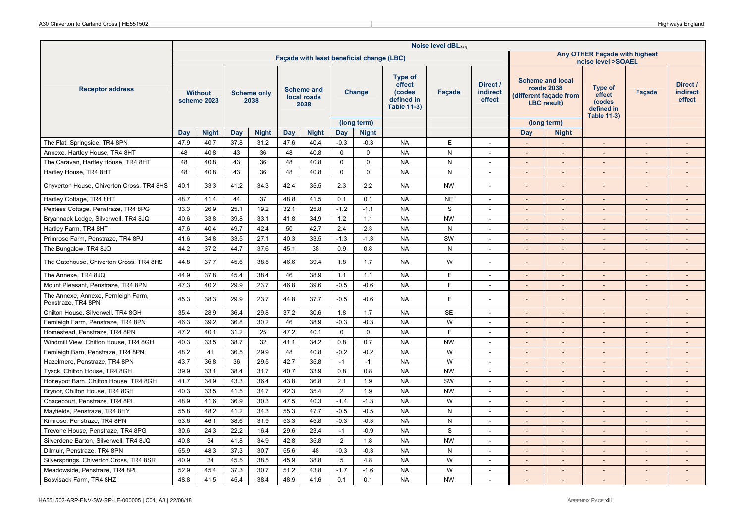|                                                           |      |                               |      |                            |      |                                          |                 |                                           |                                                                        | Noise level dBLAeq |                                |                          |                                                                                       |                                                                        |                          |                                |
|-----------------------------------------------------------|------|-------------------------------|------|----------------------------|------|------------------------------------------|-----------------|-------------------------------------------|------------------------------------------------------------------------|--------------------|--------------------------------|--------------------------|---------------------------------------------------------------------------------------|------------------------------------------------------------------------|--------------------------|--------------------------------|
|                                                           |      |                               |      |                            |      |                                          |                 | Façade with least beneficial change (LBC) |                                                                        |                    |                                |                          |                                                                                       | Any OTHER Façade with highest<br>noise level >SOAEL                    |                          |                                |
| <b>Receptor address</b>                                   |      | <b>Without</b><br>scheme 2023 |      | <b>Scheme only</b><br>2038 |      | <b>Scheme and</b><br>local roads<br>2038 |                 | Change                                    | <b>Type of</b><br>effect<br>(codes<br>defined in<br><b>Table 11-3)</b> | Facade             | Direct /<br>indirect<br>effect |                          | <b>Scheme and local</b><br>roads 2038<br>(different façade from<br><b>LBC</b> result) | <b>Type of</b><br>effect<br>(codes<br>defined in<br><b>Table 11-3)</b> | <b>Facade</b>            | Direct /<br>indirect<br>effect |
|                                                           | Day  | <b>Night</b>                  | Day  | <b>Night</b>               | Day  | <b>Night</b>                             | Day             | (long term)<br><b>Night</b>               |                                                                        |                    |                                | Day                      | (long term)<br><b>Night</b>                                                           |                                                                        |                          |                                |
| The Flat, Springside, TR4 8PN                             | 47.9 | 40.7                          | 37.8 | 31.2                       | 47.6 | 40.4                                     | $-0.3$          | $-0.3$                                    | <b>NA</b>                                                              | E                  |                                |                          |                                                                                       |                                                                        |                          |                                |
| Annexe, Hartley House, TR4 8HT                            | 48   | 40.8                          | 43   | 36                         | 48   | 40.8                                     | $\mathsf 0$     | $\mathbf 0$                               | <b>NA</b>                                                              | N                  | $\sim$                         | $\overline{a}$           |                                                                                       | $\overline{\phantom{a}}$                                               |                          |                                |
| The Caravan, Hartley House, TR4 8HT                       | 48   | 40.8                          | 43   | 36                         | 48   | 40.8                                     | $\mathsf 0$     | $\mathbf 0$                               | <b>NA</b>                                                              | ${\sf N}$          | $\sim$                         | $\overline{\phantom{a}}$ | $\sim$                                                                                | $\sim$                                                                 | $\overline{\phantom{a}}$ | $\overline{\phantom{a}}$       |
| Hartley House, TR4 8HT                                    | 48   | 40.8                          | 43   | 36                         | 48   | 40.8                                     | $\mathbf 0$     | $\mathbf 0$                               | <b>NA</b>                                                              | N                  |                                |                          |                                                                                       |                                                                        |                          |                                |
| Chyverton House, Chiverton Cross, TR4 8HS                 | 40.1 | 33.3                          | 41.2 | 34.3                       | 42.4 | 35.5                                     | 2.3             | 2.2                                       | NA.                                                                    | <b>NW</b>          | $\sim$                         | $\overline{\phantom{a}}$ |                                                                                       |                                                                        |                          | $\overline{\phantom{a}}$       |
| Hartley Cottage, TR4 8HT                                  | 48.7 | 41.4                          | 44   | 37                         | 48.8 | 41.5                                     | 0.1             | 0.1                                       | <b>NA</b>                                                              | <b>NE</b>          | $\sim$                         | $\overline{\phantom{a}}$ | $\sim$                                                                                | $\sim$                                                                 | $\sim$                   | $\sim$                         |
| Pentess Cottage, Penstraze, TR4 8PG                       | 33.3 | 26.9                          | 25.1 | 19.2                       | 32.1 | 25.8                                     | $-1.2$          | $-1.1$                                    | <b>NA</b>                                                              | S                  | $\sim$                         | $\overline{a}$           |                                                                                       | $\sim$                                                                 | $\overline{\phantom{a}}$ | $\overline{a}$                 |
| Bryannack Lodge, Silverwell, TR4 8JQ                      | 40.6 | 33.8                          | 39.8 | 33.1                       | 41.8 | 34.9                                     | 1.2             | 1.1                                       | <b>NA</b>                                                              | <b>NW</b>          |                                |                          |                                                                                       |                                                                        |                          |                                |
| Hartley Farm, TR4 8HT                                     | 47.6 | 40.4                          | 49.7 | 42.4                       | 50   | 42.7                                     | 2.4             | 2.3                                       | <b>NA</b>                                                              | N                  | $\sim$                         | $\blacksquare$           | $\overline{\phantom{a}}$                                                              | $\sim$                                                                 | $\overline{\phantom{a}}$ | $\overline{\phantom{a}}$       |
| Primrose Farm, Penstraze, TR4 8PJ                         | 41.6 | 34.8                          | 33.5 | 27.1                       | 40.3 | 33.5                                     | $-1.3$          | $-1.3$                                    | <b>NA</b>                                                              | SW                 | $\sim$                         | $\overline{\phantom{a}}$ | $\sim$                                                                                | $\overline{\phantom{a}}$                                               | $\overline{\phantom{a}}$ | $\overline{\phantom{a}}$       |
| The Bungalow, TR4 8JQ                                     | 44.2 | 37.2                          | 44.7 | 37.6                       | 45.1 | 38                                       | 0.9             | 0.8                                       | <b>NA</b>                                                              | $\mathsf{N}$       | $\sim$                         |                          |                                                                                       |                                                                        |                          |                                |
| The Gatehouse, Chiverton Cross, TR4 8HS                   | 44.8 | 37.7                          | 45.6 | 38.5                       | 46.6 | 39.4                                     | 1.8             | 1.7                                       | <b>NA</b>                                                              | W                  | $\sim$                         | $\overline{\phantom{a}}$ |                                                                                       |                                                                        |                          | $\overline{\phantom{a}}$       |
| The Annexe, TR4 8JQ                                       | 44.9 | 37.8                          | 45.4 | 38.4                       | 46   | 38.9                                     | 1.1             | 1.1                                       | <b>NA</b>                                                              | E                  | $\sim$                         | $\overline{\phantom{a}}$ | $\sim$                                                                                | $\mathbf{r}$                                                           | $\overline{\phantom{a}}$ | $\sim$                         |
| Mount Pleasant, Penstraze, TR4 8PN                        | 47.3 | 40.2                          | 29.9 | 23.7                       | 46.8 | 39.6                                     | $-0.5$          | $-0.6$                                    | <b>NA</b>                                                              | E                  | $\sim$                         | $\overline{\phantom{a}}$ |                                                                                       |                                                                        |                          | $\overline{\phantom{a}}$       |
| The Annexe, Annexe, Fernleigh Farm,<br>Penstraze, TR4 8PN | 45.3 | 38.3                          | 29.9 | 23.7                       | 44.8 | 37.7                                     | $-0.5$          | $-0.6$                                    | <b>NA</b>                                                              | E                  |                                | $\overline{a}$           |                                                                                       |                                                                        |                          | $\overline{a}$                 |
| Chilton House, Silverwell, TR4 8GH                        | 35.4 | 28.9                          | 36.4 | 29.8                       | 37.2 | 30.6                                     | 1.8             | 1.7                                       | <b>NA</b>                                                              | <b>SE</b>          | $\overline{\phantom{a}}$       | $\overline{\phantom{a}}$ | $\overline{\phantom{a}}$                                                              | $\overline{\phantom{a}}$                                               |                          | $\overline{\phantom{a}}$       |
| Fernleigh Farm, Penstraze, TR4 8PN                        | 46.3 | 39.2                          | 36.8 | 30.2                       | 46   | 38.9                                     | $-0.3$          | $-0.3$                                    | <b>NA</b>                                                              | W                  | $\sim$                         | $\Box$                   | $\sim$                                                                                | $\blacksquare$                                                         |                          | $\overline{\phantom{a}}$       |
| Homestead, Penstraze, TR4 8PN                             | 47.2 | 40.1                          | 31.2 | 25                         | 47.2 | 40.1                                     | $\mathbf 0$     | $\mathbf 0$                               | <b>NA</b>                                                              | E                  | $\sim$                         | $\overline{\phantom{a}}$ |                                                                                       | $\mathbf{r}$                                                           | $\overline{a}$           | $\overline{\phantom{a}}$       |
| Windmill View, Chilton House, TR4 8GH                     | 40.3 | 33.5                          | 38.7 | 32                         | 41.1 | 34.2                                     | 0.8             | 0.7                                       | <b>NA</b>                                                              | <b>NW</b>          | $\overline{\phantom{a}}$       | $\overline{\phantom{0}}$ |                                                                                       | $\overline{\phantom{a}}$                                               |                          | $\overline{\phantom{a}}$       |
| Fernleigh Barn, Penstraze, TR4 8PN                        | 48.2 | 41                            | 36.5 | 29.9                       | 48   | 40.8                                     | $-0.2$          | $-0.2$                                    | <b>NA</b>                                                              | W                  | $\overline{a}$                 | $\overline{a}$           |                                                                                       |                                                                        |                          | $\overline{a}$                 |
| Hazelmere, Penstraze, TR4 8PN                             | 43.7 | 36.8                          | 36   | 29.5                       | 42.7 | 35.8                                     | $-1$            | $-1$                                      | <b>NA</b>                                                              | W                  | $\sim$                         | $\overline{a}$           |                                                                                       |                                                                        |                          | $\overline{a}$                 |
| Tyack, Chilton House, TR4 8GH                             | 39.9 | 33.1                          | 38.4 | 31.7                       | 40.7 | 33.9                                     | 0.8             | 0.8                                       | <b>NA</b>                                                              | <b>NW</b>          | $\overline{\phantom{a}}$       | $\overline{\phantom{0}}$ | $\sim$                                                                                | $\sim$                                                                 |                          | $\overline{\phantom{a}}$       |
| Honeypot Barn, Chilton House, TR4 8GH                     | 41.7 | 34.9                          | 43.3 | 36.4                       | 43.8 | 36.8                                     | 2.1             | 1.9                                       | <b>NA</b>                                                              | SW                 | $\overline{a}$                 | $\overline{a}$           | $\sim$                                                                                | $\overline{a}$                                                         |                          | $\overline{\phantom{a}}$       |
| Brynor, Chilton House, TR4 8GH                            | 40.3 | 33.5                          | 41.5 | 34.7                       | 42.3 | 35.4                                     | 2               | 1.9                                       | <b>NA</b>                                                              | <b>NW</b>          | $\sim$                         | $\overline{\phantom{a}}$ | $\overline{\phantom{a}}$                                                              |                                                                        |                          | $\overline{\phantom{a}}$       |
| Chacecourt, Penstraze, TR4 8PL                            | 48.9 | 41.6                          | 36.9 | 30.3                       | 47.5 | 40.3                                     | $-1.4$          | $-1.3$                                    | <b>NA</b>                                                              | W                  | $\overline{\phantom{a}}$       | $\overline{\phantom{0}}$ |                                                                                       | $\overline{\phantom{a}}$                                               |                          | $\overline{\phantom{a}}$       |
| Mayfields, Penstraze, TR4 8HY                             | 55.8 | 48.2                          | 41.2 | 34.3                       | 55.3 | 47.7                                     | $-0.5$          | $-0.5$                                    | <b>NA</b>                                                              | $\mathsf{N}$       | $\sim$                         | $\blacksquare$           | $\sim$                                                                                | $\blacksquare$                                                         | $\overline{\phantom{m}}$ | $\overline{\phantom{a}}$       |
| Kimrose, Penstraze, TR4 8PN                               | 53.6 | 46.1                          | 38.6 | 31.9                       | 53.3 | 45.8                                     | $-0.3$          | $-0.3$                                    | <b>NA</b>                                                              | N                  | $\overline{\phantom{a}}$       | $\overline{\phantom{a}}$ | $\sim$                                                                                | $\overline{\phantom{a}}$                                               |                          | $\overline{\phantom{a}}$       |
| Trevone House, Penstraze, TR4 8PG                         | 30.6 | 24.3                          | 22.2 | 16.4                       | 29.6 | 23.4                                     | $-1$            | $-0.9$                                    | <b>NA</b>                                                              | $\mathbf S$        | $\overline{\phantom{a}}$       |                          |                                                                                       | $\overline{\phantom{a}}$                                               |                          | $\overline{\phantom{a}}$       |
| Silverdene Barton, Silverwell, TR4 8JQ                    | 40.8 | 34                            | 41.8 | 34.9                       | 42.8 | 35.8                                     | $\overline{2}$  | 1.8                                       | <b>NA</b>                                                              | <b>NW</b>          | $\sim$                         | $\overline{\phantom{a}}$ | $\overline{\phantom{a}}$                                                              | $\overline{\phantom{a}}$                                               |                          | $\overline{a}$                 |
| Dilmuir, Penstraze, TR4 8PN                               | 55.9 | 48.3                          | 37.3 | 30.7                       | 55.6 | 48                                       | $-0.3$          | $-0.3$                                    | <b>NA</b>                                                              | N                  | $\sim$                         | $\overline{\phantom{a}}$ |                                                                                       |                                                                        |                          | $\overline{\phantom{a}}$       |
| Silversprings, Chiverton Cross, TR4 8SR                   | 40.9 | 34                            | 45.5 | 38.5                       | 45.9 | 38.8                                     | $5\phantom{.0}$ | 4.8                                       | <b>NA</b>                                                              | W                  | $\overline{\phantom{a}}$       |                          |                                                                                       | $\overline{\phantom{a}}$                                               |                          | $\overline{\phantom{a}}$       |
| Meadowside, Penstraze, TR4 8PL                            | 52.9 | 45.4                          | 37.3 | 30.7                       | 51.2 | 43.8                                     | $-1.7$          | $-1.6$                                    | <b>NA</b>                                                              | W                  | $\sim$                         | $\mathbf{r}$             | $\sim$                                                                                | $\sim$                                                                 | $\overline{\phantom{a}}$ | $\sim$                         |
| Bosvisack Farm, TR4 8HZ                                   | 48.8 | 41.5                          | 45.4 | 38.4                       | 48.9 | 41.6                                     | 0.1             | 0.1                                       | <b>NA</b>                                                              | <b>NW</b>          |                                |                          |                                                                                       |                                                                        |                          |                                |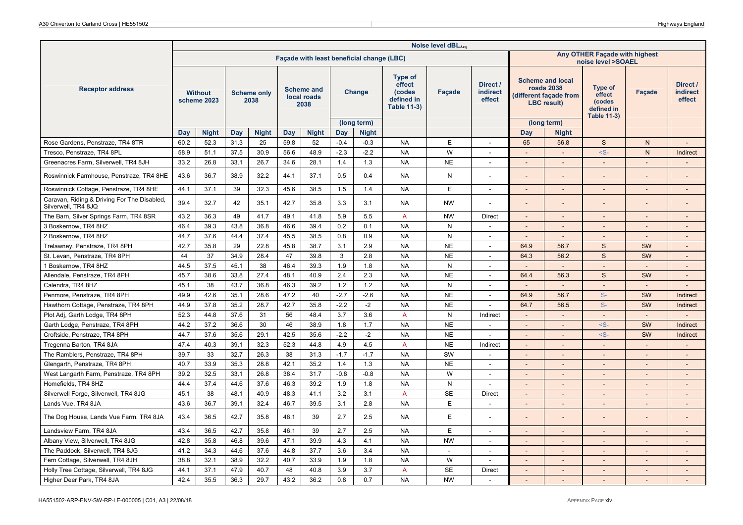|                                                                    |      |                               |      |                            |      |                                           |        |                             |                                                                        | Noise level dBLAeq |                                |                          |                                                                                              |                                                          |                          |                                       |
|--------------------------------------------------------------------|------|-------------------------------|------|----------------------------|------|-------------------------------------------|--------|-----------------------------|------------------------------------------------------------------------|--------------------|--------------------------------|--------------------------|----------------------------------------------------------------------------------------------|----------------------------------------------------------|--------------------------|---------------------------------------|
|                                                                    |      |                               |      |                            |      | Façade with least beneficial change (LBC) |        |                             |                                                                        |                    |                                |                          |                                                                                              | Any OTHER Façade with highest<br>noise level >SOAEL      |                          |                                       |
| <b>Receptor address</b>                                            |      | <b>Without</b><br>scheme 2023 |      | <b>Scheme only</b><br>2038 |      | <b>Scheme and</b><br>local roads<br>2038  |        | Change                      | <b>Type of</b><br>effect<br>(codes<br>defined in<br><b>Table 11-3)</b> | Facade             | Direct /<br>indirect<br>effect |                          | <b>Scheme and local</b><br><b>roads 2038</b><br>(different facade from<br><b>LBC</b> result) | Type of<br>effect<br>(codes<br>defined in<br>Table 11-3) | <b>Facade</b>            | Direct /<br><b>indirect</b><br>effect |
|                                                                    | Day  | <b>Night</b>                  | Day  | <b>Night</b>               | Day  | <b>Night</b>                              | Day    | (long term)<br><b>Night</b> |                                                                        |                    |                                | Day                      | (long term)<br><b>Night</b>                                                                  |                                                          |                          |                                       |
| Rose Gardens, Penstraze, TR4 8TR                                   | 60.2 | 52.3                          | 31.3 | 25                         | 59.8 | 52                                        | $-0.4$ | $-0.3$                      | <b>NA</b>                                                              | E                  |                                | 65                       | 56.8                                                                                         | S                                                        | N.                       | $\overline{a}$                        |
| Tresco, Penstraze, TR4 8PL                                         | 58.9 | 51.1                          | 37.5 | 30.9                       | 56.6 | 48.9                                      | $-2.3$ | $-2.2$                      | <b>NA</b>                                                              | W                  | $\sim$                         | $\overline{\phantom{a}}$ |                                                                                              | $-S-$                                                    | N                        | Indirect                              |
| Greenacres Farm, Silverwell, TR4 8JH                               | 33.2 | 26.8                          | 33.1 | 26.7                       | 34.6 | 28.1                                      | 1.4    | 1.3                         | <b>NA</b>                                                              | <b>NE</b>          | $\sim$                         | $\overline{\phantom{a}}$ | $\sim$                                                                                       | $\sim$                                                   | $\overline{\phantom{a}}$ | $\overline{\phantom{a}}$              |
| Roswinnick Farmhouse, Penstraze, TR4 8HE                           | 43.6 | 36.7                          | 38.9 | 32.2                       | 44.1 | 37.1                                      | 0.5    | 0.4                         | <b>NA</b>                                                              | Ν                  | $\overline{\phantom{a}}$       | $\overline{a}$           |                                                                                              |                                                          |                          |                                       |
| Roswinnick Cottage, Penstraze, TR4 8HE                             | 44.1 | 37.1                          | 39   | 32.3                       | 45.6 | 38.5                                      | 1.5    | 1.4                         | <b>NA</b>                                                              | E                  | $\sim$                         | $\overline{\phantom{a}}$ | $\sim$                                                                                       | $\overline{a}$                                           | $\overline{\phantom{a}}$ | $\overline{\phantom{a}}$              |
| Caravan, Riding & Driving For The Disabled,<br>Silverwell, TR4 8JQ | 39.4 | 32.7                          | 42   | 35.1                       | 42.7 | 35.8                                      | 3.3    | 3.1                         | <b>NA</b>                                                              | <b>NW</b>          |                                |                          |                                                                                              |                                                          |                          |                                       |
| The Barn, Silver Springs Farm, TR4 8SR                             | 43.2 | 36.3                          | 49   | 41.7                       | 49.1 | 41.8                                      | 5.9    | 5.5                         | $\overline{A}$                                                         | <b>NW</b>          | <b>Direct</b>                  | $\overline{\phantom{a}}$ | $\overline{\phantom{a}}$                                                                     | $\sim$                                                   | $\overline{\phantom{a}}$ | $\overline{\phantom{a}}$              |
| 3 Boskernow, TR4 8HZ                                               | 46.4 | 39.3                          | 43.8 | 36.8                       | 46.6 | 39.4                                      | 0.2    | 0.1                         | <b>NA</b>                                                              | N                  | $\sim$                         | $\overline{\phantom{a}}$ | $\overline{\phantom{a}}$                                                                     | $\blacksquare$                                           | $\overline{\phantom{0}}$ | $\overline{\phantom{a}}$              |
| 2 Boskernow, TR4 8HZ                                               | 44.7 | 37.6                          | 44.4 | 37.4                       | 45.5 | 38.5                                      | 0.8    | 0.9                         | <b>NA</b>                                                              | N                  | $\overline{\phantom{a}}$       | $\overline{\phantom{a}}$ | $\overline{\phantom{a}}$                                                                     |                                                          |                          |                                       |
| Trelawney, Penstraze, TR4 8PH                                      | 42.7 | 35.8                          | 29   | 22.8                       | 45.8 | 38.7                                      | 3.1    | 2.9                         | <b>NA</b>                                                              | <b>NE</b>          | $\sim$                         | 64.9                     | 56.7                                                                                         | S                                                        | SW                       | $\overline{a}$                        |
| St. Levan, Penstraze, TR4 8PH                                      | 44   | 37                            | 34.9 | 28.4                       | 47   | 39.8                                      | 3      | 2.8                         | <b>NA</b>                                                              | <b>NE</b>          | $\sim$                         | 64.3                     | 56.2                                                                                         | S                                                        | SW                       | $\overline{\phantom{a}}$              |
| 1 Boskernow, TR4 8HZ                                               | 44.5 | 37.5                          | 45.1 | 38                         | 46.4 | 39.3                                      | 1.9    | 1.8                         | <b>NA</b>                                                              | N                  | $\overline{\phantom{a}}$       | $\sim$                   | $\sim$                                                                                       | $\sim$                                                   |                          | $\overline{\phantom{a}}$              |
| Allendale, Penstraze, TR4 8PH                                      | 45.7 | 38.6                          | 33.8 | 27.4                       | 48.1 | 40.9                                      | 2.4    | 2.3                         | <b>NA</b>                                                              | <b>NE</b>          | $\sim$                         | 64.4                     | 56.3                                                                                         | S                                                        | <b>SW</b>                | $\overline{\phantom{a}}$              |
| Calendra, TR4 8HZ                                                  | 45.1 | 38                            | 43.7 | 36.8                       | 46.3 | 39.2                                      | 1.2    | $1.2$                       | <b>NA</b>                                                              | N                  | $\sim$                         | $\overline{\phantom{a}}$ | $\overline{\phantom{a}}$                                                                     |                                                          |                          |                                       |
| Penmore, Penstraze, TR4 8PH                                        | 49.9 | 42.6                          | 35.1 | 28.6                       | 47.2 | 40                                        | $-2.7$ | $-2.6$                      | <b>NA</b>                                                              | <b>NE</b>          | $\overline{\phantom{a}}$       | 64.9                     | 56.7                                                                                         | $S-$                                                     | SW                       | Indirect                              |
| Hawthorn Cottage, Penstraze, TR4 8PH                               | 44.9 | 37.8                          | 35.2 | 28.7                       | 42.7 | 35.8                                      | $-2.2$ | $-2$                        | <b>NA</b>                                                              | <b>NE</b>          | $\sim$                         | 64.7                     | 56.5                                                                                         | $S-$                                                     | SW                       | Indirect                              |
| Plot Adj, Garth Lodge, TR4 8PH                                     | 52.3 | 44.8                          | 37.6 | 31                         | 56   | 48.4                                      | 3.7    | 3.6                         | $\overline{A}$                                                         | N                  | Indirect                       | $\overline{\phantom{a}}$ | $\overline{\phantom{a}}$                                                                     |                                                          |                          |                                       |
| Garth Lodge, Penstraze, TR4 8PH                                    | 44.2 | 37.2                          | 36.6 | 30                         | 46   | 38.9                                      | 1.8    | 1.7                         | <b>NA</b>                                                              | <b>NE</b>          | $\sim$                         | $\overline{\phantom{a}}$ | $\overline{a}$                                                                               | $-S-$                                                    | SW                       | Indirect                              |
| Croftside, Penstraze, TR4 8PH                                      | 44.7 | 37.6                          | 35.6 | 29.1                       | 42.5 | 35.6                                      | $-2.2$ | $-2$                        | <b>NA</b>                                                              | <b>NE</b>          |                                | $\overline{\phantom{a}}$ | $\sim$                                                                                       | $-S-$                                                    | SW                       | Indirect                              |
| Tregenna Barton, TR4 8JA                                           | 47.4 | 40.3                          | 39.1 | 32.3                       | 52.3 | 44.8                                      | 4.9    | 4.5                         | $\overline{A}$                                                         | <b>NE</b>          | Indirect                       | $\overline{\phantom{a}}$ | $\overline{\phantom{a}}$                                                                     | $\overline{\phantom{a}}$                                 | $\overline{\phantom{a}}$ | $\overline{\phantom{a}}$              |
| The Ramblers, Penstraze, TR4 8PH                                   | 39.7 | 33                            | 32.7 | 26.3                       | 38   | 31.3                                      | $-1.7$ | $-1.7$                      | <b>NA</b>                                                              | SW                 | $\overline{\phantom{a}}$       | $\overline{\phantom{a}}$ | $\sim$                                                                                       | $\overline{\phantom{a}}$                                 |                          | $\overline{a}$                        |
| Glengarth, Penstraze, TR4 8PH                                      | 40.7 | 33.9                          | 35.3 | 28.8                       | 42.1 | 35.2                                      | 1.4    | 1.3                         | <b>NA</b>                                                              | <b>NE</b>          | $\sim$                         | $\overline{\phantom{a}}$ | $\sim$                                                                                       | $\sim$                                                   | $\overline{\phantom{a}}$ | $\overline{\phantom{a}}$              |
| West Langarth Farm, Penstraze, TR4 8PH                             | 39.2 | 32.5                          | 33.1 | 26.8                       | 38.4 | 31.7                                      | $-0.8$ | $-0.8$                      | <b>NA</b>                                                              | W                  | $\sim$                         | $\overline{\phantom{a}}$ | $\overline{\phantom{a}}$                                                                     |                                                          |                          | $\overline{\phantom{a}}$              |
| Homefields, TR4 8HZ                                                | 44.4 | 37.4                          | 44.6 | 37.6                       | 46.3 | 39.2                                      | 1.9    | 1.8                         | <b>NA</b>                                                              | N                  | $\sim$                         | $\blacksquare$           | $\sim$                                                                                       | $\overline{a}$                                           |                          | $\overline{a}$                        |
| Silverwell Forge, Silverwell, TR4 8JG                              | 45.1 | 38                            | 48.1 | 40.9                       | 48.3 | 41.1                                      | 3.2    | 3.1                         | $\overline{A}$                                                         | <b>SE</b>          | Direct                         | $\overline{\phantom{a}}$ | $\sim$                                                                                       | $\sim$                                                   | $\overline{\phantom{a}}$ | $\overline{a}$                        |
| Lands Vue, TR4 8JA                                                 | 43.6 | 36.7                          | 39.1 | 32.4                       | 46.7 | 39.5                                      | 3.1    | 2.8                         | <b>NA</b>                                                              | E                  | $\sim$                         | $\overline{\phantom{a}}$ | $\overline{\phantom{a}}$                                                                     |                                                          |                          | $\overline{\phantom{a}}$              |
| The Dog House, Lands Vue Farm, TR4 8JA                             | 43.4 | 36.5                          | 42.7 | 35.8                       | 46.1 | 39                                        | 2.7    | 2.5                         | NA                                                                     | Ε                  | $\sim$                         | $\overline{a}$           |                                                                                              |                                                          |                          |                                       |
| Landsview Farm, TR4 8JA                                            | 43.4 | 36.5                          | 42.7 | 35.8                       | 46.1 | 39                                        | 2.7    | 2.5                         | <b>NA</b>                                                              | E                  | $\sim$                         | $\overline{\phantom{a}}$ | $\overline{a}$                                                                               | $\sim$                                                   |                          | $\overline{a}$                        |
| Albany View, Silverwell, TR4 8JG                                   | 42.8 | 35.8                          | 46.8 | 39.6                       | 47.1 | 39.9                                      | 4.3    | 4.1                         | <b>NA</b>                                                              | <b>NW</b>          | $\sim$                         | $\overline{\phantom{a}}$ | $\overline{\phantom{a}}$                                                                     | $\overline{\phantom{a}}$                                 |                          | $\overline{\phantom{a}}$              |
| The Paddock, Silverwell, TR4 8JG                                   | 41.2 | 34.3                          | 44.6 | 37.6                       | 44.8 | 37.7                                      | 3.6    | 3.4                         | <b>NA</b>                                                              | $\overline{a}$     | $\sim$                         | $\overline{\phantom{a}}$ | $\overline{\phantom{a}}$                                                                     |                                                          |                          | $\overline{\phantom{a}}$              |
| Fern Cottage, Silverwell, TR4 8JH                                  | 38.8 | 32.1                          | 38.9 | 32.2                       | 40.7 | 33.9                                      | 1.9    | 1.8                         | <b>NA</b>                                                              | W                  | $\overline{\phantom{a}}$       | $\overline{\phantom{0}}$ |                                                                                              | $\overline{\phantom{a}}$                                 |                          | $\overline{\phantom{0}}$              |
| Holly Tree Cottage, Silverwell, TR4 8JG                            | 44.1 | 37.1                          | 47.9 | 40.7                       | 48   | 40.8                                      | 3.9    | 3.7                         | $\overline{A}$                                                         | <b>SE</b>          | <b>Direct</b>                  | $\Box$                   | $\overline{\phantom{a}}$                                                                     |                                                          |                          | $\blacksquare$                        |
| Higher Deer Park, TR4 8JA                                          | 42.4 | 35.5                          | 36.3 | 29.7                       | 43.2 | 36.2                                      | 0.8    | 0.7                         | <b>NA</b>                                                              | <b>NW</b>          |                                | $\overline{\phantom{a}}$ |                                                                                              |                                                          |                          |                                       |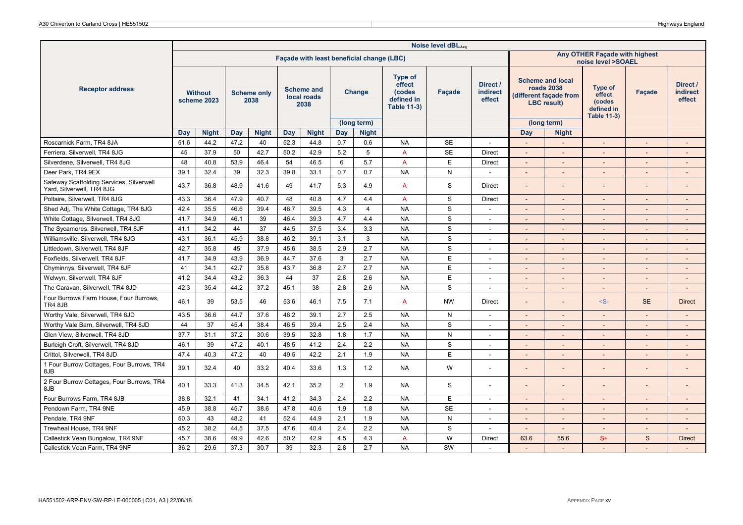|                                                                       |      |                               |      |                            |      |                                          |                |                                           |                                                                        | Noise level dBLAeq |                                |                          |                                                                                       |                                                                        |                          |                                       |
|-----------------------------------------------------------------------|------|-------------------------------|------|----------------------------|------|------------------------------------------|----------------|-------------------------------------------|------------------------------------------------------------------------|--------------------|--------------------------------|--------------------------|---------------------------------------------------------------------------------------|------------------------------------------------------------------------|--------------------------|---------------------------------------|
|                                                                       |      |                               |      |                            |      |                                          |                | Façade with least beneficial change (LBC) |                                                                        |                    |                                |                          |                                                                                       | Any OTHER Façade with highest<br>noise level >SOAEL                    |                          |                                       |
| <b>Receptor address</b>                                               |      | <b>Without</b><br>scheme 2023 |      | <b>Scheme only</b><br>2038 |      | <b>Scheme and</b><br>local roads<br>2038 |                | Change                                    | <b>Type of</b><br>effect<br>(codes<br>defined in<br><b>Table 11-3)</b> | Facade             | Direct /<br>indirect<br>effect |                          | <b>Scheme and local</b><br>roads 2038<br>(different façade from<br><b>LBC</b> result) | <b>Type of</b><br>effect<br>(codes<br>defined in<br><b>Table 11-3)</b> | <b>Facade</b>            | Direct /<br><b>indirect</b><br>effect |
|                                                                       |      |                               |      |                            |      |                                          |                | (long term)                               |                                                                        |                    |                                |                          | (long term)                                                                           |                                                                        |                          |                                       |
|                                                                       | Day  | <b>Night</b>                  | Day  | <b>Night</b>               | Day  | <b>Night</b>                             | Day            | <b>Night</b>                              |                                                                        |                    |                                | Day                      | <b>Night</b>                                                                          |                                                                        |                          |                                       |
| Roscarnick Farm, TR4 8JA                                              | 51.6 | 44.2                          | 47.2 | 40                         | 52.3 | 44.8                                     | 0.7            | 0.6                                       | <b>NA</b>                                                              | <b>SE</b>          | $\sim$                         | $\sim$                   | $\sim$                                                                                | $\sim$                                                                 | $\overline{\phantom{a}}$ | $\overline{\phantom{a}}$              |
| Ferriera. Silverwell. TR4 8JG                                         | 45   | 37.9                          | 50   | 42.7                       | 50.2 | 42.9                                     | 5.2            | 5                                         | $\overline{A}$                                                         | <b>SE</b>          | <b>Direct</b>                  | $\blacksquare$           | $\sim$                                                                                |                                                                        |                          | $\overline{\phantom{a}}$              |
| Silverdene, Silverwell, TR4 8JG                                       | 48   | 40.8                          | 53.9 | 46.4                       | 54   | 46.5                                     | 6              | 5.7                                       | $\overline{A}$                                                         | E                  | <b>Direct</b>                  | $\overline{\phantom{a}}$ | $\overline{a}$                                                                        |                                                                        |                          | $\overline{a}$                        |
| Deer Park, TR4 9EX                                                    | 39.1 | 32.4                          | 39   | 32.3                       | 39.8 | 33.1                                     | 0.7            | 0.7                                       | <b>NA</b>                                                              | N                  |                                | $\overline{\phantom{a}}$ |                                                                                       |                                                                        |                          | $\overline{\phantom{a}}$              |
| Safeway Scaffolding Services, Silverwell<br>Yard, Silverwell, TR4 8JG | 43.7 | 36.8                          | 48.9 | 41.6                       | 49   | 41.7                                     | 5.3            | 4.9                                       | $\overline{A}$                                                         | S                  | Direct                         | $\overline{\phantom{a}}$ |                                                                                       |                                                                        |                          | $\overline{\phantom{0}}$              |
| Poltaire, Silverwell, TR4 8JG                                         | 43.3 | 36.4                          | 47.9 | 40.7                       | 48   | 40.8                                     | 4.7            | 4.4                                       | $\overline{A}$                                                         | S                  | <b>Direct</b>                  | $\overline{\phantom{a}}$ | $\sim$                                                                                | $\overline{\phantom{a}}$                                               | $\overline{\phantom{a}}$ | $\overline{a}$                        |
| Shed Adj, The White Cottage, TR4 8JG                                  | 42.4 | 35.5                          | 46.6 | 39.4                       | 46.7 | 39.5                                     | 4.3            | $\overline{4}$                            | <b>NA</b>                                                              | S                  | $\sim$                         | ÷,                       |                                                                                       | $\sim$                                                                 |                          | ÷,                                    |
| White Cottage, Silverwell, TR4 8JG                                    | 41.7 | 34.9                          | 46.1 | 39                         | 46.4 | 39.3                                     | 4.7            | 4.4                                       | <b>NA</b>                                                              | S                  | $\sim$                         | $\overline{\phantom{a}}$ | $\sim$                                                                                | $\sim$                                                                 | $\overline{\phantom{a}}$ | $\overline{\phantom{a}}$              |
| The Sycamores, Silverwell, TR4 8JF                                    | 41.1 | 34.2                          | 44   | 37                         | 44.5 | 37.5                                     | 3.4            | 3.3                                       | <b>NA</b>                                                              | S                  |                                |                          |                                                                                       |                                                                        |                          |                                       |
| Williamsville, Silverwell, TR4 8JG                                    | 43.1 | 36.1                          | 45.9 | 38.8                       | 46.2 | 39.1                                     | 3.1            | 3                                         | <b>NA</b>                                                              | S                  | $\overline{\phantom{a}}$       | $\overline{\phantom{a}}$ | $\sim$                                                                                | $\overline{a}$                                                         |                          | $\overline{\phantom{a}}$              |
| Littledown, Silverwell, TR4 8JF                                       | 42.7 | 35.8                          | 45   | 37.9                       | 45.6 | 38.5                                     | 2.9            | 2.7                                       | <b>NA</b>                                                              | S                  | $\sim$                         | $\overline{\phantom{a}}$ | $\overline{a}$                                                                        |                                                                        |                          | $\overline{\phantom{a}}$              |
| Foxfields, Silverwell, TR4 8JF                                        | 41.7 | 34.9                          | 43.9 | 36.9                       | 44.7 | 37.6                                     | $\mathbf{3}$   | 2.7                                       | <b>NA</b>                                                              | E                  | $\sim$                         | $\blacksquare$           | $\sim$                                                                                | $\overline{\phantom{a}}$                                               |                          | $\overline{a}$                        |
| Chyminnys, Silverwell, TR4 8JF                                        | 41   | 34.1                          | 42.7 | 35.8                       | 43.7 | 36.8                                     | 2.7            | 2.7                                       | <b>NA</b>                                                              | E                  | $\sim$                         | $\overline{\phantom{a}}$ | $\overline{\phantom{a}}$                                                              |                                                                        |                          | $\overline{\phantom{a}}$              |
| Welwyn, Silverwell, TR4 8JF                                           | 41.2 | 34.4                          | 43.2 | 36.3                       | 44   | 37                                       | 2.8            | 2.6                                       | <b>NA</b>                                                              | E                  |                                |                          |                                                                                       |                                                                        |                          | $\overline{a}$                        |
| The Caravan, Silverwell, TR4 8JD                                      | 42.3 | 35.4                          | 44.2 | 37.2                       | 45.1 | 38                                       | 2.8            | 2.6                                       | <b>NA</b>                                                              | S                  | $\sim$                         | $\overline{\phantom{a}}$ | $\overline{a}$                                                                        | $\overline{\phantom{a}}$                                               |                          | $\overline{a}$                        |
| Four Burrows Farm House, Four Burrows,<br>TR4 8JB                     | 46.1 | 39                            | 53.5 | 46                         | 53.6 | 46.1                                     | 7.5            | 7.1                                       | A                                                                      | <b>NW</b>          | <b>Direct</b>                  | $\overline{\phantom{a}}$ |                                                                                       | $-S-$                                                                  | <b>SE</b>                | <b>Direct</b>                         |
| Worthy Vale, Silverwell, TR4 8JD                                      | 43.5 | 36.6                          | 44.7 | 37.6                       | 46.2 | 39.1                                     | 2.7            | 2.5                                       | <b>NA</b>                                                              | N                  | $\sim$                         | $\overline{\phantom{a}}$ | $\sim$                                                                                | $\sim$                                                                 | $\overline{\phantom{0}}$ | $\overline{a}$                        |
| Worthy Vale Barn, Silverwell, TR4 8JD                                 | 44   | 37                            | 45.4 | 38.4                       | 46.5 | 39.4                                     | 2.5            | 2.4                                       | <b>NA</b>                                                              | S                  | $\sim$                         | $\overline{a}$           |                                                                                       |                                                                        |                          | $\overline{a}$                        |
| Glen View, Silverwell, TR4 8JD                                        | 37.7 | 31.1                          | 37.2 | 30.6                       | 39.5 | 32.8                                     | 1.8            | 1.7                                       | <b>NA</b>                                                              | N                  | $\sim$                         | $\overline{\phantom{a}}$ | $\sim$                                                                                | $\sim$                                                                 | $\overline{\phantom{a}}$ | $\overline{a}$                        |
| Burleigh Croft, Silverwell, TR4 8JD                                   | 46.1 | 39                            | 47.2 | 40.1                       | 48.5 | 41.2                                     | 2.4            | 2.2                                       | <b>NA</b>                                                              | S                  | $\overline{\phantom{a}}$       | $\blacksquare$           | $\sim$                                                                                |                                                                        | $\overline{\phantom{a}}$ | $\overline{\phantom{a}}$              |
| Crittol, Silverwell, TR4 8JD                                          | 47.4 | 40.3                          | 47.2 | 40                         | 49.5 | 42.2                                     | 2.1            | 1.9                                       | <b>NA</b>                                                              | E                  | $\sim$                         | $\overline{a}$           | $\overline{a}$                                                                        |                                                                        |                          | $\overline{a}$                        |
| 1 Four Burrow Cottages, Four Burrows, TR4<br>8JB                      | 39.1 | 32.4                          | 40   | 33.2                       | 40.4 | 33.6                                     | 1.3            | 1.2                                       | <b>NA</b>                                                              | W                  |                                | $\overline{\phantom{m}}$ |                                                                                       |                                                                        |                          | $\overline{\phantom{a}}$              |
| 2 Four Burrow Cottages, Four Burrows, TR4<br>8JB                      | 40.1 | 33.3                          | 41.3 | 34.5                       | 42.1 | 35.2                                     | $\overline{2}$ | 1.9                                       | <b>NA</b>                                                              | $\mathbf S$        | $\sim$                         | $\overline{\phantom{0}}$ |                                                                                       |                                                                        | -                        | $\overline{\phantom{0}}$              |
| Four Burrows Farm, TR4 8JB                                            | 38.8 | 32.1                          | 41   | 34.1                       | 41.2 | 34.3                                     | 2.4            | 2.2                                       | <b>NA</b>                                                              | E                  | $\sim$                         | $\blacksquare$           | $\sim$                                                                                |                                                                        | $\overline{\phantom{a}}$ | $\overline{a}$                        |
| Pendown Farm, TR4 9NE                                                 | 45.9 | 38.8                          | 45.7 | 38.6                       | 47.8 | 40.6                                     | 1.9            | 1.8                                       | <b>NA</b>                                                              | <b>SE</b>          | $\sim$                         | $\overline{\phantom{0}}$ | $\sim$                                                                                | $\overline{\phantom{a}}$                                               |                          | $\overline{\phantom{a}}$              |
| Pendale, TR4 9NF                                                      | 50.3 | 43                            | 48.2 | 41                         | 52.4 | 44.9                                     | 2.1            | 1.9                                       | <b>NA</b>                                                              | N                  | $\overline{\phantom{a}}$       | $\overline{\phantom{a}}$ |                                                                                       |                                                                        |                          | $\overline{\phantom{a}}$              |
| Trewheal House, TR4 9NF                                               | 45.2 | 38.2                          | 44.5 | 37.5                       | 47.6 | 40.4                                     | 2.4            | 2.2                                       | <b>NA</b>                                                              | S                  | $\sim$                         | $\overline{\phantom{a}}$ | $\overline{\phantom{a}}$                                                              | $\sim$                                                                 | $\overline{a}$           | $\overline{a}$                        |
| Callestick Vean Bungalow, TR4 9NF                                     | 45.7 | 38.6                          | 49.9 | 42.6                       | 50.2 | 42.9                                     | 4.5            | 4.3                                       | $\overline{A}$                                                         | W                  | <b>Direct</b>                  | 63.6                     | 55.6                                                                                  | $S+$                                                                   | S                        | <b>Direct</b>                         |
| Callestick Vean Farm, TR4 9NF                                         | 36.2 | 29.6                          | 37.3 | 30.7                       | 39   | 32.3                                     | 2.8            | 2.7                                       | <b>NA</b>                                                              | SW                 |                                |                          |                                                                                       |                                                                        |                          |                                       |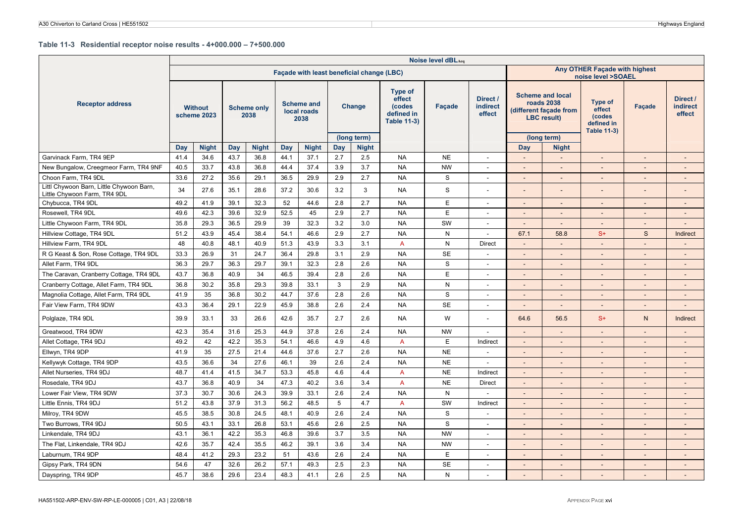#### **Table 11-3 Residential receptor noise results - 4+000.000 – 7+500.000**

|                                                                          |      |                               |      |                            |      |                                          |     |                                           |                                                                        | Noise level dBLAeq |                                |                          |                                                                                              |                                                                 |        |                                       |
|--------------------------------------------------------------------------|------|-------------------------------|------|----------------------------|------|------------------------------------------|-----|-------------------------------------------|------------------------------------------------------------------------|--------------------|--------------------------------|--------------------------|----------------------------------------------------------------------------------------------|-----------------------------------------------------------------|--------|---------------------------------------|
|                                                                          |      |                               |      |                            |      |                                          |     | Facade with least beneficial change (LBC) |                                                                        |                    |                                |                          |                                                                                              | Any OTHER Façade with highest<br>noise level >SOAEL             |        |                                       |
| <b>Receptor address</b>                                                  |      | <b>Without</b><br>scheme 2023 |      | <b>Scheme only</b><br>2038 |      | <b>Scheme and</b><br>local roads<br>2038 |     | <b>Change</b>                             | <b>Type of</b><br>effect<br>(codes<br>defined in<br><b>Table 11-3)</b> | Facade             | Direct /<br>indirect<br>effect |                          | <b>Scheme and local</b><br><b>roads 2038</b><br>(different façade from<br><b>LBC</b> result) | Type of<br>effect<br>(codes<br>defined in<br><b>Table 11-3)</b> | Façade | Direct /<br><b>indirect</b><br>effect |
|                                                                          |      |                               |      |                            |      |                                          |     | (long term)                               |                                                                        |                    |                                |                          | (long term)                                                                                  |                                                                 |        |                                       |
|                                                                          | Day  | <b>Night</b>                  | Day  | <b>Night</b>               | Day  | <b>Night</b>                             | Day | <b>Night</b>                              |                                                                        |                    |                                | Day                      | <b>Night</b>                                                                                 |                                                                 |        |                                       |
| Garvinack Farm, TR4 9EP                                                  | 41.4 | 34.6                          | 43.7 | 36.8                       | 44.1 | 37.1                                     | 2.7 | 2.5                                       | <b>NA</b>                                                              | <b>NE</b>          | $\overline{\phantom{a}}$       | $\overline{\phantom{a}}$ | $\overline{\phantom{a}}$                                                                     | $\overline{a}$                                                  | $\sim$ |                                       |
| New Bungalow, Creegmeor Farm, TR4 9NF                                    | 40.5 | 33.7                          | 43.8 | 36.8                       | 44.4 | 37.4                                     | 3.9 | 3.7                                       | <b>NA</b>                                                              | <b>NW</b>          | $\overline{\phantom{a}}$       | $\overline{\phantom{a}}$ | $\sim$                                                                                       | $\overline{a}$                                                  | $\sim$ |                                       |
| Choon Farm, TR4 9DL                                                      | 33.6 | 27.2                          | 35.6 | 29.1                       | 36.5 | 29.9                                     | 2.9 | 2.7                                       | <b>NA</b>                                                              | S                  | $\overline{\phantom{a}}$       | $\overline{a}$           | $\sim$                                                                                       | $\overline{a}$                                                  | $\sim$ |                                       |
| Littl Chywoon Barn, Little Chywoon Barn,<br>Little Chywoon Farm, TR4 9DL | 34   | 27.6                          | 35.1 | 28.6                       | 37.2 | 30.6                                     | 3.2 | 3                                         | <b>NA</b>                                                              | $\mathbf S$        |                                |                          |                                                                                              | $\overline{a}$                                                  |        |                                       |
| Chybucca, TR4 9DL                                                        | 49.2 | 41.9                          | 39.1 | 32.3                       | 52   | 44.6                                     | 2.8 | 2.7                                       | <b>NA</b>                                                              | E                  |                                | $\overline{a}$           | $\overline{\phantom{a}}$                                                                     | $\overline{a}$                                                  | $\sim$ |                                       |
| Rosewell, TR4 9DL                                                        | 49.6 | 42.3                          | 39.6 | 32.9                       | 52.5 | 45                                       | 2.9 | 2.7                                       | <b>NA</b>                                                              | E                  |                                | $\overline{\phantom{a}}$ | $\blacksquare$                                                                               | $\overline{a}$                                                  |        |                                       |
| Little Chywoon Farm, TR4 9DL                                             | 35.8 | 29.3                          | 36.5 | 29.9                       | 39   | 32.3                                     | 3.2 | 3.0                                       | <b>NA</b>                                                              | SW                 | $\overline{\phantom{a}}$       | $\overline{\phantom{a}}$ | $\blacksquare$                                                                               | $\overline{\phantom{a}}$                                        | $\sim$ | $\sim$                                |
| Hillview Cottage, TR4 9DL                                                | 51.2 | 43.9                          | 45.4 | 38.4                       | 54.1 | 46.6                                     | 2.9 | 2.7                                       | <b>NA</b>                                                              | $\mathsf{N}$       | $\overline{\phantom{a}}$       | 67.1                     | 58.8                                                                                         | $S+$                                                            | S      | <b>Indirect</b>                       |
| Hillview Farm, TR4 9DL                                                   | 48   | 40.8                          | 48.1 | 40.9                       | 51.3 | 43.9                                     | 3.3 | 3.1                                       | $\overline{A}$                                                         | $\mathsf{N}$       | <b>Direct</b>                  |                          |                                                                                              | $\overline{a}$                                                  | $\sim$ |                                       |
| R G Keast & Son, Rose Cottage, TR4 9DL                                   | 33.3 | 26.9                          | 31   | 24.7                       | 36.4 | 29.8                                     | 3.1 | 2.9                                       | <b>NA</b>                                                              | <b>SE</b>          |                                |                          |                                                                                              |                                                                 |        |                                       |
| Allet Farm, TR4 9DL                                                      | 36.3 | 29.7                          | 36.3 | 29.7                       | 39.1 | 32.3                                     | 2.8 | 2.6                                       | <b>NA</b>                                                              | S                  |                                |                          | $\overline{\phantom{0}}$                                                                     |                                                                 |        |                                       |
| The Caravan, Cranberry Cottage, TR4 9DL                                  | 43.7 | 36.8                          | 40.9 | 34                         | 46.5 | 39.4                                     | 2.8 | 2.6                                       | <b>NA</b>                                                              | E                  | $\sim$                         |                          | $\overline{a}$                                                                               | ÷,                                                              |        |                                       |
| Cranberry Cottage, Allet Farm, TR4 9DL                                   | 36.8 | 30.2                          | 35.8 | 29.3                       | 39.8 | 33.1                                     | 3   | 2.9                                       | <b>NA</b>                                                              | ${\sf N}$          | $\overline{\phantom{a}}$       | $\overline{\phantom{a}}$ | $\overline{\phantom{a}}$                                                                     | $\overline{\phantom{a}}$                                        | $\sim$ |                                       |
| Magnolia Cottage, Allet Farm, TR4 9DL                                    | 41.9 | 35                            | 36.8 | 30.2                       | 44.7 | 37.6                                     | 2.8 | 2.6                                       | <b>NA</b>                                                              | $\mathbf S$        |                                |                          | $\overline{\phantom{a}}$                                                                     | $\overline{a}$                                                  |        |                                       |
| Fair View Farm, TR4 9DW                                                  | 43.3 | 36.4                          | 29.1 | 22.9                       | 45.9 | 38.8                                     | 2.6 | 2.4                                       | <b>NA</b>                                                              | <b>SE</b>          | $\sim$                         | $\overline{a}$           | $\overline{\phantom{a}}$                                                                     | ٠                                                               |        |                                       |
| Polglaze, TR4 9DL                                                        | 39.9 | 33.1                          | 33   | 26.6                       | 42.6 | 35.7                                     | 2.7 | 2.6                                       | <b>NA</b>                                                              | W                  |                                | 64.6                     | 56.5                                                                                         | $S+$                                                            | N      | Indirect                              |
| Greatwood, TR4 9DW                                                       | 42.3 | 35.4                          | 31.6 | 25.3                       | 44.9 | 37.8                                     | 2.6 | 2.4                                       | <b>NA</b>                                                              | <b>NW</b>          | $\sim$                         | $\overline{a}$           | $\overline{\phantom{a}}$                                                                     | $\overline{a}$                                                  | $\sim$ |                                       |
| Allet Cottage, TR4 9DJ                                                   | 49.2 | 42                            | 42.2 | 35.3                       | 54.1 | 46.6                                     | 4.9 | 4.6                                       | $\mathsf{A}$                                                           | E                  | Indirect                       | $\overline{a}$           | $\overline{\phantom{0}}$                                                                     | ÷,                                                              |        |                                       |
| Ellwyn, TR4 9DP                                                          | 41.9 | 35                            | 27.5 | 21.4                       | 44.6 | 37.6                                     | 2.7 | 2.6                                       | <b>NA</b>                                                              | <b>NE</b>          | $\blacksquare$                 | $\overline{\phantom{a}}$ | $\overline{\phantom{a}}$                                                                     | $\overline{\phantom{a}}$                                        | $\sim$ |                                       |
| Kellywyk Cottage, TR4 9DP                                                | 43.5 | 36.6                          | 34   | 27.6                       | 46.1 | 39                                       | 2.6 | 2.4                                       | <b>NA</b>                                                              | <b>NE</b>          |                                |                          |                                                                                              |                                                                 |        |                                       |
| Allet Nurseries, TR4 9DJ                                                 | 48.7 | 41.4                          | 41.5 | 34.7                       | 53.3 | 45.8                                     | 4.6 | 4.4                                       | $\overline{A}$                                                         | <b>NE</b>          | Indirect                       | $\overline{a}$           | $\overline{\phantom{a}}$                                                                     | $\overline{a}$                                                  | $\sim$ | $\sim$                                |
| Rosedale, TR4 9DJ                                                        | 43.7 | 36.8                          | 40.9 | 34                         | 47.3 | 40.2                                     | 3.6 | 3.4                                       | $\overline{A}$                                                         | <b>NE</b>          | <b>Direct</b>                  |                          | $\overline{\phantom{a}}$                                                                     |                                                                 |        |                                       |
| Lower Fair View, TR4 9DW                                                 | 37.3 | 30.7                          | 30.6 | 24.3                       | 39.9 | 33.1                                     | 2.6 | 2.4                                       | <b>NA</b>                                                              | ${\sf N}$          | $\sim$                         | $\overline{a}$           | $\overline{a}$                                                                               | Ē,                                                              |        |                                       |
| Little Ennis, TR4 9DJ                                                    | 51.2 | 43.8                          | 37.9 | 31.3                       | 56.2 | 48.5                                     | 5   | 4.7                                       | A                                                                      | SW                 | Indirect                       | $\overline{\phantom{a}}$ | $\blacksquare$                                                                               | $\overline{\phantom{a}}$                                        | $\sim$ | $\sim$                                |
| Milroy, TR4 9DW                                                          | 45.5 | 38.5                          | 30.8 | 24.5                       | 48.1 | 40.9                                     | 2.6 | 2.4                                       | <b>NA</b>                                                              | $\mathbf S$        | $\overline{\phantom{a}}$       |                          | $\overline{\phantom{a}}$                                                                     | $\overline{a}$                                                  | $\sim$ |                                       |
| Two Burrows, TR4 9DJ                                                     | 50.5 | 43.1                          | 33.1 | 26.8                       | 53.1 | 45.6                                     | 2.6 | 2.5                                       | <b>NA</b>                                                              | S                  | $\sim$                         |                          | $\overline{a}$                                                                               | r.                                                              |        |                                       |
| Linkendale, TR4 9DJ                                                      | 43.1 | 36.1                          | 42.2 | 35.3                       | 46.8 | 39.6                                     | 3.7 | 3.5                                       | <b>NA</b>                                                              | <b>NW</b>          |                                |                          |                                                                                              |                                                                 |        |                                       |
| The Flat, Linkendale, TR4 9DJ                                            | 42.6 | 35.7                          | 42.4 | 35.5                       | 46.2 | 39.1                                     | 3.6 | 3.4                                       | <b>NA</b>                                                              | <b>NW</b>          |                                | $\overline{a}$           | $\overline{a}$                                                                               | $\overline{a}$                                                  |        |                                       |
| Laburnum, TR4 9DP                                                        | 48.4 | 41.2                          | 29.3 | 23.2                       | 51   | 43.6                                     | 2.6 | 2.4                                       | <b>NA</b>                                                              | E                  | $\overline{\phantom{a}}$       | $\overline{\phantom{a}}$ | $\blacksquare$                                                                               | $\overline{a}$                                                  | $\sim$ |                                       |
| Gipsy Park, TR4 9DN                                                      | 54.6 | 47                            | 32.6 | 26.2                       | 57.1 | 49.3                                     | 2.5 | 2.3                                       | <b>NA</b>                                                              | <b>SE</b>          |                                |                          | $\blacksquare$                                                                               | $\overline{a}$                                                  | $\sim$ |                                       |
| Dayspring, TR4 9DP                                                       | 45.7 | 38.6                          | 29.6 | 23.4                       | 48.3 | 41.1                                     | 2.6 | 2.5                                       | <b>NA</b>                                                              | N                  | $\sim$                         | $\overline{\phantom{a}}$ | $\overline{\phantom{a}}$                                                                     | $\overline{a}$                                                  |        |                                       |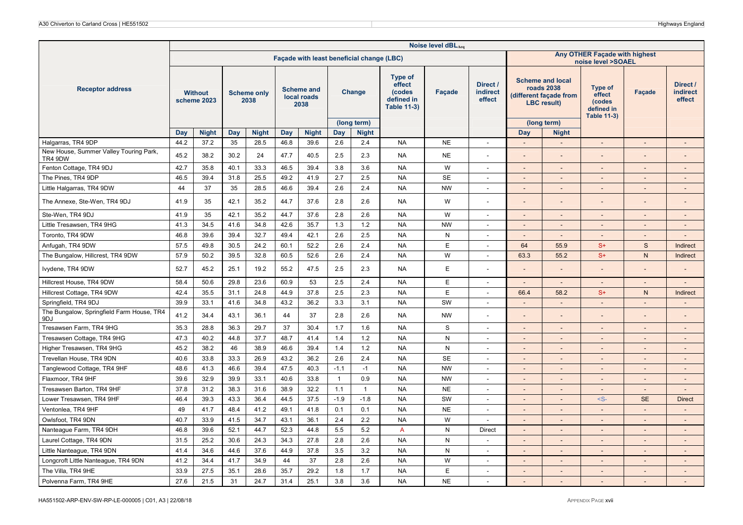|                                                   |      |                               |      |                            |      |                                           |                |                       |                                                                        | Noise level dBLAeq |                                       |                          |                                                                                                      |                                                                 |                          |                                       |
|---------------------------------------------------|------|-------------------------------|------|----------------------------|------|-------------------------------------------|----------------|-----------------------|------------------------------------------------------------------------|--------------------|---------------------------------------|--------------------------|------------------------------------------------------------------------------------------------------|-----------------------------------------------------------------|--------------------------|---------------------------------------|
|                                                   |      |                               |      |                            |      | Façade with least beneficial change (LBC) |                |                       |                                                                        |                    |                                       |                          |                                                                                                      | Any OTHER Façade with highest<br>noise level >SOAEL             |                          |                                       |
| <b>Receptor address</b>                           |      | <b>Without</b><br>scheme 2023 |      | <b>Scheme only</b><br>2038 |      | <b>Scheme and</b><br>local roads<br>2038  |                | Change<br>(long term) | <b>Type of</b><br>effect<br>(codes<br>defined in<br><b>Table 11-3)</b> | Façade             | Direct /<br><b>indirect</b><br>effect |                          | <b>Scheme and local</b><br>roads 2038<br>(different façade from<br><b>LBC</b> result)<br>(long term) | Type of<br>effect<br>(codes<br>defined in<br><b>Table 11-3)</b> | Façade                   | Direct /<br><b>indirect</b><br>effect |
|                                                   | Day  | <b>Night</b>                  | Day  | <b>Night</b>               | Day  | <b>Night</b>                              | Day            | <b>Night</b>          |                                                                        |                    |                                       | Day                      | <b>Night</b>                                                                                         |                                                                 |                          |                                       |
| Halgarras, TR4 9DP                                | 44.2 | 37.2                          | 35   | 28.5                       | 46.8 | 39.6                                      | 2.6            | 2.4                   | <b>NA</b>                                                              | <b>NE</b>          | $\sim$                                | $\overline{\phantom{a}}$ | $\overline{\phantom{a}}$                                                                             | $\overline{a}$                                                  | $\sim$                   | $\sim$                                |
| New House, Summer Valley Touring Park,<br>TR4 9DW | 45.2 | 38.2                          | 30.2 | 24                         | 47.7 | 40.5                                      | 2.5            | 2.3                   | <b>NA</b>                                                              | <b>NE</b>          | $\overline{a}$                        |                          |                                                                                                      |                                                                 |                          |                                       |
| Fenton Cottage, TR4 9DJ                           | 42.7 | 35.8                          | 40.1 | 33.3                       | 46.5 | 39.4                                      | 3.8            | 3.6                   | <b>NA</b>                                                              | W                  | $\sim$                                | $\overline{\phantom{a}}$ | $\blacksquare$                                                                                       | $\overline{a}$                                                  |                          |                                       |
| The Pines, TR4 9DP                                | 46.5 | 39.4                          | 31.8 | 25.5                       | 49.2 | 41.9                                      | 2.7            | 2.5                   | <b>NA</b>                                                              | <b>SE</b>          | $\sim$                                | $\overline{a}$           | $\overline{\phantom{a}}$                                                                             | $\overline{\phantom{a}}$                                        |                          |                                       |
| Little Halgarras, TR4 9DW                         | 44   | 37                            | 35   | 28.5                       | 46.6 | 39.4                                      | 2.6            | 2.4                   | <b>NA</b>                                                              | <b>NW</b>          | $\sim$                                | $\overline{\phantom{a}}$ | $\overline{a}$                                                                                       | $\overline{a}$                                                  |                          |                                       |
| The Annexe, Ste-Wen, TR4 9DJ                      | 41.9 | 35                            | 42.1 | 35.2                       | 44.7 | 37.6                                      | 2.8            | 2.6                   | <b>NA</b>                                                              | W                  |                                       |                          |                                                                                                      |                                                                 |                          |                                       |
| Ste-Wen, TR4 9DJ                                  | 41.9 | 35                            | 42.1 | 35.2                       | 44.7 | 37.6                                      | 2.8            | 2.6                   | <b>NA</b>                                                              | W                  | $\overline{a}$                        | $\sim$                   | $\overline{\phantom{a}}$                                                                             | $\overline{a}$                                                  |                          |                                       |
| Little Tresawsen, TR4 9HG                         | 41.3 | 34.5                          | 41.6 | 34.8                       | 42.6 | 35.7                                      | 1.3            | 1.2                   | <b>NA</b>                                                              | <b>NW</b>          | $\overline{\phantom{a}}$              |                          | $\overline{\phantom{0}}$                                                                             | $\overline{\phantom{a}}$                                        |                          |                                       |
| Toronto, TR4 9DW                                  | 46.8 | 39.6                          | 39.4 | 32.7                       | 49.4 | 42.1                                      | 2.6            | 2.5                   | <b>NA</b>                                                              | N                  | $\sim$                                | $\blacksquare$           | $\sim$                                                                                               | $\blacksquare$                                                  | $\sim$                   | $\sim$                                |
| Anfugah, TR4 9DW                                  | 57.5 | 49.8                          | 30.5 | 24.2                       | 60.1 | 52.2                                      | 2.6            | 2.4                   | <b>NA</b>                                                              | E                  | $\blacksquare$                        | 64                       | 55.9                                                                                                 | $S+$                                                            | $\mathbf S$              | Indirect                              |
| The Bungalow, Hillcrest, TR4 9DW                  | 57.9 | 50.2                          | 39.5 | 32.8                       | 60.5 | 52.6                                      | 2.6            | 2.4                   | <b>NA</b>                                                              | W                  | $\overline{\phantom{a}}$              | 63.3                     | 55.2                                                                                                 | $S+$                                                            | ${\sf N}$                | Indirect                              |
| Ivydene, TR4 9DW                                  | 52.7 | 45.2                          | 25.1 | 19.2                       | 55.2 | 47.5                                      | 2.5            | 2.3                   | <b>NA</b>                                                              | E                  |                                       |                          |                                                                                                      |                                                                 |                          |                                       |
| Hillcrest House, TR4 9DW                          | 58.4 | 50.6                          | 29.8 | 23.6                       | 60.9 | 53                                        | 2.5            | 2.4                   | <b>NA</b>                                                              | E                  | $\sim$                                | $\overline{\phantom{a}}$ | $\sim$                                                                                               | $\sim$                                                          | $\sim$                   | $\sim$                                |
| Hillcrest Cottage, TR4 9DW                        | 42.4 | 35.5                          | 31.1 | 24.8                       | 44.9 | 37.8                                      | 2.5            | 2.3                   | <b>NA</b>                                                              | E                  | $\overline{\phantom{a}}$              | 66.4                     | 58.2                                                                                                 | $S+$                                                            | $\mathsf{N}$             | Indirect                              |
| Springfield, TR4 9DJ                              | 39.9 | 33.1                          | 41.6 | 34.8                       | 43.2 | 36.2                                      | 3.3            | 3.1                   | <b>NA</b>                                                              | SW                 | $\sim$                                | $\sim$                   | $\overline{\phantom{a}}$                                                                             | $\overline{a}$                                                  | $\overline{a}$           |                                       |
| The Bungalow, Springfield Farm House, TR4<br>9DJ  | 41.2 | 34.4                          | 43.1 | 36.1                       | 44   | 37                                        | 2.8            | 2.6                   | NA                                                                     | <b>NW</b>          | $\overline{a}$                        |                          |                                                                                                      |                                                                 |                          |                                       |
| Tresawsen Farm, TR4 9HG                           | 35.3 | 28.8                          | 36.3 | 29.7                       | 37   | 30.4                                      | 1.7            | 1.6                   | <b>NA</b>                                                              | S                  | $\sim$                                | $\overline{\phantom{a}}$ | $\overline{\phantom{a}}$                                                                             | $\overline{\phantom{a}}$                                        |                          |                                       |
| Tresawsen Cottage, TR4 9HG                        | 47.3 | 40.2                          | 44.8 | 37.7                       | 48.7 | 41.4                                      | 1.4            | 1.2                   | <b>NA</b>                                                              | N                  | $\overline{\phantom{a}}$              | $\overline{a}$           | $\overline{\phantom{a}}$                                                                             | $\overline{\phantom{a}}$                                        |                          | $\overline{a}$                        |
| Higher Tresawsen, TR4 9HG                         | 45.2 | 38.2                          | 46   | 38.9                       | 46.6 | 39.4                                      | 1.4            | 1.2                   | <b>NA</b>                                                              | ${\sf N}$          | $\sim$                                | $\sim$                   | $\overline{\phantom{a}}$                                                                             | $\sim$                                                          |                          | $\overline{\phantom{a}}$              |
| Trevellan House, TR4 9DN                          | 40.6 | 33.8                          | 33.3 | 26.9                       | 43.2 | 36.2                                      | 2.6            | 2.4                   | <b>NA</b>                                                              | <b>SE</b>          | $\blacksquare$                        | $\overline{\phantom{a}}$ | $\blacksquare$                                                                                       | $\sim$                                                          | $\overline{\phantom{a}}$ | $\sim$                                |
| Tanglewood Cottage, TR4 9HF                       | 48.6 | 41.3                          | 46.6 | 39.4                       | 47.5 | 40.3                                      | $-1.1$         | $-1$                  | <b>NA</b>                                                              | <b>NW</b>          | $\blacksquare$                        | $\overline{\phantom{a}}$ | $\overline{\phantom{a}}$                                                                             |                                                                 |                          |                                       |
| Flaxmoor, TR4 9HF                                 | 39.6 | 32.9                          | 39.9 | 33.1                       | 40.6 | 33.8                                      | $\overline{1}$ | 0.9                   | <b>NA</b>                                                              | <b>NW</b>          | $\blacksquare$                        |                          | $\overline{\phantom{0}}$                                                                             | $\overline{\phantom{a}}$                                        |                          |                                       |
| Tresawsen Barton, TR4 9HF                         | 37.8 | 31.2                          | 38.3 | 31.6                       | 38.9 | 32.2                                      | 1.1            | $\overline{1}$        | <b>NA</b>                                                              | <b>NE</b>          | $\sim$                                | $\overline{\phantom{a}}$ | $\Box$                                                                                               | $\blacksquare$                                                  | $\sim$                   | $\sim$                                |
| Lower Tresawsen, TR4 9HF                          | 46.4 | 39.3                          | 43.3 | 36.4                       | 44.5 | 37.5                                      | $-1.9$         | $-1.8$                | <b>NA</b>                                                              | SW                 | $\overline{a}$                        |                          |                                                                                                      | $-S-$                                                           | <b>SE</b>                | <b>Direct</b>                         |
| Ventonlea, TR4 9HF                                | 49   | 41.7                          | 48.4 | 41.2                       | 49.1 | 41.8                                      | 0.1            | 0.1                   | <b>NA</b>                                                              | <b>NE</b>          | $\overline{\phantom{a}}$              | $\overline{a}$           | $\overline{a}$                                                                                       | $\overline{a}$                                                  |                          |                                       |
| Owlsfoot, TR4 9DN                                 | 40.7 | 33.9                          | 41.5 | 34.7                       | 43.1 | 36.1                                      | 2.4            | 2.2                   | <b>NA</b>                                                              | W                  | $\overline{a}$                        | $\overline{\phantom{a}}$ | $\overline{\phantom{0}}$                                                                             | $\overline{a}$                                                  |                          |                                       |
| Nanteague Farm, TR4 9DH                           | 46.8 | 39.6                          | 52.1 | 44.7                       | 52.3 | 44.8                                      | 5.5            | 5.2                   | $\overline{A}$                                                         | $\mathsf{N}$       | <b>Direct</b>                         | $\blacksquare$           | $\overline{\phantom{a}}$                                                                             | $\overline{\phantom{a}}$                                        | $\sim$                   | $\sim$                                |
| Laurel Cottage, TR4 9DN                           | 31.5 | 25.2                          | 30.6 | 24.3                       | 34.3 | 27.8                                      | 2.8            | 2.6                   | <b>NA</b>                                                              | N                  | $\sim$                                | $\overline{\phantom{a}}$ | $\overline{\phantom{a}}$                                                                             | $\overline{\phantom{a}}$                                        |                          |                                       |
| Little Nanteague, TR4 9DN                         | 41.4 | 34.6                          | 44.6 | 37.6                       | 44.9 | 37.8                                      | 3.5            | 3.2                   | <b>NA</b>                                                              | $\mathsf{N}$       | $\sim$                                | $\overline{\phantom{a}}$ | $\overline{\phantom{a}}$                                                                             | $\overline{\phantom{a}}$                                        |                          | $\overline{\phantom{a}}$              |
| Longcroft Little Nanteague, TR4 9DN               | 41.2 | 34.4                          | 41.7 | 34.9                       | 44   | 37                                        | 2.8            | 2.6                   | <b>NA</b>                                                              | W                  | $\sim$                                | $\sim$                   | $\blacksquare$                                                                                       | $\sim$                                                          | $\sim$                   | $\overline{\phantom{a}}$              |
| The Villa, TR4 9HE                                | 33.9 | 27.5                          | 35.1 | 28.6                       | 35.7 | 29.2                                      | 1.8            | 1.7                   | <b>NA</b>                                                              | E                  | $\sim$                                | $\overline{\phantom{a}}$ | $\blacksquare$                                                                                       | $\sim$                                                          | $\sim$                   | $\sim$                                |
| Polvenna Farm, TR4 9HE                            | 27.6 | 21.5                          | 31   | 24.7                       | 31.4 | 25.1                                      | 3.8            | 3.6                   | <b>NA</b>                                                              | <b>NE</b>          |                                       |                          |                                                                                                      |                                                                 |                          |                                       |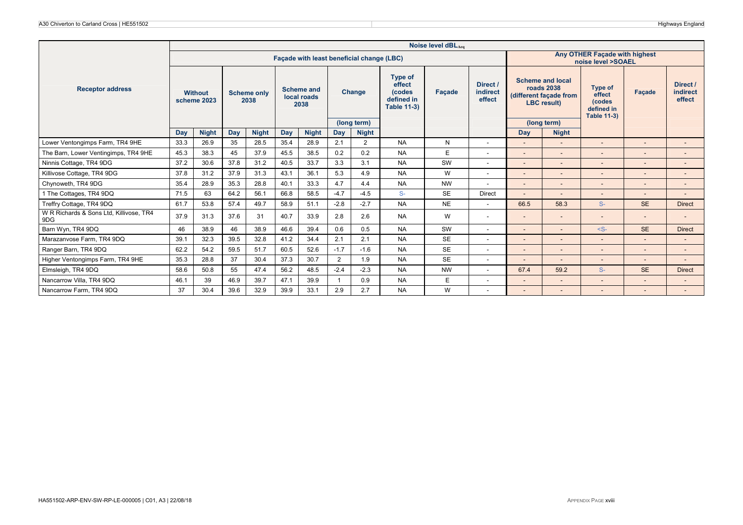|                                                |      |                               |      |                            |      |                                          |                |                                           |                                                                               | Noise level dBLAca |                                |                          |                                                                                       |                                                                        |                          |                                       |
|------------------------------------------------|------|-------------------------------|------|----------------------------|------|------------------------------------------|----------------|-------------------------------------------|-------------------------------------------------------------------------------|--------------------|--------------------------------|--------------------------|---------------------------------------------------------------------------------------|------------------------------------------------------------------------|--------------------------|---------------------------------------|
|                                                |      |                               |      |                            |      |                                          |                | Facade with least beneficial change (LBC) |                                                                               |                    |                                |                          |                                                                                       | Any OTHER Facade with highest<br>noise level >SOAEL                    |                          |                                       |
| <b>Receptor address</b>                        |      | <b>Without</b><br>scheme 2023 |      | <b>Scheme only</b><br>2038 |      | <b>Scheme and</b><br>local roads<br>2038 |                | Change                                    | <b>Type of</b><br>effect<br><b>(codes</b><br>defined in<br><b>Table 11-3)</b> | <b>Facade</b>      | Direct /<br>indirect<br>effect |                          | <b>Scheme and local</b><br>roads 2038<br>(different facade from<br><b>LBC</b> result) | <b>Type of</b><br>effect<br>(codes<br>defined in<br><b>Table 11-3)</b> | Facade                   | Direct /<br><b>indirect</b><br>effect |
|                                                |      |                               |      |                            |      |                                          |                | (long term)                               |                                                                               |                    |                                |                          | (long term)                                                                           |                                                                        |                          |                                       |
|                                                | Day  | <b>Night</b>                  | Day  | <b>Night</b>               | Day  | <b>Night</b>                             | Day            | <b>Night</b>                              |                                                                               |                    |                                | Day                      | <b>Night</b>                                                                          |                                                                        |                          |                                       |
| Lower Ventongimps Farm, TR4 9HE                | 33.3 | 26.9                          | 35   | 28.5                       | 35.4 | 28.9                                     | 2.1            | 2                                         | <b>NA</b>                                                                     | N                  | $\blacksquare$                 |                          | $\overline{\phantom{a}}$                                                              |                                                                        |                          | $\overline{\phantom{a}}$              |
| The Barn, Lower Ventingimps, TR4 9HE           | 45.3 | 38.3                          | 45   | 37.9                       | 45.5 | 38.5                                     | 0.2            | 0.2                                       | <b>NA</b>                                                                     | E                  | $\blacksquare$                 |                          | $\overline{\phantom{a}}$                                                              |                                                                        |                          |                                       |
| Ninnis Cottage, TR4 9DG                        | 37.2 | 30.6                          | 37.8 | 31.2                       | 40.5 | 33.7                                     | 3.3            | 3.1                                       | <b>NA</b>                                                                     | SW                 | ٠                              |                          | $\overline{\phantom{a}}$                                                              | $\overline{\phantom{a}}$                                               |                          | $\overline{\phantom{a}}$              |
| Killivose Cottage, TR4 9DG                     | 37.8 | 31.2                          | 37.9 | 31.3                       | 43.1 | 36.1                                     | 5.3            | 4.9                                       | <b>NA</b>                                                                     | W                  | $\overline{\phantom{a}}$       |                          | $\overline{\phantom{a}}$                                                              |                                                                        |                          |                                       |
| Chynoweth, TR4 9DG                             | 35.4 | 28.9                          | 35.3 | 28.8                       | 40.1 | 33.3                                     | 4.7            | 4.4                                       | <b>NA</b>                                                                     | <b>NW</b>          | ۰                              |                          | $\overline{\phantom{a}}$                                                              | $\overline{\phantom{a}}$                                               |                          | $\overline{\phantom{a}}$              |
| 1 The Cottages, TR4 9DQ                        | 71.5 | 63                            | 64.2 | 56.1                       | 66.8 | 58.5                                     | $-4.7$         | $-4.5$                                    | $S-$                                                                          | <b>SE</b>          | <b>Direct</b>                  |                          |                                                                                       |                                                                        |                          |                                       |
| Treffry Cottage, TR4 9DQ                       | 61.7 | 53.8                          | 57.4 | 49.7                       | 58.9 | 51.1                                     | $-2.8$         | $-2.7$                                    | <b>NA</b>                                                                     | <b>NE</b>          | $\blacksquare$                 | 66.5                     | 58.3                                                                                  | $S-$                                                                   | <b>SE</b>                | <b>Direct</b>                         |
| W R Richards & Sons Ltd, Killivose, TR4<br>9DG | 37.9 | 31.3                          | 37.6 | 31                         | 40.7 | 33.9                                     | 2.8            | 2.6                                       | <b>NA</b>                                                                     | W                  | $\overline{\phantom{a}}$       | $\sim$                   | $\overline{\phantom{a}}$                                                              |                                                                        |                          |                                       |
| Barn Wyn, TR4 9DQ                              | 46   | 38.9                          | 46   | 38.9                       | 46.6 | 39.4                                     | 0.6            | 0.5                                       | <b>NA</b>                                                                     | SW                 | ٠                              |                          | $\overline{\phantom{a}}$                                                              | $\leq$ S-                                                              | <b>SE</b>                | <b>Direct</b>                         |
| Marazanyose Farm, TR4 9DQ                      | 39.1 | 32.3                          | 39.5 | 32.8                       | 41.2 | 34.4                                     | 2.1            | 2.1                                       | <b>NA</b>                                                                     | <b>SE</b>          | $\overline{\phantom{a}}$       | $\overline{\phantom{a}}$ | $\overline{\phantom{a}}$                                                              | $\overline{\phantom{0}}$                                               | $\overline{\phantom{a}}$ | $\overline{\phantom{a}}$              |
| Ranger Barn, TR4 9DQ                           | 62.2 | 54.2                          | 59.5 | 51.7                       | 60.5 | 52.6                                     | $-1.7$         | $-1.6$                                    | <b>NA</b>                                                                     | <b>SE</b>          | ٠                              | $\sim$                   | $\overline{\phantom{a}}$                                                              |                                                                        |                          | $\overline{a}$                        |
| Higher Ventongimps Farm, TR4 9HE               | 35.3 | 28.8                          | 37   | 30.4                       | 37.3 | 30.7                                     | $\overline{2}$ | 1.9                                       | <b>NA</b>                                                                     | <b>SE</b>          | $\overline{\phantom{a}}$       |                          | $\overline{\phantom{0}}$                                                              |                                                                        |                          |                                       |
| Elmsleigh, TR4 9DQ                             | 58.6 | 50.8                          | 55   | 47.4                       | 56.2 | 48.5                                     | $-2.4$         | $-2.3$                                    | <b>NA</b>                                                                     | <b>NW</b>          | ٠                              | 67.4                     | 59.2                                                                                  | $S-$                                                                   | <b>SE</b>                | <b>Direct</b>                         |
| Nancarrow Villa, TR4 9DQ                       | 46.1 | 39                            | 46.9 | 39.7                       | 47.1 | 39.9                                     |                | 0.9                                       | <b>NA</b>                                                                     | F                  | ٠                              |                          | $\qquad \qquad \blacksquare$                                                          |                                                                        |                          | $\overline{\phantom{a}}$              |
| Nancarrow Farm, TR4 9DQ                        | 37   | 30.4                          | 39.6 | 32.9                       | 39.9 | 33.1                                     | 2.9            | 2.7                                       | <b>NA</b>                                                                     | W                  |                                |                          |                                                                                       |                                                                        |                          |                                       |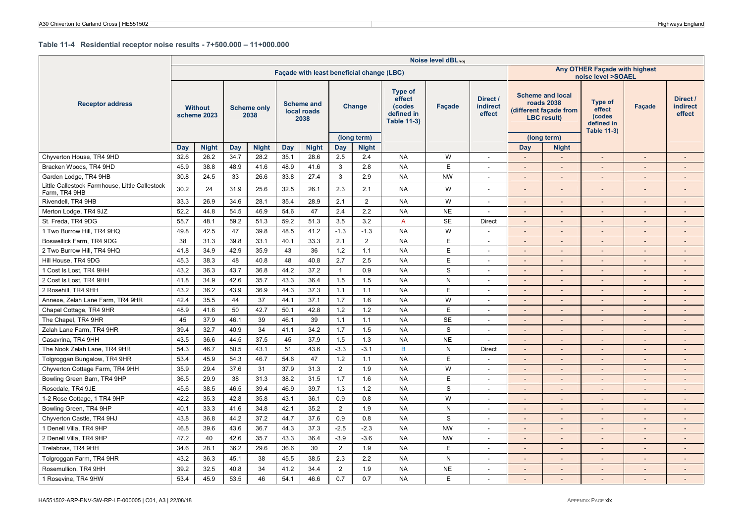#### **Table 11-4 Residential receptor noise results - 7+500.000 – 11+000.000**

|                                                                 |      |                               |            |                            |      |                                           |                |                             |                                                                        | Noise level dBLAeq |                                       |                          |                                                                                             |                                                                 |                          |                                       |
|-----------------------------------------------------------------|------|-------------------------------|------------|----------------------------|------|-------------------------------------------|----------------|-----------------------------|------------------------------------------------------------------------|--------------------|---------------------------------------|--------------------------|---------------------------------------------------------------------------------------------|-----------------------------------------------------------------|--------------------------|---------------------------------------|
|                                                                 |      |                               |            |                            |      | Façade with least beneficial change (LBC) |                |                             |                                                                        |                    |                                       |                          |                                                                                             | Any OTHER Façade with highest<br>noise level >SOAEL             |                          |                                       |
| <b>Receptor address</b>                                         |      | <b>Without</b><br>scheme 2023 |            | <b>Scheme only</b><br>2038 |      | <b>Scheme and</b><br>local roads<br>2038  |                | Change                      | <b>Type of</b><br>effect<br>(codes<br>defined in<br><b>Table 11-3)</b> | <b>Facade</b>      | Direct /<br><b>indirect</b><br>effect |                          | <b>Scheme and local</b><br><b>roads 2038</b><br>different facade from<br><b>LBC</b> result) | Type of<br>effect<br>(codes<br>defined in<br><b>Table 11-3)</b> | Façade                   | Direct /<br><b>indirect</b><br>effect |
|                                                                 | Day  | <b>Night</b>                  | <b>Day</b> | <b>Night</b>               | Day  | <b>Night</b>                              | Day            | (long term)<br><b>Night</b> |                                                                        |                    |                                       | Day                      | (long term)                                                                                 |                                                                 |                          |                                       |
| Chyverton House, TR4 9HD                                        | 32.6 | 26.2                          | 34.7       | 28.2                       | 35.1 | 28.6                                      | 2.5            | 2.4                         | <b>NA</b>                                                              | W                  | $\sim$                                | $\mathcal{L}^{\pm}$      | <b>Night</b><br>$\sim$                                                                      | $\sim$                                                          | $\sim$                   | $\mathcal{L}$                         |
| Bracken Woods, TR4 9HD                                          | 45.9 | 38.8                          | 48.9       | 41.6                       | 48.9 | 41.6                                      | 3              | 2.8                         | <b>NA</b>                                                              | E                  | $\overline{\phantom{a}}$              | $\overline{\phantom{a}}$ |                                                                                             | $\overline{\phantom{a}}$                                        | $\overline{\phantom{a}}$ |                                       |
| Garden Lodge, TR4 9HB                                           | 30.8 | 24.5                          | 33         | 26.6                       | 33.8 | 27.4                                      | $\mathbf{3}$   | 2.9                         | <b>NA</b>                                                              | <b>NW</b>          | $\overline{\phantom{a}}$              | $\overline{a}$           |                                                                                             | $\overline{a}$                                                  | $\overline{a}$           | $\overline{a}$                        |
| Little Callestock Farmhouse, Little Callestock<br>Farm, TR4 9HB | 30.2 | 24                            | 31.9       | 25.6                       | 32.5 | 26.1                                      | 2.3            | 2.1                         | <b>NA</b>                                                              | W                  |                                       |                          |                                                                                             | $\overline{a}$                                                  |                          |                                       |
| Rivendell, TR4 9HB                                              | 33.3 | 26.9                          | 34.6       | 28.1                       | 35.4 | 28.9                                      | 2.1            | $\overline{2}$              | <b>NA</b>                                                              | W                  |                                       | $\overline{\phantom{m}}$ |                                                                                             | $\overline{a}$                                                  | $\overline{\phantom{a}}$ |                                       |
| Merton Lodge, TR4 9JZ                                           | 52.2 | 44.8                          | 54.5       | 46.9                       | 54.6 | 47                                        | 2.4            | 2.2                         | <b>NA</b>                                                              | <b>NE</b>          | $\sim$                                |                          |                                                                                             |                                                                 |                          |                                       |
| St. Freda, TR4 9DG                                              | 55.7 | 48.1                          | 59.2       | 51.3                       | 59.2 | 51.3                                      | 3.5            | 3.2                         | A                                                                      | <b>SE</b>          | <b>Direct</b>                         |                          |                                                                                             |                                                                 | $\overline{a}$           |                                       |
| 1 Two Burrow Hill, TR4 9HQ                                      | 49.8 | 42.5                          | 47         | 39.8                       | 48.5 | 41.2                                      | $-1.3$         | $-1.3$                      | <b>NA</b>                                                              | W                  | $\sim$                                | $\overline{a}$           |                                                                                             | $\overline{\phantom{a}}$                                        | $\overline{\phantom{a}}$ | $\overline{a}$                        |
| Boswellick Farm, TR4 9DG                                        | 38   | 31.3                          | 39.8       | 33.1                       | 40.1 | 33.3                                      | 2.1            | $\overline{2}$              | <b>NA</b>                                                              | E                  | $\overline{a}$                        | $\overline{\phantom{a}}$ |                                                                                             | $\overline{\phantom{a}}$                                        | $\overline{\phantom{a}}$ | $\overline{\phantom{a}}$              |
| 2 Two Burrow Hill, TR4 9HQ                                      | 41.8 | 34.9                          | 42.9       | 35.9                       | 43   | 36                                        | 1.2            | 1.1                         | <b>NA</b>                                                              | E                  | $\overline{\phantom{a}}$              | $\overline{\phantom{a}}$ |                                                                                             | $\overline{a}$                                                  | $\overline{\phantom{a}}$ | $\overline{a}$                        |
| Hill House, TR4 9DG                                             | 45.3 | 38.3                          | 48         | 40.8                       | 48   | 40.8                                      | 2.7            | 2.5                         | <b>NA</b>                                                              | E                  | $\overline{\phantom{a}}$              | $\overline{a}$           | $\overline{\phantom{a}}$                                                                    | $\overline{a}$                                                  | $\overline{\phantom{a}}$ | $\overline{a}$                        |
| 1 Cost Is Lost, TR4 9HH                                         | 43.2 | 36.3                          | 43.7       | 36.8                       | 44.2 | 37.2                                      | $\mathbf{1}$   | 0.9                         | <b>NA</b>                                                              | S                  | $\sim$                                | $\overline{\phantom{a}}$ | $\sim$                                                                                      | $\overline{\phantom{a}}$                                        | $\overline{\phantom{a}}$ | $\overline{\phantom{a}}$              |
| 2 Cost Is Lost, TR4 9HH                                         | 41.8 | 34.9                          | 42.6       | 35.7                       | 43.3 | 36.4                                      | 1.5            | 1.5                         | <b>NA</b>                                                              | ${\sf N}$          | $\sim$                                | $\overline{a}$           |                                                                                             | $\overline{a}$                                                  | $\overline{a}$           |                                       |
| 2 Rosehill, TR4 9HH                                             | 43.2 | 36.2                          | 43.9       | 36.9                       | 44.3 | 37.3                                      | 1.1            | 1.1                         | <b>NA</b>                                                              | E                  |                                       | $\overline{\phantom{a}}$ |                                                                                             | -                                                               | $\overline{\phantom{a}}$ |                                       |
| Annexe, Zelah Lane Farm, TR4 9HR                                | 42.4 | 35.5                          | 44         | 37                         | 44.1 | 37.1                                      | 1.7            | 1.6                         | <b>NA</b>                                                              | W                  | $\sim$                                | $\overline{a}$           |                                                                                             | $\overline{a}$                                                  | $\overline{\phantom{a}}$ |                                       |
| Chapel Cottage, TR4 9HR                                         | 48.9 | 41.6                          | 50         | 42.7                       | 50.1 | 42.8                                      | $1.2$          | 1.2                         | <b>NA</b>                                                              | $\mathsf E$        | $\overline{\phantom{a}}$              | $\overline{\phantom{m}}$ |                                                                                             | $\overline{a}$                                                  | $\overline{\phantom{a}}$ | $\overline{\phantom{a}}$              |
| The Chapel, TR4 9HR                                             | 45   | 37.9                          | 46.1       | 39                         | 46.1 | 39                                        | 1.1            | 1.1                         | <b>NA</b>                                                              | <b>SE</b>          | $\overline{\phantom{a}}$              | $\overline{a}$           |                                                                                             | $\overline{a}$                                                  | $\overline{a}$           | $\overline{a}$                        |
| Zelah Lane Farm, TR4 9HR                                        | 39.4 | 32.7                          | 40.9       | 34                         | 41.1 | 34.2                                      | 1.7            | 1.5                         | <b>NA</b>                                                              | S                  |                                       | $\overline{\phantom{m}}$ |                                                                                             |                                                                 | $\overline{\phantom{a}}$ |                                       |
| Casavrina, TR4 9HH                                              | 43.5 | 36.6                          | 44.5       | 37.5                       | 45   | 37.9                                      | 1.5            | 1.3                         | <b>NA</b>                                                              | <b>NE</b>          | $\sim$                                | $\sim$                   | $\sim$                                                                                      | $\overline{\phantom{a}}$                                        | $\sim$                   | $\overline{\phantom{a}}$              |
| The Nook Zelah Lane, TR4 9HR                                    | 54.3 | 46.7                          | 50.5       | 43.1                       | 51   | 43.6                                      | $-3.3$         | $-3.1$                      | B                                                                      | N                  | Direct                                | $\overline{\phantom{a}}$ |                                                                                             | $\overline{\phantom{a}}$                                        | $\overline{\phantom{a}}$ | $\overline{a}$                        |
| Tolgroggan Bungalow, TR4 9HR                                    | 53.4 | 45.9                          | 54.3       | 46.7                       | 54.6 | 47                                        | 1.2            | 1.1                         | <b>NA</b>                                                              | E                  | ۰.                                    | $\overline{a}$           |                                                                                             | $\overline{a}$                                                  | $\overline{a}$           | $\overline{a}$                        |
| Chyverton Cottage Farm, TR4 9HH                                 | 35.9 | 29.4                          | 37.6       | 31                         | 37.9 | 31.3                                      | $\overline{2}$ | 1.9                         | <b>NA</b>                                                              | W                  | $\overline{\phantom{a}}$              | $\overline{a}$           | $\sim$                                                                                      | $\overline{\phantom{a}}$                                        | $\overline{\phantom{a}}$ | $\overline{a}$                        |
| Bowling Green Barn, TR4 9HP                                     | 36.5 | 29.9                          | 38         | 31.3                       | 38.2 | 31.5                                      | 1.7            | 1.6                         | <b>NA</b>                                                              | E                  | $\sim$                                | $\overline{\phantom{a}}$ | $\sim$                                                                                      | $\overline{\phantom{a}}$                                        | $\overline{\phantom{a}}$ | $\overline{\phantom{a}}$              |
| Rosedale, TR4 9JE                                               | 45.6 | 38.5                          | 46.5       | 39.4                       | 46.9 | 39.7                                      | 1.3            | 1.2                         | <b>NA</b>                                                              | S                  | $\overline{\phantom{a}}$              | $\overline{a}$           |                                                                                             | $\overline{a}$                                                  | $\overline{a}$           | $\overline{a}$                        |
| 1-2 Rose Cottage, 1 TR4 9HP                                     | 42.2 | 35.3                          | 42.8       | 35.8                       | 43.1 | 36.1                                      | 0.9            | 0.8                         | <b>NA</b>                                                              | W                  | $\overline{\phantom{a}}$              | $\overline{\phantom{a}}$ |                                                                                             | $\overline{a}$                                                  | $\overline{\phantom{a}}$ | $\blacksquare$                        |
| Bowling Green, TR4 9HP                                          | 40.1 | 33.3                          | 41.6       | 34.8                       | 42.1 | 35.2                                      | 2              | 1.9                         | <b>NA</b>                                                              | ${\sf N}$          | $\sim$                                | $\overline{\phantom{a}}$ | $\sim$                                                                                      | $\sim$                                                          | $\overline{\phantom{a}}$ | $\blacksquare$                        |
| Chyverton Castle, TR4 9HJ                                       | 43.8 | 36.8                          | 44.2       | 37.2                       | 44.7 | 37.6                                      | 0.9            | 0.8                         | <b>NA</b>                                                              | $\mathbf S$        | $\overline{\phantom{a}}$              | $\overline{\phantom{m}}$ |                                                                                             | $\overline{a}$                                                  | $\overline{\phantom{a}}$ | $\overline{\phantom{a}}$              |
| 1 Denell Villa, TR4 9HP                                         | 46.8 | 39.6                          | 43.6       | 36.7                       | 44.3 | 37.3                                      | $-2.5$         | $-2.3$                      | <b>NA</b>                                                              | <b>NW</b>          | $\sim$                                | $\overline{\phantom{m}}$ |                                                                                             | $\overline{a}$                                                  | $\overline{\phantom{a}}$ | $\overline{\phantom{a}}$              |
| 2 Denell Villa, TR4 9HP                                         | 47.2 | 40                            | 42.6       | 35.7                       | 43.3 | 36.4                                      | $-3.9$         | $-3.6$                      | <b>NA</b>                                                              | <b>NW</b>          |                                       |                          |                                                                                             |                                                                 | $\overline{a}$           |                                       |
| Trelabnas, TR4 9HH                                              | 34.6 | 28.1                          | 36.2       | 29.6                       | 36.6 | 30                                        | $\overline{2}$ | 1.9                         | <b>NA</b>                                                              | E                  | $\tilde{\phantom{a}}$                 | ÷,                       |                                                                                             | $\overline{a}$                                                  | $\overline{a}$           | $\overline{a}$                        |
| Tolgroggan Farm, TR4 9HR                                        | 43.2 | 36.3                          | 45.1       | 38                         | 45.5 | 38.5                                      | 2.3            | 2.2                         | <b>NA</b>                                                              | N                  | $\sim$                                | $\overline{\phantom{a}}$ | $\sim$                                                                                      | $\overline{\phantom{a}}$                                        | $\sim$                   | $\overline{\phantom{a}}$              |
| Rosemullion, TR4 9HH                                            | 39.2 | 32.5                          | 40.8       | 34                         | 41.2 | 34.4                                      | $\overline{2}$ | 1.9                         | <b>NA</b>                                                              | <b>NE</b>          |                                       |                          |                                                                                             | $\overline{a}$                                                  | $\overline{a}$           |                                       |
| 1 Rosevine, TR4 9HW                                             | 53.4 | 45.9                          | 53.5       | 46                         | 54.1 | 46.6                                      | 0.7            | 0.7                         | <b>NA</b>                                                              | E                  | $\overline{\phantom{a}}$              | $\overline{\phantom{a}}$ |                                                                                             |                                                                 | $\overline{a}$           |                                       |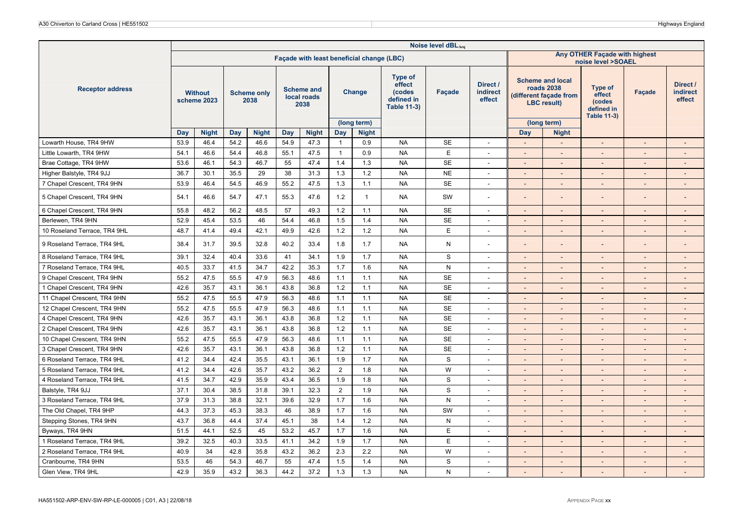|                              |      |                               |      |                            |      |                                          |                |                                           |                                                                        | Noise level dBLAeq |                                       |                          |                                                                                      |                                                                 |                          |                                |
|------------------------------|------|-------------------------------|------|----------------------------|------|------------------------------------------|----------------|-------------------------------------------|------------------------------------------------------------------------|--------------------|---------------------------------------|--------------------------|--------------------------------------------------------------------------------------|-----------------------------------------------------------------|--------------------------|--------------------------------|
|                              |      |                               |      |                            |      |                                          |                | Façade with least beneficial change (LBC) |                                                                        |                    |                                       |                          |                                                                                      | Any OTHER Façade with highest<br>noise level >SOAEL             |                          |                                |
| <b>Receptor address</b>      |      | <b>Without</b><br>scheme 2023 |      | <b>Scheme only</b><br>2038 |      | <b>Scheme and</b><br>local roads<br>2038 |                | Change                                    | <b>Type of</b><br>effect<br>(codes<br>defined in<br><b>Table 11-3)</b> | Façade             | Direct /<br><b>indirect</b><br>effect |                          | <b>Scheme and local</b><br>roads 2038<br>different façade from<br><b>LBC</b> result) | Type of<br>effect<br>(codes<br>defined in<br><b>Table 11-3)</b> | <b>Facade</b>            | Direct /<br>indirect<br>effect |
|                              |      |                               |      |                            |      |                                          |                | (long term)                               |                                                                        |                    |                                       |                          | (long term)                                                                          |                                                                 |                          |                                |
|                              | Day  | <b>Night</b>                  | Day  | <b>Night</b>               | Day  | <b>Night</b>                             | Day            | <b>Night</b>                              |                                                                        |                    |                                       | Day                      | <b>Night</b>                                                                         |                                                                 |                          |                                |
| Lowarth House, TR4 9HW       | 53.9 | 46.4                          | 54.2 | 46.6                       | 54.9 | 47.3                                     | -1             | 0.9                                       | <b>NA</b>                                                              | <b>SE</b>          | $\overline{\phantom{a}}$              | $\sim$                   | $\sim$                                                                               | $\sim$                                                          | $\overline{\phantom{a}}$ | $\blacksquare$                 |
| Little Lowarth, TR4 9HW      | 54.1 | 46.6                          | 54.4 | 46.8                       | 55.1 | 47.5                                     | $\mathbf{1}$   | 0.9                                       | <b>NA</b>                                                              | $\mathsf E$        | $\overline{a}$                        |                          | $\sim$                                                                               |                                                                 |                          |                                |
| Brae Cottage, TR4 9HW        | 53.6 | 46.1                          | 54.3 | 46.7                       | 55   | 47.4                                     | 1.4            | 1.3                                       | <b>NA</b>                                                              | <b>SE</b>          | $\overline{\phantom{a}}$              | $\sim$                   | $\overline{\phantom{a}}$                                                             | $\overline{\phantom{a}}$                                        |                          | $\overline{\phantom{a}}$       |
| Higher Balstyle, TR4 9JJ     | 36.7 | 30.1                          | 35.5 | 29                         | 38   | 31.3                                     | 1.3            | 1.2                                       | <b>NA</b>                                                              | <b>NE</b>          | ÷.                                    | $\overline{\phantom{a}}$ | $\overline{a}$                                                                       | $\overline{a}$                                                  |                          | $\overline{\phantom{0}}$       |
| 7 Chapel Crescent, TR4 9HN   | 53.9 | 46.4                          | 54.5 | 46.9                       | 55.2 | 47.5                                     | 1.3            | 1.1                                       | <b>NA</b>                                                              | <b>SE</b>          | $\overline{\phantom{a}}$              | $\sim$                   | $\overline{\phantom{a}}$                                                             | $\sim$                                                          | $\sim$                   | $\overline{\phantom{a}}$       |
| 5 Chapel Crescent, TR4 9HN   | 54.1 | 46.6                          | 54.7 | 47.1                       | 55.3 | 47.6                                     | 1.2            | $\mathbf{1}$                              | <b>NA</b>                                                              | SW                 | ٠                                     |                          |                                                                                      |                                                                 |                          | $\overline{\phantom{a}}$       |
| 6 Chapel Crescent, TR4 9HN   | 55.8 | 48.2                          | 56.2 | 48.5                       | 57   | 49.3                                     | 1.2            | 1.1                                       | <b>NA</b>                                                              | <b>SE</b>          | $\sim$                                | $\sim$                   | $\sim$                                                                               | $\overline{\phantom{a}}$                                        | $\sim$                   | $\sim$                         |
| Berlewen, TR4 9HN            | 52.9 | 45.4                          | 53.5 | 46                         | 54.4 | 46.8                                     | 1.5            | 1.4                                       | <b>NA</b>                                                              | <b>SE</b>          | $\overline{\phantom{a}}$              | $\sim$                   | $\overline{\phantom{a}}$                                                             | $\overline{\phantom{a}}$                                        |                          | $\sim$                         |
| 10 Roseland Terrace, TR4 9HL | 48.7 | 41.4                          | 49.4 | 42.1                       | 49.9 | 42.6                                     | 1.2            | 1.2                                       | <b>NA</b>                                                              | E                  | $\overline{\phantom{a}}$              | $\overline{\phantom{a}}$ | $\overline{\phantom{a}}$                                                             | $\blacksquare$                                                  | $\overline{\phantom{a}}$ | $\overline{\phantom{a}}$       |
| 9 Roseland Terrace, TR4 9HL  | 38.4 | 31.7                          | 39.5 | 32.8                       | 40.2 | 33.4                                     | 1.8            | 1.7                                       | <b>NA</b>                                                              | N                  | ÷,                                    |                          |                                                                                      |                                                                 |                          |                                |
| 8 Roseland Terrace, TR4 9HL  | 39.1 | 32.4                          | 40.4 | 33.6                       | 41   | 34.1                                     | 1.9            | 1.7                                       | <b>NA</b>                                                              | S                  | $\blacksquare$                        |                          |                                                                                      | $\overline{a}$                                                  |                          | $\overline{\phantom{a}}$       |
| 7 Roseland Terrace, TR4 9HL  | 40.5 | 33.7                          | 41.5 | 34.7                       | 42.2 | 35.3                                     | 1.7            | 1.6                                       | <b>NA</b>                                                              | ${\sf N}$          | $\overline{\phantom{a}}$              | $\sim$                   | $\overline{\phantom{a}}$                                                             | $\overline{\phantom{a}}$                                        |                          | $\overline{\phantom{a}}$       |
| 9 Chapel Crescent, TR4 9HN   | 55.2 | 47.5                          | 55.5 | 47.9                       | 56.3 | 48.6                                     | 1.1            | 1.1                                       | <b>NA</b>                                                              | <b>SE</b>          | $\blacksquare$                        | $\sim$                   | $\overline{\phantom{a}}$                                                             | $\overline{\phantom{a}}$                                        |                          | $\sim$                         |
| 1 Chapel Crescent, TR4 9HN   | 42.6 | 35.7                          | 43.1 | 36.1                       | 43.8 | 36.8                                     | 1.2            | 1.1                                       | <b>NA</b>                                                              | <b>SE</b>          | $\overline{\phantom{a}}$              | $\sim$                   | $\overline{\phantom{a}}$                                                             | $\sim$                                                          | $\sim$                   | $\overline{\phantom{a}}$       |
| 11 Chapel Crescent, TR4 9HN  | 55.2 | 47.5                          | 55.5 | 47.9                       | 56.3 | 48.6                                     | 1.1            | 1.1                                       | <b>NA</b>                                                              | <b>SE</b>          | $\sim$                                | $\overline{\phantom{a}}$ | $\overline{\phantom{a}}$                                                             | $\overline{a}$                                                  | $\overline{\phantom{a}}$ | $\overline{\phantom{a}}$       |
| 12 Chapel Crescent, TR4 9HN  | 55.2 | 47.5                          | 55.5 | 47.9                       | 56.3 | 48.6                                     | 1.1            | 1.1                                       | <b>NA</b>                                                              | <b>SE</b>          | $\blacksquare$                        | $\sim$                   | $\sim$                                                                               | $\sim$                                                          | $\sim$                   | $\sim$                         |
| 4 Chapel Crescent, TR4 9HN   | 42.6 | 35.7                          | 43.1 | 36.1                       | 43.8 | 36.8                                     | 1.2            | 1.1                                       | <b>NA</b>                                                              | <b>SE</b>          | $\overline{\phantom{a}}$              | $\sim$                   | $\sim$                                                                               | $\overline{\phantom{a}}$                                        | $\sim$                   | $\sim$                         |
| 2 Chapel Crescent, TR4 9HN   | 42.6 | 35.7                          | 43.1 | 36.1                       | 43.8 | 36.8                                     | $1.2$          | 1.1                                       | <b>NA</b>                                                              | <b>SE</b>          | $\overline{\phantom{a}}$              | $\sim$                   | $\overline{\phantom{a}}$                                                             | $\sim$                                                          | $\sim$                   | $\overline{\phantom{a}}$       |
| 10 Chapel Crescent, TR4 9HN  | 55.2 | 47.5                          | 55.5 | 47.9                       | 56.3 | 48.6                                     | 1.1            | 1.1                                       | <b>NA</b>                                                              | <b>SE</b>          | $\overline{\phantom{a}}$              | $\overline{\phantom{a}}$ | $\overline{\phantom{a}}$                                                             | $\overline{\phantom{a}}$                                        |                          | $\overline{\phantom{a}}$       |
| 3 Chapel Crescent, TR4 9HN   | 42.6 | 35.7                          | 43.1 | 36.1                       | 43.8 | 36.8                                     | 1.2            | 1.1                                       | <b>NA</b>                                                              | <b>SE</b>          | ٠                                     | $\overline{a}$           | $\overline{\phantom{a}}$                                                             | $\overline{a}$                                                  |                          | $\overline{\phantom{a}}$       |
| 6 Roseland Terrace, TR4 9HL  | 41.2 | 34.4                          | 42.4 | 35.5                       | 43.1 | 36.1                                     | 1.9            | 1.7                                       | <b>NA</b>                                                              | S                  | $\overline{\phantom{a}}$              |                          |                                                                                      | $\overline{a}$                                                  |                          |                                |
| 5 Roseland Terrace, TR4 9HL  | 41.2 | 34.4                          | 42.6 | 35.7                       | 43.2 | 36.2                                     | $\overline{2}$ | 1.8                                       | <b>NA</b>                                                              | W                  | $\overline{\phantom{a}}$              | $\overline{\phantom{a}}$ | $\blacksquare$                                                                       | $\blacksquare$                                                  |                          | $\overline{\phantom{a}}$       |
| 4 Roseland Terrace, TR4 9HL  | 41.5 | 34.7                          | 42.9 | 35.9                       | 43.4 | 36.5                                     | 1.9            | 1.8                                       | <b>NA</b>                                                              | S                  | $\blacksquare$                        | $\overline{\phantom{a}}$ | $\overline{\phantom{a}}$                                                             | $\overline{\phantom{a}}$                                        |                          | $\overline{\phantom{a}}$       |
| Balstyle, TR4 9JJ            | 37.1 | 30.4                          | 38.5 | 31.8                       | 39.1 | 32.3                                     | $\overline{2}$ | 1.9                                       | <b>NA</b>                                                              | $\mathbf S$        | ٠                                     | $\overline{a}$           | $\overline{a}$                                                                       | $\overline{a}$                                                  |                          | $\sim$                         |
| 3 Roseland Terrace, TR4 9HL  | 37.9 | 31.3                          | 38.8 | 32.1                       | 39.6 | 32.9                                     | 1.7            | 1.6                                       | <b>NA</b>                                                              | N                  | ÷,                                    |                          |                                                                                      | $\overline{a}$                                                  |                          |                                |
| The Old Chapel, TR4 9HP      | 44.3 | 37.3                          | 45.3 | 38.3                       | 46   | 38.9                                     | 1.7            | 1.6                                       | <b>NA</b>                                                              | SW                 | $\blacksquare$                        | $\overline{\phantom{a}}$ | $\overline{\phantom{a}}$                                                             | $\blacksquare$                                                  |                          | $\overline{\phantom{a}}$       |
| Stepping Stones, TR4 9HN     | 43.7 | 36.8                          | 44.4 | 37.4                       | 45.1 | 38                                       | 1.4            | 1.2                                       | <b>NA</b>                                                              | N                  | $\overline{\phantom{a}}$              | $\overline{\phantom{a}}$ | $\overline{\phantom{a}}$                                                             | $\sim$                                                          | $\sim$                   | $\sim$                         |
| Byways, TR4 9HN              | 51.5 | 44.1                          | 52.5 | 45                         | 53.2 | 45.7                                     | 1.7            | 1.6                                       | <b>NA</b>                                                              | E                  | $\overline{a}$                        | $\sim$                   | $\sim$                                                                               |                                                                 |                          | $\sim$                         |
| 1 Roseland Terrace, TR4 9HL  | 39.2 | 32.5                          | 40.3 | 33.5                       | 41.1 | 34.2                                     | 1.9            | 1.7                                       | <b>NA</b>                                                              | E                  | $\qquad \qquad \blacksquare$          |                          | $\overline{\phantom{a}}$                                                             | $\overline{\phantom{a}}$                                        |                          | $\overline{\phantom{a}}$       |
| 2 Roseland Terrace, TR4 9HL  | 40.9 | 34                            | 42.8 | 35.8                       | 43.2 | 36.2                                     | 2.3            | 2.2                                       | <b>NA</b>                                                              | W                  | $\blacksquare$                        | $\overline{\phantom{a}}$ |                                                                                      | $\overline{a}$                                                  |                          | $\overline{a}$                 |
| Cranbourne, TR4 9HN          | 53.5 | 46                            | 54.3 | 46.7                       | 55   | 47.4                                     | 1.5            | 1.4                                       | <b>NA</b>                                                              | S                  | $\overline{\phantom{a}}$              | $\sim$                   | $\overline{\phantom{a}}$                                                             | $\overline{\phantom{a}}$                                        | $\sim$                   | $\overline{\phantom{a}}$       |
| Glen View, TR4 9HL           | 42.9 | 35.9                          | 43.2 | 36.3                       | 44.2 | 37.2                                     | 1.3            | 1.3                                       | <b>NA</b>                                                              | N                  | $\blacksquare$                        | $\sim$                   |                                                                                      |                                                                 | $\sim$                   | $\sim$                         |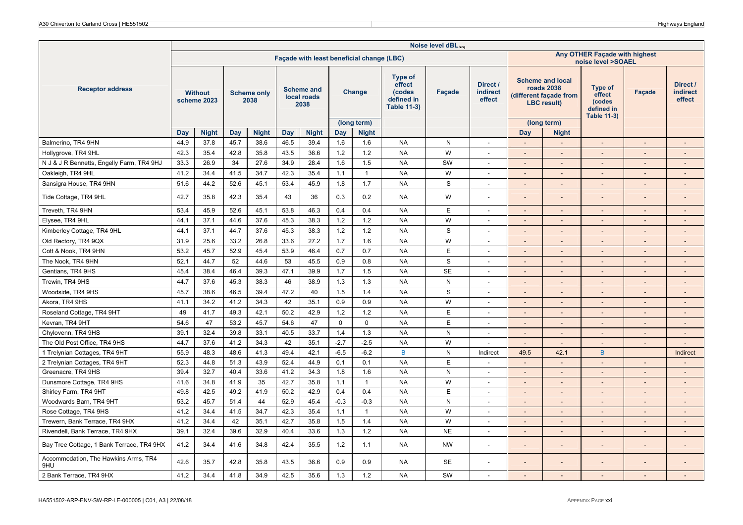|                                             |      |                               |      |                            |      |                                          |             |                                           |                                                                 | Noise level dBLAeq |                                |                          |                                                                                              |                                                                 |                |                                |
|---------------------------------------------|------|-------------------------------|------|----------------------------|------|------------------------------------------|-------------|-------------------------------------------|-----------------------------------------------------------------|--------------------|--------------------------------|--------------------------|----------------------------------------------------------------------------------------------|-----------------------------------------------------------------|----------------|--------------------------------|
|                                             |      |                               |      |                            |      |                                          |             | Façade with least beneficial change (LBC) |                                                                 |                    |                                |                          |                                                                                              | Any OTHER Façade with highest<br>noise level >SOAEL             |                |                                |
| <b>Receptor address</b>                     |      | <b>Without</b><br>scheme 2023 |      | <b>Scheme only</b><br>2038 |      | <b>Scheme and</b><br>local roads<br>2038 |             | Change                                    | Type of<br>effect<br>(codes<br>defined in<br><b>Table 11-3)</b> | Facade             | Direct /<br>indirect<br>effect |                          | <b>Scheme and local</b><br><b>roads 2038</b><br>(different façade from<br><b>LBC</b> result) | Type of<br>effect<br>(codes<br>defined in<br><b>Table 11-3)</b> | Façade         | Direct /<br>indirect<br>effect |
|                                             |      |                               |      |                            |      |                                          |             | (long term)                               |                                                                 |                    |                                |                          | (long term)                                                                                  |                                                                 |                |                                |
|                                             | Day  | <b>Night</b>                  | Day  | <b>Night</b>               | Day  | <b>Night</b>                             | Day         | <b>Night</b>                              |                                                                 |                    |                                | Day                      | <b>Night</b>                                                                                 |                                                                 |                |                                |
| Balmerino, TR4 9HN                          | 44.9 | 37.8                          | 45.7 | 38.6                       | 46.5 | 39.4                                     | 1.6         | 1.6                                       | <b>NA</b>                                                       | ${\sf N}$          | $\blacksquare$                 | $\sim$                   | $\overline{\phantom{a}}$                                                                     | $\overline{\phantom{a}}$                                        |                | $\sim$                         |
| Hollygrove, TR4 9HL                         | 42.3 | 35.4                          | 42.8 | 35.8                       | 43.5 | 36.6                                     | 1.2         | 1.2                                       | <b>NA</b>                                                       | W                  | ٠                              |                          | $\overline{\phantom{0}}$                                                                     | $\sim$                                                          |                |                                |
| N J & J R Bennetts, Engelly Farm, TR4 9HJ   | 33.3 | 26.9                          | 34   | 27.6                       | 34.9 | 28.4                                     | 1.6         | 1.5                                       | <b>NA</b>                                                       | SW                 | $\blacksquare$                 | $\sim$                   | $\overline{\phantom{a}}$                                                                     | $\overline{\phantom{a}}$                                        |                | $\overline{\phantom{a}}$       |
| Oakleigh, TR4 9HL                           | 41.2 | 34.4                          | 41.5 | 34.7                       | 42.3 | 35.4                                     | 1.1         | $\overline{1}$                            | <b>NA</b>                                                       | W                  | $\blacksquare$                 | $\sim$                   | $\overline{\phantom{a}}$                                                                     | $\sim$                                                          | $\sim$         | $\sim$                         |
| Sansigra House, TR4 9HN                     | 51.6 | 44.2                          | 52.6 | 45.1                       | 53.4 | 45.9                                     | 1.8         | 1.7                                       | <b>NA</b>                                                       | $\mathbf S$        | $\blacksquare$                 |                          | $\overline{a}$                                                                               | $\overline{\phantom{a}}$                                        |                |                                |
| Tide Cottage, TR4 9HL                       | 42.7 | 35.8                          | 42.3 | 35.4                       | 43   | 36                                       | 0.3         | 0.2                                       | <b>NA</b>                                                       | W                  | $\overline{a}$                 | $\overline{\phantom{a}}$ | $\overline{a}$                                                                               | $\overline{a}$                                                  |                |                                |
| Treveth, TR4 9HN                            | 53.4 | 45.9                          | 52.6 | 45.1                       | 53.8 | 46.3                                     | 0.4         | 0.4                                       | <b>NA</b>                                                       | E                  | $\blacksquare$                 | $\sim$                   | $\overline{\phantom{a}}$                                                                     | $\overline{\phantom{a}}$                                        | $\sim$         | $\sim$                         |
| Elysee, TR4 9HL                             | 44.1 | 37.1                          | 44.6 | 37.6                       | 45.3 | 38.3                                     | 1.2         | 1.2                                       | <b>NA</b>                                                       | W                  | $\overline{\phantom{a}}$       | $\overline{\phantom{a}}$ | $\overline{\phantom{a}}$                                                                     | $\sim$                                                          | $\sim$         | $\sim$                         |
| Kimberley Cottage, TR4 9HL                  | 44.1 | 37.1                          | 44.7 | 37.6                       | 45.3 | 38.3                                     | 1.2         | 1.2                                       | <b>NA</b>                                                       | $\mathbf S$        | $\overline{\phantom{a}}$       | $\overline{\phantom{a}}$ | $\overline{\phantom{a}}$                                                                     | $\overline{\phantom{a}}$                                        | $\overline{a}$ | $\overline{\phantom{a}}$       |
| Old Rectory, TR4 9QX                        | 31.9 | 25.6                          | 33.2 | 26.8                       | 33.6 | 27.2                                     | 1.7         | 1.6                                       | <b>NA</b>                                                       | W                  | $\sim$                         | $\overline{a}$           | $\overline{\phantom{a}}$                                                                     | $\overline{\phantom{a}}$                                        | $\sim$         | $\sim$                         |
| Cott & Nook, TR4 9HN                        | 53.2 | 45.7                          | 52.9 | 45.4                       | 53.9 | 46.4                                     | 0.7         | 0.7                                       | <b>NA</b>                                                       | E                  | $\blacksquare$                 | $\sim$                   | $\overline{\phantom{a}}$                                                                     | $\overline{\phantom{a}}$                                        |                | $\overline{a}$                 |
| The Nook, TR4 9HN                           | 52.1 | 44.7                          | 52   | 44.6                       | 53   | 45.5                                     | 0.9         | 0.8                                       | <b>NA</b>                                                       | S                  | $\sim$                         | $\sim$                   | $\overline{\phantom{a}}$                                                                     | $\blacksquare$                                                  | $\sim$         | $\sim$                         |
| Gentians, TR4 9HS                           | 45.4 | 38.4                          | 46.4 | 39.3                       | 47.1 | 39.9                                     | 1.7         | 1.5                                       | <b>NA</b>                                                       | <b>SE</b>          | $\overline{\phantom{a}}$       | $\overline{\phantom{a}}$ | $\overline{\phantom{a}}$                                                                     | $\overline{\phantom{a}}$                                        | $\sim$         | $\sim$                         |
| Trewin, TR4 9HS                             | 44.7 | 37.6                          | 45.3 | 38.3                       | 46   | 38.9                                     | 1.3         | 1.3                                       | <b>NA</b>                                                       | N                  | $\sim$                         | $\sim$                   | $\overline{\phantom{a}}$                                                                     | $\overline{a}$                                                  | $\sim$         | $\sim$                         |
| Woodside, TR4 9HS                           | 45.7 | 38.6                          | 46.5 | 39.4                       | 47.2 | 40                                       | 1.5         | 1.4                                       | <b>NA</b>                                                       | $\mathbf S$        | $\overline{\phantom{a}}$       |                          | $\overline{\phantom{a}}$                                                                     | $\overline{\phantom{a}}$                                        |                |                                |
| Akora, TR4 9HS                              | 41.1 | 34.2                          | 41.2 | 34.3                       | 42   | 35.1                                     | 0.9         | 0.9                                       | <b>NA</b>                                                       | W                  | $\blacksquare$                 | $\overline{\phantom{a}}$ | $\overline{\phantom{a}}$                                                                     | $\blacksquare$                                                  | $\sim$         | $\overline{\phantom{a}}$       |
| Roseland Cottage, TR4 9HT                   | 49   | 41.7                          | 49.3 | 42.1                       | 50.2 | 42.9                                     | 1.2         | $1.2$                                     | <b>NA</b>                                                       | E                  | $\qquad \qquad \blacksquare$   |                          |                                                                                              | $\overline{\phantom{a}}$                                        |                |                                |
| Kevran, TR4 9HT                             | 54.6 | 47                            | 53.2 | 45.7                       | 54.6 | 47                                       | $\mathbf 0$ | $\mathbf 0$                               | <b>NA</b>                                                       | E                  | $\sim$                         | $\sim$                   | $\overline{\phantom{a}}$                                                                     | $\overline{a}$                                                  | $\sim$         | $\sim$                         |
| Chylovenn, TR4 9HS                          | 39.1 | 32.4                          | 39.8 | 33.1                       | 40.5 | 33.7                                     | 1.4         | 1.3                                       | <b>NA</b>                                                       | N                  | $\overline{\phantom{a}}$       | $\sim$                   | $\overline{\phantom{a}}$                                                                     | $\overline{\phantom{a}}$                                        |                |                                |
| The Old Post Office, TR4 9HS                | 44.7 | 37.6                          | 41.2 | 34.3                       | 42   | 35.1                                     | $-2.7$      | $-2.5$                                    | <b>NA</b>                                                       | W                  | $\qquad \qquad \blacksquare$   | $\sim$                   | $\overline{\phantom{a}}$                                                                     | $\overline{\phantom{a}}$                                        | $\sim$         | $\sim$                         |
| 1 Trelynian Cottages, TR4 9HT               | 55.9 | 48.3                          | 48.6 | 41.3                       | 49.4 | 42.1                                     | $-6.5$      | $-6.2$                                    | $\mathsf{B}$                                                    | ${\sf N}$          | Indirect                       | 49.5                     | 42.1                                                                                         | $\overline{B}$                                                  |                | Indirect                       |
| 2 Trelynian Cottages, TR4 9HT               | 52.3 | 44.8                          | 51.3 | 43.9                       | 52.4 | 44.9                                     | 0.1         | 0.1                                       | <b>NA</b>                                                       | E                  | ÷,                             |                          |                                                                                              | $\blacksquare$                                                  |                |                                |
| Greenacre, TR4 9HS                          | 39.4 | 32.7                          | 40.4 | 33.6                       | 41.2 | 34.3                                     | 1.8         | 1.6                                       | <b>NA</b>                                                       | ${\sf N}$          | $\sim$                         | $\overline{\phantom{a}}$ | $\sim$                                                                                       | $\sim$                                                          | $\sim$         | $\sim$                         |
| Dunsmore Cottage, TR4 9HS                   | 41.6 | 34.8                          | 41.9 | 35                         | 42.7 | 35.8                                     | 1.1         | $\overline{1}$                            | <b>NA</b>                                                       | W                  | $\sim$                         | $\sim$                   | $\overline{\phantom{a}}$                                                                     | $\overline{a}$                                                  | $\sim$         | $\overline{\phantom{a}}$       |
| Shirley Farm, TR4 9HT                       | 49.8 | 42.5                          | 49.2 | 41.9                       | 50.2 | 42.9                                     | 0.4         | 0.4                                       | <b>NA</b>                                                       | E                  | $\qquad \qquad \blacksquare$   | $\overline{\phantom{a}}$ | $\overline{\phantom{a}}$                                                                     | $\overline{\phantom{a}}$                                        |                | $\overline{\phantom{a}}$       |
| Woodwards Barn, TR4 9HT                     | 53.2 | 45.7                          | 51.4 | 44                         | 52.9 | 45.4                                     | $-0.3$      | $-0.3$                                    | <b>NA</b>                                                       | ${\sf N}$          | $\mathbf{r}$                   | $\sim$                   | $\sim$                                                                                       | $\blacksquare$                                                  | $\sim$         | $\mathcal{L}$                  |
| Rose Cottage, TR4 9HS                       | 41.2 | 34.4                          | 41.5 | 34.7                       | 42.3 | 35.4                                     | 1.1         | $\overline{1}$                            | <b>NA</b>                                                       | W                  | $\sim$                         | $\overline{\phantom{a}}$ | $\overline{\phantom{a}}$                                                                     | $\overline{\phantom{a}}$                                        | $\sim$         | $\sim$                         |
| Trewern, Bank Terrace, TR4 9HX              | 41.2 | 34.4                          | 42   | 35.1                       | 42.7 | 35.8                                     | 1.5         | 1.4                                       | <b>NA</b>                                                       | W                  | $\overline{\phantom{a}}$       | $\sim$                   | $\overline{\phantom{a}}$                                                                     | $\overline{\phantom{a}}$                                        | $\overline{a}$ | $\overline{\phantom{a}}$       |
| Rivendell, Bank Terrace, TR4 9HX            | 39.1 | 32.4                          | 39.6 | 32.9                       | 40.4 | 33.6                                     | 1.3         | $1.2$                                     | <b>NA</b>                                                       | <b>NE</b>          | $\sim$                         | $\sim$                   | $\sim$                                                                                       | $\overline{\phantom{a}}$                                        | $\sim$         | $\sim$                         |
| Bay Tree Cottage, 1 Bank Terrace, TR4 9HX   | 41.2 | 34.4                          | 41.6 | 34.8                       | 42.4 | 35.5                                     | 1.2         | 1.1                                       | <b>NA</b>                                                       | <b>NW</b>          | ÷                              |                          |                                                                                              |                                                                 |                |                                |
| Accommodation, The Hawkins Arms, TR4<br>9HU | 42.6 | 35.7                          | 42.8 | 35.8                       | 43.5 | 36.6                                     | 0.9         | 0.9                                       | <b>NA</b>                                                       | <b>SE</b>          |                                |                          |                                                                                              |                                                                 |                |                                |
| 2 Bank Terrace, TR4 9HX                     | 41.2 | 34.4                          | 41.8 | 34.9                       | 42.5 | 35.6                                     | 1.3         | 1.2                                       | <b>NA</b>                                                       | SW                 | $\sim$                         | $\sim$                   | $\overline{\phantom{a}}$                                                                     | $\overline{a}$                                                  | $\sim$         | $\sim$                         |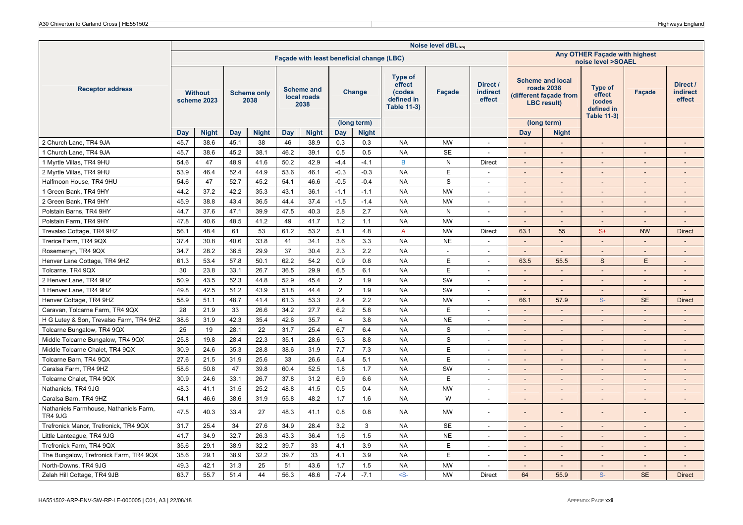|                                                          |      |                               |      |                            |      |                                          |                  |                                           |                                                                        | Noise level dBLAeq |                                       |                          |                                                                                      |                                                                 |                          |                                       |
|----------------------------------------------------------|------|-------------------------------|------|----------------------------|------|------------------------------------------|------------------|-------------------------------------------|------------------------------------------------------------------------|--------------------|---------------------------------------|--------------------------|--------------------------------------------------------------------------------------|-----------------------------------------------------------------|--------------------------|---------------------------------------|
|                                                          |      |                               |      |                            |      |                                          |                  | Façade with least beneficial change (LBC) |                                                                        |                    |                                       |                          |                                                                                      | Any OTHER Façade with highest<br>noise level >SOAEL             |                          |                                       |
| <b>Receptor address</b>                                  |      | <b>Without</b><br>scheme 2023 |      | <b>Scheme only</b><br>2038 |      | <b>Scheme and</b><br>local roads<br>2038 |                  | Change                                    | <b>Type of</b><br>effect<br>(codes<br>defined in<br><b>Table 11-3)</b> | Façade             | Direct /<br><b>indirect</b><br>effect |                          | <b>Scheme and local</b><br>roads 2038<br>different façade from<br><b>LBC</b> result) | Type of<br>effect<br>(codes<br>defined in<br><b>Table 11-3)</b> | Façade                   | Direct /<br><b>indirect</b><br>effect |
|                                                          |      |                               |      |                            |      |                                          |                  | (long term)                               |                                                                        |                    |                                       |                          | (long term)                                                                          |                                                                 |                          |                                       |
|                                                          | Day  | <b>Night</b>                  | Day  | <b>Night</b>               | Day  | <b>Night</b>                             | Day              | <b>Night</b>                              |                                                                        |                    |                                       | Day                      | <b>Night</b>                                                                         |                                                                 |                          |                                       |
| 2 Church Lane, TR4 9JA                                   | 45.7 | 38.6                          | 45.1 | 38                         | 46   | 38.9                                     | 0.3              | 0.3                                       | <b>NA</b>                                                              | <b>NW</b>          | $\overline{\phantom{a}}$              | $\overline{\phantom{a}}$ | $\sim$                                                                               | $\overline{\phantom{a}}$                                        | $\sim$                   | $\sim$                                |
| 1 Church Lane, TR4 9JA                                   | 45.7 | 38.6                          | 45.2 | 38.1                       | 46.2 | 39.1                                     | 0.5              | 0.5                                       | <b>NA</b>                                                              | <b>SE</b>          | $\overline{\phantom{a}}$              | $\sim$                   | $\overline{\phantom{a}}$                                                             | $\overline{\phantom{a}}$                                        |                          |                                       |
| 1 Myrtle Villas, TR4 9HU                                 | 54.6 | 47                            | 48.9 | 41.6                       | 50.2 | 42.9                                     | $-4.4$           | $-4.1$                                    | B                                                                      | N                  | <b>Direct</b>                         | $\overline{\phantom{a}}$ | $\sim$                                                                               | L.                                                              |                          | $\blacksquare$                        |
| 2 Myrtle Villas, TR4 9HU                                 | 53.9 | 46.4                          | 52.4 | 44.9                       | 53.6 | 46.1                                     | $-0.3$           | $-0.3$                                    | <b>NA</b>                                                              | E                  | $\overline{\phantom{a}}$              | $\overline{\phantom{a}}$ | $\overline{\phantom{a}}$                                                             | $\overline{\phantom{m}}$                                        |                          | $\overline{\phantom{a}}$              |
| Halfmoon House, TR4 9HU                                  | 54.6 | 47                            | 52.7 | 45.2                       | 54.1 | 46.6                                     | $-0.5$           | $-0.4$                                    | <b>NA</b>                                                              | $\mathbf S$        | $\overline{\phantom{a}}$              | $\overline{\phantom{a}}$ | $\overline{\phantom{a}}$                                                             | $\overline{a}$                                                  |                          | $\overline{\phantom{a}}$              |
| 1 Green Bank, TR4 9HY                                    | 44.2 | 37.2                          | 42.2 | 35.3                       | 43.1 | 36.1                                     | $-1.1$           | $-1.1$                                    | <b>NA</b>                                                              | <b>NW</b>          | $\sim$                                | $\sim$                   | $\overline{\phantom{a}}$                                                             | $\overline{a}$                                                  | $\sim$                   | $\overline{\phantom{a}}$              |
| 2 Green Bank, TR4 9HY                                    | 45.9 | 38.8                          | 43.4 | 36.5                       | 44.4 | 37.4                                     | $-1.5$           | $-1.4$                                    | <b>NA</b>                                                              | <b>NW</b>          | $\overline{a}$                        | $\overline{\phantom{a}}$ | $\overline{\phantom{a}}$                                                             | $\overline{\phantom{0}}$                                        |                          | $\overline{\phantom{a}}$              |
| Polstain Barns, TR4 9HY                                  | 44.7 | 37.6                          | 47.1 | 39.9                       | 47.5 | 40.3                                     | 2.8              | 2.7                                       | <b>NA</b>                                                              | N                  | $\overline{\phantom{a}}$              | $\overline{\phantom{a}}$ | $\overline{\phantom{a}}$                                                             | $\overline{a}$                                                  |                          | $\overline{\phantom{a}}$              |
| Polstain Farm, TR4 9HY                                   | 47.8 | 40.6                          | 48.5 | 41.2                       | 49   | 41.7                                     | 1.2              | 1.1                                       | <b>NA</b>                                                              | <b>NW</b>          | $\overline{\phantom{a}}$              | $\overline{\phantom{a}}$ | $\overline{\phantom{a}}$                                                             | $\overline{a}$                                                  |                          | $\overline{a}$                        |
| Trevalso Cottage, TR4 9HZ                                | 56.1 | 48.4                          | 61   | 53                         | 61.2 | 53.2                                     | 5.1              | 4.8                                       | $\mathsf{A}$                                                           | <b>NW</b>          | <b>Direct</b>                         | 63.1                     | 55                                                                                   | $S+$                                                            | <b>NW</b>                | <b>Direct</b>                         |
| Trerice Farm, TR4 9QX                                    | 37.4 | 30.8                          | 40.6 | 33.8                       | 41   | 34.1                                     | 3.6              | 3.3                                       | <b>NA</b>                                                              | <b>NE</b>          | $\overline{a}$                        | $\sim$                   | $\sim$                                                                               | $\overline{a}$                                                  |                          | $\mathbf{r}$                          |
| Rosemerryn, TR4 9QX                                      | 34.7 | 28.2                          | 36.5 | 29.9                       | 37   | 30.4                                     | 2.3              | 2.2                                       | <b>NA</b>                                                              |                    | $\overline{a}$                        | $\overline{\phantom{a}}$ | $\sim$                                                                               | $\overline{a}$                                                  |                          | $\mathbf{r}$                          |
| Henver Lane Cottage, TR4 9HZ                             | 61.3 | 53.4                          | 57.8 | 50.1                       | 62.2 | 54.2                                     | 0.9              | 0.8                                       | <b>NA</b>                                                              | E                  | $\sim$                                | 63.5                     | 55.5                                                                                 | $\mathsf{s}$                                                    | E                        | $\sim$                                |
| Tolcarne, TR4 9QX                                        | 30   | 23.8                          | 33.1 | 26.7                       | 36.5 | 29.9                                     | 6.5              | 6.1                                       | <b>NA</b>                                                              | $\mathsf E$        | $\overline{\phantom{a}}$              | $\sim$                   | $\sim$                                                                               | $\overline{\phantom{a}}$                                        | $\sim$                   | $\overline{\phantom{a}}$              |
| 2 Henver Lane, TR4 9HZ                                   | 50.9 | 43.5                          | 52.3 | 44.8                       | 52.9 | 45.4                                     | $\boldsymbol{2}$ | 1.9                                       | <b>NA</b>                                                              | SW                 | $\overline{\phantom{a}}$              |                          |                                                                                      | $\overline{a}$                                                  |                          |                                       |
| 1 Henver Lane, TR4 9HZ                                   | 49.8 | 42.5                          | 51.2 | 43.9                       | 51.8 | 44.4                                     | $\overline{2}$   | 1.9                                       | <b>NA</b>                                                              | SW                 | $\sim$                                | $\sim$                   | $\sim$                                                                               | $\sim$                                                          | $\sim$                   | $\blacksquare$                        |
| Henver Cottage, TR4 9HZ                                  | 58.9 | 51.1                          | 48.7 | 41.4                       | 61.3 | 53.3                                     | 2.4              | 2.2                                       | <b>NA</b>                                                              | <b>NW</b>          | $\overline{\phantom{a}}$              | 66.1                     | 57.9                                                                                 | $S-$                                                            | <b>SE</b>                | <b>Direct</b>                         |
| Caravan, Tolcarne Farm, TR4 9QX                          | 28   | 21.9                          | 33   | 26.6                       | 34.2 | 27.7                                     | 6.2              | 5.8                                       | <b>NA</b>                                                              | $\mathsf E$        | $\overline{\phantom{a}}$              | $\sim$                   | $\sim$                                                                               | $\sim$                                                          | $\sim$                   | $\overline{\phantom{a}}$              |
| H G Lutey & Son, Trevalso Farm, TR4 9HZ                  | 38.6 | 31.9                          | 42.3 | 35.4                       | 42.6 | 35.7                                     | $\overline{4}$   | 3.8                                       | <b>NA</b>                                                              | <b>NE</b>          | L.                                    | $\overline{a}$           | $\overline{a}$                                                                       | $\overline{a}$                                                  |                          | $\overline{a}$                        |
| Tolcarne Bungalow, TR4 9QX                               | 25   | 19                            | 28.1 | 22                         | 31.7 | 25.4                                     | 6.7              | 6.4                                       | <b>NA</b>                                                              | S                  | $\overline{a}$                        | $\overline{\phantom{a}}$ | $\overline{\phantom{a}}$                                                             | $\overline{\phantom{0}}$                                        |                          | $\overline{\phantom{a}}$              |
| Middle Tolcarne Bungalow, TR4 9QX                        | 25.8 | 19.8                          | 28.4 | 22.3                       | 35.1 | 28.6                                     | 9.3              | 8.8                                       | <b>NA</b>                                                              | $\mathbf S$        | $\overline{\phantom{a}}$              | $\overline{\phantom{a}}$ | $\overline{\phantom{a}}$                                                             | $\overline{a}$                                                  |                          | $\overline{\phantom{a}}$              |
| Middle Tolcarne Chalet, TR4 9QX                          | 30.9 | 24.6                          | 35.3 | 28.8                       | 38.6 | 31.9                                     | 7.7              | 7.3                                       | <b>NA</b>                                                              | E                  | $\overline{\phantom{a}}$              | $\sim$                   | $\overline{\phantom{a}}$                                                             | $\overline{a}$                                                  | $\overline{\phantom{0}}$ | $\sim$                                |
| Tolcarne Barn, TR4 9QX                                   | 27.6 | 21.5                          | 31.9 | 25.6                       | 33   | 26.6                                     | 5.4              | 5.1                                       | <b>NA</b>                                                              | E                  | $\overline{a}$                        | $\sim$                   | $\overline{\phantom{a}}$                                                             | $\overline{a}$                                                  |                          | $\overline{\phantom{a}}$              |
| Caralsa Farm, TR4 9HZ                                    | 58.6 | 50.8                          | 47   | 39.8                       | 60.4 | 52.5                                     | 1.8              | 1.7                                       | <b>NA</b>                                                              | SW                 | $\overline{a}$                        |                          |                                                                                      |                                                                 |                          |                                       |
| Tolcarne Chalet, TR4 9QX                                 | 30.9 | 24.6                          | 33.1 | 26.7                       | 37.8 | 31.2                                     | 6.9              | 6.6                                       | <b>NA</b>                                                              | E                  | $\overline{\phantom{a}}$              | $\overline{\phantom{a}}$ |                                                                                      | $\overline{\phantom{a}}$                                        |                          | $\overline{\phantom{a}}$              |
| Nathaniels, TR4 9JG                                      | 48.3 | 41.1                          | 31.5 | 25.2                       | 48.8 | 41.5                                     | 0.5              | 0.4                                       | <b>NA</b>                                                              | <b>NW</b>          | $\sim$                                | $\overline{\phantom{a}}$ | $\overline{\phantom{a}}$                                                             | $\sim$                                                          | $\sim$                   | $\overline{\phantom{a}}$              |
| Caralsa Barn, TR4 9HZ                                    | 54.1 | 46.6                          | 38.6 | 31.9                       | 55.8 | 48.2                                     | 1.7              | 1.6                                       | <b>NA</b>                                                              | W                  | $\overline{\phantom{a}}$              | $\overline{\phantom{a}}$ | $\overline{\phantom{a}}$                                                             | $\overline{a}$                                                  |                          | $\blacksquare$                        |
| Nathaniels Farmhouse, Nathaniels Farm,<br><b>TR4 9JG</b> | 47.5 | 40.3                          | 33.4 | 27                         | 48.3 | 41.1                                     | 0.8              | 0.8                                       | <b>NA</b>                                                              | <b>NW</b>          | $\overline{a}$                        | $\overline{\phantom{0}}$ |                                                                                      | $\overline{a}$                                                  |                          | $\overline{\phantom{a}}$              |
| Trefronick Manor, Trefronick, TR4 9QX                    | 31.7 | 25.4                          | 34   | 27.6                       | 34.9 | 28.4                                     | 3.2              | $\mathbf{3}$                              | <b>NA</b>                                                              | <b>SE</b>          | $\overline{a}$                        | $\overline{\phantom{a}}$ |                                                                                      | $\overline{a}$                                                  |                          | $\blacksquare$                        |
| Little Lanteague, TR4 9JG                                | 41.7 | 34.9                          | 32.7 | 26.3                       | 43.3 | 36.4                                     | 1.6              | 1.5                                       | <b>NA</b>                                                              | <b>NE</b>          | $\sim$                                | $\overline{\phantom{a}}$ | $\overline{\phantom{a}}$                                                             | $\sim$                                                          | $\sim$                   | $\sim$                                |
| Trefronick Farm, TR4 9QX                                 | 35.6 | 29.1                          | 38.9 | 32.2                       | 39.7 | 33                                       | 4.1              | 3.9                                       | <b>NA</b>                                                              | E                  | $\overline{\phantom{a}}$              | $\sim$                   | $\overline{\phantom{a}}$                                                             | $\overline{a}$                                                  | $\overline{\phantom{a}}$ | $\sim$                                |
| The Bungalow, Trefronick Farm, TR4 9QX                   | 35.6 | 29.1                          | 38.9 | 32.2                       | 39.7 | 33                                       | 4.1              | 3.9                                       | <b>NA</b>                                                              | E                  | ÷,                                    |                          |                                                                                      | $\overline{a}$                                                  |                          |                                       |
| North-Downs, TR4 9JG                                     | 49.3 | 42.1                          | 31.3 | 25                         | 51   | 43.6                                     | 1.7              | 1.5                                       | <b>NA</b>                                                              | <b>NW</b>          | $\sim$                                | $\sim$                   | $\sim$                                                                               | $\sim$                                                          | $\sim$                   | $\mathbf{r}$                          |
| Zelah Hill Cottage, TR4 9JB                              | 63.7 | 55.7                          | 51.4 | 44                         | 56.3 | 48.6                                     | $-7.4$           | $-7.1$                                    | $-S$ -                                                                 | <b>NW</b>          | <b>Direct</b>                         | 64                       | 55.9                                                                                 | $S-$                                                            | <b>SE</b>                | <b>Direct</b>                         |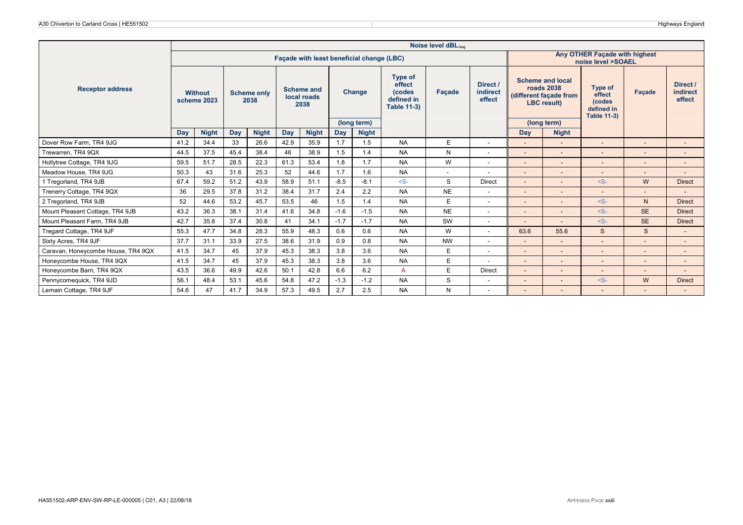|                                    |      |                               |            |                            |      |                                           |        |              |                                                                        | Noise level dBLAeg |                                |            |                                                                                              |                                                                 |                |                                       |
|------------------------------------|------|-------------------------------|------------|----------------------------|------|-------------------------------------------|--------|--------------|------------------------------------------------------------------------|--------------------|--------------------------------|------------|----------------------------------------------------------------------------------------------|-----------------------------------------------------------------|----------------|---------------------------------------|
|                                    |      |                               |            |                            |      | Facade with least beneficial change (LBC) |        |              |                                                                        |                    |                                |            |                                                                                              | Any OTHER Facade with highest<br>noise level >SOAEL             |                |                                       |
| <b>Receptor address</b>            |      | <b>Without</b><br>scheme 2023 |            | <b>Scheme only</b><br>2038 |      | <b>Scheme and</b><br>local roads<br>2038  |        | Change       | <b>Type of</b><br>effect<br>(codes<br>defined in<br><b>Table 11-3)</b> | <b>Facade</b>      | Direct /<br>indirect<br>effect |            | <b>Scheme and local</b><br><b>roads 2038</b><br>(different facade from<br><b>LBC</b> result) | Type of<br>effect<br>(codes<br>defined in<br><b>Table 11-3)</b> | Facade         | Direct /<br><b>indirect</b><br>effect |
|                                    |      |                               |            |                            |      |                                           |        | (long term)  |                                                                        |                    |                                |            | (long term)                                                                                  |                                                                 |                |                                       |
|                                    | Day  | <b>Night</b>                  | <b>Day</b> | <b>Night</b>               | Day  | <b>Night</b>                              | Day    | <b>Night</b> |                                                                        |                    |                                | <b>Day</b> | <b>Night</b>                                                                                 |                                                                 |                |                                       |
| Dover Row Farm, TR4 9JG            | 41.2 | 34.4                          | 33         | 26.6                       | 42.9 | 35.9                                      | 1.7    | 1.5          | <b>NA</b>                                                              | E.                 | $\overline{\phantom{a}}$       |            | $\overline{\phantom{a}}$                                                                     |                                                                 |                |                                       |
| Trewarren, TR4 9QX                 | 44.5 | 37.5                          | 45.4       | 38.4                       | 46   | 38.9                                      | 1.5    | 1.4          | <b>NA</b>                                                              | N                  | $\overline{\phantom{a}}$       |            | $\overline{\phantom{a}}$                                                                     |                                                                 |                | $\sim$                                |
| Hollytree Cottage, TR4 9JG         | 59.5 | 51.7                          | 28.5       | 22.3                       | 61.3 | 53.4                                      | 1.8    | 1.7          | <b>NA</b>                                                              | W                  | $\overline{\phantom{a}}$       |            |                                                                                              |                                                                 |                |                                       |
| Meadow House, TR4 9JG              | 50.3 | 43                            | 31.6       | 25.3                       | 52   | 44.6                                      | 1.7    | 1.6          | <b>NA</b>                                                              | ۰.                 | $\overline{\phantom{a}}$       |            | $\overline{\phantom{a}}$                                                                     |                                                                 |                |                                       |
| 1 Tregorland, TR4 9JB              | 67.4 | 59.2                          | 51.2       | 43.9                       | 58.9 | 51.1                                      | $-8.5$ | $-8.1$       | $-S-$                                                                  | S                  | <b>Direct</b>                  |            | $\overline{\phantom{a}}$                                                                     | $-S-$                                                           | W              | <b>Direct</b>                         |
| Trenerry Cottage, TR4 9QX          | 36   | 29.5                          | 37.8       | 31.2                       | 38.4 | 31.7                                      | 2.4    | 2.2          | <b>NA</b>                                                              | <b>NE</b>          | $\overline{\phantom{a}}$       |            | $\overline{\phantom{a}}$                                                                     |                                                                 |                |                                       |
| 2 Tregorland, TR4 9JB              | 52   | 44.6                          | 53.2       | 45.7                       | 53.5 | 46                                        | 1.5    | 1.4          | <b>NA</b>                                                              | E                  | $\overline{\phantom{a}}$       |            | ٠                                                                                            | $-S-$                                                           | N <sub>1</sub> | <b>Direct</b>                         |
| Mount Pleasant Cottage, TR4 9JB    | 43.2 | 36.3                          | 38.1       | 31.4                       | 41.6 | 34.8                                      | $-1.6$ | $-1.5$       | <b>NA</b>                                                              | <b>NE</b>          | $\overline{\phantom{a}}$       |            | $\overline{\phantom{a}}$                                                                     | $-S-$                                                           | <b>SE</b>      | <b>Direct</b>                         |
| Mount Pleasant Farm, TR4 9JB       | 42.7 | 35.8                          | 37.4       | 30.8                       | 41   | 34.1                                      | $-1.7$ | $-1.7$       | <b>NA</b>                                                              | SW                 | $\overline{\phantom{a}}$       |            | $\overline{\phantom{a}}$                                                                     | $-S-$                                                           | <b>SE</b>      | <b>Direct</b>                         |
| Tregard Cottage, TR4 9JF           | 55.3 | 47.7                          | 34.8       | 28.3                       | 55.9 | 48.3                                      | 0.6    | 0.6          | <b>NA</b>                                                              | W                  | ٠                              | 63.6       | 55.6                                                                                         | $\mathbf{s}$                                                    | S              |                                       |
| Sixty Acres, TR4 9JF               | 37.7 | 31.1                          | 33.9       | 27.5                       | 38.6 | 31.9                                      | 0.9    | 0.8          | <b>NA</b>                                                              | <b>NW</b>          | $\overline{\phantom{a}}$       |            | $\overline{\phantom{a}}$                                                                     | $\overline{\phantom{a}}$                                        |                | $\overline{a}$                        |
| Caravan, Honeycombe House, TR4 9QX | 41.5 | 34.7                          | 45         | 37.9                       | 45.3 | 38.3                                      | 3.8    | 3.6          | <b>NA</b>                                                              | E                  | $\overline{\phantom{a}}$       |            | $\overline{\phantom{a}}$                                                                     |                                                                 |                |                                       |
| Honeycombe House, TR4 9QX          | 41.5 | 34.7                          | 45         | 37.9                       | 45.3 | 38.3                                      | 3.8    | 3.6          | <b>NA</b>                                                              | E                  |                                |            | $\overline{\phantom{a}}$                                                                     |                                                                 |                |                                       |
| Honeycombe Barn, TR4 9QX           | 43.5 | 36.6                          | 49.9       | 42.6                       | 50.1 | 42.8                                      | 6.6    | 6.2          | A                                                                      | E                  | <b>Direct</b>                  |            | $\overline{\phantom{a}}$                                                                     |                                                                 |                |                                       |
| Pennycomequick, TR4 9JD            | 56.1 | 48.4                          | 53.1       | 45.6                       | 54.8 | 47.2                                      | $-1.3$ | $-1.2$       | <b>NA</b>                                                              | S                  | $\overline{\phantom{a}}$       |            | $\overline{\phantom{a}}$                                                                     | $-S-$                                                           | W              | <b>Direct</b>                         |
| Lemain Cottage, TR4 9JF            | 54.6 | 47                            | 41.7       | 34.9                       | 57.3 | 49.5                                      | 2.7    | 2.5          | <b>NA</b>                                                              | N                  | ٠                              |            |                                                                                              |                                                                 |                |                                       |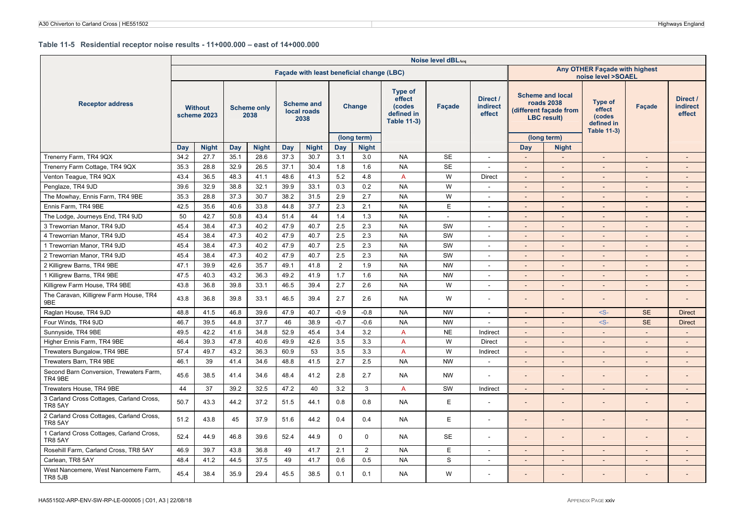#### **Table 11-5 Residential receptor noise results - 11+000.000 – east of 14+000.000**

|                                                            |      |                               |      |                            |      |                                          |          | Façade with least beneficial change (LBC) |                                                                 |           |                                | Any OTHER Façade with highest<br>noise level >SOAEL |                                                                                      |                                                                 |                          |                                       |
|------------------------------------------------------------|------|-------------------------------|------|----------------------------|------|------------------------------------------|----------|-------------------------------------------|-----------------------------------------------------------------|-----------|--------------------------------|-----------------------------------------------------|--------------------------------------------------------------------------------------|-----------------------------------------------------------------|--------------------------|---------------------------------------|
| <b>Receptor address</b>                                    |      | <b>Without</b><br>scheme 2023 |      | <b>Scheme only</b><br>2038 |      | <b>Scheme and</b><br>local roads<br>2038 |          | Change                                    | Type of<br>effect<br>(codes<br>defined in<br><b>Table 11-3)</b> | Façade    | Direct /<br>indirect<br>effect |                                                     | <b>Scheme and local</b><br>roads 2038<br>different facade from<br><b>LBC</b> result) | Type of<br>effect<br>(codes<br>defined in<br><b>Table 11-3)</b> | Facade                   | Direct /<br><b>indirect</b><br>effect |
|                                                            |      |                               |      |                            |      |                                          |          | (long term)                               |                                                                 |           |                                |                                                     | (long term)                                                                          |                                                                 |                          |                                       |
|                                                            | Day  | <b>Night</b>                  | Day  | <b>Night</b>               | Day  | <b>Night</b>                             | Day      | <b>Night</b>                              |                                                                 |           |                                | Day                                                 | <b>Night</b>                                                                         |                                                                 |                          |                                       |
| Trenerry Farm, TR4 9QX                                     | 34.2 | 27.7                          | 35.1 | 28.6                       | 37.3 | 30.7                                     | 3.1      | 3.0                                       | <b>NA</b>                                                       | <b>SE</b> | $\overline{\phantom{a}}$       |                                                     | $\sim$                                                                               | $\sim$                                                          | $\sim$                   | $\overline{\phantom{a}}$              |
| Trenerry Farm Cottage, TR4 9QX                             | 35.3 | 28.8                          | 32.9 | 26.5                       | 37.1 | 30.4                                     | 1.8      | 1.6                                       | <b>NA</b>                                                       | <b>SE</b> | $\blacksquare$                 | $\overline{\phantom{a}}$                            | $\sim$                                                                               | $\sim$                                                          | $\overline{\phantom{a}}$ | $\overline{\phantom{a}}$              |
| Venton Teague, TR4 9QX                                     | 43.4 | 36.5                          | 48.3 | 41.1                       | 48.6 | 41.3                                     | 5.2      | 4.8                                       | A                                                               | W         | <b>Direct</b>                  |                                                     |                                                                                      | $\sim$                                                          | $\overline{\phantom{a}}$ |                                       |
| Penglaze, TR4 9JD                                          | 39.6 | 32.9                          | 38.8 | 32.1                       | 39.9 | 33.1                                     | 0.3      | 0.2                                       | <b>NA</b>                                                       | W         | $\overline{\phantom{a}}$       |                                                     | $\overline{\phantom{a}}$                                                             |                                                                 | $\overline{\phantom{a}}$ | $\overline{\phantom{a}}$              |
| The Mowhay, Ennis Farm, TR4 9BE                            | 35.3 | 28.8                          | 37.3 | 30.7                       | 38.2 | 31.5                                     | 2.9      | 2.7                                       | <b>NA</b>                                                       | W         | $\overline{a}$                 |                                                     | $\sim$                                                                               | $\overline{\phantom{a}}$                                        | $\overline{\phantom{a}}$ | $\overline{a}$                        |
| Ennis Farm, TR4 9BE                                        | 42.5 | 35.6                          | 40.6 | 33.8                       | 44.8 | 37.7                                     | 2.3      | 2.1                                       | <b>NA</b>                                                       | E         | $\overline{\phantom{a}}$       |                                                     | $\sim$                                                                               | $\sim$                                                          | $\overline{\phantom{a}}$ | $\overline{\phantom{a}}$              |
| The Lodge, Journeys End, TR4 9JD                           | 50   | 42.7                          | 50.8 | 43.4                       | 51.4 | 44                                       | 1.4      | 1.3                                       | <b>NA</b>                                                       | $\sim$    |                                |                                                     |                                                                                      |                                                                 |                          |                                       |
| 3 Treworrian Manor, TR4 9JD                                | 45.4 | 38.4                          | 47.3 | 40.2                       | 47.9 | 40.7                                     | 2.5      | 2.3                                       | <b>NA</b>                                                       | SW        | $\overline{\phantom{a}}$       |                                                     |                                                                                      |                                                                 | $\overline{\phantom{a}}$ |                                       |
| 4 Treworrian Manor, TR4 9JD                                | 45.4 | 38.4                          | 47.3 | 40.2                       | 47.9 | 40.7                                     | 2.5      | 2.3                                       | <b>NA</b>                                                       | SW        | $\blacksquare$                 | $\sim$                                              | $\sim$                                                                               | $\sim$                                                          | $\blacksquare$           | $\overline{a}$                        |
| 1 Treworrian Manor, TR4 9JD                                | 45.4 | 38.4                          | 47.3 | 40.2                       | 47.9 | 40.7                                     | 2.5      | 2.3                                       | <b>NA</b>                                                       | SW        | $\overline{\phantom{a}}$       |                                                     | $\sim$                                                                               | $\overline{\phantom{a}}$                                        | $\overline{\phantom{m}}$ | $\overline{a}$                        |
| 2 Treworrian Manor, TR4 9JD                                | 45.4 | 38.4                          | 47.3 | 40.2                       | 47.9 | 40.7                                     | 2.5      | 2.3                                       | <b>NA</b>                                                       | SW        | $\blacksquare$                 |                                                     | $\overline{a}$                                                                       |                                                                 | $\overline{a}$           | $\overline{a}$                        |
| 2 Killigrew Barns, TR4 9BE                                 | 47.1 | 39.9                          | 42.6 | 35.7                       | 49.1 | 41.8                                     | 2        | 1.9                                       | <b>NA</b>                                                       | <b>NW</b> | $\overline{\phantom{a}}$       |                                                     | $\overline{\phantom{a}}$                                                             | $\overline{\phantom{a}}$                                        | $\overline{\phantom{a}}$ | $\overline{a}$                        |
| 1 Killigrew Barns, TR4 9BE                                 | 47.5 | 40.3                          | 43.2 | 36.3                       | 49.2 | 41.9                                     | 1.7      | 1.6                                       | <b>NA</b>                                                       | <b>NW</b> | $\overline{\phantom{a}}$       | $\sim$                                              | $\sim$                                                                               | $\overline{\phantom{a}}$                                        | $\overline{\phantom{a}}$ | $\overline{\phantom{a}}$              |
| Killigrew Farm House, TR4 9BE                              | 43.8 | 36.8                          | 39.8 | 33.1                       | 46.5 | 39.4                                     | 2.7      | 2.6                                       | <b>NA</b>                                                       | W         | $\overline{\phantom{a}}$       |                                                     | $\sim$                                                                               | $\sim$                                                          | $\overline{\phantom{a}}$ | $\overline{\phantom{a}}$              |
| The Caravan, Killigrew Farm House, TR4<br>9BE              | 43.8 | 36.8                          | 39.8 | 33.1                       | 46.5 | 39.4                                     | 2.7      | 2.6                                       | <b>NA</b>                                                       | W         | $\blacksquare$                 |                                                     |                                                                                      |                                                                 | $\overline{\phantom{m}}$ |                                       |
| Raglan House, TR4 9JD                                      | 48.8 | 41.5                          | 46.8 | 39.6                       | 47.9 | 40.7                                     | $-0.9$   | $-0.8$                                    | <b>NA</b>                                                       | <b>NW</b> | $\overline{\phantom{a}}$       |                                                     | $\overline{a}$                                                                       | $-S-$                                                           | <b>SE</b>                | <b>Direct</b>                         |
| Four Winds, TR4 9JD                                        | 46.7 | 39.5                          | 44.8 | 37.7                       | 46   | 38.9                                     | $-0.7$   | $-0.6$                                    | <b>NA</b>                                                       | <b>NW</b> | $\blacksquare$                 |                                                     |                                                                                      | $-S-$                                                           | <b>SE</b>                | <b>Direct</b>                         |
| Sunnyside, TR4 9BE                                         | 49.5 | 42.2                          | 41.6 | 34.8                       | 52.9 | 45.4                                     | 3.4      | 3.2                                       | A                                                               | <b>NE</b> | Indirect                       | $\overline{a}$                                      | $\sim$                                                                               | $\sim$                                                          | $\overline{\phantom{a}}$ | $\sim$                                |
| Higher Ennis Farm, TR4 9BE                                 | 46.4 | 39.3                          | 47.8 | 40.6                       | 49.9 | 42.6                                     | 3.5      | 3.3                                       | A                                                               | W         | Direct                         |                                                     |                                                                                      | $\sim$                                                          | $\overline{\phantom{a}}$ |                                       |
| Trewaters Bungalow, TR4 9BE                                | 57.4 | 49.7                          | 43.2 | 36.3                       | 60.9 | 53                                       | 3.5      | 3.3                                       | A                                                               | W         | Indirect                       |                                                     | $\sim$                                                                               | $\sim$                                                          | $\overline{\phantom{a}}$ | $\overline{a}$                        |
| Trewaters Barn, TR4 9BE                                    | 46.1 | 39                            | 41.4 | 34.6                       | 48.8 | 41.5                                     | 2.7      | 2.5                                       | <b>NA</b>                                                       | <b>NW</b> | $\sim$                         | $\overline{\phantom{a}}$                            | $\sim$                                                                               | $\sim$                                                          | $\overline{\phantom{a}}$ | $\overline{\phantom{a}}$              |
| Second Barn Conversion, Trewaters Farm,<br>TR4 9BE         | 45.6 | 38.5                          | 41.4 | 34.6                       | 48.4 | 41.2                                     | 2.8      | 2.7                                       | <b>NA</b>                                                       | <b>NW</b> |                                |                                                     |                                                                                      |                                                                 |                          |                                       |
| Trewaters House, TR4 9BE                                   | 44   | 37                            | 39.2 | 32.5                       | 47.2 | 40                                       | 3.2      | 3                                         | A                                                               | SW        | Indirect                       | $\overline{\phantom{a}}$                            | $\sim$                                                                               | $\sim$                                                          | $\sim$                   | $\overline{\phantom{a}}$              |
| 3 Carland Cross Cottages, Carland Cross,<br><b>TR8 5AY</b> | 50.7 | 43.3                          | 44.2 | 37.2                       | 51.5 | 44.1                                     | 0.8      | 0.8                                       | <b>NA</b>                                                       | E         | $\overline{\phantom{a}}$       |                                                     |                                                                                      |                                                                 |                          |                                       |
| 2 Carland Cross Cottages, Carland Cross,<br><b>TR8 5AY</b> | 51.2 | 43.8                          | 45   | 37.9                       | 51.6 | 44.2                                     | 0.4      | 0.4                                       | <b>NA</b>                                                       | E         | $\blacksquare$                 |                                                     |                                                                                      |                                                                 | $\overline{a}$           |                                       |
| 1 Carland Cross Cottages, Carland Cross,<br>TR8 5AY        | 52.4 | 44.9                          | 46.8 | 39.6                       | 52.4 | 44.9                                     | $\Omega$ | $\Omega$                                  | <b>NA</b>                                                       | <b>SE</b> | $\blacksquare$                 |                                                     |                                                                                      |                                                                 | ٠                        |                                       |
| Rosehill Farm, Carland Cross, TR8 5AY                      | 46.9 | 39.7                          | 43.8 | 36.8                       | 49   | 41.7                                     | 2.1      | $\overline{2}$                            | <b>NA</b>                                                       | E         | $\overline{\phantom{a}}$       |                                                     | $\overline{\phantom{a}}$                                                             | $\overline{\phantom{a}}$                                        | $\overline{\phantom{m}}$ | $\overline{a}$                        |
| Carlean, TR8 5AY                                           | 48.4 | 41.2                          | 44.5 | 37.5                       | 49   | 41.7                                     | 0.6      | 0.5                                       | <b>NA</b>                                                       | S         | $\sim$                         | $\overline{a}$                                      | $\overline{\phantom{a}}$                                                             | $\sim$                                                          | $\overline{\phantom{a}}$ | $\overline{a}$                        |
| West Nancemere, West Nancemere Farm,<br>TR8 5JB            | 45.4 | 38.4                          | 35.9 | 29.4                       | 45.5 | 38.5                                     | 0.1      | 0.1                                       | <b>NA</b>                                                       | W         | $\blacksquare$                 |                                                     |                                                                                      |                                                                 |                          |                                       |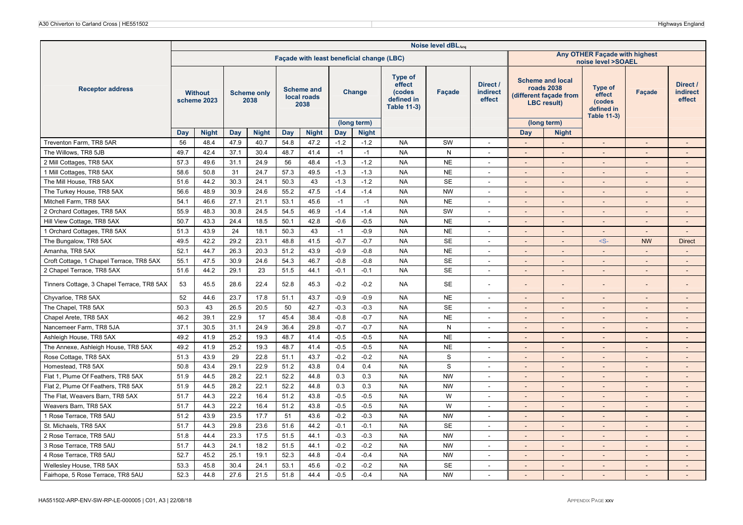|                                            | Noise level dBLAeq<br>Any OTHER Façade with highest<br>Façade with least beneficial change (LBC) |                               |      |                            |            |                                          |        |                             |                                                                        |              |                                |                                                                                                      |                          |                                                                        |                          |                                       |  |  |
|--------------------------------------------|--------------------------------------------------------------------------------------------------|-------------------------------|------|----------------------------|------------|------------------------------------------|--------|-----------------------------|------------------------------------------------------------------------|--------------|--------------------------------|------------------------------------------------------------------------------------------------------|--------------------------|------------------------------------------------------------------------|--------------------------|---------------------------------------|--|--|
|                                            |                                                                                                  |                               |      |                            |            |                                          |        |                             |                                                                        |              |                                | noise level >SOAEL                                                                                   |                          |                                                                        |                          |                                       |  |  |
| <b>Receptor address</b>                    |                                                                                                  | <b>Without</b><br>scheme 2023 |      | <b>Scheme only</b><br>2038 |            | <b>Scheme and</b><br>local roads<br>2038 |        | Change                      | <b>Type of</b><br>effect<br>(codes<br>defined in<br><b>Table 11-3)</b> | Façade       | Direct /<br>indirect<br>effect | <b>Scheme and local</b><br>roads 2038<br>(different façade from<br><b>LBC</b> result)<br>(long term) |                          | <b>Type of</b><br>effect<br>(codes<br>defined in<br><b>Table 11-3)</b> | Facade                   | Direct /<br><b>indirect</b><br>effect |  |  |
|                                            | Day                                                                                              | <b>Night</b>                  | Day  | <b>Night</b>               | <b>Day</b> | <b>Night</b>                             | Day    | (long term)<br><b>Night</b> |                                                                        |              |                                | <b>Day</b>                                                                                           | <b>Night</b>             |                                                                        |                          |                                       |  |  |
| Treventon Farm, TR8 5AR                    | 56                                                                                               | 48.4                          | 47.9 | 40.7                       | 54.8       | 47.2                                     | $-1.2$ | $-1.2$                      | <b>NA</b>                                                              | SW           | $\overline{\phantom{a}}$       | $\overline{\phantom{a}}$                                                                             | $\overline{\phantom{a}}$ | $\overline{\phantom{a}}$                                               | $\overline{\phantom{a}}$ | $\overline{\phantom{a}}$              |  |  |
| The Willows, TR8 5JB                       | 49.7                                                                                             | 42.4                          | 37.1 | 30.4                       | 48.7       | 41.4                                     | $-1$   | $-1$                        | <b>NA</b>                                                              | $\mathsf{N}$ | $\overline{\phantom{a}}$       | $\overline{\phantom{a}}$                                                                             | $\overline{\phantom{a}}$ | $\sim$                                                                 |                          | $\overline{\phantom{a}}$              |  |  |
| 2 Mill Cottages, TR8 5AX                   | 57.3                                                                                             | 49.6                          | 31.1 | 24.9                       | 56         | 48.4                                     | $-1.3$ | $-1.2$                      | <b>NA</b>                                                              | <b>NE</b>    | $\sim$                         | $\sim$                                                                                               | $\overline{\phantom{a}}$ | $\sim$                                                                 |                          | $\sim$                                |  |  |
| 1 Mill Cottages, TR8 5AX                   | 58.6                                                                                             | 50.8                          | 31   | 24.7                       | 57.3       | 49.5                                     | $-1.3$ | $-1.3$                      | <b>NA</b>                                                              | <b>NE</b>    | $\overline{\phantom{a}}$       | $\sim$                                                                                               | $\overline{\phantom{a}}$ |                                                                        |                          | $\qquad \qquad \blacksquare$          |  |  |
| The Mill House, TR8 5AX                    | 51.6                                                                                             | 44.2                          | 30.3 | 24.1                       | 50.3       | 43                                       | $-1.3$ | $-1.2$                      | <b>NA</b>                                                              | <b>SE</b>    | $\overline{\phantom{a}}$       |                                                                                                      | $\overline{\phantom{a}}$ | $\sim$                                                                 |                          | $\overline{a}$                        |  |  |
| The Turkey House, TR8 5AX                  | 56.6                                                                                             | 48.9                          | 30.9 | 24.6                       | 55.2       | 47.5                                     | $-1.4$ | $-1.4$                      | <b>NA</b>                                                              | <b>NW</b>    | $\sim$                         |                                                                                                      | $\overline{a}$           |                                                                        |                          |                                       |  |  |
| Mitchell Farm, TR8 5AX                     | 54.1                                                                                             | 46.6                          | 27.1 | 21.1                       | 53.1       | 45.6                                     | $-1$   | $-1$                        | <b>NA</b>                                                              | <b>NE</b>    | $\sim$                         | $\sim$                                                                                               | $\overline{\phantom{a}}$ | $\sim$                                                                 |                          | $\overline{\phantom{a}}$              |  |  |
| 2 Orchard Cottages, TR8 5AX                | 55.9                                                                                             | 48.3                          | 30.8 | 24.5                       | 54.5       | 46.9                                     | $-1.4$ | $-1.4$                      | <b>NA</b>                                                              | SW           | $\overline{a}$                 |                                                                                                      | $\overline{\phantom{a}}$ |                                                                        |                          |                                       |  |  |
| Hill View Cottage, TR8 5AX                 | 50.7                                                                                             | 43.3                          | 24.4 | 18.5                       | 50.1       | 42.8                                     | $-0.6$ | $-0.5$                      | <b>NA</b>                                                              | <b>NE</b>    | $\sim$                         | $\sim$                                                                                               | $\overline{\phantom{a}}$ | $\sim$                                                                 |                          | $\overline{\phantom{a}}$              |  |  |
| 1 Orchard Cottages, TR8 5AX                | 51.3                                                                                             | 43.9                          | 24   | 18.1                       | 50.3       | 43                                       | $-1$   | $-0.9$                      | <b>NA</b>                                                              | <b>NE</b>    | $\sim$                         | $\overline{\phantom{a}}$                                                                             | $\overline{\phantom{a}}$ | $\sim$                                                                 |                          | $\sim$                                |  |  |
| The Bungalow, TR8 5AX                      | 49.5                                                                                             | 42.2                          | 29.2 | 23.1                       | 48.8       | 41.5                                     | $-0.7$ | $-0.7$                      | <b>NA</b>                                                              | SE           | $\overline{\phantom{a}}$       | $\overline{\phantom{a}}$                                                                             | $\overline{a}$           | $-S-$                                                                  | <b>NW</b>                | <b>Direct</b>                         |  |  |
| Amanha, TR8 5AX                            | 52.1                                                                                             | 44.7                          | 26.3 | 20.3                       | 51.2       | 43.9                                     | $-0.9$ | $-0.8$                      | <b>NA</b>                                                              | <b>NE</b>    | $\overline{\phantom{a}}$       |                                                                                                      |                          |                                                                        |                          |                                       |  |  |
| Croft Cottage, 1 Chapel Terrace, TR8 5AX   | 55.1                                                                                             | 47.5                          | 30.9 | 24.6                       | 54.3       | 46.7                                     | $-0.8$ | $-0.8$                      | <b>NA</b>                                                              | <b>SE</b>    | $\overline{\phantom{a}}$       | $\sim$                                                                                               | $\overline{\phantom{a}}$ | $\sim$                                                                 |                          | $\overline{\phantom{a}}$              |  |  |
| 2 Chapel Terrace, TR8 5AX                  | 51.6                                                                                             | 44.2                          | 29.1 | 23                         | 51.5       | 44.1                                     | $-0.1$ | $-0.1$                      | <b>NA</b>                                                              | <b>SE</b>    | $\overline{\phantom{a}}$       |                                                                                                      | $\overline{a}$           |                                                                        |                          | $\overline{\phantom{a}}$              |  |  |
| Tinners Cottage, 3 Chapel Terrace, TR8 5AX | 53                                                                                               | 45.5                          | 28.6 | 22.4                       | 52.8       | 45.3                                     | $-0.2$ | $-0.2$                      | <b>NA</b>                                                              | <b>SE</b>    | $\overline{a}$                 |                                                                                                      |                          |                                                                        |                          |                                       |  |  |
| Chyvarloe, TR8 5AX                         | 52                                                                                               | 44.6                          | 23.7 | 17.8                       | 51.1       | 43.7                                     | $-0.9$ | $-0.9$                      | <b>NA</b>                                                              | <b>NE</b>    | $\overline{\phantom{a}}$       |                                                                                                      | $\overline{\phantom{a}}$ |                                                                        |                          | $\overline{\phantom{a}}$              |  |  |
| The Chapel, TR8 5AX                        | 50.3                                                                                             | 43                            | 26.5 | 20.5                       | 50         | 42.7                                     | $-0.3$ | $-0.3$                      | <b>NA</b>                                                              | <b>SE</b>    | $\sim$                         | $\sim$                                                                                               | $\overline{\phantom{a}}$ | $\sim$                                                                 |                          | $\overline{\phantom{a}}$              |  |  |
| Chapel Arete, TR8 5AX                      | 46.2                                                                                             | 39.1                          | 22.9 | 17                         | 45.4       | 38.4                                     | $-0.8$ | $-0.7$                      | <b>NA</b>                                                              | <b>NE</b>    | $\overline{\phantom{a}}$       |                                                                                                      | $\overline{\phantom{a}}$ |                                                                        |                          | $\overline{\phantom{m}}$              |  |  |
| Nancemeer Farm, TR8 5JA                    | 37.1                                                                                             | 30.5                          | 31.1 | 24.9                       | 36.4       | 29.8                                     | $-0.7$ | $-0.7$                      | <b>NA</b>                                                              | ${\sf N}$    | $\overline{\phantom{a}}$       | $\overline{\phantom{a}}$                                                                             | $\overline{\phantom{a}}$ | $\sim$                                                                 |                          | $\overline{\phantom{a}}$              |  |  |
| Ashleigh House, TR8 5AX                    | 49.2                                                                                             | 41.9                          | 25.2 | 19.3                       | 48.7       | 41.4                                     | $-0.5$ | $-0.5$                      | <b>NA</b>                                                              | <b>NE</b>    | $\sim$                         | $\sim$                                                                                               | $\overline{a}$           | $\sim$                                                                 |                          | $\sim$                                |  |  |
| The Annexe, Ashleigh House, TR8 5AX        | 49.2                                                                                             | 41.9                          | 25.2 | 19.3                       | 48.7       | 41.4                                     | $-0.5$ | $-0.5$                      | <b>NA</b>                                                              | <b>NE</b>    | $\blacksquare$                 |                                                                                                      | $\overline{a}$           |                                                                        |                          |                                       |  |  |
| Rose Cottage, TR8 5AX                      | 51.3                                                                                             | 43.9                          | 29   | 22.8                       | 51.1       | 43.7                                     | $-0.2$ | $-0.2$                      | <b>NA</b>                                                              | $\mathbf S$  | $\overline{\phantom{a}}$       |                                                                                                      | $\overline{a}$           | $\sim$                                                                 |                          | $\overline{a}$                        |  |  |
| Homestead, TR8 5AX                         | 50.8                                                                                             | 43.4                          | 29.1 | 22.9                       | 51.2       | 43.8                                     | 0.4    | 0.4                         | <b>NA</b>                                                              | $\mathbf S$  | $\overline{\phantom{a}}$       | $\overline{a}$                                                                                       | $\overline{\phantom{a}}$ | $\sim$                                                                 |                          | $\sim$                                |  |  |
| Flat 1, Plume Of Feathers, TR8 5AX         | 51.9                                                                                             | 44.5                          | 28.2 | 22.1                       | 52.2       | 44.8                                     | 0.3    | 0.3                         | <b>NA</b>                                                              | <b>NW</b>    | $\sim$                         | $\sim$                                                                                               | $\overline{\phantom{a}}$ | $\overline{\phantom{a}}$                                               | $\overline{\phantom{a}}$ | $\overline{\phantom{a}}$              |  |  |
| Flat 2, Plume Of Feathers, TR8 5AX         | 51.9                                                                                             | 44.5                          | 28.2 | 22.1                       | 52.2       | 44.8                                     | 0.3    | 0.3                         | <b>NA</b>                                                              | <b>NW</b>    | $\blacksquare$                 |                                                                                                      |                          |                                                                        |                          |                                       |  |  |
| The Flat, Weavers Barn, TR8 5AX            | 51.7                                                                                             | 44.3                          | 22.2 | 16.4                       | 51.2       | 43.8                                     | $-0.5$ | $-0.5$                      | <b>NA</b>                                                              | W            | $\overline{\phantom{a}}$       |                                                                                                      | $\overline{\phantom{a}}$ |                                                                        |                          | $\overline{a}$                        |  |  |
| Weavers Barn, TR8 5AX                      | 51.7                                                                                             | 44.3                          | 22.2 | 16.4                       | 51.2       | 43.8                                     | $-0.5$ | $-0.5$                      | <b>NA</b>                                                              | W            | $\sim$                         | $\sim$                                                                                               | $\overline{\phantom{a}}$ | $\sim$                                                                 | $\sim$                   | $\overline{\phantom{a}}$              |  |  |
| 1 Rose Terrace, TR8 5AU                    | 51.2                                                                                             | 43.9                          | 23.5 | 17.7                       | 51         | 43.6                                     | $-0.2$ | $-0.3$                      | <b>NA</b>                                                              | <b>NW</b>    | ٠                              |                                                                                                      |                          |                                                                        |                          |                                       |  |  |
| St. Michaels, TR8 5AX                      | 51.7                                                                                             | 44.3                          | 29.8 | 23.6                       | 51.6       | 44.2                                     | $-0.1$ | $-0.1$                      | <b>NA</b>                                                              | <b>SE</b>    | $\blacksquare$                 |                                                                                                      |                          |                                                                        |                          |                                       |  |  |
| 2 Rose Terrace, TR8 5AU                    | 51.8                                                                                             | 44.4                          | 23.3 | 17.5                       | 51.5       | 44.1                                     | $-0.3$ | $-0.3$                      | <b>NA</b>                                                              | <b>NW</b>    | $\sim$                         | $\sim$                                                                                               | $\sim$                   | $\sim$                                                                 | $\sim$                   | $\sim$                                |  |  |
| 3 Rose Terrace, TR8 5AU                    | 51.7                                                                                             | 44.3                          | 24.1 | 18.2                       | 51.5       | 44.1                                     | $-0.2$ | $-0.2$                      | <b>NA</b>                                                              | <b>NW</b>    | $\sim$                         | $\overline{\phantom{a}}$                                                                             | $\overline{a}$           | $\sim$                                                                 |                          | $\sim$                                |  |  |
| 4 Rose Terrace, TR8 5AU                    | 52.7                                                                                             | 45.2                          | 25.1 | 19.1                       | 52.3       | 44.8                                     | $-0.4$ | $-0.4$                      | <b>NA</b>                                                              | <b>NW</b>    | $\sim$                         |                                                                                                      | $\overline{\phantom{a}}$ |                                                                        |                          | $\overline{\phantom{a}}$              |  |  |
| Wellesley House, TR8 5AX                   | 53.3                                                                                             | 45.8                          | 30.4 | 24.1                       | 53.1       | 45.6                                     | $-0.2$ | $-0.2$                      | <b>NA</b>                                                              | <b>SE</b>    | $\overline{\phantom{a}}$       |                                                                                                      | ÷,                       | $\sim$                                                                 |                          | $\overline{\phantom{a}}$              |  |  |
| Fairhope, 5 Rose Terrace, TR8 5AU          | 52.3                                                                                             | 44.8                          | 27.6 | 21.5                       | 51.8       | 44.4                                     | $-0.5$ | $-0.4$                      | <b>NA</b>                                                              | <b>NW</b>    | $\overline{\phantom{a}}$       |                                                                                                      |                          |                                                                        |                          |                                       |  |  |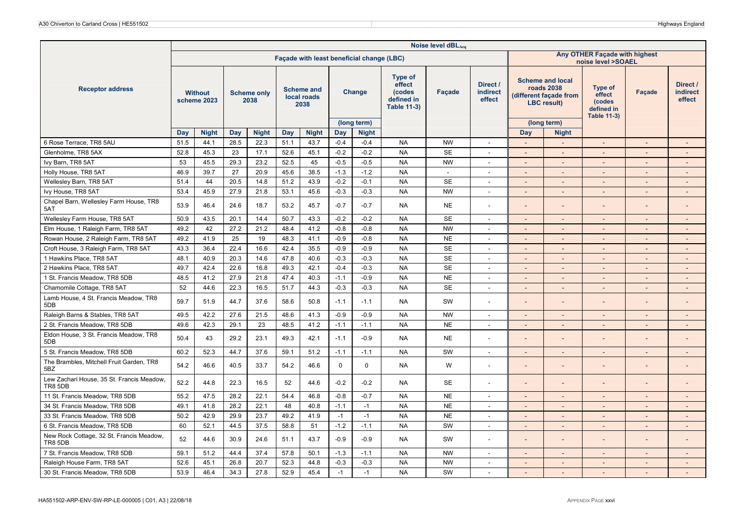|                                                             |      |                               |      |                            |            | Façade with least beneficial change (LBC) |             |                             |                                                                 |                          |                                       | Any OTHER Facade with highest<br>noise level >SOAEL |                                                                                       |                                                                 |                          |                                       |  |
|-------------------------------------------------------------|------|-------------------------------|------|----------------------------|------------|-------------------------------------------|-------------|-----------------------------|-----------------------------------------------------------------|--------------------------|---------------------------------------|-----------------------------------------------------|---------------------------------------------------------------------------------------|-----------------------------------------------------------------|--------------------------|---------------------------------------|--|
| <b>Receptor address</b>                                     |      | <b>Without</b><br>scheme 2023 |      | <b>Scheme only</b><br>2038 |            | <b>Scheme and</b><br>local roads<br>2038  |             | Change                      | Type of<br>effect<br>(codes<br>defined in<br><b>Table 11-3)</b> | Façade                   | Direct /<br><b>indirect</b><br>effect |                                                     | <b>Scheme and local</b><br>roads 2038<br>(different facade from<br><b>LBC</b> result) | Type of<br>effect<br>(codes<br>defined in<br><b>Table 11-3)</b> | Facade                   | Direct /<br><b>indirect</b><br>effect |  |
|                                                             | Day  | <b>Night</b>                  | Day  | <b>Night</b>               | <b>Day</b> | <b>Night</b>                              | <b>Day</b>  | (long term)<br><b>Night</b> |                                                                 |                          |                                       | <b>Day</b>                                          | (long term)<br><b>Night</b>                                                           |                                                                 |                          |                                       |  |
| 6 Rose Terrace, TR8 5AU                                     | 51.5 | 44.1                          | 28.5 | 22.3                       | 51.1       | 43.7                                      | $-0.4$      | $-0.4$                      | <b>NA</b>                                                       | <b>NW</b>                | $\sim$                                | $\sim$                                              | $\sim$                                                                                | $\sim$                                                          | $\sim$                   | $\sim$                                |  |
| Glenholme, TR8 5AX                                          | 52.8 | 45.3                          | 23   | 17.1                       | 52.6       | 45.1                                      | $-0.2$      | $-0.2$                      | <b>NA</b>                                                       | <b>SE</b>                | $\blacksquare$                        |                                                     | $\overline{\phantom{a}}$                                                              |                                                                 |                          |                                       |  |
| Ivy Barn, TR8 5AT                                           | 53   | 45.5                          | 29.3 | 23.2                       | 52.5       | 45                                        | $-0.5$      | $-0.5$                      | <b>NA</b>                                                       | <b>NW</b>                | $\overline{\phantom{a}}$              | $\overline{a}$                                      |                                                                                       |                                                                 |                          |                                       |  |
| Holly House, TR8 5AT                                        | 46.9 | 39.7                          | 27   | 20.9                       | 45.6       | 38.5                                      | $-1.3$      | $-1.2$                      | <b>NA</b>                                                       | $\overline{\phantom{a}}$ | $\sim$                                | $\sim$                                              | $\sim$                                                                                | $\sim$                                                          | $\sim$                   | $\overline{\phantom{a}}$              |  |
| Wellesley Barn, TR8 5AT                                     | 51.4 | 44                            | 20.5 | 14.8                       | 51.2       | 43.9                                      | $-0.2$      | $-0.1$                      | <b>NA</b>                                                       | <b>SE</b>                | $\overline{\phantom{a}}$              | $\overline{\phantom{a}}$                            | $\sim$                                                                                |                                                                 | $\overline{\phantom{a}}$ | $\overline{\phantom{a}}$              |  |
| Ivy House, TR8 5AT                                          | 53.4 | 45.9                          | 27.9 | 21.8                       | 53.1       | 45.6                                      | $-0.3$      | $-0.3$                      | <b>NA</b>                                                       | <b>NW</b>                | $\sim$                                | $\sim$                                              | $\sim$                                                                                | $\overline{\phantom{a}}$                                        | $\overline{a}$           | $\overline{\phantom{a}}$              |  |
| Chapel Barn, Wellesley Farm House, TR8<br>5AT               | 53.9 | 46.4                          | 24.6 | 18.7                       | 53.2       | 45.7                                      | $-0.7$      | $-0.7$                      | <b>NA</b>                                                       | <b>NE</b>                | $\overline{\phantom{a}}$              |                                                     |                                                                                       |                                                                 |                          |                                       |  |
| Wellesley Farm House, TR8 5AT                               | 50.9 | 43.5                          | 20.1 | 14.4                       | 50.7       | 43.3                                      | $-0.2$      | $-0.2$                      | <b>NA</b>                                                       | <b>SE</b>                | $\sim$                                | $\sim$                                              | $\overline{\phantom{a}}$                                                              | $\sim$                                                          | ÷,                       | $\overline{a}$                        |  |
| Elm House, 1 Raleigh Farm, TR8 5AT                          | 49.2 | 42                            | 27.2 | 21.2                       | 48.4       | 41.2                                      | $-0.8$      | $-0.8$                      | <b>NA</b>                                                       | <b>NW</b>                | $\sim$                                | $\overline{\phantom{a}}$                            | $\overline{\phantom{a}}$                                                              | $\sim$                                                          | $\overline{\phantom{a}}$ | $\overline{\phantom{a}}$              |  |
| Rowan House, 2 Raleigh Farm, TR8 5AT                        | 49.2 | 41.9                          | 25   | 19                         | 48.3       | 41.1                                      | $-0.9$      | $-0.8$                      | <b>NA</b>                                                       | <b>NE</b>                | $\sim$                                | $\sim$                                              | $\sim$                                                                                | $\sim$                                                          | $\overline{\phantom{a}}$ | $\overline{\phantom{a}}$              |  |
| Croft House, 3 Raleigh Farm, TR8 5AT                        | 43.3 | 36.4                          | 22.4 | 16.6                       | 42.4       | 35.5                                      | $-0.9$      | $-0.9$                      | <b>NA</b>                                                       | <b>SE</b>                | $\sim$                                | $\sim$                                              | $\sim$                                                                                | $\sim$                                                          | $\overline{\phantom{a}}$ | $\sim$                                |  |
| 1 Hawkins Place, TR8 5AT                                    | 48.1 | 40.9                          | 20.3 | 14.6                       | 47.8       | 40.6                                      | $-0.3$      | $-0.3$                      | <b>NA</b>                                                       | <b>SE</b>                | $\sim$                                | $\sim$                                              | $\sim$                                                                                | $\sim$                                                          | $\overline{\phantom{a}}$ | $\overline{\phantom{a}}$              |  |
| 2 Hawkins Place, TR8 5AT                                    | 49.7 | 42.4                          | 22.6 | 16.8                       | 49.3       | 42.1                                      | $-0.4$      | $-0.3$                      | <b>NA</b>                                                       | <b>SE</b>                | $\sim$                                |                                                     | $\sim$                                                                                |                                                                 |                          | $\overline{a}$                        |  |
| 1 St. Francis Meadow, TR8 5DB                               | 48.5 | 41.2                          | 27.9 | 21.8                       | 47.4       | 40.3                                      | $-1.1$      | $-0.9$                      | <b>NA</b>                                                       | <b>NE</b>                | $\sim$                                | $\sim$                                              | $\sim$                                                                                | $\sim$                                                          | $\overline{\phantom{a}}$ | $\overline{\phantom{a}}$              |  |
| Chamomile Cottage, TR8 5AT                                  | 52   | 44.6                          | 22.3 | 16.5                       | 51.7       | 44.3                                      | $-0.3$      | $-0.3$                      | <b>NA</b>                                                       | <b>SE</b>                | $\overline{\phantom{a}}$              | $\sim$                                              | $\sim$                                                                                | $\sim$                                                          | ۰.                       | $\overline{\phantom{a}}$              |  |
| Lamb House, 4 St. Francis Meadow, TR8<br>5DB                | 59.7 | 51.9                          | 44.7 | 37.6                       | 58.6       | 50.8                                      | $-1.1$      | $-1.1$                      | <b>NA</b>                                                       | SW                       | $\overline{\phantom{a}}$              |                                                     |                                                                                       |                                                                 |                          |                                       |  |
| Raleigh Barns & Stables, TR8 5AT                            | 49.5 | 42.2                          | 27.6 | 21.5                       | 48.6       | 41.3                                      | $-0.9$      | $-0.9$                      | <b>NA</b>                                                       | <b>NW</b>                | $\blacksquare$                        |                                                     |                                                                                       |                                                                 |                          | $\overline{\phantom{a}}$              |  |
| 2 St. Francis Meadow, TR8 5DB                               | 49.6 | 42.3                          | 29.1 | 23                         | 48.5       | 41.2                                      | $-1.1$      | $-1.1$                      | <b>NA</b>                                                       | <b>NE</b>                | $\sim$                                |                                                     |                                                                                       |                                                                 |                          |                                       |  |
| Eldon House, 3 St. Francis Meadow, TR8<br>5DB               | 50.4 | 43                            | 29.2 | 23.1                       | 49.3       | 42.1                                      | $-1.1$      | $-0.9$                      | <b>NA</b>                                                       | <b>NE</b>                | $\overline{\phantom{a}}$              | $\overline{\phantom{0}}$                            |                                                                                       |                                                                 |                          | $\overline{\phantom{a}}$              |  |
| 5 St. Francis Meadow, TR8 5DB                               | 60.2 | 52.3                          | 44.7 | 37.6                       | 59.1       | 51.2                                      | $-1.1$      | $-1.1$                      | <b>NA</b>                                                       | SW                       | $\sim$                                | $\sim$                                              | $\sim$                                                                                | $\sim$                                                          | $\overline{a}$           | $\overline{\phantom{a}}$              |  |
| The Brambles, Mitchell Fruit Garden, TR8<br>5BZ             | 54.2 | 46.6                          | 40.5 | 33.7                       | 54.2       | 46.6                                      | $\mathbf 0$ | $\mathbf 0$                 | <b>NA</b>                                                       | W                        | $\blacksquare$                        |                                                     |                                                                                       |                                                                 |                          |                                       |  |
| Lew Zachari House, 35 St. Francis Meadow,<br><b>TR8 5DB</b> | 52.2 | 44.8                          | 22.3 | 16.5                       | 52         | 44.6                                      | $-0.2$      | $-0.2$                      | <b>NA</b>                                                       | SE                       | $\overline{\phantom{a}}$              | $\overline{\phantom{a}}$                            |                                                                                       |                                                                 |                          |                                       |  |
| 11 St. Francis Meadow, TR8 5DB                              | 55.2 | 47.5                          | 28.2 | 22.1                       | 54.4       | 46.8                                      | $-0.8$      | $-0.7$                      | <b>NA</b>                                                       | <b>NE</b>                | $\sim$                                |                                                     |                                                                                       |                                                                 | $\overline{a}$           |                                       |  |
| 34 St. Francis Meadow, TR8 5DB                              | 49.1 | 41.8                          | 28.2 | 22.1                       | 48         | 40.8                                      | $-1.1$      | $-1$                        | <b>NA</b>                                                       | <b>NE</b>                | $\sim$                                | $\sim$                                              | $\sim$                                                                                | $\overline{a}$                                                  |                          | $\overline{a}$                        |  |
| 33 St. Francis Meadow, TR8 5DB                              | 50.2 | 42.9                          | 29.9 | 23.7                       | 49.2       | 41.9                                      | $-1$        | $-1$                        | <b>NA</b>                                                       | <b>NE</b>                | $\sim$                                | $\sim$                                              | $\overline{\phantom{a}}$                                                              | $\sim$                                                          | $\overline{\phantom{a}}$ | $\overline{\phantom{a}}$              |  |
| 6 St. Francis Meadow, TR8 5DB                               | 60   | 52.1                          | 44.5 | 37.5                       | 58.8       | 51                                        | $-1.2$      | $-1.1$                      | <b>NA</b>                                                       | SW                       | $\overline{\phantom{a}}$              | $\overline{\phantom{a}}$                            | $\sim$                                                                                | $\overline{\phantom{a}}$                                        | $\overline{\phantom{a}}$ | $\overline{\phantom{a}}$              |  |
| New Rock Cottage, 32 St. Francis Meadow,<br>TR8 5DB         | 52   | 44.6                          | 30.9 | 24.6                       | 51.1       | 43.7                                      | $-0.9$      | $-0.9$                      | <b>NA</b>                                                       | SW                       | $\blacksquare$                        | $\overline{\phantom{a}}$                            |                                                                                       |                                                                 |                          | $\overline{\phantom{a}}$              |  |
| 7 St. Francis Meadow, TR8 5DB                               | 59.1 | 51.2                          | 44.4 | 37.4                       | 57.8       | 50.1                                      | $-1.3$      | $-1.1$                      | <b>NA</b>                                                       | <b>NW</b>                | $\overline{\phantom{a}}$              |                                                     |                                                                                       |                                                                 |                          |                                       |  |
| Raleigh House Farm, TR8 5AT                                 | 52.6 | 45.1                          | 26.8 | 20.7                       | 52.3       | 44.8                                      | $-0.3$      | $-0.3$                      | <b>NA</b>                                                       | <b>NW</b>                | $\sim$                                | $\overline{a}$                                      | $\sim$                                                                                | $\overline{a}$                                                  | $\overline{a}$           | $\overline{\phantom{a}}$              |  |
| 30 St. Francis Meadow, TR8 5DB                              | 53.9 | 46.4                          | 34.3 | 27.8                       | 52.9       | 45.4                                      | $-1$        | $-1$                        | <b>NA</b>                                                       | SW                       | $\sim$                                | $\overline{\phantom{a}}$                            |                                                                                       |                                                                 | $\overline{a}$           |                                       |  |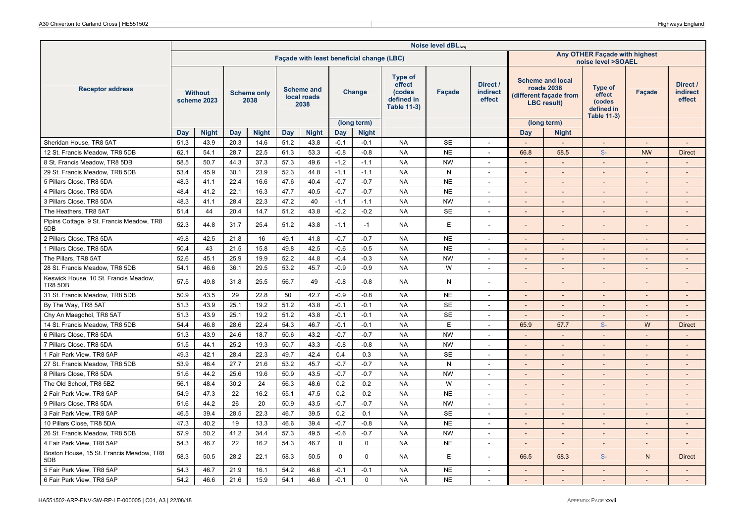|                                                         | Noise level dBLAeq<br>Any OTHER Façade with highest<br>Façade with least beneficial change (LBC) |                               |      |                            |      |                                          |             |                             |                                                                        |              |                                |                                                                                                                                                                                   |                          |                                       |           |                          |  |
|---------------------------------------------------------|--------------------------------------------------------------------------------------------------|-------------------------------|------|----------------------------|------|------------------------------------------|-------------|-----------------------------|------------------------------------------------------------------------|--------------|--------------------------------|-----------------------------------------------------------------------------------------------------------------------------------------------------------------------------------|--------------------------|---------------------------------------|-----------|--------------------------|--|
|                                                         |                                                                                                  |                               |      |                            |      |                                          |             |                             |                                                                        |              |                                | noise level >SOAEL                                                                                                                                                                |                          |                                       |           |                          |  |
| <b>Receptor address</b>                                 |                                                                                                  | <b>Without</b><br>scheme 2023 |      | <b>Scheme only</b><br>2038 |      | <b>Scheme and</b><br>local roads<br>2038 |             | Change                      | <b>Type of</b><br>effect<br>(codes<br>defined in<br><b>Table 11-3)</b> | Facade       | Direct /<br>indirect<br>effect | <b>Scheme and local</b><br>Type of<br>roads 2038<br>Facade<br>effect<br>(different façade from<br>(codes<br><b>LBC</b> result)<br>defined in<br><b>Table 11-3)</b><br>(long term) |                          | Direct /<br><b>indirect</b><br>effect |           |                          |  |
|                                                         | Day                                                                                              | <b>Night</b>                  | Day  | <b>Night</b>               | Day  | <b>Night</b>                             | Day         | (long term)<br><b>Night</b> |                                                                        |              |                                | Day                                                                                                                                                                               | <b>Night</b>             |                                       |           |                          |  |
| Sheridan House, TR8 5AT                                 | 51.3                                                                                             | 43.9                          | 20.3 | 14.6                       | 51.2 | 43.8                                     | $-0.1$      | $-0.1$                      | <b>NA</b>                                                              | <b>SE</b>    | $\overline{a}$                 |                                                                                                                                                                                   | $\overline{a}$           |                                       |           | $\overline{\phantom{a}}$ |  |
| 12 St. Francis Meadow, TR8 5DB                          | 62.1                                                                                             | 54.1                          | 28.7 | 22.5                       | 61.3 | 53.3                                     | $-0.8$      | $-0.8$                      | <b>NA</b>                                                              | <b>NE</b>    | $\sim$                         | 66.8                                                                                                                                                                              | 58.5                     | $S-$                                  | <b>NW</b> | <b>Direct</b>            |  |
| 8 St. Francis Meadow, TR8 5DB                           | 58.5                                                                                             | 50.7                          | 44.3 | 37.3                       | 57.3 | 49.6                                     | $-1.2$      | $-1.1$                      | <b>NA</b>                                                              | <b>NW</b>    | $\sim$                         | $\sim$                                                                                                                                                                            | $\sim$                   | $\sim$                                | $\sim$    | $\sim$                   |  |
| 29 St. Francis Meadow, TR8 5DB                          | 53.4                                                                                             | 45.9                          | 30.1 | 23.9                       | 52.3 | 44.8                                     | $-1.1$      | $-1.1$                      | <b>NA</b>                                                              | $\mathsf{N}$ | $\overline{\phantom{a}}$       |                                                                                                                                                                                   | $\overline{\phantom{a}}$ |                                       |           |                          |  |
| 5 Pillars Close, TR8 5DA                                | 48.3                                                                                             | 41.1                          | 22.4 | 16.6                       | 47.6 | 40.4                                     | $-0.7$      | $-0.7$                      | <b>NA</b>                                                              | <b>NE</b>    | $\overline{\phantom{a}}$       |                                                                                                                                                                                   |                          |                                       |           |                          |  |
| 4 Pillars Close, TR8 5DA                                | 48.4                                                                                             | 41.2                          | 22.1 | 16.3                       | 47.7 | 40.5                                     | $-0.7$      | $-0.7$                      | <b>NA</b>                                                              | <b>NE</b>    | $\sim$                         | $\sim$                                                                                                                                                                            | $\overline{\phantom{a}}$ | $\sim$                                | $\sim$    | $\sim$                   |  |
| 3 Pillars Close, TR8 5DA                                | 48.3                                                                                             | 41.1                          | 28.4 | 22.3                       | 47.2 | 40                                       | $-1.1$      | $-1.1$                      | <b>NA</b>                                                              | <b>NW</b>    | $\overline{\phantom{a}}$       |                                                                                                                                                                                   | $\overline{\phantom{a}}$ |                                       |           |                          |  |
| The Heathers, TR8 5AT                                   | 51.4                                                                                             | 44                            | 20.4 | 14.7                       | 51.2 | 43.8                                     | $-0.2$      | $-0.2$                      | <b>NA</b>                                                              | <b>SE</b>    | $\blacksquare$                 | $\overline{\phantom{a}}$                                                                                                                                                          | $\overline{\phantom{a}}$ |                                       |           | $\sim$                   |  |
| Pipins Cottage, 9 St. Francis Meadow, TR8<br>5DB        | 52.3                                                                                             | 44.8                          | 31.7 | 25.4                       | 51.2 | 43.8                                     | $-1.1$      | $-1$                        | <b>NA</b>                                                              | E            |                                |                                                                                                                                                                                   |                          |                                       |           |                          |  |
| 2 Pillars Close, TR8 5DA                                | 49.8                                                                                             | 42.5                          | 21.8 | 16                         | 49.1 | 41.8                                     | $-0.7$      | $-0.7$                      | <b>NA</b>                                                              | <b>NE</b>    | $\sim$                         | $\sim$                                                                                                                                                                            | $\overline{\phantom{a}}$ | $\sim$                                | ۰.        | $\overline{\phantom{a}}$ |  |
| 1 Pillars Close, TR8 5DA                                | 50.4                                                                                             | 43                            | 21.5 | 15.8                       | 49.8 | 42.5                                     | $-0.6$      | $-0.5$                      | <b>NA</b>                                                              | <b>NE</b>    | $\blacksquare$                 |                                                                                                                                                                                   |                          |                                       |           |                          |  |
| The Pillars, TR8 5AT                                    | 52.6                                                                                             | 45.1                          | 25.9 | 19.9                       | 52.2 | 44.8                                     | $-0.4$      | $-0.3$                      | <b>NA</b>                                                              | <b>NW</b>    | $\sim$                         | $\overline{\phantom{a}}$                                                                                                                                                          | $\overline{\phantom{a}}$ |                                       |           | $\sim$                   |  |
| 28 St. Francis Meadow, TR8 5DB                          | 54.1                                                                                             | 46.6                          | 36.1 | 29.5                       | 53.2 | 45.7                                     | $-0.9$      | $-0.9$                      | <b>NA</b>                                                              | W            | $\sim$                         | $\sim$                                                                                                                                                                            | $\blacksquare$           | $\sim$                                |           | $\overline{\phantom{m}}$ |  |
| Keswick House, 10 St. Francis Meadow,<br><b>TR8 5DB</b> | 57.5                                                                                             | 49.8                          | 31.8 | 25.5                       | 56.7 | 49                                       | $-0.8$      | $-0.8$                      | <b>NA</b>                                                              | N            | $\overline{\phantom{a}}$       | $\overline{a}$                                                                                                                                                                    | $\overline{\phantom{a}}$ |                                       |           | ٠                        |  |
| 31 St. Francis Meadow, TR8 5DB                          | 50.9                                                                                             | 43.5                          | 29   | 22.8                       | 50   | 42.7                                     | $-0.9$      | $-0.8$                      | <b>NA</b>                                                              | <b>NE</b>    | $\sim$                         | $\overline{\phantom{a}}$                                                                                                                                                          | $\sim$                   | $\sim$                                |           | $\sim$                   |  |
| By The Way, TR8 5AT                                     | 51.3                                                                                             | 43.9                          | 25.1 | 19.2                       | 51.2 | 43.8                                     | $-0.1$      | $-0.1$                      | <b>NA</b>                                                              | <b>SE</b>    | $\overline{\phantom{a}}$       | $\overline{\phantom{a}}$                                                                                                                                                          | $\sim$                   | $\sim$                                |           | $\sim$                   |  |
| Chy An Maegdhol, TR8 5AT                                | 51.3                                                                                             | 43.9                          | 25.1 | 19.2                       | 51.2 | 43.8                                     | $-0.1$      | $-0.1$                      | <b>NA</b>                                                              | <b>SE</b>    | $\blacksquare$                 | $\sim$                                                                                                                                                                            | $\blacksquare$           |                                       |           | $\overline{\phantom{m}}$ |  |
| 14 St. Francis Meadow, TR8 5DB                          | 54.4                                                                                             | 46.8                          | 28.6 | 22.4                       | 54.3 | 46.7                                     | $-0.1$      | $-0.1$                      | <b>NA</b>                                                              | E            | $\sim$                         | 65.9                                                                                                                                                                              | 57.7                     | $S-$                                  | W         | <b>Direct</b>            |  |
| 6 Pillars Close, TR8 5DA                                | 51.3                                                                                             | 43.9                          | 24.6 | 18.7                       | 50.6 | 43.2                                     | $-0.7$      | $-0.7$                      | <b>NA</b>                                                              | <b>NW</b>    | $\overline{\phantom{a}}$       | $\sim$                                                                                                                                                                            | $\overline{a}$           | $\sim$                                |           | $\sim$                   |  |
| 7 Pillars Close, TR8 5DA                                | 51.5                                                                                             | 44.1                          | 25.2 | 19.3                       | 50.7 | 43.3                                     | $-0.8$      | $-0.8$                      | <b>NA</b>                                                              | <b>NW</b>    | $\sim$                         | $\sim$                                                                                                                                                                            | $\blacksquare$           |                                       |           | $\overline{\phantom{a}}$ |  |
| 1 Fair Park View, TR8 5AP                               | 49.3                                                                                             | 42.1                          | 28.4 | 22.3                       | 49.7 | 42.4                                     | 0.4         | 0.3                         | <b>NA</b>                                                              | <b>SE</b>    | $\sim$                         | $\overline{\phantom{a}}$                                                                                                                                                          | $\sim$                   | $\sim$                                |           | $\sim$                   |  |
| 27 St. Francis Meadow, TR8 5DB                          | 53.9                                                                                             | 46.4                          | 27.7 | 21.6                       | 53.2 | 45.7                                     | $-0.7$      | $-0.7$                      | <b>NA</b>                                                              | N            | $\sim$                         | $\sim$                                                                                                                                                                            | $\sim$                   | $\sim$                                | $\sim$    | $\sim$                   |  |
| 8 Pillars Close, TR8 5DA                                | 51.6                                                                                             | 44.2                          | 25.6 | 19.6                       | 50.9 | 43.5                                     | $-0.7$      | $-0.7$                      | <b>NA</b>                                                              | <b>NW</b>    | $\sim$                         | $\sim$                                                                                                                                                                            | $\sim$                   |                                       |           | $\overline{\phantom{a}}$ |  |
| The Old School, TR8 5BZ                                 | 56.1                                                                                             | 48.4                          | 30.2 | 24                         | 56.3 | 48.6                                     | 0.2         | 0.2                         | <b>NA</b>                                                              | W            | $\sim$                         |                                                                                                                                                                                   |                          |                                       |           |                          |  |
| 2 Fair Park View, TR8 5AP                               | 54.9                                                                                             | 47.3                          | 22   | 16.2                       | 55.1 | 47.5                                     | 0.2         | 0.2                         | <b>NA</b>                                                              | <b>NE</b>    | $\sim$                         | $\overline{\phantom{a}}$                                                                                                                                                          | $\overline{\phantom{a}}$ |                                       |           | $\sim$                   |  |
| 9 Pillars Close, TR8 5DA                                | 51.6                                                                                             | 44.2                          | 26   | 20                         | 50.9 | 43.5                                     | $-0.7$      | $-0.7$                      | <b>NA</b>                                                              | <b>NW</b>    | $\sim$                         | $\sim$                                                                                                                                                                            | $\overline{\phantom{a}}$ |                                       |           | $\overline{\phantom{a}}$ |  |
| 3 Fair Park View, TR8 5AP                               | 46.5                                                                                             | 39.4                          | 28.5 | 22.3                       | 46.7 | 39.5                                     | 0.2         | 0.1                         | <b>NA</b>                                                              | <b>SE</b>    | $\sim$                         |                                                                                                                                                                                   | ÷,                       |                                       |           |                          |  |
| 10 Pillars Close, TR8 5DA                               | 47.3                                                                                             | 40.2                          | 19   | 13.3                       | 46.6 | 39.4                                     | $-0.7$      | $-0.8$                      | <b>NA</b>                                                              | <b>NE</b>    | $\sim$                         | $\overline{\phantom{a}}$                                                                                                                                                          | $\overline{\phantom{a}}$ |                                       |           | $\sim$                   |  |
| 26 St. Francis Meadow, TR8 5DB                          | 57.9                                                                                             | 50.2                          | 41.2 | 34.4                       | 57.3 | 49.5                                     | $-0.6$      | $-0.7$                      | <b>NA</b>                                                              | <b>NW</b>    | $\overline{\phantom{a}}$       | $\sim$                                                                                                                                                                            | $\overline{\phantom{a}}$ | $\sim$                                | ٠         | $\overline{\phantom{a}}$ |  |
| 4 Fair Park View, TR8 5AP                               | 54.3                                                                                             | 46.7                          | 22   | 16.2                       | 54.3 | 46.7                                     | $\mathbf 0$ | $\mathbf 0$                 | <b>NA</b>                                                              | <b>NE</b>    | $\overline{\phantom{a}}$       |                                                                                                                                                                                   | $\overline{\phantom{a}}$ | $\sim$                                |           | $\overline{a}$           |  |
| Boston House, 15 St. Francis Meadow, TR8<br>5DB         | 58.3                                                                                             | 50.5                          | 28.2 | 22.1                       | 58.3 | 50.5                                     | $\mathbf 0$ | $\mathbf 0$                 | NA.                                                                    | E            | $\blacksquare$                 | 66.5                                                                                                                                                                              | 58.3                     | $S-$                                  | N.        | <b>Direct</b>            |  |
| 5 Fair Park View, TR8 5AP                               | 54.3                                                                                             | 46.7                          | 21.9 | 16.1                       | 54.2 | 46.6                                     | $-0.1$      | $-0.1$                      | <b>NA</b>                                                              | <b>NE</b>    | $\sim$                         | $\sim$                                                                                                                                                                            | $\sim$                   | $\sim$                                | $\sim$    | $\sim$                   |  |
| 6 Fair Park View. TR8 5AP                               | 54.2                                                                                             | 46.6                          | 21.6 | 15.9                       | 54.1 | 46.6                                     | $-0.1$      | $\Omega$                    | <b>NA</b>                                                              | <b>NE</b>    | $\blacksquare$                 |                                                                                                                                                                                   |                          |                                       |           |                          |  |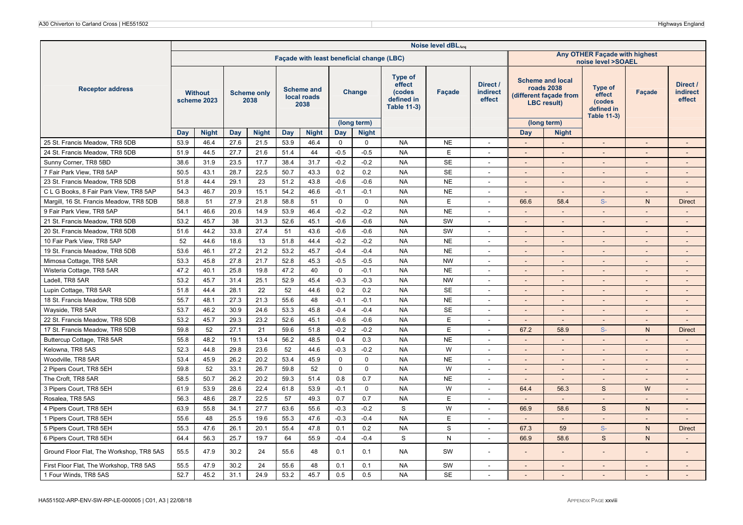|                                          | Noise level dBLAeq |                               |      |                            |      |                                           |             |                             |                                                                 |              |                                       |                                                     |                                                                                       |                                                                 |                          |                                       |  |
|------------------------------------------|--------------------|-------------------------------|------|----------------------------|------|-------------------------------------------|-------------|-----------------------------|-----------------------------------------------------------------|--------------|---------------------------------------|-----------------------------------------------------|---------------------------------------------------------------------------------------|-----------------------------------------------------------------|--------------------------|---------------------------------------|--|
|                                          |                    |                               |      |                            |      | Facade with least beneficial change (LBC) |             |                             |                                                                 |              |                                       | Any OTHER Facade with highest<br>noise level >SOAEL |                                                                                       |                                                                 |                          |                                       |  |
| <b>Receptor address</b>                  |                    | <b>Without</b><br>scheme 2023 |      | <b>Scheme only</b><br>2038 |      | <b>Scheme and</b><br>local roads<br>2038  |             | Change                      | Type of<br>effect<br>(codes<br>defined in<br><b>Table 11-3)</b> | Façade       | Direct /<br><b>indirect</b><br>effect |                                                     | <b>Scheme and local</b><br>roads 2038<br>(different façade from<br><b>LBC</b> result) | Type of<br>effect<br>(codes<br>defined in<br><b>Table 11-3)</b> | <b>Facade</b>            | Direct /<br><b>indirect</b><br>effect |  |
|                                          | Day                | <b>Night</b>                  | Day  | <b>Night</b>               | Day  | <b>Night</b>                              | Day         | (long term)<br><b>Night</b> |                                                                 |              |                                       | Day                                                 | (long term)<br><b>Night</b>                                                           |                                                                 |                          |                                       |  |
| 25 St. Francis Meadow, TR8 5DB           | 53.9               | 46.4                          | 27.6 | 21.5                       | 53.9 | 46.4                                      | $\mathbf 0$ | $\mathbf 0$                 | <b>NA</b>                                                       | <b>NE</b>    | $\sim$                                | $\mathcal{L}_{\mathcal{A}}$                         | $\mathbb{L}^2$                                                                        | $\sim$                                                          | $\overline{\phantom{a}}$ | $\sim$                                |  |
| 24 St. Francis Meadow, TR8 5DB           | 51.9               | 44.5                          | 27.7 | 21.6                       | 51.4 | 44                                        | $-0.5$      | $-0.5$                      | <b>NA</b>                                                       | E            | $\overline{\phantom{a}}$              |                                                     | $\overline{\phantom{a}}$                                                              |                                                                 |                          |                                       |  |
| Sunny Corner, TR8 5BD                    | 38.6               | 31.9                          | 23.5 | 17.7                       | 38.4 | 31.7                                      | $-0.2$      | $-0.2$                      | <b>NA</b>                                                       | <b>SE</b>    | $\sim$                                | $\sim$                                              | $\overline{a}$                                                                        | $\sim$                                                          |                          | $\sim$                                |  |
| 7 Fair Park View, TR8 5AP                | 50.5               | 43.1                          | 28.7 | 22.5                       | 50.7 | 43.3                                      | 0.2         | 0.2                         | <b>NA</b>                                                       | <b>SE</b>    | $\sim$                                | $\sim$                                              | $\overline{\phantom{a}}$                                                              | $\sim$                                                          | ۰.                       | $\sim$                                |  |
| 23 St. Francis Meadow, TR8 5DB           | 51.8               | 44.4                          | 29.1 | 23                         | 51.2 | 43.8                                      | $-0.6$      | $-0.6$                      | <b>NA</b>                                                       | <b>NE</b>    | $\overline{\phantom{a}}$              |                                                     | $\overline{\phantom{a}}$                                                              |                                                                 |                          | $\overline{\phantom{a}}$              |  |
| C L G Books, 8 Fair Park View, TR8 5AP   | 54.3               | 46.7                          | 20.9 | 15.1                       | 54.2 | 46.6                                      | $-0.1$      | $-0.1$                      | <b>NA</b>                                                       | <b>NE</b>    | $\overline{a}$                        |                                                     |                                                                                       |                                                                 |                          |                                       |  |
| Margill, 16 St. Francis Meadow, TR8 5DB  | 58.8               | 51                            | 27.9 | 21.8                       | 58.8 | 51                                        | $\Omega$    | $\Omega$                    | <b>NA</b>                                                       | E            | $\sim$                                | 66.6                                                | 58.4                                                                                  | $S-$                                                            | $\mathsf{N}$             | <b>Direct</b>                         |  |
| 9 Fair Park View, TR8 5AP                | 54.1               | 46.6                          | 20.6 | 14.9                       | 53.9 | 46.4                                      | $-0.2$      | $-0.2$                      | <b>NA</b>                                                       | <b>NE</b>    | $\overline{\phantom{a}}$              | $\sim$                                              | $\overline{\phantom{a}}$                                                              | $\sim$                                                          |                          | $\sim$                                |  |
| 21 St. Francis Meadow, TR8 5DB           | 53.2               | 45.7                          | 38   | 31.3                       | 52.6 | 45.1                                      | $-0.6$      | $-0.6$                      | <b>NA</b>                                                       | SW           | $\overline{\phantom{a}}$              |                                                     |                                                                                       |                                                                 |                          |                                       |  |
| 20 St. Francis Meadow. TR8 5DB           | 51.6               | 44.2                          | 33.8 | 27.4                       | 51   | 43.6                                      | $-0.6$      | $-0.6$                      | <b>NA</b>                                                       | SW           | $\blacksquare$                        | $\sim$                                              | $\overline{\phantom{a}}$                                                              | $\overline{\phantom{a}}$                                        |                          | $\overline{\phantom{a}}$              |  |
| 10 Fair Park View, TR8 5AP               | 52                 | 44.6                          | 18.6 | 13                         | 51.8 | 44.4                                      | $-0.2$      | $-0.2$                      | <b>NA</b>                                                       | <b>NE</b>    | $\overline{\phantom{a}}$              |                                                     | $\overline{\phantom{a}}$                                                              |                                                                 |                          |                                       |  |
| 19 St. Francis Meadow, TR8 5DB           | 53.6               | 46.1                          | 27.2 | 21.2                       | 53.2 | 45.7                                      | $-0.4$      | $-0.4$                      | <b>NA</b>                                                       | <b>NE</b>    | $\sim$                                | $\sim$                                              | $\overline{\phantom{a}}$                                                              | $\sim$                                                          |                          | $\overline{\phantom{a}}$              |  |
| Mimosa Cottage, TR8 5AR                  | 53.3               | 45.8                          | 27.8 | 21.7                       | 52.8 | 45.3                                      | $-0.5$      | $-0.5$                      | <b>NA</b>                                                       | <b>NW</b>    | $\sim$                                | $\overline{\phantom{a}}$                            | $\sim$                                                                                | $\sim$                                                          |                          | $\sim$                                |  |
| Wisteria Cottage, TR8 5AR                | 47.2               | 40.1                          | 25.8 | 19.8                       | 47.2 | 40                                        | $\mathbf 0$ | $-0.1$                      | <b>NA</b>                                                       | <b>NE</b>    | $\overline{\phantom{a}}$              | $\sim$                                              | $\overline{\phantom{a}}$                                                              |                                                                 |                          | $\overline{\phantom{a}}$              |  |
| Ladell, TR8 5AR                          | 53.2               | 45.7                          | 31.4 | 25.1                       | 52.9 | 45.4                                      | $-0.3$      | $-0.3$                      | <b>NA</b>                                                       | <b>NW</b>    | $\overline{a}$                        |                                                     |                                                                                       |                                                                 |                          |                                       |  |
| Lupin Cottage, TR8 5AR                   | 51.8               | 44.4                          | 28.1 | 22                         | 52   | 44.6                                      | 0.2         | 0.2                         | <b>NA</b>                                                       | <b>SE</b>    | $\sim$                                | $\overline{\phantom{a}}$                            | $\overline{a}$                                                                        | $\sim$                                                          |                          | $\sim$                                |  |
| 18 St. Francis Meadow. TR8 5DB           | 55.7               | 48.1                          | 27.3 | 21.3                       | 55.6 | 48                                        | $-0.1$      | $-0.1$                      | <b>NA</b>                                                       | <b>NE</b>    | $\overline{\phantom{a}}$              | $\sim$                                              | $\overline{\phantom{a}}$                                                              |                                                                 |                          | $\qquad \qquad \blacksquare$          |  |
| Wayside, TR8 5AR                         | 53.7               | 46.2                          | 30.9 | 24.6                       | 53.3 | 45.8                                      | $-0.4$      | $-0.4$                      | <b>NA</b>                                                       | <b>SE</b>    |                                       |                                                     |                                                                                       |                                                                 |                          |                                       |  |
| 22 St. Francis Meadow, TR8 5DB           | 53.2               | 45.7                          | 29.3 | 23.2                       | 52.6 | 45.1                                      | $-0.6$      | $-0.6$                      | <b>NA</b>                                                       | E            | $\overline{\phantom{a}}$              |                                                     | $\overline{\phantom{a}}$                                                              |                                                                 |                          | $\overline{\phantom{m}}$              |  |
| 17 St. Francis Meadow, TR8 5DB           | 59.8               | 52                            | 27.1 | 21                         | 59.6 | 51.8                                      | $-0.2$      | $-0.2$                      | <b>NA</b>                                                       | E            | $\sim$                                | 67.2                                                | 58.9                                                                                  | $S-$                                                            | N                        | <b>Direct</b>                         |  |
| Buttercup Cottage, TR8 5AR               | 55.8               | 48.2                          | 19.1 | 13.4                       | 56.2 | 48.5                                      | 0.4         | 0.3                         | <b>NA</b>                                                       | <b>NE</b>    | $\overline{\phantom{a}}$              |                                                     | $\sim$                                                                                |                                                                 |                          | $\overline{\phantom{a}}$              |  |
| Kelowna, TR8 5AS                         | 52.3               | 44.8                          | 29.8 | 23.6                       | 52   | 44.6                                      | $-0.3$      | $-0.2$                      | <b>NA</b>                                                       | W            |                                       |                                                     |                                                                                       |                                                                 |                          |                                       |  |
| Woodville, TR8 5AR                       | 53.4               | 45.9                          | 26.2 | 20.2                       | 53.4 | 45.9                                      | $\mathbf 0$ | $\mathbf 0$                 | <b>NA</b>                                                       | <b>NE</b>    | $\overline{\phantom{a}}$              | $\sim$                                              | $\overline{\phantom{a}}$                                                              | $\sim$                                                          | $\overline{\phantom{a}}$ | $\overline{\phantom{a}}$              |  |
| 2 Pipers Court, TR8 5EH                  | 59.8               | 52                            | 33.1 | 26.7                       | 59.8 | 52                                        | $\mathbf 0$ | 0                           | <b>NA</b>                                                       | W            | $\sim$                                |                                                     | $\overline{\phantom{a}}$                                                              | $\sim$                                                          |                          | $\sim$                                |  |
| The Croft. TR8 5AR                       | 58.5               | 50.7                          | 26.2 | 20.2                       | 59.3 | 51.4                                      | 0.8         | 0.7                         | <b>NA</b>                                                       | <b>NE</b>    | $\overline{\phantom{a}}$              |                                                     | $\overline{\phantom{a}}$                                                              |                                                                 |                          | $\overline{\phantom{a}}$              |  |
| 3 Pipers Court, TR8 5EH                  | 61.9               | 53.9                          | 28.6 | 22.4                       | 61.8 | 53.9                                      | $-0.1$      | $\mathbf 0$                 | <b>NA</b>                                                       | W            | $\blacksquare$                        | 64.4                                                | 56.3                                                                                  | S                                                               | W                        | $\overline{\phantom{a}}$              |  |
| Rosalea, TR8 5AS                         | 56.3               | 48.6                          | 28.7 | 22.5                       | 57   | 49.3                                      | 0.7         | 0.7                         | <b>NA</b>                                                       | E            | $\overline{\phantom{a}}$              | $\sim$                                              | $\overline{\phantom{a}}$                                                              | $\sim$                                                          |                          | $\overline{\phantom{0}}$              |  |
| 4 Pipers Court, TR8 5EH                  | 63.9               | 55.8                          | 34.1 | 27.7                       | 63.6 | 55.6                                      | $-0.3$      | $-0.2$                      | S                                                               | W            | $\overline{\phantom{a}}$              | 66.9                                                | 58.6                                                                                  | $\mathbf S$                                                     | $\mathsf{N}$             |                                       |  |
| 1 Pipers Court, TR8 5EH                  | 55.6               | 48                            | 25.5 | 19.6                       | 55.3 | 47.6                                      | $-0.3$      | $-0.4$                      | <b>NA</b>                                                       | $\mathsf E$  | $\sim$                                | $\sim$                                              | $\sim$                                                                                | $\sim$                                                          |                          | $\sim$                                |  |
| 5 Pipers Court, TR8 5EH                  | 55.3               | 47.6                          | 26.1 | 20.1                       | 55.4 | 47.8                                      | 0.1         | 0.2                         | <b>NA</b>                                                       | $\mathbf S$  | $\mathbf{r}$                          | 67.3                                                | 59                                                                                    | $S-$                                                            | N.                       | <b>Direct</b>                         |  |
| 6 Pipers Court, TR8 5EH                  | 64.4               | 56.3                          | 25.7 | 19.7                       | 64   | 55.9                                      | $-0.4$      | $-0.4$                      | S                                                               | $\mathsf{N}$ | $\overline{\phantom{a}}$              | 66.9                                                | 58.6                                                                                  | S                                                               | N <sub>1</sub>           | $\sim$                                |  |
| Ground Floor Flat, The Workshop, TR8 5AS | 55.5               | 47.9                          | 30.2 | 24                         | 55.6 | 48                                        | 0.1         | 0.1                         | <b>NA</b>                                                       | SW           | $\overline{\phantom{a}}$              |                                                     | $\overline{a}$                                                                        |                                                                 |                          | $\qquad \qquad \blacksquare$          |  |
| First Floor Flat, The Workshop, TR8 5AS  | 55.5               | 47.9                          | 30.2 | 24                         | 55.6 | 48                                        | 0.1         | 0.1                         | <b>NA</b>                                                       | SW           | $\sim$                                | $\sim$                                              | $\sim$                                                                                | $\sim$                                                          | $\sim$                   | $\sim$                                |  |
| 1 Four Winds, TR8 5AS                    | 52.7               | 45.2                          | 31.1 | 24.9                       | 53.2 | 45.7                                      | 0.5         | 0.5                         | <b>NA</b>                                                       | <b>SE</b>    |                                       |                                                     |                                                                                       |                                                                 |                          |                                       |  |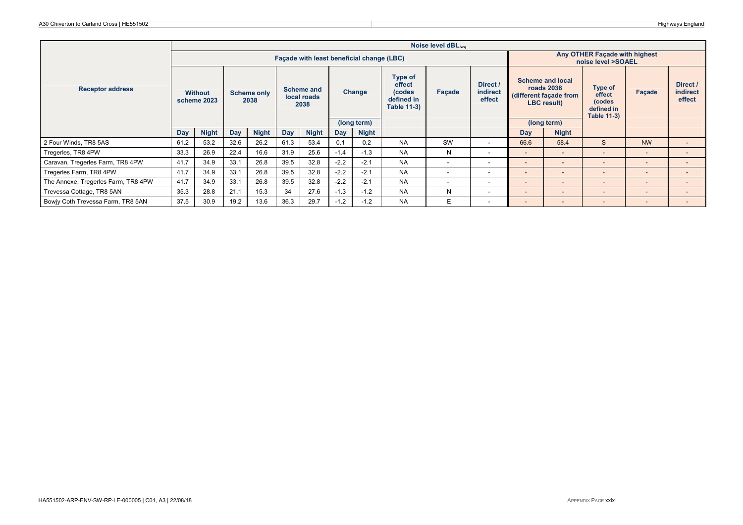2 and the contract of the contract of the contract of the contract of the contract of the contract of the contract of the contract of the contract of the contract of the contract of the contract of the contract of the cont

|                                     |      | Noise level dBLAeg                        |      |                            |      |                                          |        |              |                                                                 |                          |                                |                                                     |                                                                                       |                                                                 |                          |                                       |
|-------------------------------------|------|-------------------------------------------|------|----------------------------|------|------------------------------------------|--------|--------------|-----------------------------------------------------------------|--------------------------|--------------------------------|-----------------------------------------------------|---------------------------------------------------------------------------------------|-----------------------------------------------------------------|--------------------------|---------------------------------------|
|                                     |      | Facade with least beneficial change (LBC) |      |                            |      |                                          |        |              |                                                                 |                          |                                | Any OTHER Façade with highest<br>noise level >SOAEL |                                                                                       |                                                                 |                          |                                       |
| <b>Receptor address</b>             |      | <b>Without</b><br>scheme 2023             |      | <b>Scheme only</b><br>2038 |      | <b>Scheme and</b><br>local roads<br>2038 |        | Change       | Type of<br>effect<br>(codes<br>defined in<br><b>Table 11-3)</b> | Facade                   | Direct /<br>indirect<br>effect |                                                     | <b>Scheme and local</b><br><b>roads 2038</b><br>(different façade from<br>LBC result) | Type of<br>effect<br>(codes<br>defined in<br><b>Table 11-3)</b> | Facade                   | Direct /<br><b>indirect</b><br>effect |
|                                     |      |                                           |      |                            |      |                                          |        | (long term)  |                                                                 |                          |                                |                                                     | (long term)                                                                           |                                                                 |                          |                                       |
|                                     | Day  | <b>Night</b>                              | Day  | <b>Night</b>               | Day  | <b>Night</b>                             | Day    | <b>Night</b> |                                                                 |                          |                                | Day                                                 | <b>Night</b>                                                                          |                                                                 |                          |                                       |
| 2 Four Winds, TR8 5AS               | 61.2 | 53.2                                      | 32.6 | 26.2                       | 61.3 | 53.4                                     | 0.1    | 0.2          | <b>NA</b>                                                       | SW                       | -                              | 66.6                                                | 58.4                                                                                  | S                                                               | <b>NW</b>                | $\sim$                                |
| Tregerles, TR8 4PW                  | 33.3 | 26.9                                      | 22.4 | 16.6                       | 31.9 | 25.6                                     | $-1.4$ | $-1.3$       | <b>NA</b>                                                       | N                        | $\overline{\phantom{0}}$       | $\overline{\phantom{a}}$                            | $\sim$                                                                                | $\qquad \qquad$                                                 | $\overline{\phantom{a}}$ | $\overline{\phantom{0}}$              |
| Caravan, Tregerles Farm, TR8 4PW    | 41.7 | 34.9                                      | 33.1 | 26.8                       | 39.5 | 32.8                                     | $-2.2$ | $-2.1$       | <b>NA</b>                                                       | $\overline{\phantom{a}}$ | -                              | $\qquad \qquad \blacksquare$                        | $\overline{\phantom{a}}$                                                              | -                                                               | $\overline{\phantom{a}}$ | $\sim$                                |
| Tregerles Farm, TR8 4PW             | 41.7 | 34.9                                      | 33.1 | 26.8                       | 39.5 | 32.8                                     | $-2.2$ | $-2.1$       | <b>NA</b>                                                       | $\overline{\phantom{a}}$ | $\overline{\phantom{a}}$       | $\overline{\phantom{a}}$                            | $\overline{\phantom{a}}$                                                              | -                                                               | $\sim$                   | $\overline{\phantom{0}}$              |
| The Annexe, Tregerles Farm, TR8 4PW | 41.7 | 34.9                                      | 33.1 | 26.8                       | 39.5 | 32.8                                     | $-2.2$ | $-2.1$       | <b>NA</b>                                                       | $\overline{\phantom{a}}$ | $\overline{\phantom{a}}$       | $\overline{\phantom{a}}$                            | $\overline{\phantom{a}}$                                                              | $\overline{\phantom{a}}$                                        | $\sim$                   | $\sim$                                |
| Trevessa Cottage, TR8 5AN           | 35.3 | 28.8                                      | 21.1 | 15.3                       | 34   | 27.6                                     | $-1.3$ | $-1.2$       | <b>NA</b>                                                       | N                        | $\overline{\phantom{a}}$       | $\qquad \qquad \blacksquare$                        | $\overline{\phantom{a}}$                                                              | -                                                               | $\overline{\phantom{a}}$ | $\sim$                                |
| Bowiy Coth Trevessa Farm, TR8 5AN   | 37.5 | 30.9                                      | 19.2 | 13.6                       | 36.3 | 29.7                                     | $-1.2$ | $-1.2$       | <b>NA</b>                                                       | E                        | $\sim$                         | $\overline{\phantom{0}}$                            | $\sim$                                                                                | -                                                               | $\overline{\phantom{a}}$ | $\overline{\phantom{0}}$              |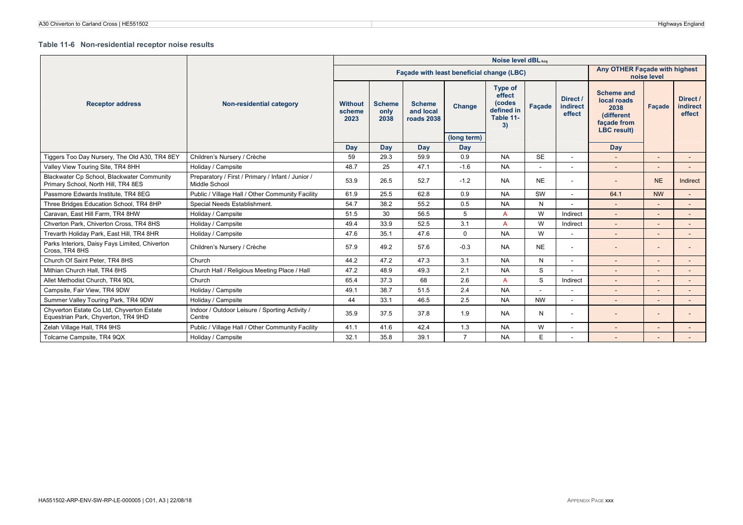#### **Table 11-6 Non-residential receptor noise results**

|                                                                                   |                                                                    | Noise level dBLAca<br>Any OTHER Facade with highest |                               |                                           |                              |                                                                     |             |                                |                                                                                             |             |                                       |  |  |
|-----------------------------------------------------------------------------------|--------------------------------------------------------------------|-----------------------------------------------------|-------------------------------|-------------------------------------------|------------------------------|---------------------------------------------------------------------|-------------|--------------------------------|---------------------------------------------------------------------------------------------|-------------|---------------------------------------|--|--|
|                                                                                   |                                                                    |                                                     |                               | Facade with least beneficial change (LBC) |                              |                                                                     |             |                                |                                                                                             | noise level |                                       |  |  |
| <b>Receptor address</b>                                                           | Non-residential category                                           | <b>Without</b><br>scheme<br>2023                    | <b>Scheme</b><br>only<br>2038 | <b>Scheme</b><br>and local<br>roads 2038  | <b>Change</b><br>(long term) | <b>Type of</b><br>effect<br>(codes<br>defined in<br>Table 11-<br>3) | Facade      | Direct /<br>indirect<br>effect | <b>Scheme and</b><br>local roads<br>2038<br>(different<br>facade from<br><b>LBC</b> result) | Façade      | Direct /<br><b>indirect</b><br>effect |  |  |
|                                                                                   |                                                                    | Day                                                 | Day                           | Day                                       | Day                          |                                                                     |             |                                | Day                                                                                         |             |                                       |  |  |
| Tiggers Too Day Nursery, The Old A30, TR4 8EY                                     | Children's Nursery / Crèche                                        | 59                                                  | 29.3                          | 59.9                                      | 0.9                          | <b>NA</b>                                                           | <b>SE</b>   | $\overline{\phantom{a}}$       |                                                                                             |             | $\sim$                                |  |  |
| Valley View Touring Site, TR4 8HH                                                 | Holiday / Campsite                                                 | 48.7                                                | 25                            | 47.1                                      | $-1.6$                       | <b>NA</b>                                                           |             |                                |                                                                                             |             |                                       |  |  |
| Blackwater Cp School, Blackwater Community<br>Primary School, North Hill, TR4 8ES | Preparatory / First / Primary / Infant / Junior /<br>Middle School | 53.9                                                | 26.5                          | 52.7                                      | $-1.2$                       | <b>NA</b>                                                           | <b>NE</b>   | ٠                              |                                                                                             | <b>NE</b>   | Indirect                              |  |  |
| Passmore Edwards Institute, TR4 8EG                                               | Public / Village Hall / Other Community Facility                   | 61.9                                                | 25.5                          | 62.8                                      | 0.9                          | <b>NA</b>                                                           | SW          |                                | 64.1                                                                                        | <b>NW</b>   |                                       |  |  |
| Three Bridges Education School, TR4 8HP                                           | Special Needs Establishment.                                       | 54.7                                                | 38.2                          | 55.2                                      | 0.5                          | <b>NA</b>                                                           | N           |                                |                                                                                             |             |                                       |  |  |
| Caravan, East Hill Farm, TR4 8HW                                                  | Holiday / Campsite                                                 | 51.5                                                | 30                            | 56.5                                      | 5                            | $\overline{A}$                                                      | W           | Indirect                       |                                                                                             |             |                                       |  |  |
| Chverton Park, Chiverton Cross, TR4 8HS                                           | Holiday / Campsite                                                 | 49.4                                                | 33.9                          | 52.5                                      | 3.1                          | $\overline{A}$                                                      | W           | Indirect                       | $\sim$                                                                                      |             |                                       |  |  |
| Trevarth Holiday Park, East Hill, TR4 8HR                                         | Holiday / Campsite                                                 | 47.6                                                | 35.1                          | 47.6                                      | $\Omega$                     | <b>NA</b>                                                           | W           | ٠                              |                                                                                             |             |                                       |  |  |
| Parks Interiors, Daisy Fays Limited, Chiverton<br>Cross, TR4 8HS                  | Children's Nursery / Crèche                                        | 57.9                                                | 49.2                          | 57.6                                      | $-0.3$                       | <b>NA</b>                                                           | <b>NE</b>   | $\overline{\phantom{a}}$       |                                                                                             |             |                                       |  |  |
| Church Of Saint Peter, TR4 8HS                                                    | Church                                                             | 44.2                                                | 47.2                          | 47.3                                      | 3.1                          | <b>NA</b>                                                           | N           | ٠                              |                                                                                             |             |                                       |  |  |
| Mithian Church Hall, TR4 8HS                                                      | Church Hall / Religious Meeting Place / Hall                       | 47.2                                                | 48.9                          | 49.3                                      | 2.1                          | <b>NA</b>                                                           | $\mathbf S$ |                                |                                                                                             |             |                                       |  |  |
| Allet Methodist Church. TR4 9DL                                                   | Church                                                             | 65.4                                                | 37.3                          | 68                                        | 2.6                          | $\mathsf{A}$                                                        | S           | Indirect                       |                                                                                             |             |                                       |  |  |
| Campsite, Fair View, TR4 9DW                                                      | Holiday / Campsite                                                 | 49.1                                                | 38.7                          | 51.5                                      | 2.4                          | <b>NA</b>                                                           |             |                                |                                                                                             |             |                                       |  |  |
| Summer Valley Touring Park, TR4 9DW                                               | Holiday / Campsite                                                 | 44                                                  | 33.1                          | 46.5                                      | 2.5                          | <b>NA</b>                                                           | <b>NW</b>   | ٠                              |                                                                                             |             |                                       |  |  |
| Chyverton Estate Co Ltd, Chyverton Estate<br>Equestrian Park, Chyverton, TR4 9HD  | Indoor / Outdoor Leisure / Sporting Activity /<br>Centre           | 35.9                                                | 37.5                          | 37.8                                      | 1.9                          | <b>NA</b>                                                           | N           | ٠                              |                                                                                             |             |                                       |  |  |
| Zelah Village Hall, TR4 9HS                                                       | Public / Village Hall / Other Community Facility                   | 41.1                                                | 41.6                          | 42.4                                      | 1.3                          | <b>NA</b>                                                           | W           | ٠                              |                                                                                             |             |                                       |  |  |
| Tolcarne Campsite, TR4 9QX                                                        | Holiday / Campsite                                                 | 32.1                                                | 35.8                          | 39.1                                      | $\overline{7}$               | <b>NA</b>                                                           | E.          | $\overline{\phantom{a}}$       |                                                                                             |             |                                       |  |  |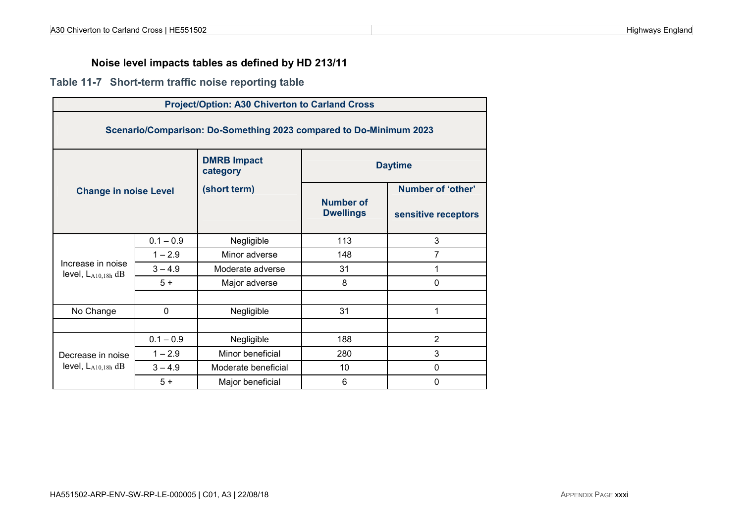## **Noise level impacts tables as defined by HD 213/11**

## **Table 11-7 Short-term traffic noise reporting table**

| <b>Project/Option: A30 Chiverton to Carland Cross</b>                  |                |                                |     |                   |  |  |  |  |  |  |  |
|------------------------------------------------------------------------|----------------|--------------------------------|-----|-------------------|--|--|--|--|--|--|--|
| Scenario/Comparison: Do-Something 2023 compared to Do-Minimum 2023     |                |                                |     |                   |  |  |  |  |  |  |  |
|                                                                        |                | <b>DMRB Impact</b><br>category |     | <b>Daytime</b>    |  |  |  |  |  |  |  |
| <b>Change in noise Level</b>                                           |                | (short term)                   |     | Number of 'other' |  |  |  |  |  |  |  |
| <b>Number of</b><br><b>Dwellings</b><br>sensitive receptors            |                |                                |     |                   |  |  |  |  |  |  |  |
|                                                                        | $0.1 - 0.9$    | Negligible                     | 113 | 3                 |  |  |  |  |  |  |  |
|                                                                        | $1 - 2.9$      | Minor adverse                  | 148 | $\overline{7}$    |  |  |  |  |  |  |  |
| Increase in noise<br>level, $L_{A10,18h}$ dB                           | $3 - 4.9$      | Moderate adverse               | 31  | 1                 |  |  |  |  |  |  |  |
|                                                                        | $5+$           | Major adverse                  | 8   | $\mathbf 0$       |  |  |  |  |  |  |  |
|                                                                        |                |                                |     |                   |  |  |  |  |  |  |  |
| No Change                                                              | $\mathbf{0}$   | Negligible                     | 31  | 1                 |  |  |  |  |  |  |  |
|                                                                        |                |                                |     |                   |  |  |  |  |  |  |  |
|                                                                        | $\overline{2}$ |                                |     |                   |  |  |  |  |  |  |  |
| 3<br>$1 - 2.9$<br>Minor beneficial<br>280<br>Decrease in noise         |                |                                |     |                   |  |  |  |  |  |  |  |
| level, $L_{A10,18h}$ dB<br>$3 - 4.9$<br>10<br>0<br>Moderate beneficial |                |                                |     |                   |  |  |  |  |  |  |  |
|                                                                        | $5+$           | Major beneficial               | 6   | 0                 |  |  |  |  |  |  |  |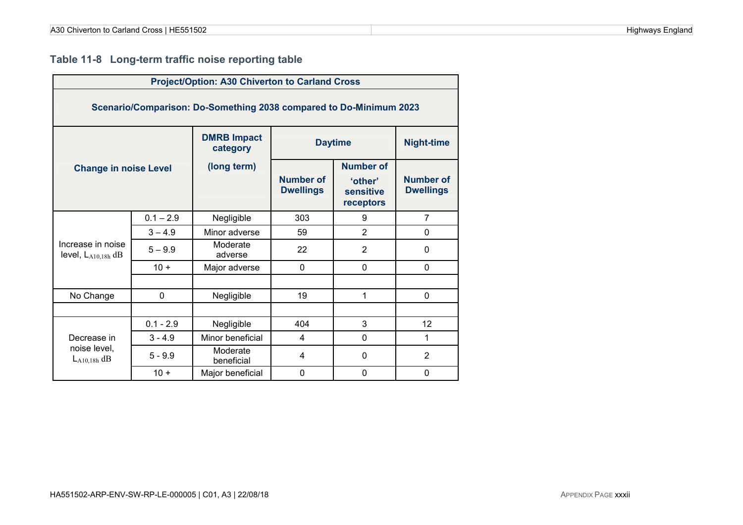## **Table 11-8 Long-term traffic noise reporting table**

| <b>Project/Option: A30 Chiverton to Carland Cross</b>                 |             |                        |                                      |                                   |                                      |  |  |  |  |  |  |
|-----------------------------------------------------------------------|-------------|------------------------|--------------------------------------|-----------------------------------|--------------------------------------|--|--|--|--|--|--|
| Scenario/Comparison: Do-Something 2038 compared to Do-Minimum 2023    |             |                        |                                      |                                   |                                      |  |  |  |  |  |  |
| <b>DMRB Impact</b><br><b>Daytime</b><br><b>Night-time</b><br>category |             |                        |                                      |                                   |                                      |  |  |  |  |  |  |
| <b>Change in noise Level</b>                                          |             | (long term)            |                                      | <b>Number of</b>                  |                                      |  |  |  |  |  |  |
|                                                                       |             |                        | <b>Number of</b><br><b>Dwellings</b> | 'other'<br>sensitive<br>receptors | <b>Number of</b><br><b>Dwellings</b> |  |  |  |  |  |  |
|                                                                       | $0.1 - 2.9$ | Negligible             | 303                                  | 9                                 | $\overline{7}$                       |  |  |  |  |  |  |
|                                                                       | $3 - 4.9$   | Minor adverse          | 59                                   | $\overline{2}$                    | 0                                    |  |  |  |  |  |  |
| Increase in noise<br>level, $L_{A10,18h}$ dB                          | $5 - 9.9$   | Moderate<br>adverse    | 22                                   | $\overline{2}$                    | 0                                    |  |  |  |  |  |  |
|                                                                       | $10 +$      | Major adverse          | $\mathbf 0$                          | $\Omega$                          | $\mathbf 0$                          |  |  |  |  |  |  |
|                                                                       |             |                        |                                      |                                   |                                      |  |  |  |  |  |  |
| No Change                                                             | 0           | Negligible             | 19                                   | 1                                 | $\mathbf 0$                          |  |  |  |  |  |  |
|                                                                       |             |                        |                                      |                                   |                                      |  |  |  |  |  |  |
| 3<br>$0.1 - 2.9$<br>404<br>12<br>Negligible                           |             |                        |                                      |                                   |                                      |  |  |  |  |  |  |
| Minor beneficial<br>1<br>$3 - 4.9$<br>0<br>Decrease in<br>4           |             |                        |                                      |                                   |                                      |  |  |  |  |  |  |
| noise level,<br>$L_{A10,18h}$ dB                                      | $5 - 9.9$   | Moderate<br>beneficial | 4                                    | 0                                 | $\overline{2}$                       |  |  |  |  |  |  |
|                                                                       | $10 +$      | Major beneficial       | $\mathbf 0$                          | $\mathbf 0$                       | 0                                    |  |  |  |  |  |  |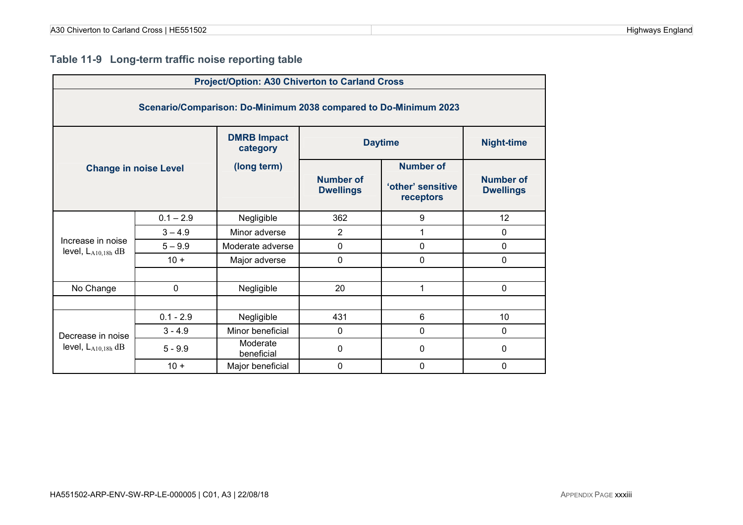## **Table 11-9 Long-term traffic noise reporting table**

| <b>Project/Option: A30 Chiverton to Carland Cross</b>            |                              |                                |                                      |                                |                                      |  |  |  |  |  |  |
|------------------------------------------------------------------|------------------------------|--------------------------------|--------------------------------------|--------------------------------|--------------------------------------|--|--|--|--|--|--|
| Scenario/Comparison: Do-Minimum 2038 compared to Do-Minimum 2023 |                              |                                |                                      |                                |                                      |  |  |  |  |  |  |
|                                                                  |                              | <b>DMRB Impact</b><br>category |                                      | <b>Daytime</b>                 | <b>Night-time</b>                    |  |  |  |  |  |  |
|                                                                  | <b>Change in noise Level</b> | (long term)                    |                                      | <b>Number of</b>               |                                      |  |  |  |  |  |  |
|                                                                  |                              |                                | <b>Number of</b><br><b>Dwellings</b> | 'other' sensitive<br>receptors | <b>Number of</b><br><b>Dwellings</b> |  |  |  |  |  |  |
|                                                                  | $0.1 - 2.9$                  | Negligible                     | 362                                  | 9                              | 12                                   |  |  |  |  |  |  |
|                                                                  | $3 - 4.9$                    | Minor adverse                  | $\overline{2}$                       | 1                              | 0                                    |  |  |  |  |  |  |
| Increase in noise<br>level, $L_{A10,18h}$ dB                     | $5 - 9.9$                    | Moderate adverse               | 0                                    | $\mathbf 0$                    | 0                                    |  |  |  |  |  |  |
|                                                                  | $10 +$                       | Major adverse                  | 0                                    | $\mathbf 0$                    | 0                                    |  |  |  |  |  |  |
|                                                                  |                              |                                |                                      |                                |                                      |  |  |  |  |  |  |
| No Change                                                        | $\mathbf 0$                  | Negligible                     | 20                                   | 1                              | $\mathbf 0$                          |  |  |  |  |  |  |
|                                                                  |                              |                                |                                      |                                |                                      |  |  |  |  |  |  |
|                                                                  | $0.1 - 2.9$                  | Negligible                     | 431                                  | 6                              | 10                                   |  |  |  |  |  |  |
| Decrease in noise                                                | $3 - 4.9$                    | Minor beneficial               | $\mathbf 0$                          | $\mathbf 0$                    | 0                                    |  |  |  |  |  |  |
| level, $L_{A10,18h}$ dB                                          | $5 - 9.9$                    | Moderate<br>beneficial         | 0                                    | 0                              | 0                                    |  |  |  |  |  |  |
|                                                                  | $10 +$                       | Major beneficial               | 0                                    | $\mathbf 0$                    | 0                                    |  |  |  |  |  |  |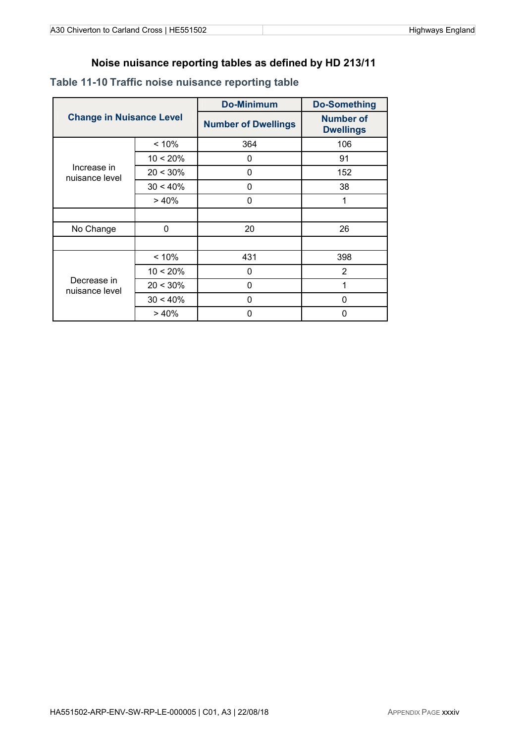### **Noise nuisance reporting tables as defined by HD 213/11**

|                                 |             | <b>Do-Minimum</b>          | <b>Do-Something</b>                  |
|---------------------------------|-------------|----------------------------|--------------------------------------|
| <b>Change in Nuisance Level</b> |             | <b>Number of Dwellings</b> | <b>Number of</b><br><b>Dwellings</b> |
|                                 | < 10%       | 364                        | 106                                  |
|                                 | $10 < 20\%$ | 0                          | 91                                   |
| Increase in<br>nuisance level   | $20 < 30\%$ | 0                          | 152                                  |
|                                 | $30 < 40\%$ | 0                          | 38                                   |
|                                 | >40%        | 0                          | 1                                    |
|                                 |             |                            |                                      |
| No Change                       | 0           | 20                         | 26                                   |
|                                 |             |                            |                                      |
|                                 | < 10%       | 431                        | 398                                  |
|                                 | $10 < 20\%$ | 0                          | 2                                    |
| Decrease in<br>nuisance level   | $20 < 30\%$ | 0                          | 1                                    |
|                                 | $30 < 40\%$ | 0                          | 0                                    |
|                                 | >40%        | 0                          | 0                                    |

## **Table 11-10 Traffic noise nuisance reporting table**